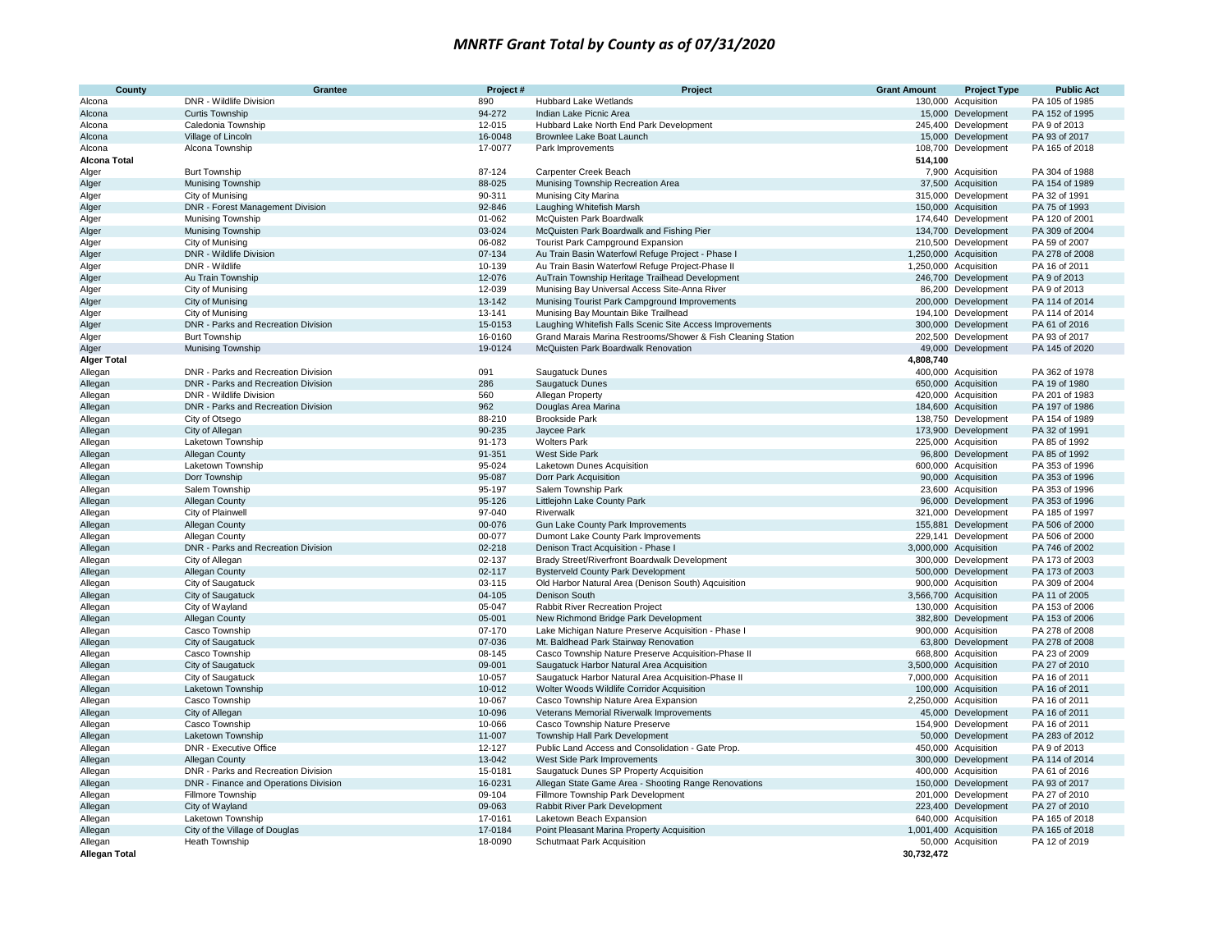| County               | Grantee                               | Project# | Project                                                      | <b>Grant Amount</b> | <b>Project Type</b>   | <b>Public Act</b> |
|----------------------|---------------------------------------|----------|--------------------------------------------------------------|---------------------|-----------------------|-------------------|
| Alcona               | DNR - Wildlife Division               | 890      | <b>Hubbard Lake Wetlands</b>                                 |                     | 130,000 Acquisition   | PA 105 of 1985    |
| Alcona               | <b>Curtis Township</b>                | 94-272   | Indian Lake Picnic Area                                      |                     | 15,000 Development    | PA 152 of 1995    |
| Alcona               | Caledonia Township                    | 12-015   | Hubbard Lake North End Park Development                      |                     | 245,400 Development   | PA 9 of 2013      |
| Alcona               | Village of Lincoln                    | 16-0048  | Brownlee Lake Boat Launch                                    |                     | 15,000 Development    | PA 93 of 2017     |
| Alcona               | Alcona Township                       | 17-0077  | Park Improvements                                            |                     | 108,700 Development   | PA 165 of 2018    |
| <b>Alcona Total</b>  |                                       |          |                                                              | 514,100             |                       |                   |
| Alger                | <b>Burt Township</b>                  | 87-124   | Carpenter Creek Beach                                        |                     | 7,900 Acquisition     | PA 304 of 1988    |
| Alger                | Munising Township                     | 88-025   | Munising Township Recreation Area                            |                     | 37,500 Acquisition    | PA 154 of 1989    |
| Alger                | City of Munising                      | 90-311   | Munising City Marina                                         |                     | 315,000 Development   | PA 32 of 1991     |
| Alger                | DNR - Forest Management Division      | 92-846   | Laughing Whitefish Marsh                                     |                     | 150,000 Acquisition   | PA 75 of 1993     |
| Alger                | <b>Munising Township</b>              | 01-062   | McQuisten Park Boardwalk                                     |                     | 174,640 Development   | PA 120 of 2001    |
| Alger                | Munising Township                     | 03-024   | McQuisten Park Boardwalk and Fishing Pier                    |                     | 134,700 Development   | PA 309 of 2004    |
| Alger                | City of Munising                      | 06-082   | <b>Tourist Park Campground Expansion</b>                     |                     | 210,500 Development   | PA 59 of 2007     |
| Alger                | DNR - Wildlife Division               | 07-134   | Au Train Basin Waterfowl Refuge Project - Phase I            |                     | 1,250,000 Acquisition | PA 278 of 2008    |
| Alger                | DNR - Wildlife                        | 10-139   | Au Train Basin Waterfowl Refuge Project-Phase II             |                     | 1,250,000 Acquisition | PA 16 of 2011     |
| Alger                | Au Train Township                     | 12-076   | AuTrain Township Heritage Trailhead Development              |                     | 246,700 Development   | PA 9 of 2013      |
| Alger                | City of Munising                      | 12-039   | Munising Bay Universal Access Site-Anna River                |                     | 86,200 Development    | PA 9 of 2013      |
| Alger                | City of Munising                      | 13-142   | Munising Tourist Park Campground Improvements                |                     | 200,000 Development   | PA 114 of 2014    |
| Alger                | City of Munising                      | 13-141   | Munising Bay Mountain Bike Trailhead                         |                     | 194,100 Development   | PA 114 of 2014    |
| Alger                | DNR - Parks and Recreation Division   | 15-0153  | Laughing Whitefish Falls Scenic Site Access Improvements     |                     | 300,000 Development   | PA 61 of 2016     |
| Alger                | <b>Burt Township</b>                  | 16-0160  | Grand Marais Marina Restrooms/Shower & Fish Cleaning Station |                     | 202,500 Development   | PA 93 of 2017     |
| Alger                | <b>Munising Township</b>              | 19-0124  | McQuisten Park Boardwalk Renovation                          |                     | 49,000 Development    | PA 145 of 2020    |
| <b>Alger Total</b>   |                                       |          |                                                              | 4,808,740           |                       |                   |
| Allegan              | DNR - Parks and Recreation Division   | 091      | <b>Saugatuck Dunes</b>                                       |                     | 400,000 Acquisition   | PA 362 of 1978    |
| Allegan              | DNR - Parks and Recreation Division   | 286      | Saugatuck Dunes                                              |                     | 650,000 Acquisition   | PA 19 of 1980     |
| Allegan              | DNR - Wildlife Division               | 560      | Allegan Property                                             |                     | 420,000 Acquisition   | PA 201 of 1983    |
| Allegan              | DNR - Parks and Recreation Division   | 962      | Douglas Area Marina                                          |                     | 184,600 Acquisition   | PA 197 of 1986    |
| Allegan              | City of Otsego                        | 88-210   | <b>Brookside Park</b>                                        |                     | 138,750 Development   | PA 154 of 1989    |
| Allegan              | City of Allegan                       | 90-235   | Jaycee Park                                                  |                     | 173,900 Development   | PA 32 of 1991     |
| Allegan              | Laketown Township                     | 91-173   | <b>Wolters Park</b>                                          |                     | 225,000 Acquisition   | PA 85 of 1992     |
| Allegan              | Allegan County                        | 91-351   | West Side Park                                               |                     | 96,800 Development    | PA 85 of 1992     |
| Allegan              | Laketown Township                     | 95-024   | Laketown Dunes Acquisition                                   |                     | 600,000 Acquisition   | PA 353 of 1996    |
| Allegan              | Dorr Township                         | 95-087   | Dorr Park Acquisition                                        |                     | 90,000 Acquisition    | PA 353 of 1996    |
| Allegan              | Salem Township                        | 95-197   | Salem Township Park                                          |                     | 23,600 Acquisition    | PA 353 of 1996    |
| Allegan              | Allegan County                        | 95-126   | Littlejohn Lake County Park                                  |                     | 96,000 Development    | PA 353 of 1996    |
| Allegan              | City of Plainwell                     | 97-040   | Riverwalk                                                    |                     | 321,000 Development   | PA 185 of 1997    |
| Allegan              | Allegan County                        | 00-076   | Gun Lake County Park Improvements                            |                     | 155,881 Development   | PA 506 of 2000    |
| Allegan              | Allegan County                        | 00-077   | Dumont Lake County Park Improvements                         | 229,141             | Development           | PA 506 of 2000    |
| Allegan              | DNR - Parks and Recreation Division   | 02-218   | Denison Tract Acquisition - Phase I                          |                     | 3,000,000 Acquisition | PA 746 of 2002    |
| Allegan              | City of Allegan                       | 02-137   | Brady Street/Riverfront Boardwalk Development                |                     | 300,000 Development   | PA 173 of 2003    |
| Allegan              | Allegan County                        | 02-117   | <b>Bysterveld County Park Development</b>                    |                     | 500,000 Development   | PA 173 of 2003    |
| Allegan              | City of Saugatuck                     | 03-115   | Old Harbor Natural Area (Denison South) Aqcuisition          |                     | 900,000 Acquisition   | PA 309 of 2004    |
| Allegan              | City of Saugatuck                     | 04-105   | Denison South                                                |                     | 3,566,700 Acquisition | PA 11 of 2005     |
| Allegan              | City of Wayland                       | 05-047   | Rabbit River Recreation Project                              |                     | 130,000 Acquisition   | PA 153 of 2006    |
| Allegan              | Allegan County                        | 05-001   | New Richmond Bridge Park Development                         |                     | 382,800 Development   | PA 153 of 2006    |
| Allegan              | Casco Township                        | 07-170   | Lake Michigan Nature Preserve Acquisition - Phase I          |                     | 900,000 Acquisition   | PA 278 of 2008    |
| Allegan              | City of Saugatuck                     | 07-036   | Mt. Baldhead Park Stairway Renovation                        |                     | 63,800 Development    | PA 278 of 2008    |
| Allegan              | Casco Township                        | 08-145   | Casco Township Nature Preserve Acquisition-Phase II          |                     | 668,800 Acquisition   | PA 23 of 2009     |
| Allegan              | City of Saugatuck                     | 09-001   | Saugatuck Harbor Natural Area Acquisition                    |                     | 3,500,000 Acquisition | PA 27 of 2010     |
| Allegan              | City of Saugatuck                     | 10-057   | Saugatuck Harbor Natural Area Acquisition-Phase II           |                     | 7,000,000 Acquisition | PA 16 of 2011     |
| Allegan              | Laketown Township                     | 10-012   | Wolter Woods Wildlife Corridor Acquisition                   |                     | 100,000 Acquisition   | PA 16 of 2011     |
| Allegan              | Casco Township                        | 10-067   | Casco Township Nature Area Expansion                         |                     | 2,250,000 Acquisition | PA 16 of 2011     |
| Allegan              | City of Allegan                       | 10-096   | Veterans Memorial Riverwalk Improvements                     |                     | 45,000 Development    | PA 16 of 2011     |
| Allegan              | Casco Township                        | 10-066   | Casco Township Nature Preserve                               |                     | 154,900 Development   | PA 16 of 2011     |
| Allegan              | Laketown Township                     | 11-007   | Township Hall Park Development                               |                     | 50,000 Development    | PA 283 of 2012    |
| Allegan              | DNR - Executive Office                | 12-127   | Public Land Access and Consolidation - Gate Prop.            |                     | 450,000 Acquisition   | PA 9 of 2013      |
| Allegan              | Allegan County                        | 13-042   | West Side Park Improvements                                  |                     | 300,000 Development   | PA 114 of 2014    |
| Allegan              | DNR - Parks and Recreation Division   | 15-0181  | Saugatuck Dunes SP Property Acquisition                      |                     | 400,000 Acquisition   | PA 61 of 2016     |
| Allegan              | DNR - Finance and Operations Division | 16-0231  | Allegan State Game Area - Shooting Range Renovations         |                     | 150,000 Development   | PA 93 of 2017     |
| Allegan              | Fillmore Township                     | 09-104   | Fillmore Township Park Development                           |                     | 201,000 Development   | PA 27 of 2010     |
| Allegan              | City of Wayland                       | 09-063   | Rabbit River Park Development                                |                     | 223,400 Development   | PA 27 of 2010     |
| Allegan              | Laketown Township                     | 17-0161  | Laketown Beach Expansion                                     |                     | 640,000 Acquisition   | PA 165 of 2018    |
| Allegan              | City of the Village of Douglas        | 17-0184  | Point Pleasant Marina Property Acquisition                   |                     | 1,001,400 Acquisition | PA 165 of 2018    |
| Allegan              | Heath Township                        | 18-0090  | Schutmaat Park Acquisition                                   |                     | 50,000 Acquisition    | PA 12 of 2019     |
| <b>Allegan Total</b> |                                       |          |                                                              | 30,732,472          |                       |                   |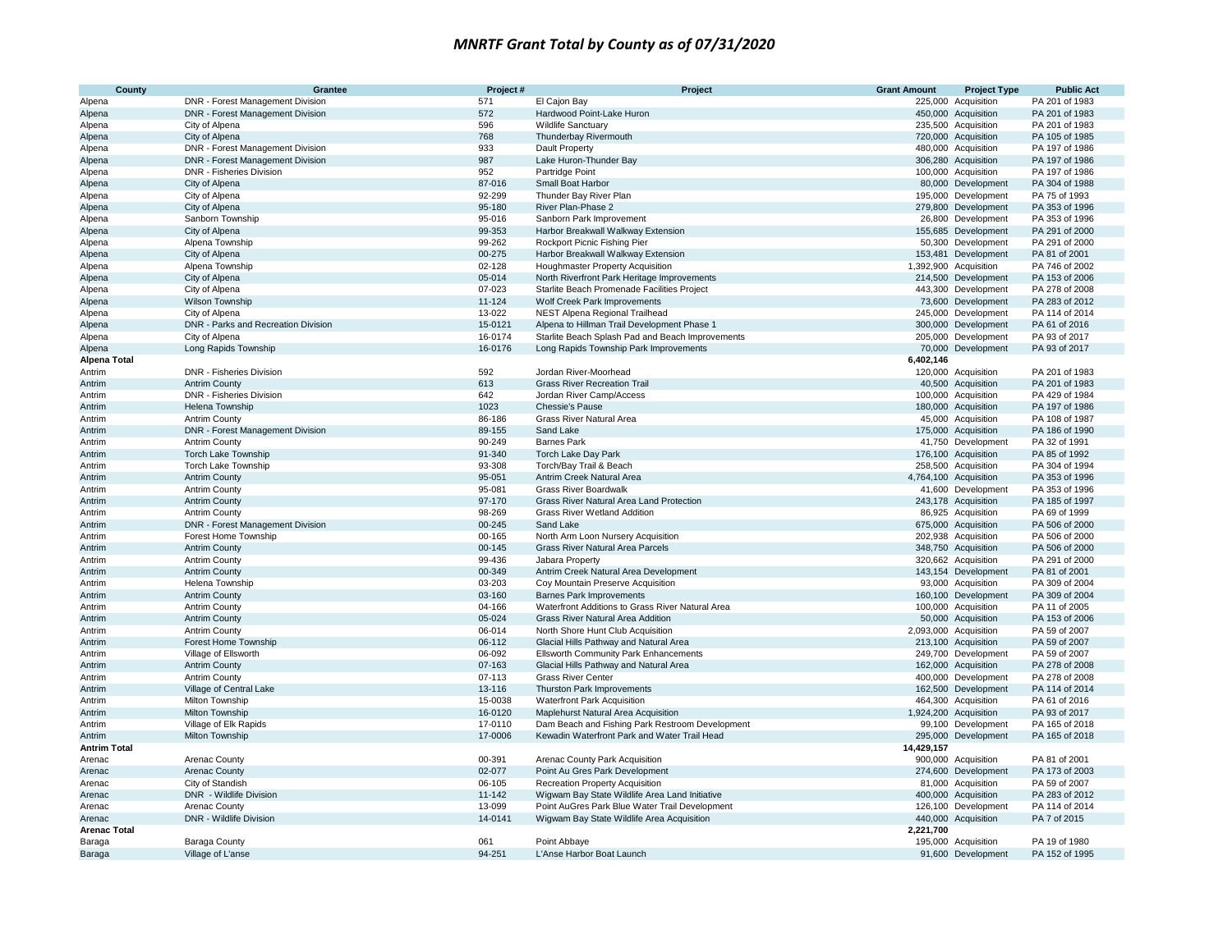| County              | Grantee                             | Project#   | Project                                          | <b>Grant Amount</b> | <b>Project Type</b>   | <b>Public Act</b> |
|---------------------|-------------------------------------|------------|--------------------------------------------------|---------------------|-----------------------|-------------------|
| Alpena              | DNR - Forest Management Division    | 571        | El Cajon Bay                                     |                     | 225,000 Acquisition   | PA 201 of 1983    |
| Alpena              | DNR - Forest Management Division    | 572        | Hardwood Point-Lake Huron                        |                     | 450,000 Acquisition   | PA 201 of 1983    |
| Alpena              | City of Alpena                      | 596        | <b>Wildlife Sanctuary</b>                        |                     | 235,500 Acquisition   | PA 201 of 1983    |
| Alpena              | City of Alpena                      | 768        | Thunderbay Rivermouth                            |                     | 720,000 Acquisition   | PA 105 of 1985    |
| Alpena              | DNR - Forest Management Division    | 933        | Dault Property                                   |                     | 480,000 Acquisition   | PA 197 of 1986    |
| Alpena              | DNR - Forest Management Division    | 987        | Lake Huron-Thunder Bay                           |                     | 306,280 Acquisition   | PA 197 of 1986    |
| Alpena              | DNR - Fisheries Division            | 952        | Partridge Point                                  |                     | 100,000 Acquisition   | PA 197 of 1986    |
| Alpena              | City of Alpena                      | 87-016     | Small Boat Harbor                                |                     | 80,000 Development    | PA 304 of 1988    |
| Alpena              | City of Alpena                      | 92-299     | Thunder Bay River Plan                           |                     | 195,000 Development   | PA 75 of 1993     |
| Alpena              | City of Alpena                      | 95-180     | River Plan-Phase 2                               |                     | 279,800 Development   | PA 353 of 1996    |
| Alpena              | Sanborn Township                    | 95-016     | Sanborn Park Improvement                         |                     | 26,800 Development    | PA 353 of 1996    |
| Alpena              | City of Alpena                      | 99-353     | Harbor Breakwall Walkway Extension               |                     | 155,685 Development   | PA 291 of 2000    |
| Alpena              | Alpena Township                     | 99-262     | Rockport Picnic Fishing Pier                     |                     | 50,300 Development    | PA 291 of 2000    |
| Alpena              | City of Alpena                      | 00-275     | Harbor Breakwall Walkway Extension               |                     | 153,481 Development   | PA 81 of 2001     |
| Alpena              | Alpena Township                     | 02-128     | Houghmaster Property Acquisition                 |                     | 1,392,900 Acquisition | PA 746 of 2002    |
| Alpena              | City of Alpena                      | 05-014     | North Riverfront Park Heritage Improvements      |                     | 214,500 Development   | PA 153 of 2006    |
| Alpena              | City of Alpena                      | 07-023     | Starlite Beach Promenade Facilities Project      |                     | 443,300 Development   | PA 278 of 2008    |
| Alpena              | Wilson Township                     | 11-124     | Wolf Creek Park Improvements                     |                     | 73,600 Development    | PA 283 of 2012    |
| Alpena              | City of Alpena                      | 13-022     | NEST Alpena Regional Trailhead                   |                     | 245,000 Development   | PA 114 of 2014    |
| Alpena              | DNR - Parks and Recreation Division | 15-0121    | Alpena to Hillman Trail Development Phase 1      |                     | 300,000 Development   | PA 61 of 2016     |
| Alpena              | City of Alpena                      | 16-0174    | Starlite Beach Splash Pad and Beach Improvements |                     | 205,000 Development   | PA 93 of 2017     |
| Alpena              | Long Rapids Township                | 16-0176    | Long Rapids Township Park Improvements           |                     | 70,000 Development    | PA 93 of 2017     |
| <b>Alpena Total</b> |                                     |            |                                                  | 6,402,146           |                       |                   |
| Antrim              | DNR - Fisheries Division            | 592        | Jordan River-Moorhead                            |                     | 120,000 Acquisition   | PA 201 of 1983    |
| Antrim              | <b>Antrim County</b>                | 613        | <b>Grass River Recreation Trail</b>              |                     | 40,500 Acquisition    | PA 201 of 1983    |
| Antrim              | DNR - Fisheries Division            | 642        | Jordan River Camp/Access                         |                     | 100,000 Acquisition   | PA 429 of 1984    |
| Antrim              | Helena Township                     | 1023       | Chessie's Pause                                  |                     | 180,000 Acquisition   | PA 197 of 1986    |
| Antrim              | <b>Antrim County</b>                | 86-186     | Grass River Natural Area                         |                     | 45,000 Acquisition    | PA 108 of 1987    |
| Antrim              | DNR - Forest Management Division    | 89-155     | Sand Lake                                        |                     | 175,000 Acquisition   | PA 186 of 1990    |
| Antrim              | <b>Antrim County</b>                | 90-249     | <b>Barnes Park</b>                               |                     | 41,750 Development    | PA 32 of 1991     |
| Antrim              | Torch Lake Township                 | 91-340     | Torch Lake Day Park                              |                     | 176,100 Acquisition   | PA 85 of 1992     |
| Antrim              | <b>Torch Lake Township</b>          | 93-308     | Torch/Bay Trail & Beach                          |                     | 258,500 Acquisition   | PA 304 of 1994    |
| Antrim              | <b>Antrim County</b>                | 95-051     | Antrim Creek Natural Area                        |                     | 4,764,100 Acquisition | PA 353 of 1996    |
| Antrim              | <b>Antrim County</b>                | 95-081     | <b>Grass River Boardwalk</b>                     |                     | 41,600 Development    | PA 353 of 1996    |
| Antrim              | <b>Antrim County</b>                | 97-170     | <b>Grass River Natural Area Land Protection</b>  |                     | 243,178 Acquisition   | PA 185 of 1997    |
| Antrim              | <b>Antrim County</b>                | 98-269     | <b>Grass River Wetland Addition</b>              |                     | 86,925 Acquisition    | PA 69 of 1999     |
| Antrim              | DNR - Forest Management Division    | 00-245     | Sand Lake                                        |                     | 675,000 Acquisition   | PA 506 of 2000    |
| Antrim              | Forest Home Township                | 00-165     | North Arm Loon Nursery Acquisition               |                     | 202,938 Acquisition   | PA 506 of 2000    |
| Antrim              | <b>Antrim County</b>                | $00 - 145$ | Grass River Natural Area Parcels                 |                     | 348,750 Acquisition   | PA 506 of 2000    |
| Antrim              | <b>Antrim County</b>                | 99-436     | Jabara Property                                  |                     | 320,662 Acquisition   | PA 291 of 2000    |
| Antrim              | <b>Antrim County</b>                | 00-349     | Antrim Creek Natural Area Development            |                     | 143,154 Development   | PA 81 of 2001     |
| Antrim              | Helena Township                     | 03-203     | Coy Mountain Preserve Acquisition                |                     | 93,000 Acquisition    | PA 309 of 2004    |
| Antrim              | <b>Antrim County</b>                | 03-160     | <b>Barnes Park Improvements</b>                  |                     | 160,100 Development   | PA 309 of 2004    |
| Antrim              | <b>Antrim County</b>                | 04-166     | Waterfront Additions to Grass River Natural Area |                     | 100,000 Acquisition   | PA 11 of 2005     |
| Antrim              | <b>Antrim County</b>                | 05-024     | Grass River Natural Area Addition                |                     | 50,000 Acquisition    | PA 153 of 2006    |
| Antrim              | <b>Antrim County</b>                | 06-014     | North Shore Hunt Club Acquisition                |                     | 2,093,000 Acquisition | PA 59 of 2007     |
| Antrim              | Forest Home Township                | 06-112     | Glacial Hills Pathway and Natural Area           |                     | 213,100 Acquisition   | PA 59 of 2007     |
| Antrim              | Village of Ellsworth                | 06-092     | <b>Ellsworth Community Park Enhancements</b>     |                     | 249,700 Development   | PA 59 of 2007     |
| Antrim              | <b>Antrim County</b>                | 07-163     | Glacial Hills Pathway and Natural Area           |                     | 162,000 Acquisition   | PA 278 of 2008    |
| Antrim              | <b>Antrim County</b>                | 07-113     | <b>Grass River Center</b>                        |                     | 400,000 Development   | PA 278 of 2008    |
| Antrim              | Village of Central Lake             | 13-116     | Thurston Park Improvements                       |                     | 162,500 Development   | PA 114 of 2014    |
| Antrim              | <b>Milton Township</b>              | 15-0038    | <b>Waterfront Park Acquisition</b>               |                     | 464,300 Acquisition   | PA 61 of 2016     |
| Antrim              | Milton Township                     | 16-0120    | Maplehurst Natural Area Acquisition              |                     | 1,924,200 Acquisition | PA 93 of 2017     |
| Antrim              | Village of Elk Rapids               | 17-0110    | Dam Beach and Fishing Park Restroom Development  |                     | 99,100 Development    | PA 165 of 2018    |
| Antrim              | Milton Township                     | 17-0006    | Kewadin Waterfront Park and Water Trail Head     |                     | 295,000 Development   | PA 165 of 2018    |
| <b>Antrim Total</b> |                                     |            |                                                  | 14,429,157          |                       |                   |
| Arenac              | <b>Arenac County</b>                | 00-391     | Arenac County Park Acquisition                   |                     | 900,000 Acquisition   | PA 81 of 2001     |
| Arenac              | <b>Arenac County</b>                | 02-077     | Point Au Gres Park Development                   |                     | 274,600 Development   | PA 173 of 2003    |
| Arenac              | City of Standish                    | 06-105     | <b>Recreation Property Acquisition</b>           |                     | 81,000 Acquisition    | PA 59 of 2007     |
| Arenac              | DNR - Wildlife Division             | 11-142     | Wigwam Bay State Wildlife Area Land Initiative   |                     | 400,000 Acquisition   | PA 283 of 2012    |
| Arenac              | Arenac County                       | 13-099     | Point AuGres Park Blue Water Trail Development   |                     | 126,100 Development   | PA 114 of 2014    |
| Arenac              | DNR - Wildlife Division             | 14-0141    | Wigwam Bay State Wildlife Area Acquisition       |                     | 440,000 Acquisition   | PA 7 of 2015      |
| <b>Arenac Total</b> |                                     |            |                                                  | 2,221,700           |                       |                   |
| Baraga              | Baraga County                       | 061        | Point Abbaye                                     |                     | 195,000 Acquisition   | PA 19 of 1980     |
| Baraga              | Village of L'anse                   | 94-251     | L'Anse Harbor Boat Launch                        |                     | 91,600 Development    | PA 152 of 1995    |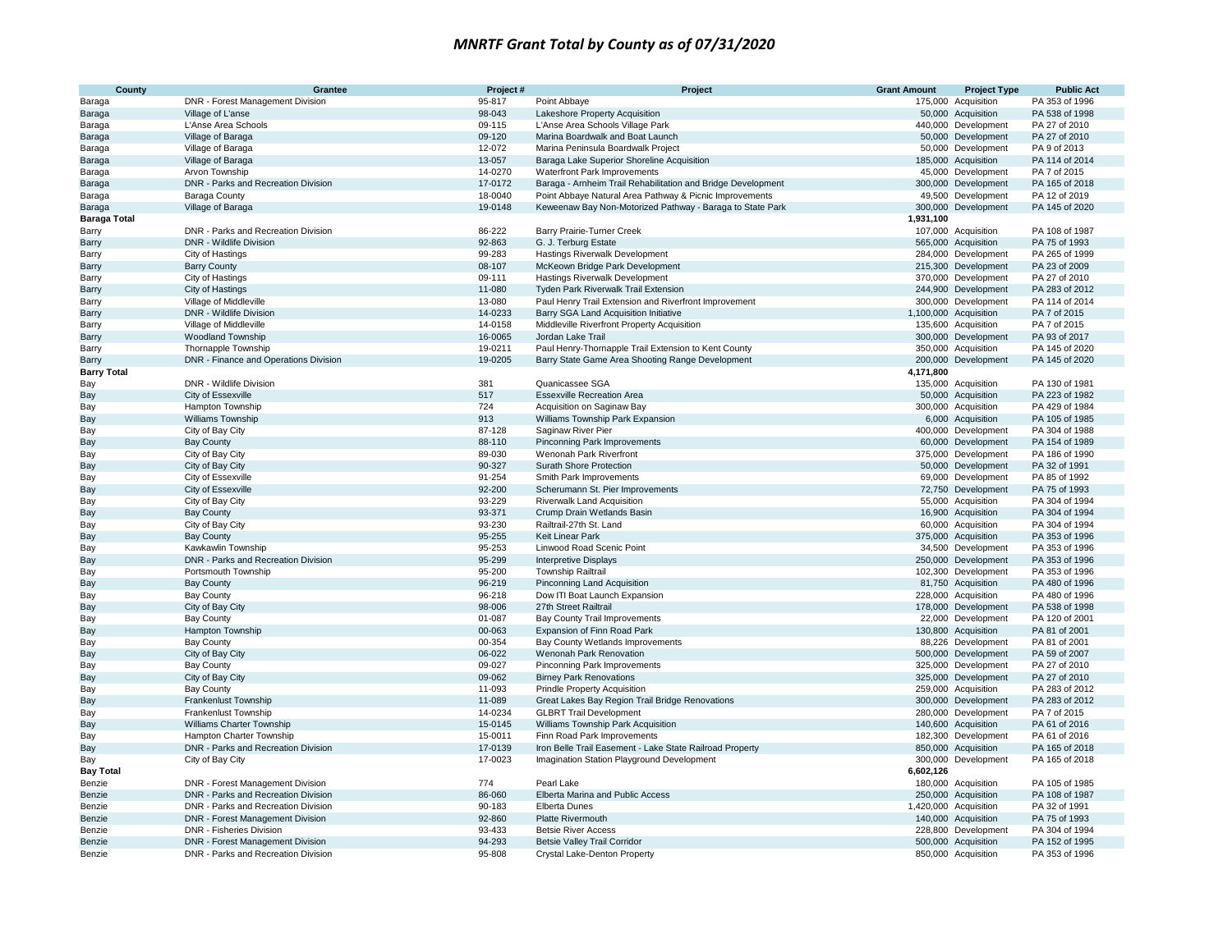| County              | Grantee                               | Project# | Project                                                      | <b>Grant Amount</b> | <b>Project Type</b>   | <b>Public Act</b> |
|---------------------|---------------------------------------|----------|--------------------------------------------------------------|---------------------|-----------------------|-------------------|
| Baraga              | DNR - Forest Management Division      | 95-817   | Point Abbaye                                                 |                     | 175,000 Acquisition   | PA 353 of 1996    |
| Baraga              | Village of L'anse                     | 98-043   | Lakeshore Property Acquisition                               |                     | 50,000 Acquisition    | PA 538 of 1998    |
| Baraga              | L'Anse Area Schools                   | 09-115   | L'Anse Area Schools Village Park                             |                     | 440,000 Development   | PA 27 of 2010     |
| Baraga              | Village of Baraga                     | 09-120   | Marina Boardwalk and Boat Launch                             |                     | 50,000 Development    | PA 27 of 2010     |
| Baraga              | Village of Baraga                     | 12-072   | Marina Peninsula Boardwalk Project                           |                     | 50,000 Development    | PA 9 of 2013      |
| Baraga              | Village of Baraga                     | 13-057   | Baraga Lake Superior Shoreline Acquisition                   |                     | 185,000 Acquisition   | PA 114 of 2014    |
| Baraga              | Arvon Township                        | 14-0270  | <b>Waterfront Park Improvements</b>                          |                     | 45,000 Development    | PA 7 of 2015      |
| Baraga              | DNR - Parks and Recreation Division   | 17-0172  | Baraga - Arnheim Trail Rehabilitation and Bridge Development |                     | 300,000 Development   | PA 165 of 2018    |
| Baraga              | Baraga County                         | 18-0040  | Point Abbaye Natural Area Pathway & Picnic Improvements      |                     | 49,500 Development    | PA 12 of 2019     |
| Baraga              | Village of Baraga                     | 19-0148  | Keweenaw Bay Non-Motorized Pathway - Baraga to State Park    |                     | 300,000 Development   | PA 145 of 2020    |
| <b>Baraga Total</b> |                                       |          |                                                              | 1,931,100           |                       |                   |
| Barry               | DNR - Parks and Recreation Division   | 86-222   | Barry Prairie-Turner Creek                                   |                     | 107,000 Acquisition   | PA 108 of 1987    |
| Barry               | <b>DNR</b> - Wildlife Division        | 92-863   | G. J. Terburg Estate                                         |                     | 565,000 Acquisition   | PA 75 of 1993     |
| Barry               | City of Hastings                      | 99-283   | Hastings Riverwalk Development                               |                     | 284,000 Development   | PA 265 of 1999    |
| Barry               | <b>Barry County</b>                   | 08-107   | McKeown Bridge Park Development                              |                     | 215,300 Development   | PA 23 of 2009     |
| Barry               | City of Hastings                      | 09-111   | Hastings Riverwalk Development                               |                     | 370,000 Development   | PA 27 of 2010     |
| Barry               | City of Hastings                      | 11-080   | Tyden Park Riverwalk Trail Extension                         |                     | 244,900 Development   | PA 283 of 2012    |
| Barry               | Village of Middleville                | 13-080   | Paul Henry Trail Extension and Riverfront Improvement        |                     | 300,000 Development   | PA 114 of 2014    |
| Barry               | DNR - Wildlife Division               | 14-0233  | Barry SGA Land Acquisition Initiative                        |                     | 1,100,000 Acquisition | PA 7 of 2015      |
| Barry               | Village of Middleville                | 14-0158  | Middleville Riverfront Property Acquisition                  |                     | 135,600 Acquisition   | PA 7 of 2015      |
| Barry               | <b>Woodland Township</b>              | 16-0065  | Jordan Lake Trail                                            |                     | 300,000 Development   | PA 93 of 2017     |
| Barry               | Thornapple Township                   | 19-0211  | Paul Henry-Thornapple Trail Extension to Kent County         |                     | 350,000 Acquisition   | PA 145 of 2020    |
| Barry               | DNR - Finance and Operations Division | 19-0205  | Barry State Game Area Shooting Range Development             |                     | 200,000 Development   | PA 145 of 2020    |
| <b>Barry Total</b>  |                                       |          |                                                              | 4,171,800           |                       |                   |
| Bay                 | DNR - Wildlife Division               | 381      | Quanicassee SGA                                              |                     | 135,000 Acquisition   | PA 130 of 1981    |
| Bay                 | City of Essexville                    | 517      | <b>Essexville Recreation Area</b>                            |                     | 50,000 Acquisition    | PA 223 of 1982    |
| Bay                 | Hampton Township                      | 724      | Acquisition on Saginaw Bay                                   |                     | 300,000 Acquisition   | PA 429 of 1984    |
| Bay                 | <b>Williams Township</b>              | 913      | Williams Township Park Expansion                             |                     | 6,000 Acquisition     | PA 105 of 1985    |
| Bay                 | City of Bay City                      | 87-128   | Saginaw River Pier                                           |                     | 400,000 Development   | PA 304 of 1988    |
| Bay                 | <b>Bay County</b>                     | 88-110   | Pinconning Park Improvements                                 |                     | 60,000 Development    | PA 154 of 1989    |
| Bay                 | City of Bay City                      | 89-030   | Wenonah Park Riverfront                                      |                     | 375,000 Development   | PA 186 of 1990    |
| Bay                 | City of Bay City                      | 90-327   | Surath Shore Protection                                      |                     | 50,000 Development    | PA 32 of 1991     |
| Bay                 | City of Essexville                    | 91-254   | Smith Park Improvements                                      |                     | 69,000 Development    | PA 85 of 1992     |
| Bay                 | City of Essexville                    | 92-200   | Scherumann St. Pier Improvements                             |                     | 72,750 Development    | PA 75 of 1993     |
| Bay                 | City of Bay City                      | 93-229   | <b>Riverwalk Land Acquisition</b>                            |                     | 55,000 Acquisition    | PA 304 of 1994    |
| Bay                 | <b>Bay County</b>                     | 93-371   | Crump Drain Wetlands Basin                                   |                     | 16,900 Acquisition    | PA 304 of 1994    |
| Bay                 | City of Bay City                      | 93-230   | Railtrail-27th St. Land                                      |                     | 60,000 Acquisition    | PA 304 of 1994    |
| Bay                 | <b>Bay County</b>                     | 95-255   | <b>Keit Linear Park</b>                                      |                     | 375,000 Acquisition   | PA 353 of 1996    |
| Bay                 | Kawkawlin Township                    | 95-253   | Linwood Road Scenic Point                                    |                     | 34,500 Development    | PA 353 of 1996    |
| Bay                 | DNR - Parks and Recreation Division   | 95-299   | <b>Interpretive Displays</b>                                 |                     | 250,000 Development   | PA 353 of 1996    |
| Bay                 | Portsmouth Township                   | 95-200   | Township Railtrail                                           |                     | 102,300 Development   | PA 353 of 1996    |
| Bay                 | <b>Bay County</b>                     | 96-219   | Pinconning Land Acquisition                                  |                     | 81,750 Acquisition    | PA 480 of 1996    |
| Bay                 | <b>Bay County</b>                     | 96-218   | Dow ITI Boat Launch Expansion                                |                     | 228,000 Acquisition   | PA 480 of 1996    |
| Bay                 | City of Bay City                      | 98-006   | 27th Street Railtrail                                        |                     | 178,000 Development   | PA 538 of 1998    |
| Bay                 | <b>Bay County</b>                     | 01-087   | Bay County Trail Improvements                                |                     | 22,000 Development    | PA 120 of 2001    |
| Bay                 | Hampton Township                      | 00-063   | Expansion of Finn Road Park                                  |                     | 130,800 Acquisition   | PA 81 of 2001     |
| Bay                 | <b>Bay County</b>                     | 00-354   | Bay County Wetlands Improvements                             |                     | 88,226 Development    | PA 81 of 2001     |
| Bay                 | City of Bay City                      | 06-022   | Wenonah Park Renovation                                      |                     | 500,000 Development   | PA 59 of 2007     |
| Bay                 | <b>Bay County</b>                     | 09-027   | Pinconning Park Improvements                                 |                     | 325,000 Development   | PA 27 of 2010     |
| Bay                 | City of Bay City                      | 09-062   | <b>Birney Park Renovations</b>                               |                     | 325,000 Development   | PA 27 of 2010     |
| Bay                 | <b>Bay County</b>                     | 11-093   | <b>Prindle Property Acquisition</b>                          |                     | 259,000 Acquisition   | PA 283 of 2012    |
| Bay                 | <b>Frankenlust Township</b>           | 11-089   | Great Lakes Bay Region Trail Bridge Renovations              |                     | 300,000 Development   | PA 283 of 2012    |
| Bay                 | Frankenlust Township                  | 14-0234  | <b>GLBRT Trail Development</b>                               |                     | 280,000 Development   | PA 7 of 2015      |
| Bay                 | Williams Charter Township             | 15-0145  | Williams Township Park Acquisition                           |                     | 140,600 Acquisition   | PA 61 of 2016     |
| Bay                 | Hampton Charter Township              | 15-0011  | Finn Road Park Improvements                                  |                     | 182,300 Development   | PA 61 of 2016     |
| Bay                 | DNR - Parks and Recreation Division   | 17-0139  | Iron Belle Trail Easement - Lake State Railroad Property     |                     | 850,000 Acquisition   | PA 165 of 2018    |
| Bay                 | City of Bay City                      | 17-0023  | Imagination Station Playground Development                   |                     | 300,000 Development   | PA 165 of 2018    |
| <b>Bay Total</b>    |                                       |          |                                                              | 6,602,126           |                       |                   |
| Benzie              | DNR - Forest Management Division      | 774      | Pearl Lake                                                   |                     | 180,000 Acquisition   | PA 105 of 1985    |
| Benzie              | DNR - Parks and Recreation Division   | 86-060   | Elberta Marina and Public Access                             |                     | 250,000 Acquisition   | PA 108 of 1987    |
| Benzie              | DNR - Parks and Recreation Division   | 90-183   | <b>Elberta Dunes</b>                                         |                     | 1,420,000 Acquisition | PA 32 of 1991     |
| Benzie              | DNR - Forest Management Division      | 92-860   | <b>Platte Rivermouth</b>                                     |                     | 140,000 Acquisition   | PA 75 of 1993     |
| Benzie              | DNR - Fisheries Division              | 93-433   | <b>Betsie River Access</b>                                   |                     | 228,800 Development   | PA 304 of 1994    |
| Benzie              | DNR - Forest Management Division      | 94-293   | <b>Betsie Valley Trail Corridor</b>                          |                     | 500,000 Acquisition   | PA 152 of 1995    |
| Benzie              | DNR - Parks and Recreation Division   | 95-808   | Crystal Lake-Denton Property                                 |                     | 850,000 Acquisition   | PA 353 of 1996    |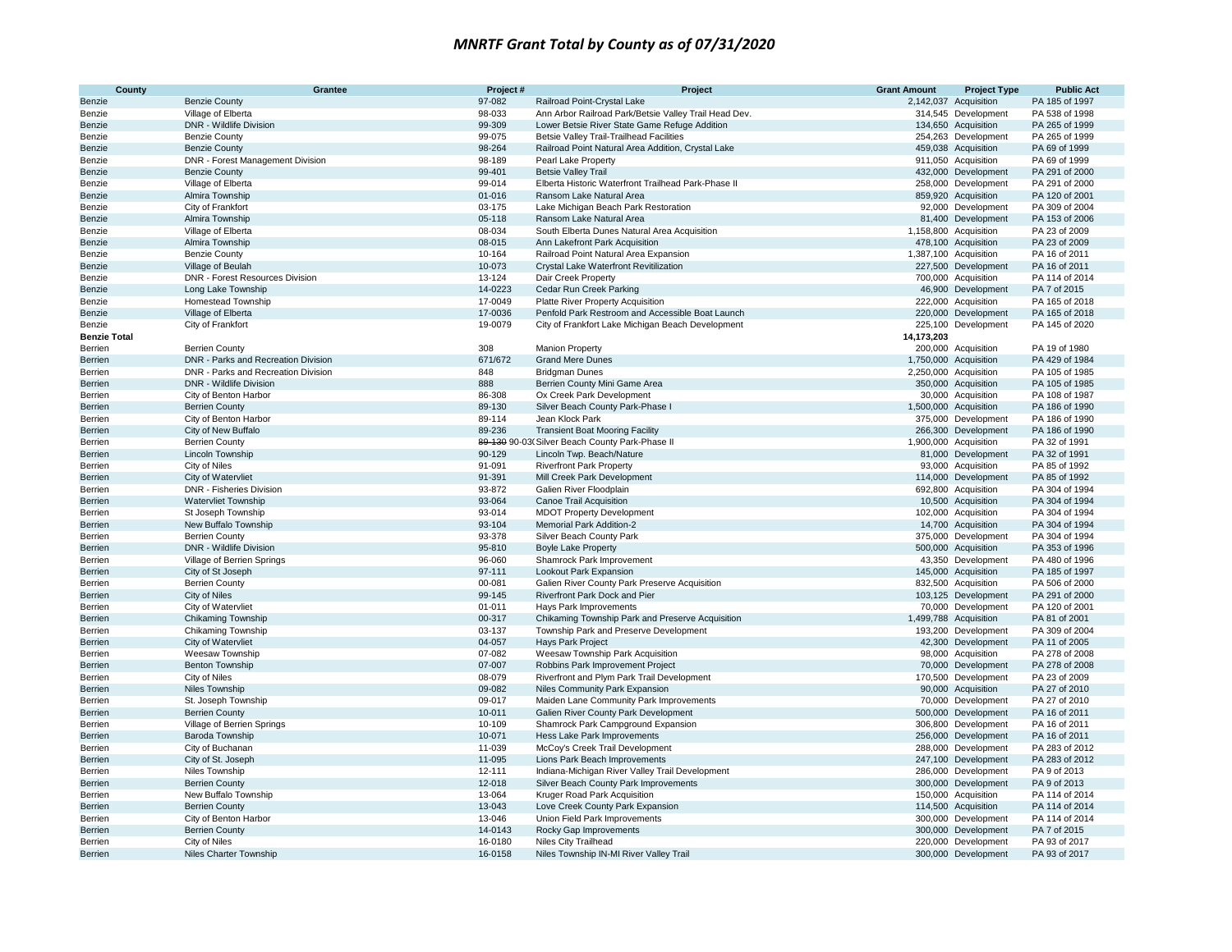| County                    | Grantee                             | Project#         | Project                                               | <b>Grant Amount</b> | <b>Project Type</b>   | <b>Public Act</b>              |
|---------------------------|-------------------------------------|------------------|-------------------------------------------------------|---------------------|-----------------------|--------------------------------|
| Benzie                    | <b>Benzie County</b>                | 97-082           | Railroad Point-Crystal Lake                           |                     | 2,142,037 Acquisition | PA 185 of 1997                 |
| Benzie                    | Village of Elberta                  | 98-033           | Ann Arbor Railroad Park/Betsie Valley Trail Head Dev. |                     | 314,545 Development   | PA 538 of 1998                 |
| Benzie                    | <b>DNR - Wildlife Division</b>      | 99-309           | Lower Betsie River State Game Refuge Addition         |                     | 134,650 Acquisition   | PA 265 of 1999                 |
| Benzie                    | <b>Benzie County</b>                | 99-075           | <b>Betsie Valley Trail-Trailhead Facilities</b>       |                     | 254,263 Development   | PA 265 of 1999                 |
| Benzie                    | <b>Benzie County</b>                | 98-264           | Railroad Point Natural Area Addition, Crystal Lake    |                     | 459,038 Acquisition   | PA 69 of 1999                  |
| Benzie                    | DNR - Forest Management Division    | 98-189           | Pearl Lake Property                                   |                     | 911,050 Acquisition   | PA 69 of 1999                  |
| Benzie                    | <b>Benzie County</b>                | 99-401           | <b>Betsie Valley Trail</b>                            |                     | 432,000 Development   | PA 291 of 2000                 |
| Benzie                    | Village of Elberta                  | 99-014           | Elberta Historic Waterfront Trailhead Park-Phase II   |                     | 258,000 Development   | PA 291 of 2000                 |
| Benzie                    | Almira Township                     | 01-016           | Ransom Lake Natural Area                              |                     | 859,920 Acquisition   | PA 120 of 2001                 |
| Benzie                    | City of Frankfort                   | 03-175           | Lake Michigan Beach Park Restoration                  |                     | 92,000 Development    | PA 309 of 2004                 |
| Benzie                    | Almira Township                     | 05-118           | Ransom Lake Natural Area                              |                     | 81,400 Development    | PA 153 of 2006                 |
| Benzie                    | Village of Elberta                  | 08-034           | South Elberta Dunes Natural Area Acquisition          |                     | 1,158,800 Acquisition | PA 23 of 2009                  |
| Benzie                    | Almira Township                     | 08-015           | Ann Lakefront Park Acquisition                        |                     | 478,100 Acquisition   | PA 23 of 2009                  |
| Benzie                    | <b>Benzie County</b>                | 10-164           | Railroad Point Natural Area Expansion                 |                     | 1,387,100 Acquisition | PA 16 of 2011                  |
| Benzie                    | Village of Beulah                   | 10-073           | Crystal Lake Waterfront Revitilization                |                     | 227,500 Development   | PA 16 of 2011                  |
| Benzie                    | DNR - Forest Resources Division     | 13-124           | Dair Creek Property                                   |                     | 700,000 Acquisition   | PA 114 of 2014                 |
| Benzie                    | Long Lake Township                  | 14-0223          | Cedar Run Creek Parking                               |                     | 46,900 Development    | PA 7 of 2015                   |
| Benzie                    | Homestead Township                  | 17-0049          | Platte River Property Acquisition                     |                     | 222,000 Acquisition   | PA 165 of 2018                 |
| Benzie                    | Village of Elberta                  | 17-0036          | Penfold Park Restroom and Accessible Boat Launch      |                     | 220,000 Development   | PA 165 of 2018                 |
| Benzie                    | City of Frankfort                   | 19-0079          | City of Frankfort Lake Michigan Beach Development     |                     | 225,100 Development   | PA 145 of 2020                 |
| <b>Benzie Total</b>       |                                     |                  |                                                       | 14,173,203          |                       |                                |
| Berrien                   | <b>Berrien County</b>               | 308              | <b>Manion Property</b>                                |                     | 200,000 Acquisition   | PA 19 of 1980                  |
| <b>Berrien</b>            | DNR - Parks and Recreation Division | 671/672          | <b>Grand Mere Dunes</b>                               |                     | 1,750,000 Acquisition | PA 429 of 1984                 |
| Berrien                   | DNR - Parks and Recreation Division | 848              | <b>Bridgman Dunes</b>                                 |                     | 2,250,000 Acquisition | PA 105 of 1985                 |
| <b>Berrien</b>            | <b>DNR</b> - Wildlife Division      | 888              | Berrien County Mini Game Area                         |                     | 350,000 Acquisition   | PA 105 of 1985                 |
| Berrien                   | City of Benton Harbor               | 86-308           | Ox Creek Park Development                             |                     | 30,000 Acquisition    | PA 108 of 1987                 |
| Berrien                   | <b>Berrien County</b>               | 89-130           | Silver Beach County Park-Phase I                      |                     | 1,500,000 Acquisition | PA 186 of 1990                 |
| Berrien                   | City of Benton Harbor               | 89-114           | Jean Klock Park                                       |                     | 375,000 Development   | PA 186 of 1990                 |
| Berrien                   | City of New Buffalo                 | 89-236           | <b>Transient Boat Mooring Facility</b>                |                     | 266,300 Development   | PA 186 of 1990                 |
| Berrien                   | <b>Berrien County</b>               |                  | 89-130 90-03 Silver Beach County Park-Phase II        |                     | 1,900,000 Acquisition | PA 32 of 1991                  |
| Berrien                   | <b>Lincoln Township</b>             | 90-129           | Lincoln Twp. Beach/Nature                             |                     | 81,000 Development    | PA 32 of 1991                  |
| Berrien                   | City of Niles                       | 91-091           | <b>Riverfront Park Property</b>                       |                     | 93,000 Acquisition    | PA 85 of 1992                  |
| Berrien                   | City of Watervliet                  | 91-391           | Mill Creek Park Development                           |                     | 114,000 Development   | PA 85 of 1992                  |
| Berrien                   | DNR - Fisheries Division            | 93-872           | Galien River Floodplain                               |                     | 692,800 Acquisition   | PA 304 of 1994                 |
| Berrien                   | Watervliet Township                 | 93-064           | <b>Canoe Trail Acquisition</b>                        |                     | 10,500 Acquisition    | PA 304 of 1994                 |
| Berrien                   | St Joseph Township                  | 93-014           | <b>MDOT Property Development</b>                      |                     | 102,000 Acquisition   | PA 304 of 1994                 |
| Berrien                   | New Buffalo Township                | 93-104           | Memorial Park Addition-2                              |                     | 14,700 Acquisition    | PA 304 of 1994                 |
| Berrien                   | <b>Berrien County</b>               | 93-378           | Silver Beach County Park                              |                     | 375,000 Development   | PA 304 of 1994                 |
| Berrien                   | DNR - Wildlife Division             | 95-810           | <b>Boyle Lake Property</b>                            |                     | 500,000 Acquisition   | PA 353 of 1996                 |
| Berrien                   | Village of Berrien Springs          | 96-060           | Shamrock Park Improvement                             |                     | 43,350 Development    | PA 480 of 1996                 |
| Berrien                   | City of St Joseph                   | 97-111           | Lookout Park Expansion                                |                     | 145,000 Acquisition   | PA 185 of 1997                 |
| Berrien                   | <b>Berrien County</b>               | 00-081           | Galien River County Park Preserve Acquisition         |                     | 832,500 Acquisition   | PA 506 of 2000                 |
| Berrien                   | City of Niles                       | 99-145           | Riverfront Park Dock and Pier                         |                     | 103,125 Development   | PA 291 of 2000                 |
| Berrien                   | <b>City of Watervliet</b>           | $01 - 011$       | Havs Park Improvements                                |                     | 70.000 Development    | PA 120 of 2001                 |
| Berrien                   | <b>Chikaming Township</b>           | 00-317           | Chikaming Township Park and Preserve Acquisition      |                     | 1,499,788 Acquisition | PA 81 of 2001                  |
| Berrien                   | Chikaming Township                  | 03-137           | Township Park and Preserve Development                |                     | 193,200 Development   | PA 309 of 2004                 |
| Berrien                   | City of Watervliet                  | 04-057           | Hays Park Project                                     | 42,300              | Development           | PA 11 of 2005                  |
| Berrien                   | Weesaw Township                     | 07-082           | Weesaw Township Park Acquisition                      |                     | 98,000 Acquisition    | PA 278 of 2008                 |
| <b>Berrien</b>            | <b>Benton Township</b>              | 07-007           | Robbins Park Improvement Project                      |                     | 70,000 Development    | PA 278 of 2008                 |
| Berrien                   | City of Niles                       | 08-079           | Riverfront and Plym Park Trail Development            |                     | 170,500 Development   | PA 23 of 2009                  |
| Berrien<br>Berrien        | Niles Township                      | 09-082<br>09-017 | Niles Community Park Expansion                        |                     | 90,000 Acquisition    | PA 27 of 2010<br>PA 27 of 2010 |
|                           | St. Joseph Township                 |                  | Maiden Lane Community Park Improvements               |                     | 70,000 Development    | PA 16 of 2011                  |
| <b>Berrien</b><br>Berrien | <b>Berrien County</b>               | 10-011<br>10-109 | Galien River County Park Development                  |                     | 500,000 Development   | PA 16 of 2011                  |
|                           | Village of Berrien Springs          | 10-071           | Shamrock Park Campground Expansion                    |                     | 306,800 Development   | PA 16 of 2011                  |
| Berrien                   | Baroda Township                     |                  | Hess Lake Park Improvements                           | 256,000             | Development           |                                |
| Berrien                   | City of Buchanan                    | 11-039           | McCoy's Creek Trail Development                       |                     | 288,000 Development   | PA 283 of 2012                 |
| <b>Berrien</b>            | City of St. Joseph                  | 11-095           | Lions Park Beach Improvements                         |                     | 247,100 Development   | PA 283 of 2012                 |
| Berrien                   | Niles Township                      | 12-111           | Indiana-Michigan River Valley Trail Development       |                     | 286,000 Development   | PA 9 of 2013                   |
| Berrien                   | <b>Berrien County</b>               | 12-018           | Silver Beach County Park Improvements                 |                     | 300,000 Development   | PA 9 of 2013                   |
| Berrien                   | New Buffalo Township                | 13-064           | Kruger Road Park Acquisition                          |                     | 150,000 Acquisition   | PA 114 of 2014                 |
| <b>Berrien</b>            | <b>Berrien County</b>               | 13-043           | Love Creek County Park Expansion                      |                     | 114,500 Acquisition   | PA 114 of 2014                 |
| Berrien                   | City of Benton Harbor               | 13-046           | Union Field Park Improvements                         |                     | 300,000 Development   | PA 114 of 2014                 |
| Berrien                   | <b>Berrien County</b>               | 14-0143          | Rocky Gap Improvements                                |                     | 300,000 Development   | PA 7 of 2015                   |
| Berrien                   | City of Niles                       | 16-0180          | Niles City Trailhead                                  |                     | 220,000 Development   | PA 93 of 2017                  |
| Berrien                   | Niles Charter Township              | 16-0158          | Niles Township IN-MI River Valley Trail               |                     | 300,000 Development   | PA 93 of 2017                  |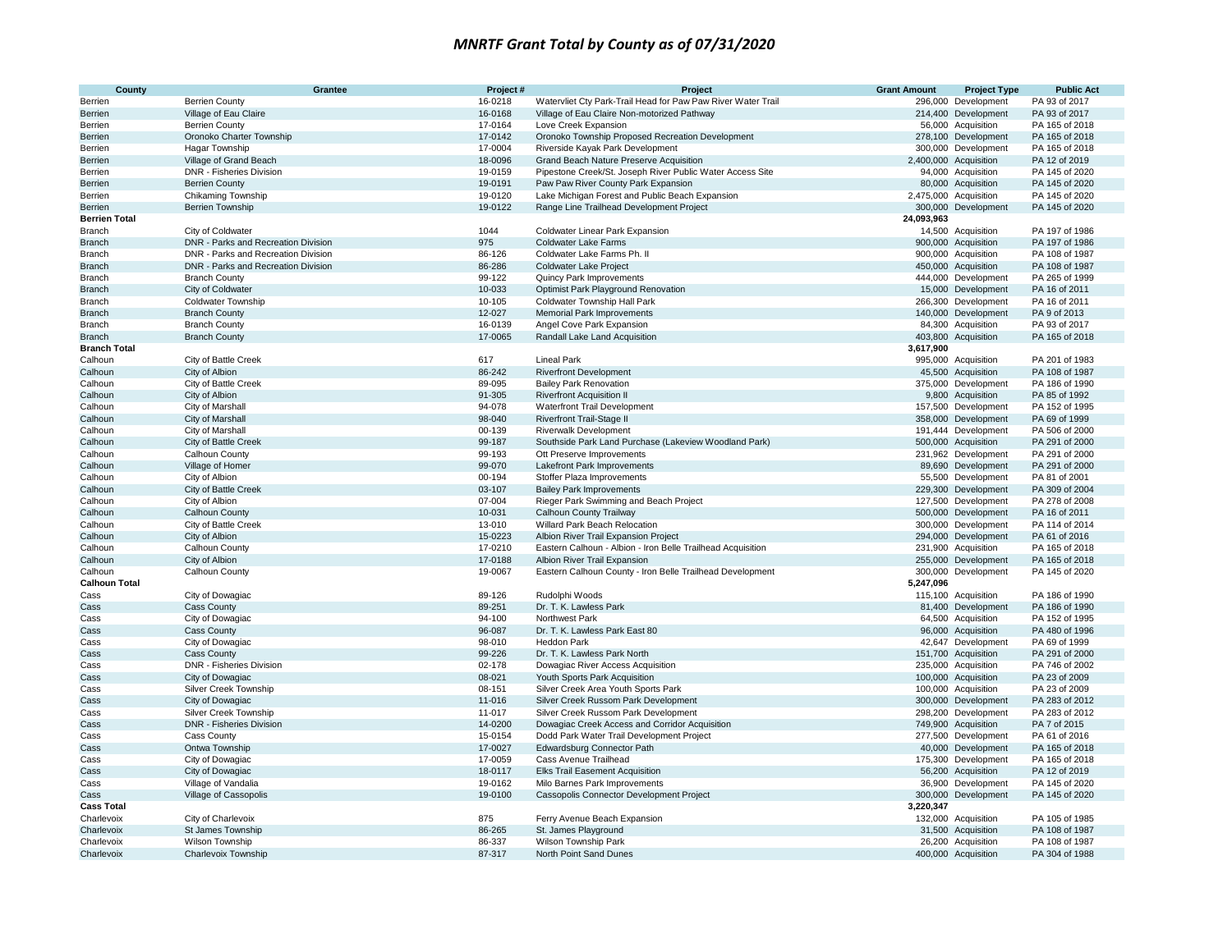| <b>County</b>        | Grantee                                | Project #          | Project                                                                                   | <b>Grant Amount</b> | <b>Project Type</b>                        | <b>Public Act</b>                |
|----------------------|----------------------------------------|--------------------|-------------------------------------------------------------------------------------------|---------------------|--------------------------------------------|----------------------------------|
| Berrien              | <b>Berrien County</b>                  | 16-0218            | Watervliet Cty Park-Trail Head for Paw Paw River Water Trail                              |                     | 296,000 Development                        | PA 93 of 2017                    |
| Berrien              | Village of Eau Claire                  | 16-0168            | Village of Eau Claire Non-motorized Pathway                                               |                     | 214,400 Development                        | PA 93 of 2017                    |
| Berrien              | <b>Berrien County</b>                  | 17-0164            | Love Creek Expansion                                                                      |                     | 56,000 Acquisition                         | PA 165 of 2018                   |
| Berrien              | Oronoko Charter Township               | 17-0142            | Oronoko Township Proposed Recreation Development                                          |                     | 278,100 Development                        | PA 165 of 2018                   |
| Berrien              | <b>Hagar Township</b>                  | 17-0004            | Riverside Kayak Park Development                                                          |                     | 300,000 Development                        | PA 165 of 2018                   |
| Berrien              | Village of Grand Beach                 | 18-0096            | Grand Beach Nature Preserve Acquisition                                                   |                     | 2,400,000 Acquisition                      | PA 12 of 2019                    |
| Berrien              | <b>DNR - Fisheries Division</b>        | 19-0159            | Pipestone Creek/St. Joseph River Public Water Access Site                                 |                     | 94,000 Acquisition                         | PA 145 of 2020                   |
| Berrien              | <b>Berrien County</b>                  | 19-0191            | Paw Paw River County Park Expansion                                                       |                     | 80,000 Acquisition                         | PA 145 of 2020                   |
| Berrien              | Chikaming Township                     | 19-0120            | Lake Michigan Forest and Public Beach Expansion                                           |                     | 2,475,000 Acquisition                      | PA 145 of 2020                   |
| Berrien              | <b>Berrien Township</b>                | 19-0122            | Range Line Trailhead Development Project                                                  |                     | 300,000 Development                        | PA 145 of 2020                   |
| <b>Berrien Total</b> |                                        |                    |                                                                                           | 24,093,963          |                                            |                                  |
| Branch               | City of Coldwater                      | 1044               | <b>Coldwater Linear Park Expansion</b>                                                    |                     | 14,500 Acquisition                         | PA 197 of 1986                   |
| <b>Branch</b>        | DNR - Parks and Recreation Division    | 975                | <b>Coldwater Lake Farms</b>                                                               |                     | 900,000 Acquisition                        | PA 197 of 1986                   |
| Branch               | DNR - Parks and Recreation Division    | 86-126             | Coldwater Lake Farms Ph. II                                                               |                     | 900,000 Acquisition                        | PA 108 of 1987                   |
| <b>Branch</b>        | DNR - Parks and Recreation Division    | 86-286             | <b>Coldwater Lake Project</b>                                                             |                     | 450,000 Acquisition                        | PA 108 of 1987                   |
| Branch               | <b>Branch County</b>                   | 99-122             | Quincy Park Improvements                                                                  |                     | 444,000 Development                        | PA 265 of 1999                   |
| Branch               | City of Coldwater                      | 10-033             | Optimist Park Playground Renovation                                                       |                     | 15,000 Development                         | PA 16 of 2011                    |
| Branch               | <b>Coldwater Township</b>              | 10-105             | <b>Coldwater Township Hall Park</b>                                                       |                     | 266,300 Development                        | PA 16 of 2011                    |
| <b>Branch</b>        | <b>Branch County</b>                   | 12-027             | <b>Memorial Park Improvements</b>                                                         |                     | 140,000 Development                        | PA 9 of 2013                     |
| Branch               | <b>Branch County</b>                   | 16-0139            | Angel Cove Park Expansion                                                                 |                     | 84,300 Acquisition                         | PA 93 of 2017                    |
| <b>Branch</b>        | <b>Branch County</b>                   | 17-0065            | Randall Lake Land Acquisition                                                             |                     | 403,800 Acquisition                        | PA 165 of 2018                   |
| <b>Branch Total</b>  |                                        |                    |                                                                                           | 3,617,900           |                                            |                                  |
| Calhoun              | City of Battle Creek                   | 617                | <b>Lineal Park</b>                                                                        |                     | 995,000 Acquisition                        | PA 201 of 1983                   |
| Calhoun              | City of Albion                         | 86-242             | <b>Riverfront Development</b>                                                             |                     | 45,500 Acquisition                         | PA 108 of 1987                   |
| Calhoun              | City of Battle Creek                   | 89-095             | <b>Bailey Park Renovation</b>                                                             |                     | 375,000 Development                        | PA 186 of 1990                   |
| Calhoun              | City of Albion                         | 91-305             | <b>Riverfront Acquisition II</b>                                                          |                     | 9,800 Acquisition                          | PA 85 of 1992                    |
| Calhoun              | City of Marshall                       | 94-078             | Waterfront Trail Development                                                              |                     | 157,500 Development                        | PA 152 of 1995                   |
| Calhoun              | City of Marshall                       | 98-040             | <b>Riverfront Trail-Stage II</b>                                                          |                     | 358,000 Development                        | PA 69 of 1999                    |
| Calhoun              | City of Marshall                       | 00-139             | <b>Riverwalk Development</b>                                                              |                     | 191,444 Development                        | PA 506 of 2000                   |
| Calhoun              | City of Battle Creek                   | 99-187             | Southside Park Land Purchase (Lakeview Woodland Park)                                     |                     | 500,000 Acquisition                        | PA 291 of 2000                   |
| Calhoun              | Calhoun County                         | 99-193             | Ott Preserve Improvements                                                                 |                     | 231,962 Development                        | PA 291 of 2000                   |
| Calhoun              | Village of Homer                       | 99-070             | Lakefront Park Improvements                                                               |                     | 89,690 Development                         | PA 291 of 2000                   |
| Calhoun              | City of Albion                         | 00-194             | Stoffer Plaza Improvements                                                                |                     | 55,500 Development                         | PA 81 of 2001                    |
| Calhoun              | City of Battle Creek                   | 03-107             | <b>Bailey Park Improvements</b>                                                           |                     | 229,300 Development                        | PA 309 of 2004                   |
| Calhoun              | City of Albion                         | 07-004             | Rieger Park Swimming and Beach Project                                                    |                     | 127,500 Development                        | PA 278 of 2008                   |
| Calhoun              | <b>Calhoun County</b>                  | 10-031             | Calhoun County Trailway                                                                   |                     | 500,000 Development                        | PA 16 of 2011                    |
| Calhoun              | City of Battle Creek                   | 13-010             | Willard Park Beach Relocation                                                             |                     | 300,000 Development                        | PA 114 of 2014                   |
| Calhoun              | City of Albion                         | 15-0223            | Albion River Trail Expansion Project                                                      |                     | 294,000 Development                        | PA 61 of 2016<br>PA 165 of 2018  |
| Calhoun              | Calhoun County                         | 17-0210            | Eastern Calhoun - Albion - Iron Belle Trailhead Acquisition                               |                     | 231,900 Acquisition                        |                                  |
| Calhoun<br>Calhoun   | City of Albion<br>Calhoun County       | 17-0188<br>19-0067 | Albion River Trail Expansion<br>Eastern Calhoun County - Iron Belle Trailhead Development |                     | 255,000 Development<br>300,000 Development | PA 165 of 2018<br>PA 145 of 2020 |
| <b>Calhoun Total</b> |                                        |                    |                                                                                           | 5,247,096           |                                            |                                  |
| Cass                 |                                        | 89-126             | Rudolphi Woods                                                                            |                     |                                            | PA 186 of 1990                   |
| Cass                 | City of Dowagiac<br><b>Cass County</b> | 89-251             | Dr. T. K. Lawless Park                                                                    |                     | 115,100 Acquisition<br>81,400 Development  | PA 186 of 1990                   |
| Cass                 | City of Dowagiac                       | 94-100             | Northwest Park                                                                            |                     | 64,500 Acquisition                         | PA 152 of 1995                   |
| Cass                 | <b>Cass County</b>                     | 96-087             | Dr. T. K. Lawless Park East 80                                                            |                     | 96,000 Acquisition                         | PA 480 of 1996                   |
| Cass                 | City of Dowagiac                       | 98-010             | <b>Heddon Park</b>                                                                        |                     | 42,647 Development                         | PA 69 of 1999                    |
| Cass                 | <b>Cass County</b>                     | 99-226             | Dr. T. K. Lawless Park North                                                              |                     | 151,700 Acquisition                        | PA 291 of 2000                   |
| Cass                 | DNR - Fisheries Division               | 02-178             | Dowagiac River Access Acquisition                                                         |                     | 235,000 Acquisition                        | PA 746 of 2002                   |
| Cass                 | City of Dowagiac                       | 08-021             | Youth Sports Park Acquisition                                                             |                     | 100,000 Acquisition                        | PA 23 of 2009                    |
| Cass                 | Silver Creek Township                  | 08-151             | Silver Creek Area Youth Sports Park                                                       |                     | 100,000 Acquisition                        | PA 23 of 2009                    |
| Cass                 | City of Dowagiac                       | 11-016             | Silver Creek Russom Park Development                                                      |                     | 300,000 Development                        | PA 283 of 2012                   |
| Cass                 | Silver Creek Township                  | 11-017             | Silver Creek Russom Park Development                                                      |                     | 298,200 Development                        | PA 283 of 2012                   |
| Cass                 | <b>DNR - Fisheries Division</b>        | 14-0200            | Dowagiac Creek Access and Corridor Acquisition                                            |                     | 749,900 Acquisition                        | PA 7 of 2015                     |
| Cass                 | Cass County                            | 15-0154            | Dodd Park Water Trail Development Project                                                 |                     | 277,500 Development                        | PA 61 of 2016                    |
| Cass                 | Ontwa Township                         | 17-0027            | <b>Edwardsburg Connector Path</b>                                                         |                     | 40,000 Development                         | PA 165 of 2018                   |
| Cass                 | City of Dowagiac                       | 17-0059            | Cass Avenue Trailhead                                                                     |                     | 175,300 Development                        | PA 165 of 2018                   |
| Cass                 | City of Dowagiac                       | 18-0117            | <b>Elks Trail Easement Acquisition</b>                                                    |                     | 56,200 Acquisition                         | PA 12 of 2019                    |
| Cass                 | Village of Vandalia                    | 19-0162            | Milo Barnes Park Improvements                                                             |                     | 36,900 Development                         | PA 145 of 2020                   |
| Cass                 | Village of Cassopolis                  | 19-0100            | Cassopolis Connector Development Project                                                  |                     | 300,000 Development                        | PA 145 of 2020                   |
| <b>Cass Total</b>    |                                        |                    |                                                                                           | 3,220,347           |                                            |                                  |
| Charlevoix           | City of Charlevoix                     | 875                | Ferry Avenue Beach Expansion                                                              |                     | 132,000 Acquisition                        | PA 105 of 1985                   |
| Charlevoix           | St James Township                      | 86-265             | St. James Playground                                                                      |                     | 31,500 Acquisition                         | PA 108 of 1987                   |
| Charlevoix           | <b>Wilson Township</b>                 | 86-337             | <b>Wilson Township Park</b>                                                               |                     | 26.200 Acquisition                         | PA 108 of 1987                   |
| Charlevoix           | Charlevoix Township                    | 87-317             | North Point Sand Dunes                                                                    |                     | 400,000 Acquisition                        | PA 304 of 1988                   |
|                      |                                        |                    |                                                                                           |                     |                                            |                                  |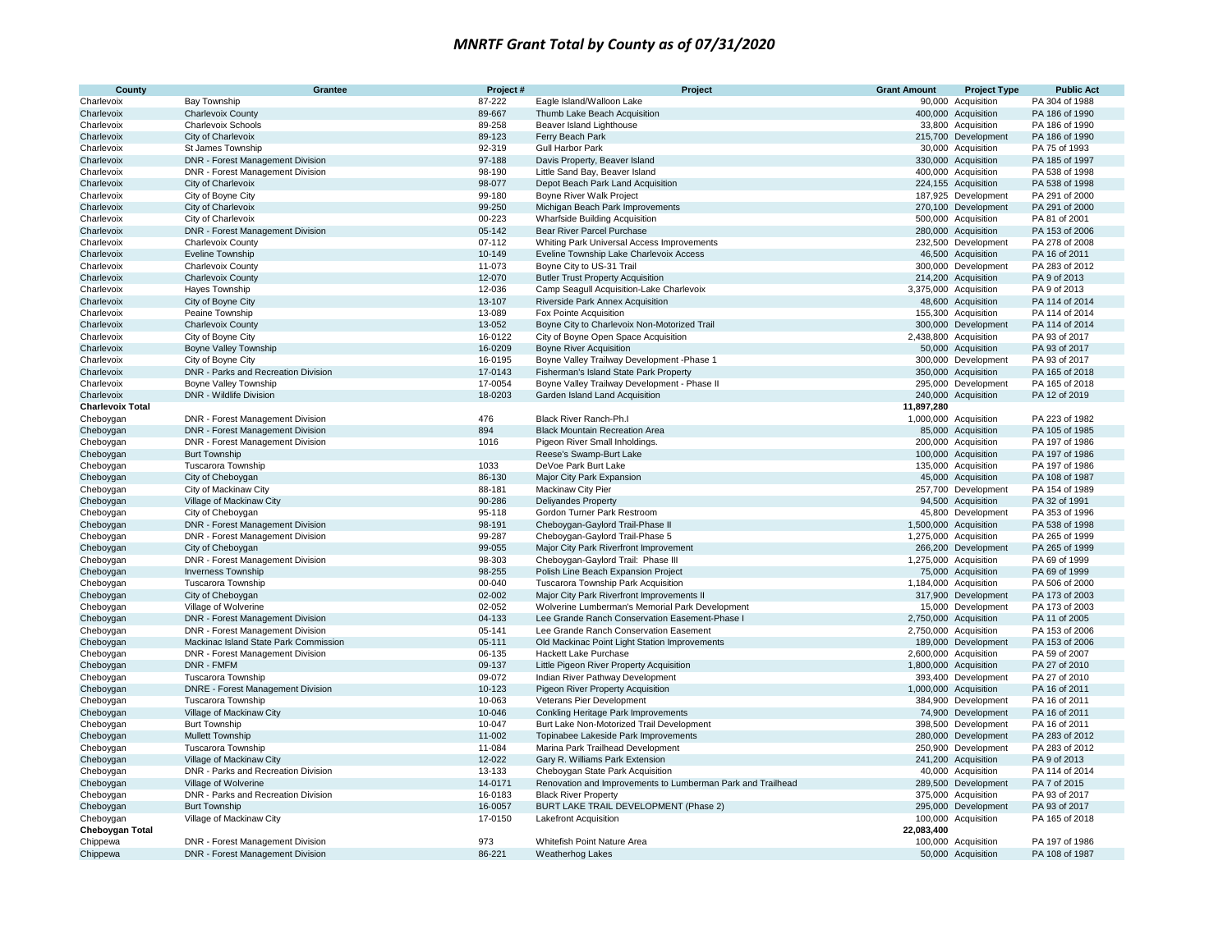| County                                | Grantee                                                         | Project#           | Project                                                              | <b>Grant Amount</b> | <b>Project Type</b>                        | <b>Public Act</b>               |
|---------------------------------------|-----------------------------------------------------------------|--------------------|----------------------------------------------------------------------|---------------------|--------------------------------------------|---------------------------------|
| Charlevoix                            | Bay Township                                                    | 87-222             | Eagle Island/Walloon Lake                                            |                     | 90,000 Acquisition                         | PA 304 of 1988                  |
| Charlevoix                            | <b>Charlevoix County</b>                                        | 89-667             | Thumb Lake Beach Acquisition                                         |                     | 400,000 Acquisition                        | PA 186 of 1990                  |
| Charlevoix                            | <b>Charlevoix Schools</b>                                       | 89-258             | Beaver Island Lighthouse                                             |                     | 33,800 Acquisition                         | PA 186 of 1990                  |
| Charlevoix                            | City of Charlevoix                                              | 89-123             | Ferry Beach Park                                                     |                     | 215,700 Development                        | PA 186 of 1990                  |
| Charlevoix                            | St James Township                                               | 92-319             | <b>Gull Harbor Park</b>                                              |                     | 30,000 Acquisition                         | PA 75 of 1993                   |
| Charlevoix                            | DNR - Forest Management Division                                | 97-188             | Davis Property, Beaver Island                                        |                     | 330,000 Acquisition                        | PA 185 of 1997                  |
| Charlevoix                            | DNR - Forest Management Division                                | 98-190             | Little Sand Bay, Beaver Island                                       |                     | 400,000 Acquisition                        | PA 538 of 1998                  |
| Charlevoix                            | City of Charlevoix                                              | 98-077             | Depot Beach Park Land Acquisition                                    |                     | 224,155 Acquisition                        | PA 538 of 1998                  |
| Charlevoix                            | City of Boyne City                                              | 99-180             | Boyne River Walk Project                                             |                     | 187,925 Development                        | PA 291 of 2000                  |
| Charlevoix                            | City of Charlevoix                                              | 99-250             | Michigan Beach Park Improvements                                     |                     | 270,100 Development                        | PA 291 of 2000                  |
| Charlevoix                            | City of Charlevoix                                              | 00-223             | <b>Wharfside Building Acquisition</b>                                |                     | 500,000 Acquisition                        | PA 81 of 2001                   |
| Charlevoix                            | <b>DNR - Forest Management Division</b>                         | 05-142             | Bear River Parcel Purchase                                           |                     | 280,000 Acquisition                        | PA 153 of 2006                  |
| Charlevoix                            | <b>Charlevoix County</b>                                        | 07-112             | Whiting Park Universal Access Improvements                           |                     | 232,500 Development                        | PA 278 of 2008                  |
| Charlevoix                            | Eveline Township                                                | 10-149             | Eveline Township Lake Charlevoix Access                              |                     | 46,500 Acquisition                         | PA 16 of 2011                   |
| Charlevoix                            | <b>Charlevoix County</b>                                        | 11-073             | Boyne City to US-31 Trail                                            |                     | 300,000 Development                        | PA 283 of 2012                  |
| Charlevoix                            | <b>Charlevoix County</b>                                        | 12-070             | <b>Butler Trust Property Acquisition</b>                             |                     | 214,200 Acquisition                        | PA 9 of 2013                    |
| Charlevoix                            | Hayes Township                                                  | 12-036             | Camp Seagull Acquisition-Lake Charlevoix                             |                     | 3,375,000 Acquisition                      | PA 9 of 2013                    |
| Charlevoix                            | City of Boyne City                                              | 13-107             | Riverside Park Annex Acquisition                                     |                     | 48,600 Acquisition                         | PA 114 of 2014                  |
| Charlevoix                            | Peaine Township                                                 | 13-089             | Fox Pointe Acquisition                                               |                     | 155,300 Acquisition                        | PA 114 of 2014                  |
| Charlevoix                            | <b>Charlevoix County</b>                                        | 13-052             | Boyne City to Charlevoix Non-Motorized Trail                         |                     | 300,000 Development                        | PA 114 of 2014                  |
| Charlevoix                            | City of Boyne City                                              | 16-0122            | City of Boyne Open Space Acquisition                                 |                     | 2,438,800 Acquisition                      | PA 93 of 2017                   |
| Charlevoix                            | <b>Boyne Valley Township</b>                                    | 16-0209            | <b>Boyne River Acquisition</b>                                       |                     | 50,000 Acquisition                         | PA 93 of 2017                   |
| Charlevoix                            | City of Boyne City                                              | 16-0195            | Boyne Valley Trailway Development - Phase 1                          |                     | 300,000 Development                        | PA 93 of 2017                   |
| Charlevoix                            | DNR - Parks and Recreation Division                             | 17-0143            | Fisherman's Island State Park Property                               |                     | 350,000 Acquisition                        | PA 165 of 2018                  |
| Charlevoix                            | Boyne Valley Township<br>DNR - Wildlife Division                | 17-0054<br>18-0203 | Boyne Valley Trailway Development - Phase II                         |                     | 295,000 Development                        | PA 165 of 2018<br>PA 12 of 2019 |
| Charlevoix<br><b>Charlevoix Total</b> |                                                                 |                    | Garden Island Land Acquisition                                       | 11,897,280          | 240,000 Acquisition                        |                                 |
| Cheboygan                             | DNR - Forest Management Division                                | 476                | Black River Ranch-Ph.I                                               |                     | 1,000,000 Acquisition                      | PA 223 of 1982                  |
| Cheboygan                             | <b>DNR - Forest Management Division</b>                         | 894                | <b>Black Mountain Recreation Area</b>                                |                     | 85,000 Acquisition                         | PA 105 of 1985                  |
| Cheboygan                             | DNR - Forest Management Division                                | 1016               | Pigeon River Small Inholdings.                                       |                     | 200,000 Acquisition                        | PA 197 of 1986                  |
| Cheboygan                             | <b>Burt Township</b>                                            |                    | Reese's Swamp-Burt Lake                                              |                     | 100,000 Acquisition                        | PA 197 of 1986                  |
| Cheboygan                             | <b>Tuscarora Township</b>                                       | 1033               | DeVoe Park Burt Lake                                                 |                     | 135,000 Acquisition                        | PA 197 of 1986                  |
| Cheboygan                             | City of Cheboygan                                               | 86-130             | Major City Park Expansion                                            |                     | 45,000 Acquisition                         | PA 108 of 1987                  |
| Cheboygan                             | City of Mackinaw City                                           | 88-181             | Mackinaw City Pier                                                   |                     | 257,700 Development                        | PA 154 of 1989                  |
| Cheboygan                             | Village of Mackinaw City                                        | 90-286             | <b>Deliyandes Property</b>                                           |                     | 94,500 Acquisition                         | PA 32 of 1991                   |
| Cheboygan                             | City of Cheboygan                                               | 95-118             | Gordon Turner Park Restroom                                          |                     | 45,800 Development                         | PA 353 of 1996                  |
| Cheboygan                             | DNR - Forest Management Division                                | 98-191             | Cheboygan-Gaylord Trail-Phase II                                     |                     | 1,500,000 Acquisition                      | PA 538 of 1998                  |
| Cheboygan                             | DNR - Forest Management Division                                | 99-287             | Cheboygan-Gaylord Trail-Phase 5                                      |                     | 1,275,000 Acquisition                      | PA 265 of 1999                  |
| Cheboygan                             | City of Cheboygan                                               | 99-055             | Major City Park Riverfront Improvement                               |                     | 266,200 Development                        | PA 265 of 1999                  |
| Cheboygan                             | DNR - Forest Management Division                                | 98-303             | Cheboygan-Gaylord Trail: Phase III                                   |                     | 1,275,000 Acquisition                      | PA 69 of 1999                   |
| Cheboygan                             | Inverness Township                                              | 98-255             | Polish Line Beach Expansion Project                                  |                     | 75,000 Acquisition                         | PA 69 of 1999                   |
| Cheboygan                             | <b>Tuscarora Township</b>                                       | 00-040             | Tuscarora Township Park Acquisition                                  |                     | 1,184,000 Acquisition                      | PA 506 of 2000                  |
| Cheboygan                             | City of Cheboygan                                               | 02-002             | Major City Park Riverfront Improvements II                           |                     | 317,900 Development                        | PA 173 of 2003                  |
| Cheboygan                             | Village of Wolverine                                            | 02-052             | Wolverine Lumberman's Memorial Park Development                      |                     | 15,000 Development                         | PA 173 of 2003                  |
| Cheboygan                             | DNR - Forest Management Division                                | 04-133             | Lee Grande Ranch Conservation Easement-Phase I                       |                     | 2,750,000 Acquisition                      | PA 11 of 2005                   |
| Cheboygan                             | DNR - Forest Management Division                                | 05-141             | Lee Grande Ranch Conservation Easement                               |                     | 2,750,000 Acquisition                      | PA 153 of 2006                  |
| Cheboygan                             | Mackinac Island State Park Commission                           | 05-111             | Old Mackinac Point Light Station Improvements                        |                     | 189,000 Development                        | PA 153 of 2006                  |
| Cheboygan                             | DNR - Forest Management Division                                | 06-135             | <b>Hackett Lake Purchase</b>                                         |                     | 2,600,000 Acquisition                      | PA 59 of 2007                   |
| Cheboygan                             | DNR - FMFM                                                      | 09-137             | Little Pigeon River Property Acquisition                             |                     | 1,800,000 Acquisition                      | PA 27 of 2010                   |
| Cheboygan                             | Tuscarora Township                                              | 09-072             | Indian River Pathway Development                                     |                     | 393,400 Development                        | PA 27 of 2010                   |
| Cheboygan                             | <b>DNRE</b> - Forest Management Division                        | 10-123             | Pigeon River Property Acquisition                                    |                     | 1,000,000 Acquisition                      | PA 16 of 2011                   |
| Cheboygan                             | <b>Tuscarora Township</b>                                       | 10-063             | Veterans Pier Development                                            |                     | 384,900 Development                        | PA 16 of 2011                   |
| Cheboygan                             | Village of Mackinaw City                                        | 10-046             | Conkling Heritage Park Improvements                                  |                     | 74,900 Development                         | PA 16 of 2011                   |
| Cheboygan                             | <b>Burt Township</b>                                            | 10-047<br>11-002   | Burt Lake Non-Motorized Trail Development                            |                     | 398,500 Development                        | PA 16 of 2011                   |
| Cheboygan                             | Mullett Township                                                | 11-084             | Topinabee Lakeside Park Improvements                                 |                     | 280,000 Development                        | PA 283 of 2012                  |
| Cheboygan                             | <b>Tuscarora Township</b>                                       | 12-022             | Marina Park Trailhead Development<br>Gary R. Williams Park Extension |                     | 250,900 Development<br>241,200 Acquisition | PA 283 of 2012<br>PA 9 of 2013  |
| Cheboygan<br>Cheboygan                | Village of Mackinaw City<br>DNR - Parks and Recreation Division | 13-133             | Cheboygan State Park Acquisition                                     |                     | 40,000 Acquisition                         | PA 114 of 2014                  |
| Cheboygan                             | Village of Wolverine                                            | 14-0171            | Renovation and Improvements to Lumberman Park and Trailhead          |                     | 289,500 Development                        | PA 7 of 2015                    |
| Cheboygan                             | DNR - Parks and Recreation Division                             | 16-0183            | <b>Black River Property</b>                                          |                     | 375,000 Acquisition                        | PA 93 of 2017                   |
| Cheboygan                             | <b>Burt Township</b>                                            | 16-0057            | BURT LAKE TRAIL DEVELOPMENT (Phase 2)                                |                     | 295,000 Development                        | PA 93 of 2017                   |
| Cheboygan                             | Village of Mackinaw City                                        | 17-0150            | Lakefront Acquisition                                                |                     | 100,000 Acquisition                        | PA 165 of 2018                  |
| Cheboygan Total                       |                                                                 |                    |                                                                      | 22,083,400          |                                            |                                 |
| Chippewa                              | DNR - Forest Management Division                                | 973                | Whitefish Point Nature Area                                          |                     | 100,000 Acquisition                        | PA 197 of 1986                  |
| Chippewa                              | DNR - Forest Management Division                                | 86-221             | Weatherhog Lakes                                                     |                     | 50,000 Acquisition                         | PA 108 of 1987                  |
|                                       |                                                                 |                    |                                                                      |                     |                                            |                                 |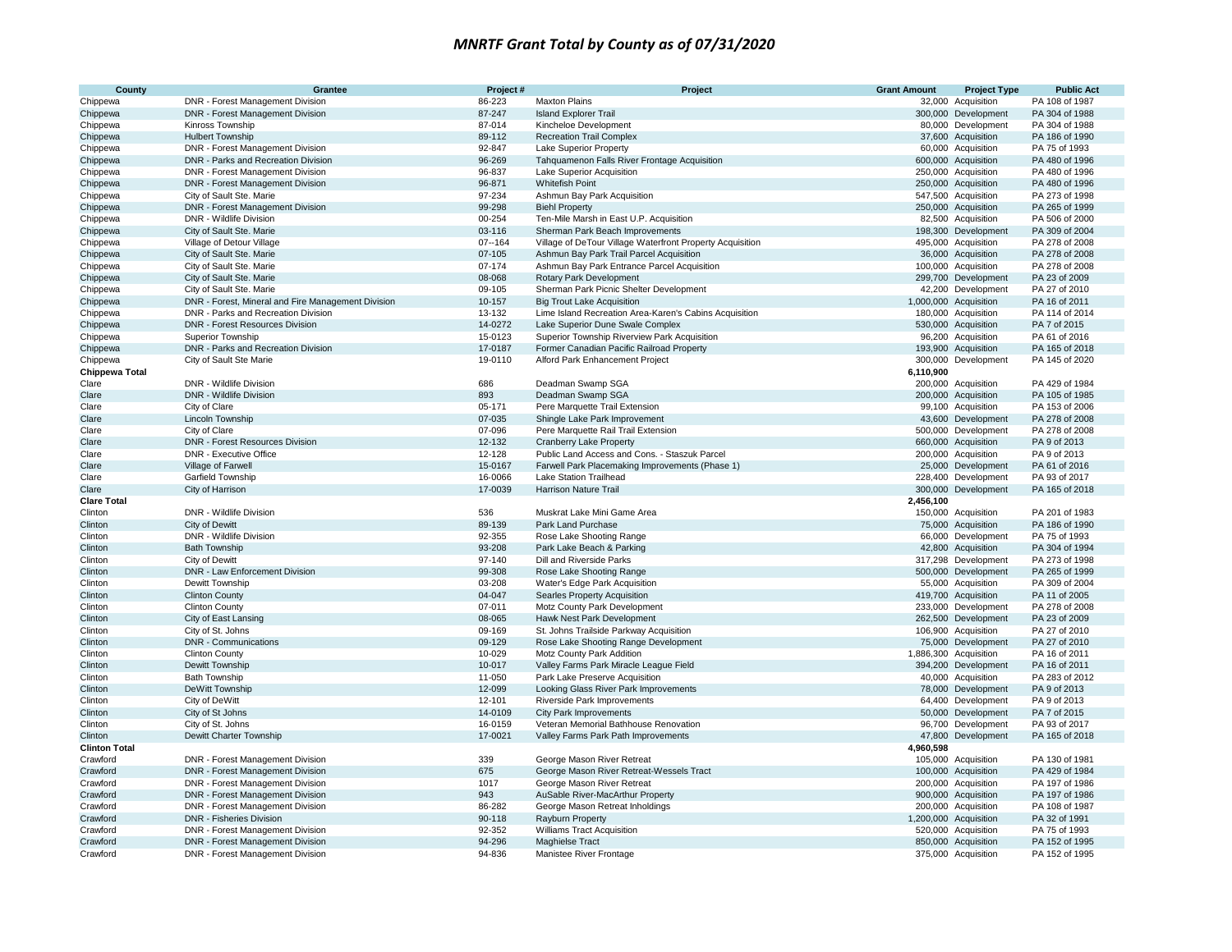| County               | Grantee                                            | Project#         | Project                                                              | <b>Grant Amount</b> | <b>Project Type</b>                       | <b>Public Act</b>                |
|----------------------|----------------------------------------------------|------------------|----------------------------------------------------------------------|---------------------|-------------------------------------------|----------------------------------|
| Chippewa             | DNR - Forest Management Division                   | 86-223           | <b>Maxton Plains</b>                                                 |                     | 32,000 Acquisition                        | PA 108 of 1987                   |
| Chippewa             | DNR - Forest Management Division                   | 87-247           | <b>Island Explorer Trail</b>                                         |                     | 300,000 Development                       | PA 304 of 1988                   |
| Chippewa             | Kinross Township                                   | 87-014           | Kincheloe Development                                                |                     | 80,000 Development                        | PA 304 of 1988                   |
| Chippewa             | <b>Hulbert Township</b>                            | 89-112           | <b>Recreation Trail Complex</b>                                      |                     | 37,600 Acquisition                        | PA 186 of 1990                   |
| Chippewa             | DNR - Forest Management Division                   | 92-847           | <b>Lake Superior Property</b>                                        |                     | 60,000 Acquisition                        | PA 75 of 1993                    |
| Chippewa             | DNR - Parks and Recreation Division                | 96-269           | Tahquamenon Falls River Frontage Acquisition                         |                     | 600,000 Acquisition                       | PA 480 of 1996                   |
| Chippewa             | DNR - Forest Management Division                   | 96-837           | Lake Superior Acquisition                                            |                     | 250,000 Acquisition                       | PA 480 of 1996                   |
| Chippewa             | DNR - Forest Management Division                   | 96-871           | <b>Whitefish Point</b>                                               |                     | 250,000 Acquisition                       | PA 480 of 1996                   |
| Chippewa             | City of Sault Ste. Marie                           | 97-234           | Ashmun Bay Park Acquisition                                          |                     | 547,500 Acquisition                       | PA 273 of 1998                   |
| Chippewa             | DNR - Forest Management Division                   | 99-298           | <b>Biehl Property</b>                                                |                     | 250,000 Acquisition                       | PA 265 of 1999                   |
| Chippewa             | DNR - Wildlife Division                            | 00-254           | Ten-Mile Marsh in East U.P. Acquisition                              |                     | 82,500 Acquisition                        | PA 506 of 2000                   |
| Chippewa             | City of Sault Ste. Marie                           | 03-116           | Sherman Park Beach Improvements                                      |                     | 198,300 Development                       | PA 309 of 2004                   |
| Chippewa             | Village of Detour Village                          | $07 - 164$       | Village of DeTour Village Waterfront Property Acquisition            |                     | 495,000 Acquisition                       | PA 278 of 2008                   |
| Chippewa             | City of Sault Ste. Marie                           | 07-105           | Ashmun Bay Park Trail Parcel Acquisition                             |                     | 36,000 Acquisition                        | PA 278 of 2008                   |
| Chippewa             | City of Sault Ste. Marie                           | 07-174           | Ashmun Bay Park Entrance Parcel Acquisition                          |                     | 100,000 Acquisition                       | PA 278 of 2008                   |
| Chippewa             | City of Sault Ste. Marie                           | 08-068           | Rotary Park Development                                              |                     | 299,700 Development                       | PA 23 of 2009                    |
| Chippewa             | City of Sault Ste. Marie                           | 09-105           | Sherman Park Picnic Shelter Development                              |                     | 42,200 Development                        | PA 27 of 2010                    |
| Chippewa             | DNR - Forest, Mineral and Fire Management Division | 10-157           | <b>Big Trout Lake Acquisition</b>                                    |                     | 1,000,000 Acquisition                     | PA 16 of 2011                    |
| Chippewa             | DNR - Parks and Recreation Division                | 13-132           | Lime Island Recreation Area-Karen's Cabins Acquisition               |                     | 180,000 Acquisition                       | PA 114 of 2014                   |
| Chippewa             | <b>DNR - Forest Resources Division</b>             | 14-0272          | Lake Superior Dune Swale Complex                                     |                     | 530,000 Acquisition                       | PA 7 of 2015                     |
| Chippewa             | <b>Superior Township</b>                           | 15-0123          | Superior Township Riverview Park Acquisition                         |                     | 96,200 Acquisition                        | PA 61 of 2016                    |
| Chippewa             | DNR - Parks and Recreation Division                | 17-0187          | Former Canadian Pacific Railroad Property                            |                     | 193,900 Acquisition                       | PA 165 of 2018                   |
| Chippewa             | City of Sault Ste Marie                            | 19-0110          | Alford Park Enhancement Project                                      |                     | 300,000 Development                       | PA 145 of 2020                   |
| Chippewa Total       |                                                    |                  |                                                                      | 6,110,900           |                                           |                                  |
| Clare                | DNR - Wildlife Division                            | 686              | Deadman Swamp SGA                                                    |                     | 200,000 Acquisition                       | PA 429 of 1984                   |
| Clare                | DNR - Wildlife Division                            | 893              | Deadman Swamp SGA                                                    |                     | 200,000 Acquisition                       | PA 105 of 1985                   |
| Clare<br>Clare       | City of Clare                                      | 05-171<br>07-035 | Pere Marquette Trail Extension                                       |                     | 99,100 Acquisition                        | PA 153 of 2006<br>PA 278 of 2008 |
| Clare                | <b>Lincoln Township</b><br>City of Clare           | 07-096           | Shingle Lake Park Improvement<br>Pere Marquette Rail Trail Extension |                     | 43,600 Development<br>500,000 Development | PA 278 of 2008                   |
| Clare                | DNR - Forest Resources Division                    | 12-132           | <b>Cranberry Lake Property</b>                                       |                     | 660,000 Acquisition                       | PA 9 of 2013                     |
| Clare                | DNR - Executive Office                             | 12-128           | Public Land Access and Cons. - Staszuk Parcel                        |                     | 200,000 Acquisition                       | PA 9 of 2013                     |
| Clare                | Village of Farwell                                 | 15-0167          | Farwell Park Placemaking Improvements (Phase 1)                      |                     | 25,000 Development                        | PA 61 of 2016                    |
| Clare                | <b>Garfield Township</b>                           | 16-0066          | Lake Station Trailhead                                               |                     | 228,400 Development                       | PA 93 of 2017                    |
| Clare                | City of Harrison                                   | 17-0039          | Harrison Nature Trail                                                |                     | 300,000 Development                       | PA 165 of 2018                   |
| <b>Clare Total</b>   |                                                    |                  |                                                                      | 2,456,100           |                                           |                                  |
| Clinton              | DNR - Wildlife Division                            | 536              | Muskrat Lake Mini Game Area                                          |                     | 150,000 Acquisition                       | PA 201 of 1983                   |
| Clinton              | City of Dewitt                                     | 89-139           | Park Land Purchase                                                   |                     | 75,000 Acquisition                        | PA 186 of 1990                   |
| Clinton              | DNR - Wildlife Division                            | 92-355           | Rose Lake Shooting Range                                             |                     | 66,000 Development                        | PA 75 of 1993                    |
| Clinton              | <b>Bath Township</b>                               | 93-208           | Park Lake Beach & Parking                                            |                     | 42,800 Acquisition                        | PA 304 of 1994                   |
| Clinton              | City of Dewitt                                     | 97-140           | Dill and Riverside Parks                                             |                     | 317,298 Development                       | PA 273 of 1998                   |
| Clinton              | DNR - Law Enforcement Division                     | 99-308           | Rose Lake Shooting Range                                             |                     | 500,000 Development                       | PA 265 of 1999                   |
| Clinton              | Dewitt Township                                    | 03-208           | Water's Edge Park Acquisition                                        |                     | 55,000 Acquisition                        | PA 309 of 2004                   |
| Clinton              | <b>Clinton County</b>                              | 04-047           | Searles Property Acquisition                                         |                     | 419,700 Acquisition                       | PA 11 of 2005                    |
| Clinton              | <b>Clinton County</b>                              | 07-011           | Motz County Park Development                                         |                     | 233.000 Development                       | PA 278 of 2008                   |
| Clinton              | City of East Lansing                               | 08-065           | Hawk Nest Park Development                                           |                     | 262,500 Development                       | PA 23 of 2009                    |
| Clinton              | City of St. Johns                                  | 09-169           | St. Johns Trailside Parkway Acquisition                              |                     | 106,900 Acquisition                       | PA 27 of 2010                    |
| Clinton              | DNR - Communications                               | 09-129           | Rose Lake Shooting Range Development                                 |                     | 75,000 Development                        | PA 27 of 2010                    |
| Clinton              | <b>Clinton County</b>                              | 10-029           | Motz County Park Addition                                            |                     | 1,886,300 Acquisition                     | PA 16 of 2011                    |
| Clinton              | <b>Dewitt Township</b>                             | 10-017           | Valley Farms Park Miracle League Field                               |                     | 394,200 Development                       | PA 16 of 2011                    |
| Clinton              | <b>Bath Township</b>                               | 11-050           | Park Lake Preserve Acquisition                                       |                     | 40,000 Acquisition                        | PA 283 of 2012                   |
| Clinton              | DeWitt Township                                    | 12-099           | Looking Glass River Park Improvements                                |                     | 78,000 Development                        | PA 9 of 2013                     |
| Clinton              | City of DeWitt                                     | 12-101           | <b>Riverside Park Improvements</b>                                   |                     | 64,400 Development                        | PA 9 of 2013                     |
| Clinton              | City of St Johns                                   | 14-0109          | <b>City Park Improvements</b>                                        |                     | 50,000 Development                        | PA 7 of 2015                     |
| Clinton              | City of St. Johns                                  | 16-0159          | Veteran Memorial Bathhouse Renovation                                |                     | 96.700 Development                        | PA 93 of 2017                    |
| Clinton              | Dewitt Charter Township                            | 17-0021          | Valley Farms Park Path Improvements                                  |                     | 47,800 Development                        | PA 165 of 2018                   |
| <b>Clinton Total</b> |                                                    |                  |                                                                      | 4,960,598           |                                           |                                  |
| Crawford             | DNR - Forest Management Division                   | 339              | George Mason River Retreat                                           |                     | 105,000 Acquisition                       | PA 130 of 1981                   |
| Crawford             | DNR - Forest Management Division                   | 675              | George Mason River Retreat-Wessels Tract                             |                     | 100,000 Acquisition                       | PA 429 of 1984                   |
| Crawford             | DNR - Forest Management Division                   | 1017             | George Mason River Retreat                                           |                     | 200,000 Acquisition                       | PA 197 of 1986                   |
| Crawford             | <b>DNR - Forest Management Division</b>            | 943              | AuSable River-MacArthur Property                                     |                     | 900,000 Acquisition                       | PA 197 of 1986                   |
| Crawford             | DNR - Forest Management Division                   | 86-282           | George Mason Retreat Inholdings                                      |                     | 200,000 Acquisition                       | PA 108 of 1987                   |
| Crawford             | DNR - Fisheries Division                           | 90-118           | Rayburn Property                                                     |                     | 1,200,000 Acquisition                     | PA 32 of 1991                    |
| Crawford             | DNR - Forest Management Division                   | 92-352           | <b>Williams Tract Acquisition</b>                                    |                     | 520,000 Acquisition                       | PA 75 of 1993                    |
| Crawford             | DNR - Forest Management Division                   | 94-296           | Maghielse Tract                                                      |                     | 850,000 Acquisition                       | PA 152 of 1995                   |
| Crawford             | DNR - Forest Management Division                   | 94-836           | Manistee River Frontage                                              |                     | 375,000 Acquisition                       | PA 152 of 1995                   |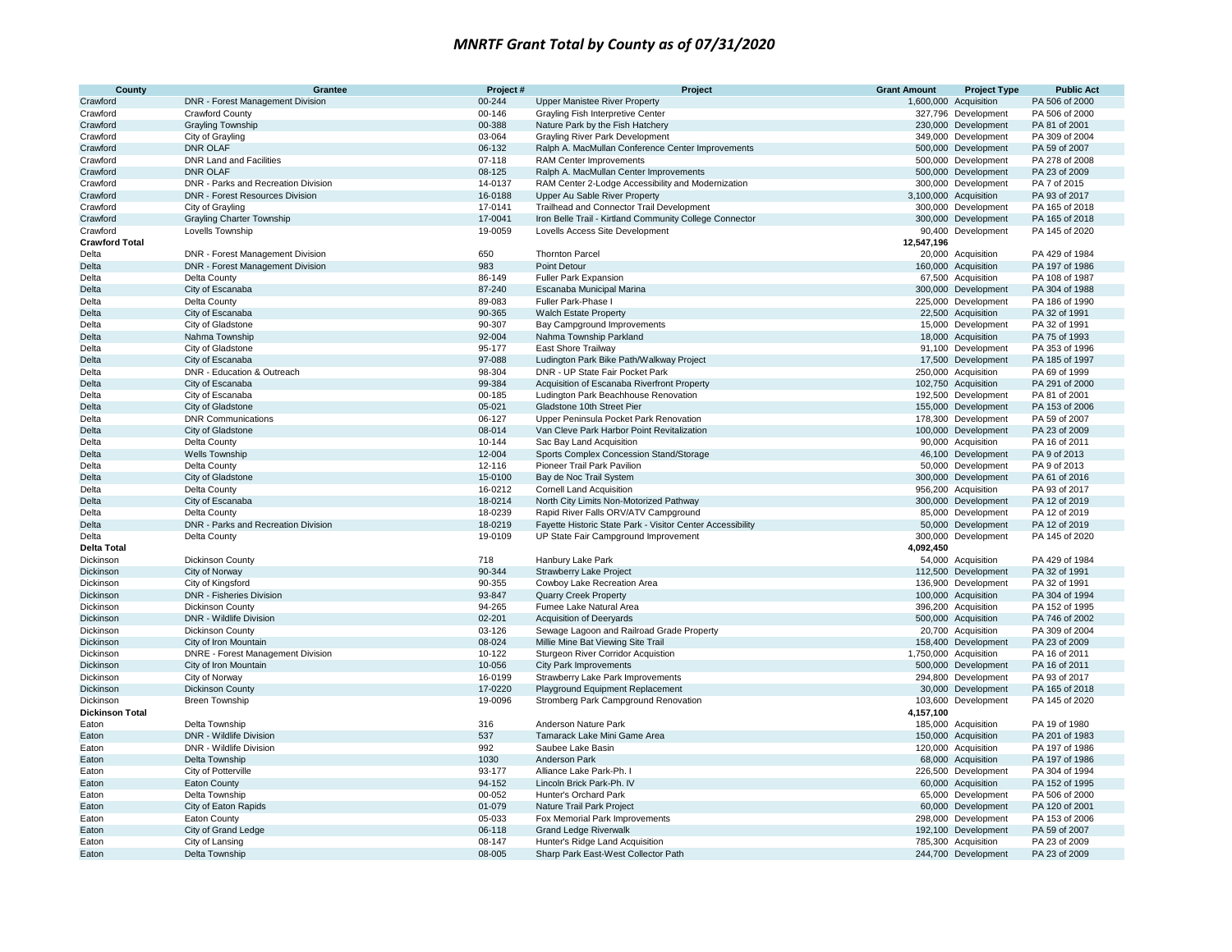| County                            | Grantee                                             | Project#           | Project                                                                                            | <b>Grant Amount</b> | <b>Project Type</b>                       | <b>Public Act</b>               |
|-----------------------------------|-----------------------------------------------------|--------------------|----------------------------------------------------------------------------------------------------|---------------------|-------------------------------------------|---------------------------------|
| Crawford                          | DNR - Forest Management Division                    | 00-244             | <b>Upper Manistee River Property</b>                                                               |                     | 1,600,000 Acquisition                     | PA 506 of 2000                  |
| Crawford                          | <b>Crawford County</b>                              | 00-146             | Grayling Fish Interpretive Center                                                                  |                     | 327,796 Development                       | PA 506 of 2000                  |
| Crawford                          | <b>Grayling Township</b>                            | 00-388             | Nature Park by the Fish Hatchery                                                                   |                     | 230,000 Development                       | PA 81 of 2001                   |
| Crawford                          | City of Grayling                                    | 03-064             | Grayling River Park Development                                                                    |                     | 349,000 Development                       | PA 309 of 2004                  |
| Crawford                          | <b>DNR OLAF</b>                                     | 06-132             | Ralph A. MacMullan Conference Center Improvements                                                  |                     | 500,000 Development                       | PA 59 of 2007                   |
| Crawford                          | <b>DNR Land and Facilities</b>                      | 07-118             | RAM Center Improvements                                                                            |                     | 500,000 Development                       | PA 278 of 2008                  |
| Crawford                          | <b>DNR OLAF</b>                                     | 08-125             | Ralph A. MacMullan Center Improvements                                                             |                     | 500,000 Development                       | PA 23 of 2009                   |
| Crawford                          | DNR - Parks and Recreation Division                 | 14-0137            | RAM Center 2-Lodge Accessibility and Modernization                                                 |                     | 300,000 Development                       | PA 7 of 2015                    |
| Crawford                          | DNR - Forest Resources Division                     | 16-0188            | Upper Au Sable River Property                                                                      |                     | 3,100,000 Acquisition                     | PA 93 of 2017                   |
| Crawford                          | City of Grayling                                    | 17-0141            | Trailhead and Connector Trail Development                                                          |                     | 300,000 Development                       | PA 165 of 2018                  |
| Crawford                          | <b>Grayling Charter Township</b>                    | 17-0041            | Iron Belle Trail - Kirtland Community College Connector                                            |                     | 300,000 Development                       | PA 165 of 2018                  |
| Crawford<br><b>Crawford Total</b> | Lovells Township                                    | 19-0059            | Lovells Access Site Development                                                                    | 12,547,196          | 90,400 Development                        | PA 145 of 2020                  |
| Delta                             | DNR - Forest Management Division                    | 650                | <b>Thornton Parcel</b>                                                                             |                     | 20,000 Acquisition                        | PA 429 of 1984                  |
| <b>Delta</b>                      | DNR - Forest Management Division                    | 983                | <b>Point Detour</b>                                                                                |                     | 160,000 Acquisition                       | PA 197 of 1986                  |
| Delta                             | <b>Delta County</b>                                 | 86-149             | <b>Fuller Park Expansion</b>                                                                       |                     | 67,500 Acquisition                        | PA 108 of 1987                  |
| Delta                             | City of Escanaba                                    | 87-240             | Escanaba Municipal Marina                                                                          |                     | 300,000 Development                       | PA 304 of 1988                  |
| Delta                             | Delta County                                        | 89-083             | Fuller Park-Phase I                                                                                |                     | 225,000 Development                       | PA 186 of 1990                  |
| Delta                             | City of Escanaba                                    | 90-365             | <b>Walch Estate Property</b>                                                                       |                     | 22,500 Acquisition                        | PA 32 of 1991                   |
| Delta                             | City of Gladstone                                   | 90-307             | Bay Campground Improvements                                                                        |                     | 15,000 Development                        | PA 32 of 1991                   |
| <b>Delta</b>                      | Nahma Township                                      | 92-004             | Nahma Township Parkland                                                                            |                     | 18,000 Acquisition                        | PA 75 of 1993                   |
| Delta                             | City of Gladstone                                   | 95-177             | East Shore Trailway                                                                                |                     | 91,100 Development                        | PA 353 of 1996                  |
| <b>Delta</b>                      | City of Escanaba                                    | 97-088             | Ludington Park Bike Path/Walkway Project                                                           |                     | 17,500 Development                        | PA 185 of 1997                  |
| Delta                             | DNR - Education & Outreach                          | 98-304             | DNR - UP State Fair Pocket Park                                                                    |                     | 250,000 Acquisition                       | PA 69 of 1999                   |
| <b>Delta</b>                      | City of Escanaba                                    | 99-384             | Acquisition of Escanaba Riverfront Property                                                        |                     | 102,750 Acquisition                       | PA 291 of 2000                  |
| Delta                             | City of Escanaba                                    | 00-185             | Ludington Park Beachhouse Renovation                                                               |                     | 192,500 Development                       | PA 81 of 2001                   |
| Delta                             | City of Gladstone                                   | 05-021             | Gladstone 10th Street Pier                                                                         |                     | 155,000 Development                       | PA 153 of 2006                  |
| Delta                             | <b>DNR Communications</b>                           | 06-127             | Upper Peninsula Pocket Park Renovation                                                             |                     | 178,300 Development                       | PA 59 of 2007                   |
| Delta                             | City of Gladstone                                   | 08-014             | Van Cleve Park Harbor Point Revitalization                                                         |                     | 100,000 Development                       | PA 23 of 2009                   |
| Delta                             | Delta County                                        | 10-144             | Sac Bay Land Acquisition                                                                           |                     | 90,000 Acquisition                        | PA 16 of 2011                   |
| Delta                             | Wells Township                                      | 12-004             | Sports Complex Concession Stand/Storage                                                            |                     | 46,100 Development                        | PA 9 of 2013                    |
| Delta                             | Delta County                                        | 12-116             | Pioneer Trail Park Pavilion                                                                        |                     | 50,000 Development                        | PA 9 of 2013                    |
| <b>Delta</b>                      | City of Gladstone                                   | 15-0100            | Bay de Noc Trail System                                                                            |                     | 300,000 Development                       | PA 61 of 2016                   |
| Delta                             | Delta County                                        | 16-0212            | <b>Cornell Land Acquisition</b>                                                                    |                     | 956,200 Acquisition                       | PA 93 of 2017                   |
| <b>Delta</b>                      | City of Escanaba                                    | 18-0214            | North City Limits Non-Motorized Pathway                                                            |                     | 300,000 Development                       | PA 12 of 2019                   |
| Delta                             | Delta County                                        | 18-0239            | Rapid River Falls ORV/ATV Campground                                                               |                     | 85,000 Development                        | PA 12 of 2019                   |
| Delta                             | DNR - Parks and Recreation Division<br>Delta County | 18-0219<br>19-0109 | Fayette Historic State Park - Visitor Center Accessibility<br>UP State Fair Campground Improvement |                     | 50,000 Development<br>300,000 Development | PA 12 of 2019<br>PA 145 of 2020 |
| Delta<br><b>Delta Total</b>       |                                                     |                    |                                                                                                    | 4,092,450           |                                           |                                 |
| Dickinson                         | <b>Dickinson County</b>                             | 718                | Hanbury Lake Park                                                                                  |                     | 54,000 Acquisition                        | PA 429 of 1984                  |
| Dickinson                         | City of Norway                                      | 90-344             | <b>Strawberry Lake Project</b>                                                                     |                     | 112,500 Development                       | PA 32 of 1991                   |
| Dickinson                         | City of Kingsford                                   | 90-355             | Cowboy Lake Recreation Area                                                                        |                     | 136,900 Development                       | PA 32 of 1991                   |
| Dickinson                         | DNR - Fisheries Division                            | 93-847             | <b>Quarry Creek Property</b>                                                                       |                     | 100,000 Acquisition                       | PA 304 of 1994                  |
| Dickinson                         | <b>Dickinson County</b>                             | 94-265             | Fumee Lake Natural Area                                                                            |                     | 396,200 Acquisition                       | PA 152 of 1995                  |
| Dickinson                         | DNR - Wildlife Division                             | 02-201             | <b>Acquisition of Deeryards</b>                                                                    |                     | 500,000 Acquisition                       | PA 746 of 2002                  |
| Dickinson                         | <b>Dickinson County</b>                             | 03-126             | Sewage Lagoon and Railroad Grade Property                                                          |                     | 20,700 Acquisition                        | PA 309 of 2004                  |
| Dickinson                         | City of Iron Mountain                               | 08-024             | Millie Mine Bat Viewing Site Trail                                                                 |                     | 158,400 Development                       | PA 23 of 2009                   |
| Dickinson                         | <b>DNRE</b> - Forest Management Division            | 10-122             | Sturgeon River Corridor Acquistion                                                                 |                     | 1,750,000 Acquisition                     | PA 16 of 2011                   |
| Dickinson                         | City of Iron Mountain                               | 10-056             | <b>City Park Improvements</b>                                                                      |                     | 500,000 Development                       | PA 16 of 2011                   |
| Dickinson                         | City of Norway                                      | 16-0199            | Strawberry Lake Park Improvements                                                                  |                     | 294,800 Development                       | PA 93 of 2017                   |
| Dickinson                         | <b>Dickinson County</b>                             | 17-0220            | Playground Equipment Replacement                                                                   |                     | 30,000 Development                        | PA 165 of 2018                  |
| Dickinson                         | <b>Breen Township</b>                               | 19-0096            | Stromberg Park Campground Renovation                                                               |                     | 103,600 Development                       | PA 145 of 2020                  |
| <b>Dickinson Total</b>            |                                                     |                    |                                                                                                    | 4,157,100           |                                           |                                 |
| Eaton                             | Delta Township                                      | 316                | Anderson Nature Park                                                                               |                     | 185,000 Acquisition                       | PA 19 of 1980                   |
| Eaton                             | DNR - Wildlife Division                             | 537                | Tamarack Lake Mini Game Area                                                                       |                     | 150,000 Acquisition                       | PA 201 of 1983                  |
| Eaton                             | DNR - Wildlife Division                             | 992                | Saubee Lake Basin                                                                                  |                     | 120,000 Acquisition                       | PA 197 of 1986                  |
| Eaton                             | Delta Township                                      | 1030               | Anderson Park                                                                                      |                     | 68,000 Acquisition                        | PA 197 of 1986                  |
| Eaton                             | City of Potterville                                 | 93-177             | Alliance Lake Park-Ph. I                                                                           |                     | 226,500 Development                       | PA 304 of 1994                  |
| Eaton                             | <b>Eaton County</b>                                 | 94-152             | Lincoln Brick Park-Ph. IV                                                                          |                     | 60,000 Acquisition                        | PA 152 of 1995                  |
| Eaton                             | Delta Township                                      | 00-052             | Hunter's Orchard Park                                                                              |                     | 65,000 Development                        | PA 506 of 2000                  |
| Eaton                             | City of Eaton Rapids                                | 01-079             | Nature Trail Park Project                                                                          |                     | 60,000 Development                        | PA 120 of 2001                  |
| Eaton                             | Eaton County                                        | 05-033             | Fox Memorial Park Improvements                                                                     |                     | 298,000 Development                       | PA 153 of 2006                  |
| Eaton                             | City of Grand Ledge                                 | 06-118             | <b>Grand Ledge Riverwalk</b>                                                                       |                     | 192,100 Development                       | PA 59 of 2007                   |
| Eaton                             | City of Lansing                                     | 08-147             | Hunter's Ridge Land Acquisition                                                                    |                     | 785,300 Acquisition                       | PA 23 of 2009                   |
| Eaton                             | Delta Township                                      | 08-005             | Sharp Park East-West Collector Path                                                                |                     | 244,700 Development                       | PA 23 of 2009                   |
|                                   |                                                     |                    |                                                                                                    |                     |                                           |                                 |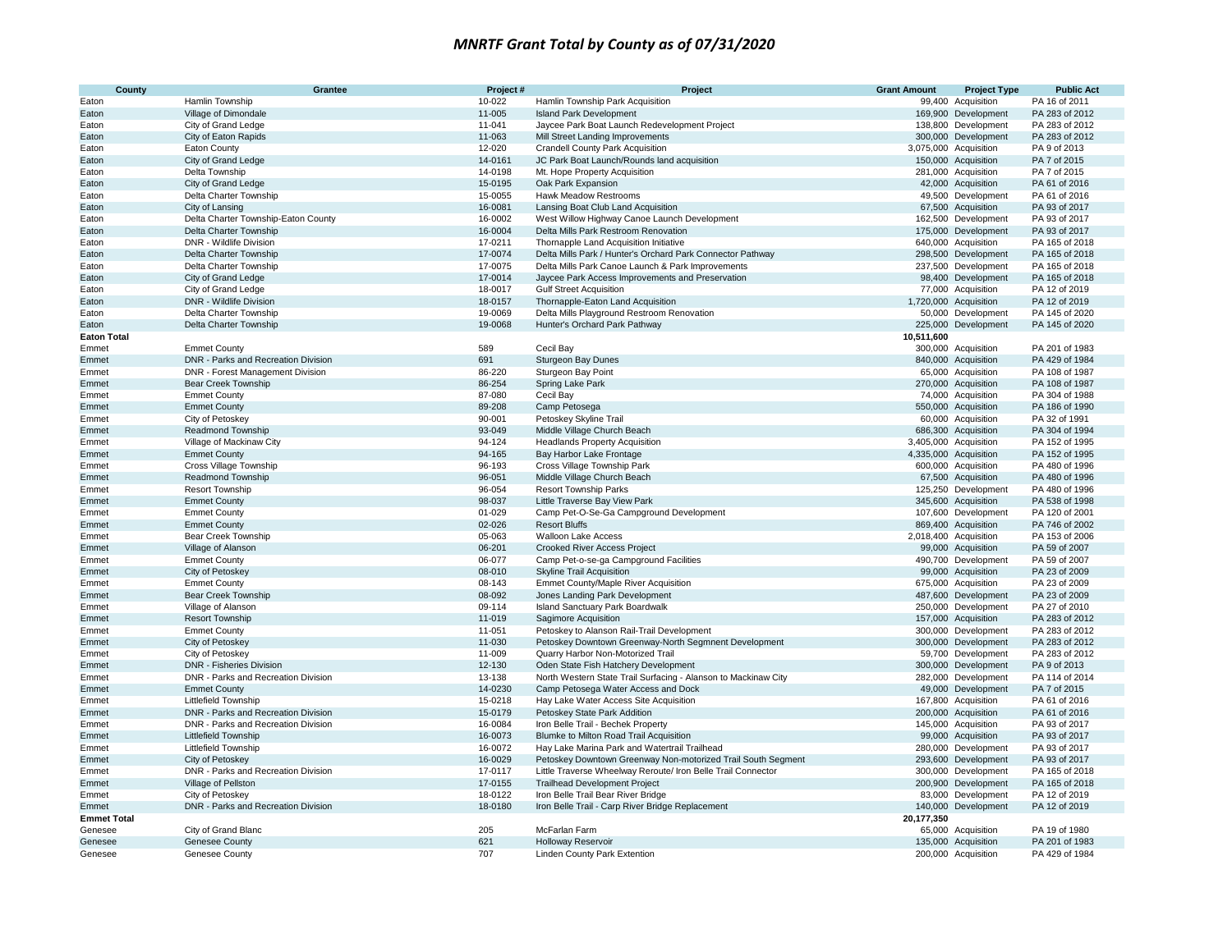| County             | <b>Grantee</b>                                                         | Project#         | Project                                                                                                | <b>Grant Amount</b> | <b>Project Type</b>                        | <b>Public Act</b>                |
|--------------------|------------------------------------------------------------------------|------------------|--------------------------------------------------------------------------------------------------------|---------------------|--------------------------------------------|----------------------------------|
| Eaton              | Hamlin Township                                                        | 10-022           | Hamlin Township Park Acquisition                                                                       |                     | 99,400 Acquisition                         | PA 16 of 2011                    |
| Eaton              | Village of Dimondale                                                   | 11-005           | <b>Island Park Development</b>                                                                         |                     | 169,900 Development                        | PA 283 of 2012                   |
| Eaton              | City of Grand Ledge                                                    | 11-041           | Jaycee Park Boat Launch Redevelopment Project                                                          |                     | 138,800 Development                        | PA 283 of 2012                   |
| Eaton              | City of Eaton Rapids                                                   | 11-063           | Mill Street Landing Improvements                                                                       |                     | 300,000 Development                        | PA 283 of 2012                   |
| Eaton              | <b>Eaton County</b>                                                    | 12-020           | <b>Crandell County Park Acquisition</b>                                                                |                     | 3,075,000 Acquisition                      | PA 9 of 2013                     |
| Eaton              | City of Grand Ledge                                                    | 14-0161          | JC Park Boat Launch/Rounds land acquisition                                                            |                     | 150,000 Acquisition                        | PA 7 of 2015                     |
| Eaton              | Delta Township                                                         | 14-0198          | Mt. Hope Property Acquisition                                                                          |                     | 281,000 Acquisition                        | PA 7 of 2015                     |
| Eaton              | City of Grand Ledge                                                    | 15-0195          | Oak Park Expansion                                                                                     |                     | 42,000 Acquisition                         | PA 61 of 2016                    |
| Eaton              | Delta Charter Township                                                 | 15-0055          | Hawk Meadow Restrooms                                                                                  |                     | 49,500 Development                         | PA 61 of 2016                    |
| Eaton              | City of Lansing                                                        | 16-0081          | Lansing Boat Club Land Acquisition                                                                     |                     | 67,500 Acquisition                         | PA 93 of 2017                    |
| Eaton              | Delta Charter Township-Eaton County                                    | 16-0002          | West Willow Highway Canoe Launch Development                                                           |                     | 162,500 Development                        | PA 93 of 2017                    |
| Eaton              | Delta Charter Township                                                 | 16-0004          | Delta Mills Park Restroom Renovation                                                                   |                     | 175,000 Development                        | PA 93 of 2017                    |
| Eaton              | DNR - Wildlife Division                                                | 17-0211          | Thornapple Land Acquisition Initiative                                                                 |                     | 640,000 Acquisition                        | PA 165 of 2018                   |
| Eaton              | Delta Charter Township                                                 | 17-0074          | Delta Mills Park / Hunter's Orchard Park Connector Pathway                                             |                     | 298,500 Development                        | PA 165 of 2018                   |
| Eaton              | Delta Charter Township                                                 | 17-0075          | Delta Mills Park Canoe Launch & Park Improvements                                                      |                     | 237,500 Development                        | PA 165 of 2018                   |
| Eaton              | City of Grand Ledge                                                    | 17-0014          | Jaycee Park Access Improvements and Preservation                                                       |                     | 98,400 Development                         | PA 165 of 2018                   |
| Eaton              | City of Grand Ledge                                                    | 18-0017          | <b>Gulf Street Acquisition</b>                                                                         |                     | 77,000 Acquisition                         | PA 12 of 2019                    |
| Eaton              | DNR - Wildlife Division                                                | 18-0157          | Thornapple-Eaton Land Acquisition                                                                      |                     | 1,720,000 Acquisition                      | PA 12 of 2019                    |
| Eaton              | Delta Charter Township                                                 | 19-0069          | Delta Mills Playground Restroom Renovation                                                             |                     | 50,000 Development                         | PA 145 of 2020                   |
| Eaton              | Delta Charter Township                                                 | 19-0068          | Hunter's Orchard Park Pathway                                                                          |                     | 225,000 Development                        | PA 145 of 2020                   |
| <b>Eaton Total</b> |                                                                        |                  |                                                                                                        | 10,511,600          |                                            |                                  |
| Emmet              | <b>Emmet County</b>                                                    | 589              | Cecil Bay                                                                                              |                     | 300,000 Acquisition                        | PA 201 of 1983                   |
| Emmet              | DNR - Parks and Recreation Division                                    | 691              | <b>Sturgeon Bay Dunes</b>                                                                              |                     | 840,000 Acquisition                        | PA 429 of 1984                   |
| Emmet              | DNR - Forest Management Division                                       | 86-220           | Sturgeon Bay Point                                                                                     |                     | 65,000 Acquisition                         | PA 108 of 1987                   |
| Emmet              | <b>Bear Creek Township</b>                                             | 86-254           | Spring Lake Park                                                                                       |                     | 270,000 Acquisition                        | PA 108 of 1987                   |
| Emmet              | <b>Emmet County</b>                                                    | 87-080           | Cecil Bay                                                                                              |                     | 74,000 Acquisition                         | PA 304 of 1988                   |
| Emmet              | <b>Emmet County</b>                                                    | 89-208           | Camp Petosega                                                                                          |                     | 550,000 Acquisition                        | PA 186 of 1990                   |
| Emmet              | City of Petoskey                                                       | 90-001           | Petoskey Skyline Trail                                                                                 |                     | 60,000 Acquisition                         | PA 32 of 1991                    |
| Emmet              | <b>Readmond Township</b>                                               | 93-049           | Middle Village Church Beach                                                                            |                     | 686,300 Acquisition                        | PA 304 of 1994                   |
| Emmet              | Village of Mackinaw City                                               | 94-124           | <b>Headlands Property Acquisition</b>                                                                  |                     | 3,405,000 Acquisition                      | PA 152 of 1995                   |
| Emmet              | <b>Emmet County</b>                                                    | 94-165           | Bay Harbor Lake Frontage                                                                               |                     | 4,335,000 Acquisition                      | PA 152 of 1995                   |
| Emmet              | Cross Village Township                                                 | 96-193           | Cross Village Township Park                                                                            |                     | 600,000 Acquisition                        | PA 480 of 1996                   |
| Emmet              | Readmond Township                                                      | 96-051           | Middle Village Church Beach                                                                            |                     | 67,500 Acquisition                         | PA 480 of 1996                   |
| Emmet              | <b>Resort Township</b>                                                 | 96-054           | <b>Resort Township Parks</b>                                                                           |                     | 125,250 Development                        | PA 480 of 1996                   |
| Emmet              | <b>Emmet County</b>                                                    | 98-037           | Little Traverse Bay View Park                                                                          |                     | 345,600 Acquisition                        | PA 538 of 1998                   |
| Emmet              | <b>Emmet County</b>                                                    | 01-029           | Camp Pet-O-Se-Ga Campground Development                                                                |                     | 107,600 Development                        | PA 120 of 2001                   |
| Emmet              | <b>Emmet County</b>                                                    | 02-026           | <b>Resort Bluffs</b>                                                                                   |                     | 869,400 Acquisition                        | PA 746 of 2002                   |
| Emmet              | Bear Creek Township                                                    | 05-063           | <b>Walloon Lake Access</b>                                                                             |                     | 2,018,400 Acquisition                      | PA 153 of 2006                   |
| Emmet              | Village of Alanson                                                     | 06-201           | <b>Crooked River Access Project</b>                                                                    |                     | 99,000 Acquisition                         | PA 59 of 2007                    |
| Emmet              | <b>Emmet County</b>                                                    | 06-077           | Camp Pet-o-se-ga Campground Facilities                                                                 |                     | 490,700 Development                        | PA 59 of 2007                    |
| Emmet              | City of Petoskey                                                       | 08-010           | <b>Skyline Trail Acquisition</b>                                                                       |                     | 99,000 Acquisition                         | PA 23 of 2009                    |
| Emmet              | <b>Emmet County</b>                                                    | 08-143           | Emmet County/Maple River Acquisition                                                                   |                     | 675,000 Acquisition                        | PA 23 of 2009                    |
| Emmet              | Bear Creek Township                                                    | 08-092           | Jones Landing Park Development                                                                         |                     | 487,600 Development                        | PA 23 of 2009                    |
| Emmet              | Village of Alanson                                                     | 09-114           | <b>Island Sanctuary Park Boardwalk</b>                                                                 |                     | 250,000 Development                        | PA 27 of 2010                    |
| Emmet              | <b>Resort Township</b>                                                 | 11-019           | Sagimore Acquisition                                                                                   |                     | 157,000 Acquisition                        | PA 283 of 2012                   |
| Emmet              | <b>Emmet County</b>                                                    | 11-051<br>11-030 | Petoskey to Alanson Rail-Trail Development                                                             |                     | 300,000 Development                        | PA 283 of 2012                   |
| Emmet              | City of Petoskey<br>City of Petoskey                                   | 11-009           | Petoskey Downtown Greenway-North Segmnent Development<br>Quarry Harbor Non-Motorized Trail             |                     | 300,000 Development<br>59,700 Development  | PA 283 of 2012<br>PA 283 of 2012 |
| Emmet              |                                                                        | 12-130           |                                                                                                        |                     |                                            | PA 9 of 2013                     |
| Emmet<br>Emmet     | <b>DNR - Fisheries Division</b><br>DNR - Parks and Recreation Division | 13-138           | Oden State Fish Hatchery Development<br>North Western State Trail Surfacing - Alanson to Mackinaw City |                     | 300,000 Development<br>282,000 Development | PA 114 of 2014                   |
|                    | <b>Emmet County</b>                                                    | 14-0230          | Camp Petosega Water Access and Dock                                                                    |                     | 49,000 Development                         | PA 7 of 2015                     |
| Emmet<br>Emmet     | <b>Littlefield Township</b>                                            | 15-0218          | Hay Lake Water Access Site Acquisition                                                                 |                     | 167,800 Acquisition                        | PA 61 of 2016                    |
| Emmet              | DNR - Parks and Recreation Division                                    | 15-0179          | Petoskey State Park Addition                                                                           |                     | 200,000 Acquisition                        | PA 61 of 2016                    |
| Emmet              | DNR - Parks and Recreation Division                                    | 16-0084          | Iron Belle Trail - Bechek Property                                                                     |                     | 145,000 Acquisition                        | PA 93 of 2017                    |
| Emmet              | Littlefield Township                                                   | 16-0073          | Blumke to Milton Road Trail Acquisition                                                                |                     | 99,000 Acquisition                         | PA 93 of 2017                    |
|                    | <b>Littlefield Township</b>                                            | 16-0072          | Hay Lake Marina Park and Watertrail Trailhead                                                          |                     | 280,000 Development                        | PA 93 of 2017                    |
| Emmet<br>Emmet     | City of Petoskey                                                       | 16-0029          | Petoskey Downtown Greenway Non-motorized Trail South Segment                                           |                     | 293,600 Development                        | PA 93 of 2017                    |
| Emmet              | DNR - Parks and Recreation Division                                    | 17-0117          | Little Traverse Wheelway Reroute/ Iron Belle Trail Connector                                           |                     | 300,000 Development                        | PA 165 of 2018                   |
|                    | Village of Pellston                                                    | 17-0155          | <b>Trailhead Development Project</b>                                                                   |                     | 200,900 Development                        | PA 165 of 2018                   |
| Emmet<br>Emmet     | City of Petoskey                                                       | 18-0122          | Iron Belle Trail Bear River Bridge                                                                     |                     | 83,000 Development                         | PA 12 of 2019                    |
| Emmet              | DNR - Parks and Recreation Division                                    | 18-0180          | Iron Belle Trail - Carp River Bridge Replacement                                                       |                     | 140,000 Development                        | PA 12 of 2019                    |
| <b>Emmet Total</b> |                                                                        |                  |                                                                                                        | 20,177,350          |                                            |                                  |
| Genesee            | City of Grand Blanc                                                    | 205              | McFarlan Farm                                                                                          |                     | 65,000 Acquisition                         | PA 19 of 1980                    |
| Genesee            | <b>Genesee County</b>                                                  | 621              | Holloway Reservoir                                                                                     |                     | 135,000 Acquisition                        | PA 201 of 1983                   |
| Genesee            | Genesee County                                                         | 707              | <b>Linden County Park Extention</b>                                                                    |                     | 200,000 Acquisition                        | PA 429 of 1984                   |
|                    |                                                                        |                  |                                                                                                        |                     |                                            |                                  |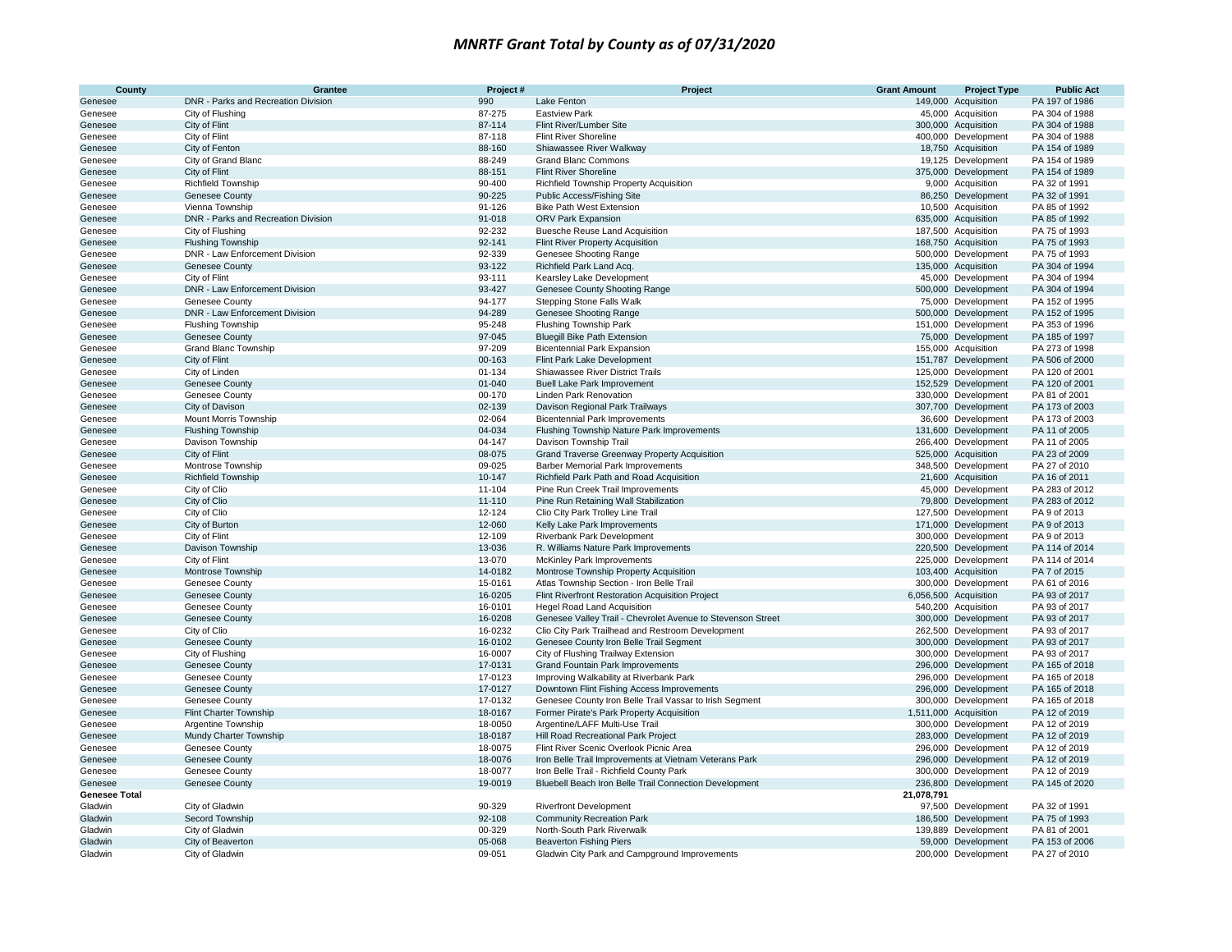| County               | Grantee                                                    | Project#           | Project                                                                             | <b>Grant Amount</b> | <b>Project Type</b>                        | <b>Public Act</b>              |
|----------------------|------------------------------------------------------------|--------------------|-------------------------------------------------------------------------------------|---------------------|--------------------------------------------|--------------------------------|
| Genesee              | DNR - Parks and Recreation Division                        | 990                | Lake Fenton                                                                         |                     | 149,000 Acquisition                        | PA 197 of 1986                 |
| Genesee              | City of Flushing                                           | 87-275             | <b>Eastview Park</b>                                                                |                     | 45,000 Acquisition                         | PA 304 of 1988                 |
| Genesee              | City of Flint                                              | 87-114             | Flint River/Lumber Site                                                             |                     | 300,000 Acquisition                        | PA 304 of 1988                 |
| Genesee              | City of Flint                                              | 87-118             | <b>Flint River Shoreline</b>                                                        |                     | 400,000 Development                        | PA 304 of 1988                 |
| Genesee              | City of Fenton                                             | 88-160             | Shiawassee River Walkway                                                            |                     | 18,750 Acquisition                         | PA 154 of 1989                 |
| Genesee              | City of Grand Blanc                                        | 88-249             | <b>Grand Blanc Commons</b>                                                          |                     | 19,125 Development                         | PA 154 of 1989                 |
| Genesee              | City of Flint                                              | 88-151             | <b>Flint River Shoreline</b>                                                        |                     | 375,000 Development                        | PA 154 of 1989                 |
| Genesee              | <b>Richfield Township</b>                                  | 90-400             | Richfield Township Property Acquisition                                             |                     | 9,000 Acquisition                          | PA 32 of 1991                  |
| Genesee              | <b>Genesee County</b>                                      | 90-225             | Public Access/Fishing Site                                                          |                     | 86,250 Development                         | PA 32 of 1991                  |
| Genesee              | Vienna Township                                            | 91-126             | <b>Bike Path West Extension</b>                                                     |                     | 10,500 Acquisition                         | PA 85 of 1992                  |
| Genesee              | DNR - Parks and Recreation Division                        | 91-018             | ORV Park Expansion                                                                  |                     | 635,000 Acquisition                        | PA 85 of 1992                  |
| Genesee              | City of Flushing                                           | 92-232<br>92-141   | <b>Buesche Reuse Land Acquisition</b>                                               |                     | 187,500 Acquisition                        | PA 75 of 1993<br>PA 75 of 1993 |
| Genesee<br>Genesee   | <b>Flushing Township</b><br>DNR - Law Enforcement Division | 92-339             | <b>Flint River Property Acquisition</b><br>Genesee Shooting Range                   |                     | 168,750 Acquisition<br>500,000 Development | PA 75 of 1993                  |
| Genesee              | <b>Genesee County</b>                                      | 93-122             | Richfield Park Land Acq.                                                            |                     | 135,000 Acquisition                        | PA 304 of 1994                 |
| Genesee              | City of Flint                                              | 93-111             | Kearsley Lake Development                                                           |                     | 45,000 Development                         | PA 304 of 1994                 |
| Genesee              | DNR - Law Enforcement Division                             | 93-427             | Genesee County Shooting Range                                                       |                     | 500,000 Development                        | PA 304 of 1994                 |
| Genesee              | Genesee County                                             | 94-177             | Stepping Stone Falls Walk                                                           |                     | 75,000 Development                         | PA 152 of 1995                 |
| Genesee              | DNR - Law Enforcement Division                             | 94-289             | Genesee Shooting Range                                                              |                     | 500,000 Development                        | PA 152 of 1995                 |
| Genesee              | <b>Flushing Township</b>                                   | 95-248             | <b>Flushing Township Park</b>                                                       |                     | 151,000 Development                        | PA 353 of 1996                 |
| Genesee              | <b>Genesee County</b>                                      | 97-045             | <b>Bluegill Bike Path Extension</b>                                                 |                     | 75,000 Development                         | PA 185 of 1997                 |
| Genesee              | <b>Grand Blanc Township</b>                                | 97-209             | <b>Bicentennial Park Expansion</b>                                                  |                     | 155,000 Acquisition                        | PA 273 of 1998                 |
| Genesee              | City of Flint                                              | 00-163             | Flint Park Lake Development                                                         |                     | 151,787 Development                        | PA 506 of 2000                 |
| Genesee              | City of Linden                                             | 01-134             | Shiawassee River District Trails                                                    |                     | 125,000 Development                        | PA 120 of 2001                 |
| Genesee              | Genesee County                                             | $01 - 040$         | <b>Buell Lake Park Improvement</b>                                                  |                     | 152,529 Development                        | PA 120 of 2001                 |
| Genesee              | Genesee County                                             | 00-170             | Linden Park Renovation                                                              |                     | 330,000 Development                        | PA 81 of 2001                  |
| Genesee              | City of Davison                                            | 02-139             | Davison Regional Park Trailways                                                     |                     | 307,700 Development                        | PA 173 of 2003                 |
| Genesee              | Mount Morris Township                                      | 02-064             | <b>Bicentennial Park Improvements</b>                                               |                     | 36,600 Development                         | PA 173 of 2003                 |
| Genesee              | <b>Flushing Township</b>                                   | 04-034             | Flushing Township Nature Park Improvements                                          |                     | 131,600 Development                        | PA 11 of 2005                  |
| Genesee              | Davison Township                                           | 04-147             | Davison Township Trail                                                              |                     | 266,400 Development                        | PA 11 of 2005                  |
| Genesee              | City of Flint                                              | 08-075             | Grand Traverse Greenway Property Acquisition                                        |                     | 525,000 Acquisition                        | PA 23 of 2009                  |
| Genesee              | Montrose Township                                          | 09-025             | <b>Barber Memorial Park Improvements</b>                                            |                     | 348,500 Development                        | PA 27 of 2010                  |
| Genesee              | <b>Richfield Township</b>                                  | 10-147             | Richfield Park Path and Road Acquisition                                            |                     | 21,600 Acquisition                         | PA 16 of 2011                  |
| Genesee              | City of Clio                                               | 11-104             | Pine Run Creek Trail Improvements                                                   |                     | 45,000 Development                         | PA 283 of 2012                 |
| Genesee              | City of Clio                                               | $11 - 110$         | Pine Run Retaining Wall Stabilization                                               |                     | 79,800 Development                         | PA 283 of 2012                 |
| Genesee              | City of Clio                                               | 12-124             | Clio City Park Trolley Line Trail                                                   |                     | 127,500 Development                        | PA 9 of 2013                   |
| Genesee              | City of Burton                                             | 12-060             | Kelly Lake Park Improvements                                                        |                     | 171,000 Development                        | PA 9 of 2013                   |
| Genesee              | City of Flint                                              | 12-109             | Riverbank Park Development                                                          |                     | 300,000 Development                        | PA 9 of 2013                   |
| Genesee              | Davison Township                                           | 13-036             | R. Williams Nature Park Improvements                                                |                     | 220,500 Development                        | PA 114 of 2014                 |
| Genesee              | City of Flint                                              | 13-070             | <b>McKinley Park Improvements</b>                                                   |                     | 225,000 Development                        | PA 114 of 2014<br>PA 7 of 2015 |
| Genesee              | Montrose Township<br>Genesee County                        | 14-0182<br>15-0161 | Montrose Township Property Acquisition<br>Atlas Township Section - Iron Belle Trail |                     | 103,400 Acquisition<br>300,000 Development | PA 61 of 2016                  |
| Genesee<br>Genesee   | <b>Genesee County</b>                                      | 16-0205            | Flint Riverfront Restoration Acquisition Project                                    |                     | 6,056,500 Acquisition                      | PA 93 of 2017                  |
| Genesee              | Genesee County                                             | 16-0101            | <b>Hegel Road Land Acquisition</b>                                                  |                     | 540,200 Acquisition                        | PA 93 of 2017                  |
| Genesee              | <b>Genesee County</b>                                      | 16-0208            | Genesee Valley Trail - Chevrolet Avenue to Stevenson Street                         |                     | 300,000 Development                        | PA 93 of 2017                  |
| Genesee              | City of Clio                                               | 16-0232            | Clio City Park Trailhead and Restroom Development                                   |                     | 262,500 Development                        | PA 93 of 2017                  |
| Genesee              | Genesee County                                             | 16-0102            | Genesee County Iron Belle Trail Segment                                             |                     | 300,000 Development                        | PA 93 of 2017                  |
| Genesee              | City of Flushing                                           | 16-0007            | City of Flushing Trailway Extension                                                 |                     | 300,000 Development                        | PA 93 of 2017                  |
| Genesee              | Genesee County                                             | 17-0131            | <b>Grand Fountain Park Improvements</b>                                             |                     | 296,000 Development                        | PA 165 of 2018                 |
| Genesee              | Genesee County                                             | 17-0123            | Improving Walkability at Riverbank Park                                             |                     | 296,000 Development                        | PA 165 of 2018                 |
| Genesee              | <b>Genesee County</b>                                      | 17-0127            | Downtown Flint Fishing Access Improvements                                          |                     | 296,000 Development                        | PA 165 of 2018                 |
| Genesee              | Genesee County                                             | 17-0132            | Genesee County Iron Belle Trail Vassar to Irish Segment                             |                     | 300,000 Development                        | PA 165 of 2018                 |
| Genesee              | <b>Flint Charter Township</b>                              | 18-0167            | Former Pirate's Park Property Acquisition                                           |                     | 1,511,000 Acquisition                      | PA 12 of 2019                  |
| Genesee              | Argentine Township                                         | 18-0050            | Argentine/LAFF Multi-Use Trail                                                      |                     | 300,000 Development                        | PA 12 of 2019                  |
| Genesee              | Mundy Charter Township                                     | 18-0187            | Hill Road Recreational Park Project                                                 |                     | 283,000 Development                        | PA 12 of 2019                  |
| Genesee              | Genesee County                                             | 18-0075            | Flint River Scenic Overlook Picnic Area                                             |                     | 296,000 Development                        | PA 12 of 2019                  |
| Genesee              | Genesee County                                             | 18-0076            | Iron Belle Trail Improvements at Vietnam Veterans Park                              |                     | 296,000 Development                        | PA 12 of 2019                  |
| Genesee              | Genesee County                                             | 18-0077            | Iron Belle Trail - Richfield County Park                                            |                     | 300,000 Development                        | PA 12 of 2019                  |
| Genesee              | <b>Genesee County</b>                                      | 19-0019            | Bluebell Beach Iron Belle Trail Connection Development                              |                     | 236,800 Development                        | PA 145 of 2020                 |
| <b>Genesee Total</b> |                                                            |                    |                                                                                     | 21,078,791          |                                            |                                |
| Gladwin              | City of Gladwin                                            | 90-329             | <b>Riverfront Development</b>                                                       |                     | 97,500 Development                         | PA 32 of 1991                  |
| Gladwin              | Secord Township                                            | 92-108             | <b>Community Recreation Park</b>                                                    |                     | 186,500 Development                        | PA 75 of 1993                  |
| Gladwin              | City of Gladwin                                            | 00-329             | North-South Park Riverwalk                                                          |                     | 139,889 Development                        | PA 81 of 2001                  |
| Gladwin              | City of Beaverton                                          | 05-068             | <b>Beaverton Fishing Piers</b>                                                      |                     | 59,000 Development                         | PA 153 of 2006                 |
| Gladwin              | City of Gladwin                                            | 09-051             | Gladwin City Park and Campground Improvements                                       |                     | 200,000 Development                        | PA 27 of 2010                  |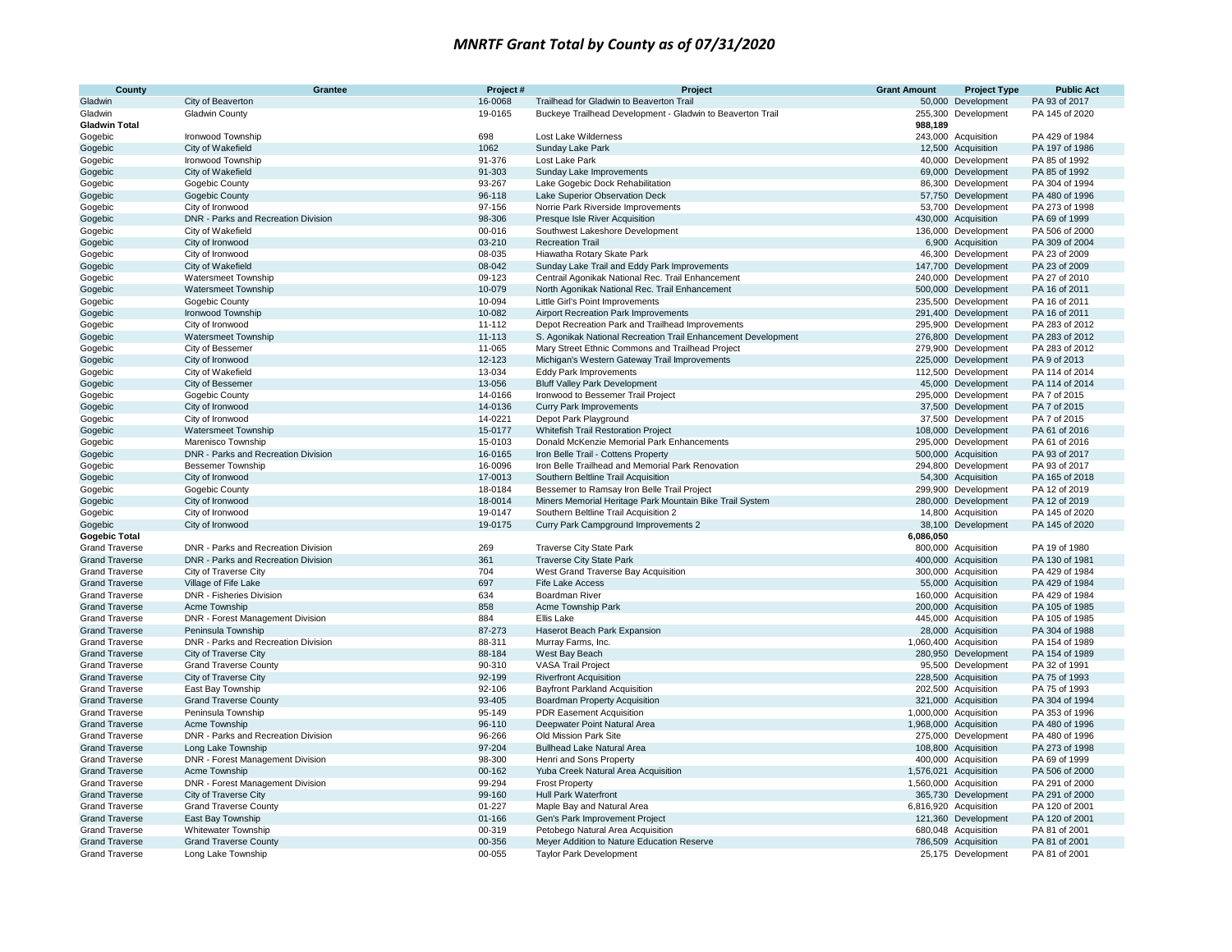| County                                         | Grantee                                                   | Project#           | Project                                                                                  | <b>Grant Amount</b> | <b>Project Type</b>                          | <b>Public Act</b>                |
|------------------------------------------------|-----------------------------------------------------------|--------------------|------------------------------------------------------------------------------------------|---------------------|----------------------------------------------|----------------------------------|
| Gladwin                                        | City of Beaverton                                         | 16-0068            | Trailhead for Gladwin to Beaverton Trail                                                 |                     | 50,000 Development                           | PA 93 of 2017                    |
| Gladwin                                        | Gladwin County                                            | 19-0165            | Buckeye Trailhead Development - Gladwin to Beaverton Trail                               |                     | 255,300 Development                          | PA 145 of 2020                   |
| <b>Gladwin Total</b>                           |                                                           |                    |                                                                                          | 988,189             |                                              |                                  |
| Gogebic                                        | Ironwood Township                                         | 698                | Lost Lake Wilderness                                                                     |                     | 243,000 Acquisition                          | PA 429 of 1984                   |
| Gogebic                                        | City of Wakefield                                         | 1062               | Sunday Lake Park                                                                         |                     | 12,500 Acquisition                           | PA 197 of 1986                   |
| Gogebic                                        | Ironwood Township                                         | 91-376             | Lost Lake Park                                                                           |                     | 40,000 Development                           | PA 85 of 1992                    |
| Gogebic                                        | City of Wakefield                                         | 91-303             | Sunday Lake Improvements                                                                 |                     | 69,000 Development                           | PA 85 of 1992                    |
| Gogebic                                        | Gogebic County                                            | 93-267<br>96-118   | Lake Gogebic Dock Rehabilitation<br>Lake Superior Observation Deck                       |                     | 86,300 Development<br>57,750 Development     | PA 304 of 1994<br>PA 480 of 1996 |
| Gogebic<br>Gogebic                             | Gogebic County<br>City of Ironwood                        | 97-156             | Norrie Park Riverside Improvements                                                       |                     | 53,700 Development                           | PA 273 of 1998                   |
| Gogebic                                        | DNR - Parks and Recreation Division                       | 98-306             | Presque Isle River Acquisition                                                           |                     | 430,000 Acquisition                          | PA 69 of 1999                    |
| Gogebic                                        | City of Wakefield                                         | 00-016             | Southwest Lakeshore Development                                                          |                     | 136,000 Development                          | PA 506 of 2000                   |
| Gogebic                                        | City of Ironwood                                          | 03-210             | <b>Recreation Trail</b>                                                                  |                     | 6,900 Acquisition                            | PA 309 of 2004                   |
| Gogebic                                        | City of Ironwood                                          | 08-035             | Hiawatha Rotary Skate Park                                                               |                     | 46,300 Development                           | PA 23 of 2009                    |
| Gogebic                                        | City of Wakefield                                         | 08-042             | Sunday Lake Trail and Eddy Park Improvements                                             |                     | 147,700 Development                          | PA 23 of 2009                    |
| Gogebic                                        | Watersmeet Township                                       | 09-123             | Centrail Agonikak National Rec. Trail Enhancement                                        |                     | 240,000 Development                          | PA 27 of 2010                    |
| Gogebic                                        | Watersmeet Township                                       | 10-079             | North Agonikak National Rec. Trail Enhancement                                           |                     | 500,000 Development                          | PA 16 of 2011                    |
| Gogebic                                        | Gogebic County                                            | 10-094             | Little Girl's Point Improvements                                                         |                     | 235,500 Development                          | PA 16 of 2011                    |
| Gogebic                                        | Ironwood Township                                         | 10-082             | Airport Recreation Park Improvements                                                     |                     | 291,400 Development                          | PA 16 of 2011                    |
| Gogebic                                        | City of Ironwood                                          | 11-112             | Depot Recreation Park and Trailhead Improvements                                         |                     | 295,900 Development                          | PA 283 of 2012                   |
| Gogebic                                        | <b>Watersmeet Township</b>                                | 11-113             | S. Agonikak National Recreation Trail Enhancement Development                            |                     | 276,800 Development                          | PA 283 of 2012                   |
| Gogebic                                        | City of Bessemer                                          | 11-065             | Mary Street Ethnic Commons and Trailhead Project                                         |                     | 279,900 Development                          | PA 283 of 2012                   |
| Gogebic                                        | City of Ironwood                                          | 12-123             | Michigan's Western Gateway Trail Improvements                                            |                     | 225,000 Development                          | PA 9 of 2013                     |
| Gogebic                                        | City of Wakefield                                         | 13-034             | <b>Eddy Park Improvements</b>                                                            |                     | 112,500 Development                          | PA 114 of 2014                   |
| Gogebic                                        | City of Bessemer                                          | 13-056             | <b>Bluff Valley Park Development</b>                                                     |                     | 45,000 Development                           | PA 114 of 2014                   |
| Gogebic                                        | Gogebic County                                            | 14-0166            | Ironwood to Bessemer Trail Project                                                       |                     | 295,000 Development                          | PA 7 of 2015                     |
| Gogebic                                        | City of Ironwood                                          | 14-0136            | <b>Curry Park Improvements</b>                                                           |                     | 37,500 Development                           | PA 7 of 2015                     |
| Gogebic                                        | City of Ironwood                                          | 14-0221            | Depot Park Playground                                                                    |                     | 37,500 Development                           | PA 7 of 2015                     |
| Gogebic                                        | Watersmeet Township                                       | 15-0177            | Whitefish Trail Restoration Project                                                      |                     | 108,000 Development                          | PA 61 of 2016                    |
| Gogebic                                        | Marenisco Township                                        | 15-0103            | Donald McKenzie Memorial Park Enhancements                                               |                     | 295,000 Development                          | PA 61 of 2016                    |
| Gogebic                                        | DNR - Parks and Recreation Division                       | 16-0165            | Iron Belle Trail - Cottens Property                                                      |                     | 500,000 Acquisition                          | PA 93 of 2017                    |
| Gogebic                                        | <b>Bessemer Township</b>                                  | 16-0096<br>17-0013 | Iron Belle Trailhead and Memorial Park Renovation<br>Southern Beltline Trail Acquisition |                     | 294,800 Development<br>54,300 Acquisition    | PA 93 of 2017<br>PA 165 of 2018  |
| Gogebic                                        | City of Ironwood<br>Gogebic County                        | 18-0184            | Bessemer to Ramsay Iron Belle Trail Project                                              |                     | 299,900 Development                          | PA 12 of 2019                    |
| Gogebic<br>Gogebic                             | City of Ironwood                                          | 18-0014            | Miners Memorial Heritage Park Mountain Bike Trail System                                 |                     | 280,000 Development                          | PA 12 of 2019                    |
| Gogebic                                        | City of Ironwood                                          | 19-0147            | Southern Beltline Trail Acquisition 2                                                    |                     | 14,800 Acquisition                           | PA 145 of 2020                   |
| Gogebic                                        | City of Ironwood                                          | 19-0175            | Curry Park Campground Improvements 2                                                     |                     | 38,100 Development                           | PA 145 of 2020                   |
| <b>Gogebic Total</b>                           |                                                           |                    |                                                                                          | 6,086,050           |                                              |                                  |
| <b>Grand Traverse</b>                          | DNR - Parks and Recreation Division                       | 269                | <b>Traverse City State Park</b>                                                          |                     | 800,000 Acquisition                          | PA 19 of 1980                    |
| <b>Grand Traverse</b>                          | DNR - Parks and Recreation Division                       | 361                | <b>Traverse City State Park</b>                                                          |                     | 400,000 Acquisition                          | PA 130 of 1981                   |
| <b>Grand Traverse</b>                          | City of Traverse City                                     | 704                | West Grand Traverse Bay Acquisition                                                      |                     | 300,000 Acquisition                          | PA 429 of 1984                   |
| <b>Grand Traverse</b>                          | Village of Fife Lake                                      | 697                | Fife Lake Access                                                                         |                     | 55,000 Acquisition                           | PA 429 of 1984                   |
| <b>Grand Traverse</b>                          | DNR - Fisheries Division                                  | 634                | Boardman River                                                                           |                     | 160,000 Acquisition                          | PA 429 of 1984                   |
| <b>Grand Traverse</b>                          | Acme Township                                             | 858                | Acme Township Park                                                                       |                     | 200,000 Acquisition                          | PA 105 of 1985                   |
| <b>Grand Traverse</b>                          | DNR - Forest Management Division                          | 884                | Ellis Lake                                                                               |                     | 445,000 Acquisition                          | PA 105 of 1985                   |
| <b>Grand Traverse</b>                          | Peninsula Township                                        | 87-273             | Haserot Beach Park Expansion                                                             |                     | 28,000 Acquisition                           | PA 304 of 1988                   |
| <b>Grand Traverse</b>                          | DNR - Parks and Recreation Division                       | 88-311             | Murray Farms, Inc.                                                                       |                     | 1,060,400 Acquisition                        | PA 154 of 1989                   |
| <b>Grand Traverse</b>                          | City of Traverse City                                     | 88-184             | West Bay Beach                                                                           |                     | 280,950 Development                          | PA 154 of 1989                   |
| <b>Grand Traverse</b>                          | <b>Grand Traverse County</b>                              | 90-310             | <b>VASA Trail Project</b>                                                                |                     | 95,500 Development                           | PA 32 of 1991                    |
| <b>Grand Traverse</b>                          | City of Traverse City                                     | 92-199             | <b>Riverfront Acquisition</b>                                                            |                     | 228,500 Acquisition                          | PA 75 of 1993                    |
| <b>Grand Traverse</b>                          | East Bay Township                                         | 92-106             | <b>Bayfront Parkland Acquisition</b>                                                     |                     | 202,500 Acquisition                          | PA 75 of 1993                    |
| <b>Grand Traverse</b>                          | <b>Grand Traverse County</b>                              | 93-405             | <b>Boardman Property Acquisition</b>                                                     |                     | 321,000 Acquisition                          | PA 304 of 1994                   |
| <b>Grand Traverse</b>                          | Peninsula Township                                        | 95-149             | <b>PDR Easement Acquisition</b>                                                          |                     | 1,000,000 Acquisition                        | PA 353 of 1996                   |
| <b>Grand Traverse</b>                          | Acme Township                                             | 96-110             | Deepwater Point Natural Area                                                             |                     | 1,968,000 Acquisition                        | PA 480 of 1996                   |
| <b>Grand Traverse</b>                          | DNR - Parks and Recreation Division                       | 96-266             | Old Mission Park Site                                                                    |                     | 275,000 Development                          | PA 480 of 1996                   |
| <b>Grand Traverse</b>                          | Long Lake Township                                        | 97-204             | <b>Bullhead Lake Natural Area</b>                                                        |                     | 108,800 Acquisition                          | PA 273 of 1998                   |
| <b>Grand Traverse</b>                          | DNR - Forest Management Division                          | 98-300             | Henri and Sons Property                                                                  |                     | 400,000 Acquisition                          | PA 69 of 1999                    |
| <b>Grand Traverse</b>                          | Acme Township                                             | 00-162             | Yuba Creek Natural Area Acquisition                                                      |                     | 1,576,021 Acquisition                        | PA 506 of 2000                   |
| <b>Grand Traverse</b><br><b>Grand Traverse</b> | DNR - Forest Management Division<br>City of Traverse City | 99-294<br>99-160   | <b>Frost Property</b><br><b>Hull Park Waterfront</b>                                     |                     | 1,560,000 Acquisition<br>365,730 Development | PA 291 of 2000<br>PA 291 of 2000 |
| <b>Grand Traverse</b>                          | <b>Grand Traverse County</b>                              | $01 - 227$         | Maple Bay and Natural Area                                                               |                     | 6,816,920 Acquisition                        | PA 120 of 2001                   |
| <b>Grand Traverse</b>                          | East Bay Township                                         | 01-166             | Gen's Park Improvement Project                                                           |                     | 121,360 Development                          | PA 120 of 2001                   |
| <b>Grand Traverse</b>                          | Whitewater Township                                       | 00-319             | Petobego Natural Area Acquisition                                                        |                     | 680,048 Acquisition                          | PA 81 of 2001                    |
| <b>Grand Traverse</b>                          | <b>Grand Traverse County</b>                              | 00-356             | Meyer Addition to Nature Education Reserve                                               |                     | 786,509 Acquisition                          | PA 81 of 2001                    |
| <b>Grand Traverse</b>                          | Long Lake Township                                        | 00-055             | <b>Taylor Park Development</b>                                                           |                     | 25,175 Development                           | PA 81 of 2001                    |
|                                                |                                                           |                    |                                                                                          |                     |                                              |                                  |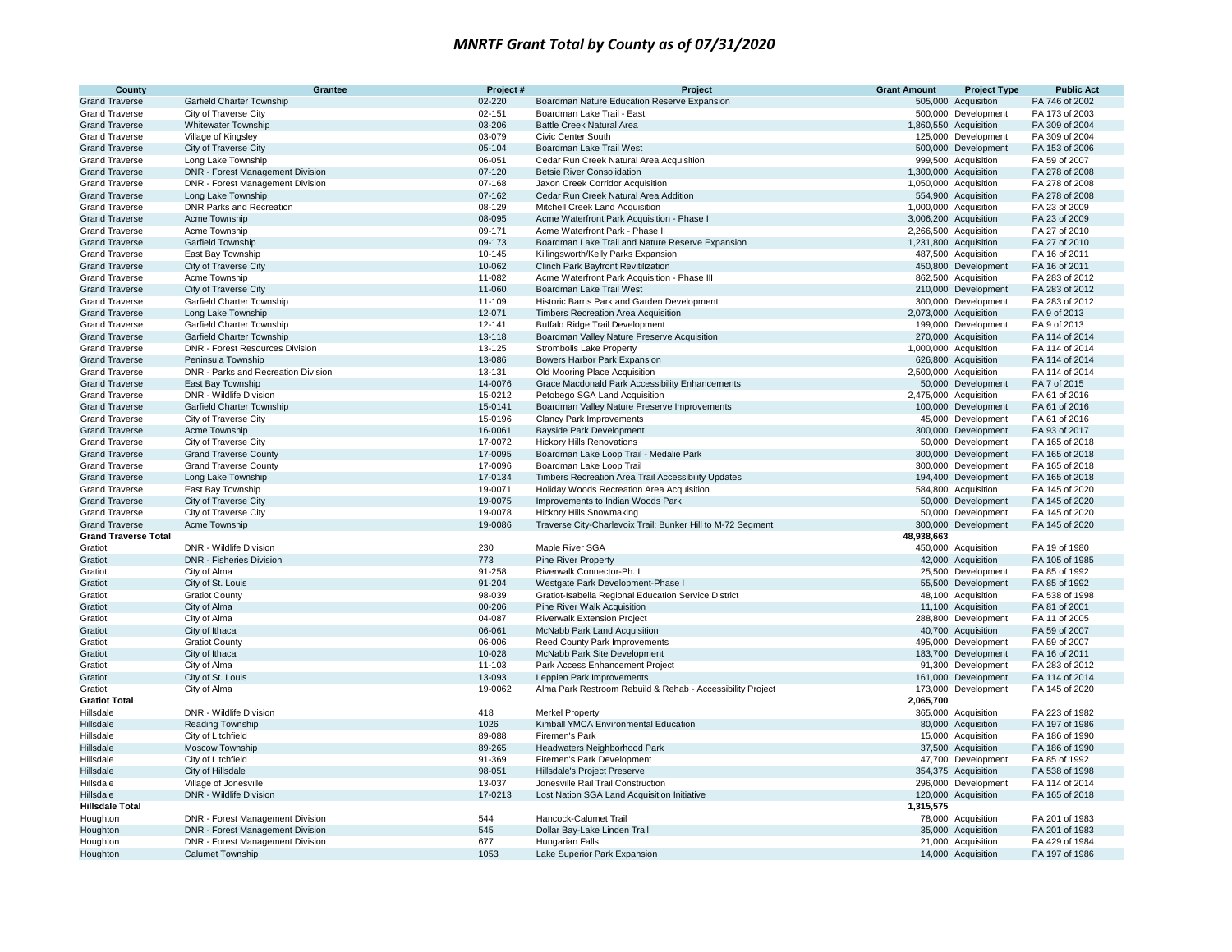| County                                         | Grantee                                                      | Project#           | Project                                                             | <b>Grant Amount</b> | <b>Project Type</b>                        | <b>Public Act</b>                |
|------------------------------------------------|--------------------------------------------------------------|--------------------|---------------------------------------------------------------------|---------------------|--------------------------------------------|----------------------------------|
| <b>Grand Traverse</b>                          | Garfield Charter Township                                    | 02-220             | Boardman Nature Education Reserve Expansion                         |                     | 505,000 Acquisition                        | PA 746 of 2002                   |
| <b>Grand Traverse</b>                          | City of Traverse City                                        | 02-151             | Boardman Lake Trail - East                                          |                     | 500,000 Development                        | PA 173 of 2003                   |
| <b>Grand Traverse</b>                          | <b>Whitewater Township</b>                                   | 03-206             | <b>Battle Creek Natural Area</b>                                    |                     | 1,860,550 Acquisition                      | PA 309 of 2004                   |
| <b>Grand Traverse</b>                          | Village of Kingsley                                          | 03-079             | <b>Civic Center South</b>                                           |                     | 125,000 Development                        | PA 309 of 2004                   |
| <b>Grand Traverse</b>                          | City of Traverse City                                        | 05-104             | Boardman Lake Trail West                                            |                     | 500,000 Development                        | PA 153 of 2006                   |
| <b>Grand Traverse</b>                          | Long Lake Township                                           | 06-051             | Cedar Run Creek Natural Area Acquisition                            |                     | 999,500 Acquisition                        | PA 59 of 2007                    |
| <b>Grand Traverse</b>                          | DNR - Forest Management Division                             | 07-120             | <b>Betsie River Consolidation</b>                                   |                     | 1,300,000 Acquisition                      | PA 278 of 2008                   |
| <b>Grand Traverse</b>                          | DNR - Forest Management Division                             | 07-168             | Jaxon Creek Corridor Acquisition                                    |                     | 1,050,000 Acquisition                      | PA 278 of 2008                   |
| <b>Grand Traverse</b>                          | Long Lake Township                                           | 07-162             | Cedar Run Creek Natural Area Addition                               |                     | 554,900 Acquisition                        | PA 278 of 2008                   |
| <b>Grand Traverse</b>                          | <b>DNR Parks and Recreation</b>                              | 08-129             | Mitchell Creek Land Acquisition                                     |                     | 1,000,000 Acquisition                      | PA 23 of 2009                    |
| <b>Grand Traverse</b>                          | Acme Township                                                | 08-095             | Acme Waterfront Park Acquisition - Phase                            |                     | 3,006,200 Acquisition                      | PA 23 of 2009                    |
| <b>Grand Traverse</b>                          | Acme Township                                                | 09-171             | Acme Waterfront Park - Phase II                                     |                     | 2,266,500 Acquisition                      | PA 27 of 2010                    |
| <b>Grand Traverse</b>                          | <b>Garfield Township</b>                                     | 09-173             | Boardman Lake Trail and Nature Reserve Expansion                    |                     | 1,231,800 Acquisition                      | PA 27 of 2010                    |
| <b>Grand Traverse</b>                          | East Bay Township                                            | 10-145             | Killingsworth/Kelly Parks Expansion                                 |                     | 487,500 Acquisition                        | PA 16 of 2011                    |
| <b>Grand Traverse</b>                          | City of Traverse City                                        | 10-062             | Clinch Park Bayfront Revitilization                                 |                     | 450,800 Development                        | PA 16 of 2011                    |
| <b>Grand Traverse</b>                          | Acme Township                                                | 11-082             | Acme Waterfront Park Acquisition - Phase III                        |                     | 862,500 Acquisition                        | PA 283 of 2012                   |
| <b>Grand Traverse</b>                          | City of Traverse City                                        | 11-060             | Boardman Lake Trail West                                            |                     | 210,000 Development                        | PA 283 of 2012                   |
| <b>Grand Traverse</b>                          | Garfield Charter Township                                    | 11-109             | Historic Barns Park and Garden Development                          |                     | 300,000 Development                        | PA 283 of 2012                   |
| <b>Grand Traverse</b>                          | Long Lake Township                                           | 12-071             | Timbers Recreation Area Acquisition                                 |                     | 2,073,000 Acquisition                      | PA 9 of 2013                     |
| <b>Grand Traverse</b>                          | Garfield Charter Township                                    | 12-141             | <b>Buffalo Ridge Trail Development</b>                              |                     | 199,000 Development                        | PA 9 of 2013                     |
| <b>Grand Traverse</b>                          | <b>Garfield Charter Township</b>                             | 13-118             | Boardman Valley Nature Preserve Acquisition                         |                     | 270,000 Acquisition                        | PA 114 of 2014                   |
| <b>Grand Traverse</b>                          | DNR - Forest Resources Division                              | 13-125             | <b>Strombolis Lake Property</b>                                     |                     | 1,000,000 Acquisition                      | PA 114 of 2014                   |
| <b>Grand Traverse</b>                          | Peninsula Township                                           | 13-086             | Bowers Harbor Park Expansion                                        |                     | 626,800 Acquisition                        | PA 114 of 2014                   |
| <b>Grand Traverse</b>                          | DNR - Parks and Recreation Division                          | 13-131             | Old Mooring Place Acquisition                                       |                     | 2,500,000 Acquisition                      | PA 114 of 2014                   |
| <b>Grand Traverse</b>                          | East Bay Township                                            | 14-0076            | Grace Macdonald Park Accessibility Enhancements                     |                     | 50,000 Development                         | PA 7 of 2015                     |
| <b>Grand Traverse</b>                          | DNR - Wildlife Division                                      | 15-0212            | Petobego SGA Land Acquisition                                       |                     | 2,475,000 Acquisition                      | PA 61 of 2016                    |
| <b>Grand Traverse</b>                          | Garfield Charter Township                                    | 15-0141            | Boardman Valley Nature Preserve Improvements                        |                     | 100,000 Development                        | PA 61 of 2016                    |
| <b>Grand Traverse</b><br><b>Grand Traverse</b> | City of Traverse City                                        | 15-0196<br>16-0061 | <b>Clancy Park Improvements</b>                                     |                     | 45,000 Development<br>300,000 Development  | PA 61 of 2016<br>PA 93 of 2017   |
|                                                | Acme Township<br>City of Traverse City                       | 17-0072            | <b>Bayside Park Development</b>                                     |                     | 50,000 Development                         | PA 165 of 2018                   |
| <b>Grand Traverse</b>                          |                                                              | 17-0095            | <b>Hickory Hills Renovations</b>                                    |                     |                                            |                                  |
| <b>Grand Traverse</b><br><b>Grand Traverse</b> | <b>Grand Traverse County</b><br><b>Grand Traverse County</b> | 17-0096            | Boardman Lake Loop Trail - Medalie Park<br>Boardman Lake Loop Trail |                     | 300,000 Development<br>300,000 Development | PA 165 of 2018<br>PA 165 of 2018 |
| <b>Grand Traverse</b>                          | Long Lake Township                                           | 17-0134            | Timbers Recreation Area Trail Accessibility Updates                 |                     | 194,400 Development                        | PA 165 of 2018                   |
| <b>Grand Traverse</b>                          | East Bay Township                                            | 19-0071            | Holiday Woods Recreation Area Acquisition                           |                     | 584,800 Acquisition                        | PA 145 of 2020                   |
| <b>Grand Traverse</b>                          | City of Traverse City                                        | 19-0075            | Improvements to Indian Woods Park                                   |                     | 50,000 Development                         | PA 145 of 2020                   |
| <b>Grand Traverse</b>                          | City of Traverse City                                        | 19-0078            | <b>Hickory Hills Snowmaking</b>                                     |                     | 50,000 Development                         | PA 145 of 2020                   |
| <b>Grand Traverse</b>                          | Acme Township                                                | 19-0086            | Traverse City-Charlevoix Trail: Bunker Hill to M-72 Segment         |                     | 300,000 Development                        | PA 145 of 2020                   |
| <b>Grand Traverse Total</b>                    |                                                              |                    |                                                                     | 48,938,663          |                                            |                                  |
| Gratiot                                        | DNR - Wildlife Division                                      | 230                | Maple River SGA                                                     |                     | 450,000 Acquisition                        | PA 19 of 1980                    |
| Gratiot                                        | <b>DNR - Fisheries Division</b>                              | 773                | <b>Pine River Property</b>                                          |                     | 42,000 Acquisition                         | PA 105 of 1985                   |
| Gratiot                                        | City of Alma                                                 | 91-258             | Riverwalk Connector-Ph. I                                           |                     | 25,500 Development                         | PA 85 of 1992                    |
| Gratiot                                        | City of St. Louis                                            | 91-204             | Westgate Park Development-Phase I                                   |                     | 55,500 Development                         | PA 85 of 1992                    |
| Gratiot                                        | <b>Gratiot County</b>                                        | 98-039             | Gratiot-Isabella Regional Education Service District                |                     | 48,100 Acquisition                         | PA 538 of 1998                   |
| Gratiot                                        | City of Alma                                                 | 00-206             | Pine River Walk Acquisition                                         |                     | 11,100 Acquisition                         | PA 81 of 2001                    |
| Gratiot                                        | City of Alma                                                 | 04-087             | <b>Riverwalk Extension Project</b>                                  |                     | 288,800 Development                        | PA 11 of 2005                    |
| Gratiot                                        | City of Ithaca                                               | 06-061             | McNabb Park Land Acquisition                                        |                     | 40,700 Acquisition                         | PA 59 of 2007                    |
| Gratiot                                        | <b>Gratiot County</b>                                        | 06-006             | Reed County Park Improvements                                       |                     | 495,000 Development                        | PA 59 of 2007                    |
| Gratiot                                        | City of Ithaca                                               | 10-028             | McNabb Park Site Development                                        |                     | 183,700 Development                        | PA 16 of 2011                    |
| Gratiot                                        | City of Alma                                                 | 11-103             | Park Access Enhancement Project                                     |                     | 91,300 Development                         | PA 283 of 2012                   |
| Gratiot                                        | City of St. Louis                                            | 13-093             | Leppien Park Improvements                                           |                     | 161,000 Development                        | PA 114 of 2014                   |
| Gratiot                                        | City of Alma                                                 | 19-0062            | Alma Park Restroom Rebuild & Rehab - Accessibility Project          |                     | 173,000 Development                        | PA 145 of 2020                   |
| <b>Gratiot Total</b>                           |                                                              |                    |                                                                     | 2,065,700           |                                            |                                  |
| Hillsdale                                      | DNR - Wildlife Division                                      | 418                | <b>Merkel Property</b>                                              |                     | 365,000 Acquisition                        | PA 223 of 1982                   |
| <b>Hillsdale</b>                               | <b>Reading Township</b>                                      | 1026               | Kimball YMCA Environmental Education                                |                     | 80,000 Acquisition                         | PA 197 of 1986                   |
| Hillsdale                                      | City of Litchfield                                           | 89-088             | Firemen's Park                                                      |                     | 15,000 Acquisition                         | PA 186 of 1990                   |
| Hillsdale                                      | Moscow Township                                              | 89-265             | Headwaters Neighborhood Park                                        |                     | 37,500 Acquisition                         | PA 186 of 1990                   |
| Hillsdale                                      | City of Litchfield                                           | 91-369             | Firemen's Park Development                                          |                     | 47,700 Development                         | PA 85 of 1992                    |
| Hillsdale                                      | City of Hillsdale                                            | 98-051             | <b>Hillsdale's Project Preserve</b>                                 |                     | 354,375 Acquisition                        | PA 538 of 1998                   |
| Hillsdale                                      | Village of Jonesville                                        | 13-037             | Jonesville Rail Trail Construction                                  |                     | 296,000 Development                        | PA 114 of 2014                   |
| <b>Hillsdale</b>                               | DNR - Wildlife Division                                      | 17-0213            | Lost Nation SGA Land Acquisition Initiative                         |                     | 120,000 Acquisition                        | PA 165 of 2018                   |
| <b>Hillsdale Total</b>                         |                                                              |                    |                                                                     | 1,315,575           |                                            |                                  |
| Houghton                                       | DNR - Forest Management Division                             | 544                | Hancock-Calumet Trail                                               |                     | 78,000 Acquisition                         | PA 201 of 1983                   |
| Houghton                                       | <b>DNR - Forest Management Division</b>                      | 545                | Dollar Bay-Lake Linden Trail                                        |                     | 35,000 Acquisition                         | PA 201 of 1983                   |
| Houghton                                       | DNR - Forest Management Division                             | 677                | Hungarian Falls                                                     |                     | 21,000 Acquisition                         | PA 429 of 1984                   |
| Houghton                                       | Calumet Township                                             | 1053               | Lake Superior Park Expansion                                        |                     | 14,000 Acquisition                         | PA 197 of 1986                   |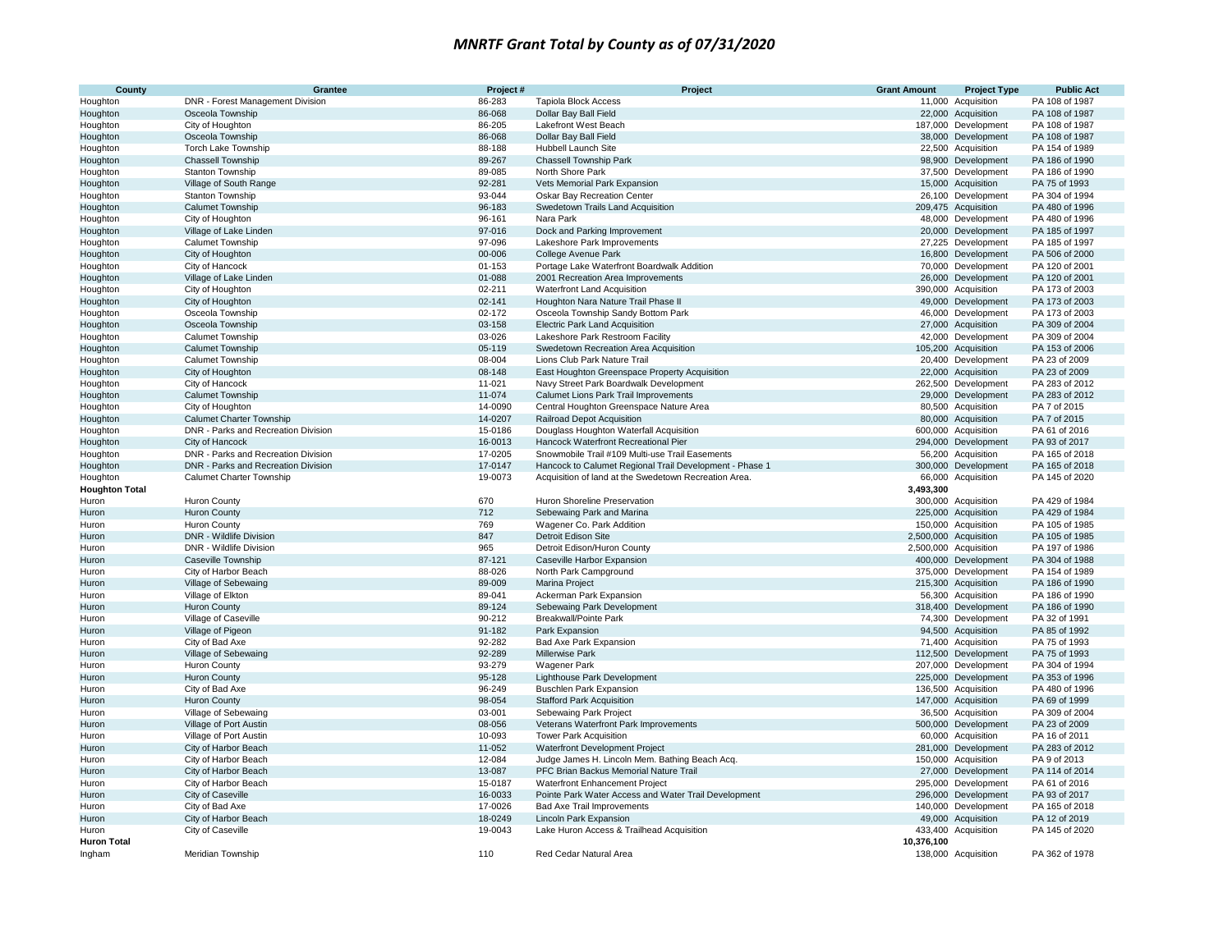| County                            | Grantee                                     | Project#           | Project                                                                                   | <b>Grant Amount</b> | <b>Project Type</b>                        | <b>Public Act</b>                |
|-----------------------------------|---------------------------------------------|--------------------|-------------------------------------------------------------------------------------------|---------------------|--------------------------------------------|----------------------------------|
| Houghton                          | DNR - Forest Management Division            | 86-283             | <b>Tapiola Block Access</b>                                                               |                     | 11,000 Acquisition                         | PA 108 of 1987                   |
| Houghton                          | Osceola Township                            | 86-068             | Dollar Bay Ball Field                                                                     |                     | 22,000 Acquisition                         | PA 108 of 1987                   |
| Houghton                          | City of Houghton                            | 86-205             | Lakefront West Beach                                                                      |                     | 187,000 Development                        | PA 108 of 1987                   |
| Houghton                          | Osceola Township                            | 86-068             | Dollar Bay Ball Field                                                                     |                     | 38,000 Development                         | PA 108 of 1987                   |
| Houghton                          | Torch Lake Township                         | 88-188             | Hubbell Launch Site                                                                       |                     | 22,500 Acquisition                         | PA 154 of 1989                   |
| Houghton                          | Chassell Township                           | 89-267             | <b>Chassell Township Park</b>                                                             |                     | 98,900 Development                         | PA 186 of 1990                   |
| Houghton                          | Stanton Township                            | 89-085             | North Shore Park                                                                          |                     | 37,500 Development                         | PA 186 of 1990                   |
| Houghton                          | Village of South Range                      | 92-281             | Vets Memorial Park Expansion                                                              |                     | 15,000 Acquisition                         | PA 75 of 1993                    |
| Houghton                          | Stanton Township                            | 93-044             | Oskar Bay Recreation Center                                                               |                     | 26,100 Development                         | PA 304 of 1994                   |
| Houghton                          | <b>Calumet Township</b>                     | 96-183             | Swedetown Trails Land Acquisition                                                         |                     | 209,475 Acquisition                        | PA 480 of 1996                   |
| Houghton                          | City of Houghton                            | 96-161             | Nara Park                                                                                 |                     | 48,000 Development                         | PA 480 of 1996                   |
| Houghton                          | Village of Lake Linden                      | 97-016             | Dock and Parking Improvement                                                              |                     | 20,000 Development                         | PA 185 of 1997                   |
| Houghton                          | <b>Calumet Township</b><br>City of Houghton | 97-096<br>00-006   | Lakeshore Park Improvements<br>College Avenue Park                                        |                     | 27,225 Development<br>16,800 Development   | PA 185 of 1997<br>PA 506 of 2000 |
| Houghton<br>Houghton              | City of Hancock                             | 01-153             | Portage Lake Waterfront Boardwalk Addition                                                |                     | 70,000 Development                         | PA 120 of 2001                   |
| Houghton                          | Village of Lake Linden                      | 01-088             | 2001 Recreation Area Improvements                                                         |                     | 26,000 Development                         | PA 120 of 2001                   |
| Houghton                          | City of Houghton                            | 02-211             | Waterfront Land Acquisition                                                               |                     | 390,000 Acquisition                        | PA 173 of 2003                   |
| Houghton                          | City of Houghton                            | 02-141             | Houghton Nara Nature Trail Phase II                                                       |                     | 49,000 Development                         | PA 173 of 2003                   |
| Houghton                          | Osceola Township                            | 02-172             | Osceola Township Sandy Bottom Park                                                        |                     | 46.000 Development                         | PA 173 of 2003                   |
| Houghton                          | Osceola Township                            | 03-158             | Electric Park Land Acquisition                                                            |                     | 27,000 Acquisition                         | PA 309 of 2004                   |
| Houghton                          | <b>Calumet Township</b>                     | 03-026             | Lakeshore Park Restroom Facility                                                          |                     | 42,000 Development                         | PA 309 of 2004                   |
| Houghton                          | <b>Calumet Township</b>                     | 05-119             | Swedetown Recreation Area Acquisition                                                     |                     | 105,200 Acquisition                        | PA 153 of 2006                   |
| Houghton                          | <b>Calumet Township</b>                     | 08-004             | Lions Club Park Nature Trail                                                              |                     | 20,400 Development                         | PA 23 of 2009                    |
| Houghton                          | City of Houghton                            | 08-148             | East Houghton Greenspace Property Acquisition                                             |                     | 22,000 Acquisition                         | PA 23 of 2009                    |
| Houghton                          | City of Hancock                             | 11-021             | Navy Street Park Boardwalk Development                                                    |                     | 262,500 Development                        | PA 283 of 2012                   |
| Houghton                          | <b>Calumet Township</b>                     | 11-074             | <b>Calumet Lions Park Trail Improvements</b>                                              |                     | 29,000 Development                         | PA 283 of 2012                   |
| Houghton                          | City of Houghton                            | 14-0090            | Central Houghton Greenspace Nature Area                                                   |                     | 80,500 Acquisition                         | PA 7 of 2015                     |
| Houghton                          | <b>Calumet Charter Township</b>             | 14-0207            | <b>Railroad Depot Acquisition</b>                                                         |                     | 80,000 Acquisition                         | PA 7 of 2015                     |
| Houghton                          | DNR - Parks and Recreation Division         | 15-0186            | Douglass Houghton Waterfall Acquisition                                                   |                     | 600,000 Acquisition                        | PA 61 of 2016                    |
| Houghton                          | City of Hancock                             | 16-0013            | Hancock Waterfront Recreational Pier                                                      |                     | 294,000 Development                        | PA 93 of 2017                    |
| Houghton                          | DNR - Parks and Recreation Division         | 17-0205            | Snowmobile Trail #109 Multi-use Trail Easements                                           |                     | 56,200 Acquisition                         | PA 165 of 2018                   |
| Houghton                          | DNR - Parks and Recreation Division         | 17-0147            | Hancock to Calumet Regional Trail Development - Phase 1                                   |                     | 300,000 Development                        | PA 165 of 2018                   |
| Houghton<br><b>Houghton Total</b> | Calumet Charter Township                    | 19-0073            | Acquisition of land at the Swedetown Recreation Area.                                     | 3,493,300           | 66,000 Acquisition                         | PA 145 of 2020                   |
| Huron                             | <b>Huron County</b>                         | 670                | Huron Shoreline Preservation                                                              |                     | 300,000 Acquisition                        | PA 429 of 1984                   |
| Huron                             | <b>Huron County</b>                         | 712                | Sebewaing Park and Marina                                                                 |                     | 225,000 Acquisition                        | PA 429 of 1984                   |
| Huron                             | <b>Huron County</b>                         | 769                | Wagener Co. Park Addition                                                                 |                     | 150,000 Acquisition                        | PA 105 of 1985                   |
| Huron                             | <b>DNR - Wildlife Division</b>              | 847                | <b>Detroit Edison Site</b>                                                                |                     | 2,500,000 Acquisition                      | PA 105 of 1985                   |
| Huron                             | DNR - Wildlife Division                     | 965                | Detroit Edison/Huron County                                                               |                     | 2,500,000 Acquisition                      | PA 197 of 1986                   |
| Huron                             | Caseville Township                          | 87-121             | Caseville Harbor Expansion                                                                |                     | 400,000 Development                        | PA 304 of 1988                   |
| Huron                             | City of Harbor Beach                        | 88-026             | North Park Campground                                                                     |                     | 375,000 Development                        | PA 154 of 1989                   |
| Huron                             | Village of Sebewaing                        | 89-009             | Marina Project                                                                            |                     | 215,300 Acquisition                        | PA 186 of 1990                   |
| Huron                             | Village of Elkton                           | 89-041             | Ackerman Park Expansion                                                                   |                     | 56,300 Acquisition                         | PA 186 of 1990                   |
| Huron                             | <b>Huron County</b>                         | 89-124             | Sebewaing Park Development                                                                |                     | 318,400 Development                        | PA 186 of 1990                   |
| Huron                             | Village of Caseville                        | 90-212             | Breakwall/Pointe Park                                                                     |                     | 74,300 Development                         | PA 32 of 1991                    |
| Huron                             | Village of Pigeon                           | 91-182             | Park Expansion                                                                            |                     | 94,500 Acquisition                         | PA 85 of 1992                    |
| Huron                             | City of Bad Axe                             | 92-282             | Bad Axe Park Expansion                                                                    |                     | 71,400 Acquisition                         | PA 75 of 1993                    |
| Huron                             | Village of Sebewaing                        | 92-289             | <b>Millerwise Park</b>                                                                    |                     | 112,500 Development                        | PA 75 of 1993                    |
| Huron                             | Huron County                                | 93-279             | <b>Wagener Park</b>                                                                       |                     | 207,000 Development                        | PA 304 of 1994                   |
| Huron                             | <b>Huron County</b>                         | 95-128             | Lighthouse Park Development                                                               |                     | 225,000 Development                        | PA 353 of 1996                   |
| Huron                             | City of Bad Axe                             | 96-249             | <b>Buschlen Park Expansion</b>                                                            |                     | 136,500 Acquisition                        | PA 480 of 1996                   |
| Huron                             | <b>Huron County</b>                         | 98-054             | <b>Stafford Park Acquisition</b>                                                          |                     | 147,000 Acquisition                        | PA 69 of 1999                    |
| Huron                             | Village of Sebewaing                        | 03-001             | Sebewaing Park Project                                                                    |                     | 36,500 Acquisition                         | PA 309 of 2004                   |
| Huron                             | Village of Port Austin                      | 08-056             | Veterans Waterfront Park Improvements                                                     |                     | 500,000 Development                        | PA 23 of 2009                    |
| Huron                             | Village of Port Austin                      | 10-093             | Tower Park Acquisition                                                                    |                     | 60,000 Acquisition                         | PA 16 of 2011                    |
| Huron                             | City of Harbor Beach                        | 11-052             | Waterfront Development Project                                                            |                     | 281,000 Development                        | PA 283 of 2012                   |
| Huron                             | City of Harbor Beach                        | 12-084             | Judge James H. Lincoln Mem. Bathing Beach Acq.                                            |                     | 150,000 Acquisition                        | PA 9 of 2013                     |
| Huron                             | City of Harbor Beach                        | 13-087             | PFC Brian Backus Memorial Nature Trail                                                    |                     | 27,000 Development                         | PA 114 of 2014                   |
| Huron                             | City of Harbor Beach                        | 15-0187<br>16-0033 | <b>Waterfront Enhancement Project</b>                                                     |                     | 295,000 Development<br>296,000 Development | PA 61 of 2016<br>PA 93 of 2017   |
| Huron<br>Huron                    | City of Caseville<br>City of Bad Axe        | 17-0026            | Pointe Park Water Access and Water Trail Development<br><b>Bad Axe Trail Improvements</b> |                     | 140,000 Development                        | PA 165 of 2018                   |
|                                   | City of Harbor Beach                        | 18-0249            | Lincoln Park Expansion                                                                    |                     | 49,000 Acquisition                         | PA 12 of 2019                    |
| Huron<br>Huron                    | City of Caseville                           | 19-0043            | Lake Huron Access & Trailhead Acquisition                                                 |                     | 433,400 Acquisition                        | PA 145 of 2020                   |
| <b>Huron Total</b>                |                                             |                    |                                                                                           | 10,376,100          |                                            |                                  |
| Ingham                            | Meridian Township                           | 110                | Red Cedar Natural Area                                                                    |                     | 138,000 Acquisition                        | PA 362 of 1978                   |
|                                   |                                             |                    |                                                                                           |                     |                                            |                                  |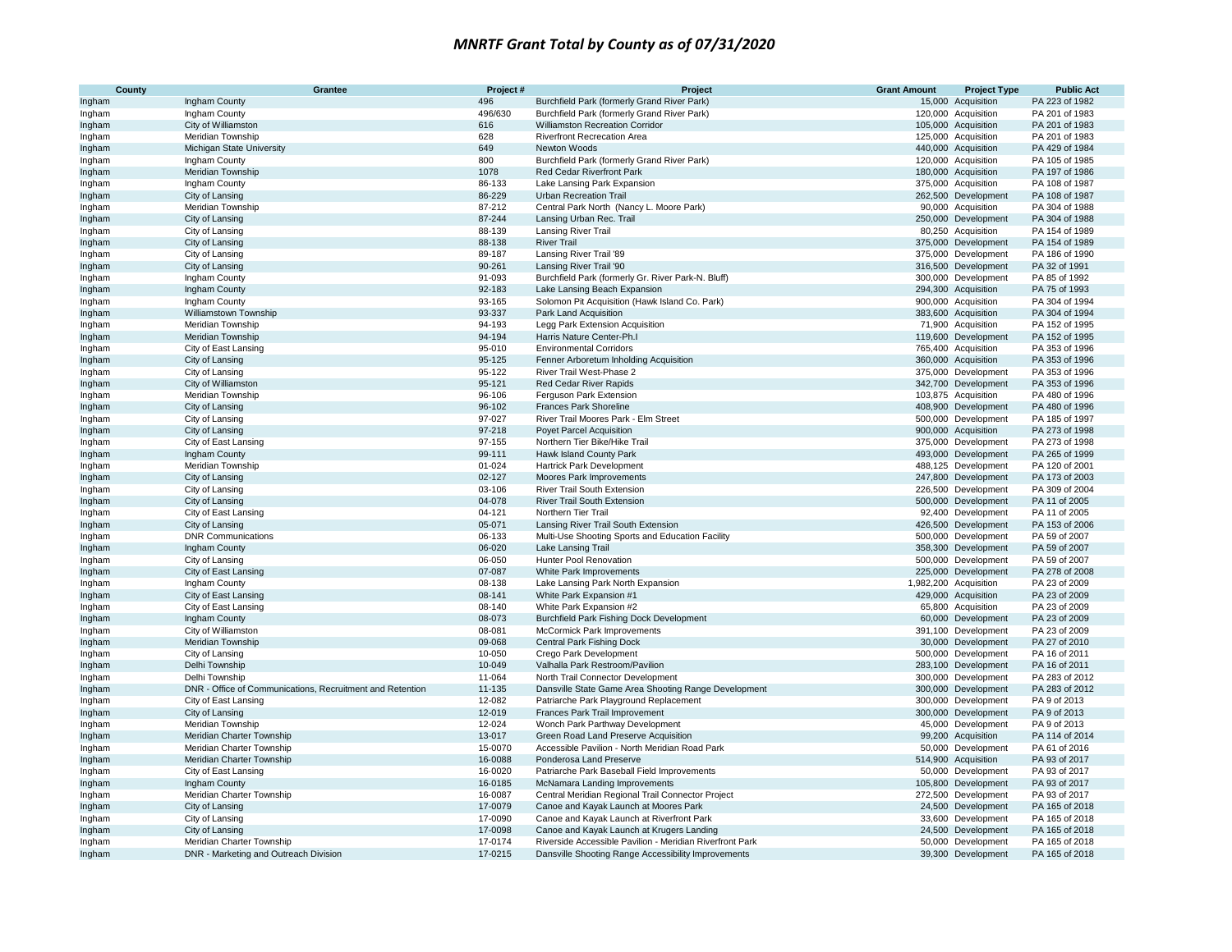| County           | Grantee                                                   | Project#         | Project                                                                                | <b>Grant Amount</b> | <b>Project Type</b>                        | <b>Public Act</b>                |
|------------------|-----------------------------------------------------------|------------------|----------------------------------------------------------------------------------------|---------------------|--------------------------------------------|----------------------------------|
| Ingham           | Ingham County                                             | 496              | Burchfield Park (formerly Grand River Park)                                            |                     | 15,000 Acquisition                         | PA 223 of 1982                   |
| Ingham           | Ingham County                                             | 496/630          | Burchfield Park (formerly Grand River Park)                                            |                     | 120,000 Acquisition                        | PA 201 of 1983                   |
| Ingham           | City of Williamston                                       | 616              | Williamston Recreation Corridor                                                        |                     | 105,000 Acquisition                        | PA 201 of 1983                   |
| Ingham           | Meridian Township                                         | 628              | Riverfront Recrecation Area                                                            |                     | 125,000 Acquisition                        | PA 201 of 1983                   |
| Ingham           | Michigan State University                                 | 649              | Newton Woods                                                                           |                     | 440,000 Acquisition                        | PA 429 of 1984                   |
| Ingham           | Ingham County                                             | 800              | Burchfield Park (formerly Grand River Park)                                            |                     | 120,000 Acquisition                        | PA 105 of 1985                   |
| Ingham           | Meridian Township                                         | 1078             | Red Cedar Riverfront Park                                                              |                     | 180,000 Acquisition                        | PA 197 of 1986                   |
| Ingham           | Ingham County                                             | 86-133           | Lake Lansing Park Expansion                                                            |                     | 375,000 Acquisition                        | PA 108 of 1987                   |
| Ingham           | City of Lansing                                           | 86-229           | <b>Urban Recreation Trail</b>                                                          |                     | 262,500 Development                        | PA 108 of 1987                   |
| Ingham           | Meridian Township                                         | 87-212           | Central Park North (Nancy L. Moore Park)                                               |                     | 90,000 Acquisition                         | PA 304 of 1988                   |
| Ingham           | City of Lansing                                           | 87-244           | Lansing Urban Rec. Trail                                                               |                     | 250,000 Development                        | PA 304 of 1988                   |
| Ingham           | City of Lansing                                           | 88-139           | Lansing River Trail                                                                    |                     | 80,250 Acquisition                         | PA 154 of 1989                   |
| Ingham           | City of Lansing                                           | 88-138           | <b>River Trail</b>                                                                     |                     | 375,000 Development                        | PA 154 of 1989                   |
| Ingham           | City of Lansing                                           | 89-187           | Lansing River Trail '89                                                                |                     | 375,000 Development                        | PA 186 of 1990                   |
| Ingham           | City of Lansing                                           | 90-261           | Lansing River Trail '90                                                                |                     | 316,500 Development                        | PA 32 of 1991                    |
| Ingham           | Ingham County                                             | 91-093           | Burchfield Park (formerly Gr. River Park-N. Bluff)                                     |                     | 300,000 Development                        | PA 85 of 1992                    |
| Ingham           | Ingham County                                             | 92-183           | Lake Lansing Beach Expansion                                                           |                     | 294,300 Acquisition                        | PA 75 of 1993                    |
| Ingham           | Ingham County                                             | 93-165           | Solomon Pit Acquisition (Hawk Island Co. Park)                                         |                     | 900,000 Acquisition                        | PA 304 of 1994                   |
| Ingham           | Williamstown Township                                     | 93-337           | Park Land Acquisition                                                                  |                     | 383,600 Acquisition                        | PA 304 of 1994                   |
| Ingham           | Meridian Township                                         | 94-193           | Legg Park Extension Acquisition                                                        |                     | 71,900 Acquisition                         | PA 152 of 1995                   |
| Ingham           | Meridian Township                                         | 94-194           | Harris Nature Center-Ph.I                                                              |                     | 119,600 Development                        | PA 152 of 1995                   |
| Ingham           | City of East Lansing                                      | 95-010<br>95-125 | <b>Environmental Corridors</b>                                                         |                     | 765,400 Acquisition                        | PA 353 of 1996                   |
| Ingham           | City of Lansing                                           |                  | Fenner Arboretum Inholding Acquisition                                                 |                     | 360,000 Acquisition                        | PA 353 of 1996                   |
| Ingham           | City of Lansing                                           | 95-122<br>95-121 | River Trail West-Phase 2                                                               |                     | 375,000 Development                        | PA 353 of 1996<br>PA 353 of 1996 |
| Ingham           | City of Williamston                                       | 96-106           | Red Cedar River Rapids<br>Ferguson Park Extension                                      |                     | 342,700 Development                        | PA 480 of 1996                   |
| Ingham<br>Ingham | Meridian Township<br>City of Lansing                      | 96-102           | <b>Frances Park Shoreline</b>                                                          |                     | 103,875 Acquisition<br>408,900 Development | PA 480 of 1996                   |
| Ingham           | City of Lansing                                           | 97-027           | River Trail Moores Park - Elm Street                                                   |                     | 500,000 Development                        | PA 185 of 1997                   |
| Ingham           | City of Lansing                                           | 97-218           | <b>Poyet Parcel Acquisition</b>                                                        |                     | 900,000 Acquisition                        | PA 273 of 1998                   |
| Ingham           | City of East Lansing                                      | 97-155           | Northern Tier Bike/Hike Trail                                                          |                     | 375,000 Development                        | PA 273 of 1998                   |
| Ingham           | Ingham County                                             | 99-111           | Hawk Island County Park                                                                |                     | 493,000 Development                        | PA 265 of 1999                   |
| Ingham           | Meridian Township                                         | 01-024           | Hartrick Park Development                                                              |                     | 488,125 Development                        | PA 120 of 2001                   |
| Ingham           | City of Lansing                                           | 02-127           | Moores Park Improvements                                                               |                     | 247,800 Development                        | PA 173 of 2003                   |
| Ingham           | City of Lansing                                           | 03-106           | <b>River Trail South Extension</b>                                                     |                     | 226,500 Development                        | PA 309 of 2004                   |
| Ingham           | City of Lansing                                           | 04-078           | <b>River Trail South Extension</b>                                                     |                     | 500,000 Development                        | PA 11 of 2005                    |
| Ingham           | City of East Lansing                                      | 04-121           | Northern Tier Trail                                                                    |                     | 92,400 Development                         | PA 11 of 2005                    |
| Ingham           | City of Lansing                                           | 05-071           | Lansing River Trail South Extension                                                    |                     | 426,500 Development                        | PA 153 of 2006                   |
| Ingham           | <b>DNR Communications</b>                                 | 06-133           | Multi-Use Shooting Sports and Education Facility                                       |                     | 500,000 Development                        | PA 59 of 2007                    |
| Ingham           | Ingham County                                             | 06-020           | Lake Lansing Trail                                                                     |                     | 358,300 Development                        | PA 59 of 2007                    |
| Ingham           | City of Lansing                                           | 06-050           | Hunter Pool Renovation                                                                 |                     | 500,000 Development                        | PA 59 of 2007                    |
| Ingham           | City of East Lansing                                      | 07-087           | White Park Improvements                                                                |                     | 225,000 Development                        | PA 278 of 2008                   |
| Ingham           | Ingham County                                             | 08-138           | Lake Lansing Park North Expansion                                                      |                     | 1,982,200 Acquisition                      | PA 23 of 2009                    |
| Ingham           | City of East Lansing                                      | 08-141           | White Park Expansion #1                                                                |                     | 429,000 Acquisition                        | PA 23 of 2009                    |
| Ingham           | City of East Lansing                                      | 08-140           | White Park Expansion #2                                                                |                     | 65,800 Acquisition                         | PA 23 of 2009                    |
| Ingham           | Ingham County                                             | 08-073           | Burchfield Park Fishing Dock Development                                               |                     | 60,000 Development                         | PA 23 of 2009                    |
| Ingham           | City of Williamston                                       | 08-081           | McCormick Park Improvements                                                            |                     | 391,100 Development                        | PA 23 of 2009                    |
| Ingham           | Meridian Township                                         | 09-068           | Central Park Fishing Dock                                                              |                     | 30,000 Development                         | PA 27 of 2010                    |
| Ingham           | City of Lansing                                           | 10-050           | Crego Park Development                                                                 |                     | 500,000 Development                        | PA 16 of 2011                    |
| Ingham           | Delhi Township                                            | 10-049           | Valhalla Park Restroom/Pavilion                                                        |                     | 283,100 Development                        | PA 16 of 2011                    |
| Ingham           | Delhi Township                                            | 11-064           | North Trail Connector Development                                                      |                     | 300,000 Development                        | PA 283 of 2012                   |
| Ingham           | DNR - Office of Communications, Recruitment and Retention | 11-135           | Dansville State Game Area Shooting Range Development                                   |                     | 300,000 Development                        | PA 283 of 2012                   |
| Ingham           | City of East Lansing                                      | 12-082           | Patriarche Park Playground Replacement                                                 |                     | 300,000 Development                        | PA 9 of 2013                     |
| Ingham           | City of Lansing                                           | 12-019           | Frances Park Trail Improvement                                                         |                     | 300,000 Development                        | PA 9 of 2013                     |
| Ingham           | Meridian Township                                         | 12-024<br>13-017 | Wonch Park Parthway Development                                                        |                     | 45,000 Development                         | PA 9 of 2013                     |
| Ingham           | Meridian Charter Township                                 | 15-0070          | Green Road Land Preserve Acquisition<br>Accessible Pavilion - North Meridian Road Park |                     | 99,200 Acquisition<br>50,000 Development   | PA 114 of 2014<br>PA 61 of 2016  |
| Ingham           | Meridian Charter Township<br>Meridian Charter Township    | 16-0088          | Ponderosa Land Preserve                                                                |                     | 514,900 Acquisition                        | PA 93 of 2017                    |
| Ingham<br>Ingham | City of East Lansing                                      | 16-0020          | Patriarche Park Baseball Field Improvements                                            |                     | 50,000 Development                         | PA 93 of 2017                    |
|                  | Ingham County                                             | 16-0185          | McNamara Landing Improvements                                                          |                     | 105,800 Development                        | PA 93 of 2017                    |
| Ingham<br>Ingham | Meridian Charter Township                                 | 16-0087          | Central Meridian Regional Trail Connector Project                                      |                     | 272,500 Development                        | PA 93 of 2017                    |
| Ingham           | City of Lansing                                           | 17-0079          | Canoe and Kayak Launch at Moores Park                                                  |                     | 24,500 Development                         | PA 165 of 2018                   |
| Ingham           | City of Lansing                                           | 17-0090          | Canoe and Kayak Launch at Riverfront Park                                              |                     | 33,600 Development                         | PA 165 of 2018                   |
| Ingham           | City of Lansing                                           | 17-0098          | Canoe and Kayak Launch at Krugers Landing                                              |                     | 24,500 Development                         | PA 165 of 2018                   |
| Ingham           | Meridian Charter Township                                 | 17-0174          | Riverside Accessible Pavilion - Meridian Riverfront Park                               |                     | 50,000 Development                         | PA 165 of 2018                   |
| Ingham           | DNR - Marketing and Outreach Division                     | 17-0215          | Dansville Shooting Range Accessibility Improvements                                    |                     | 39,300 Development                         | PA 165 of 2018                   |
|                  |                                                           |                  |                                                                                        |                     |                                            |                                  |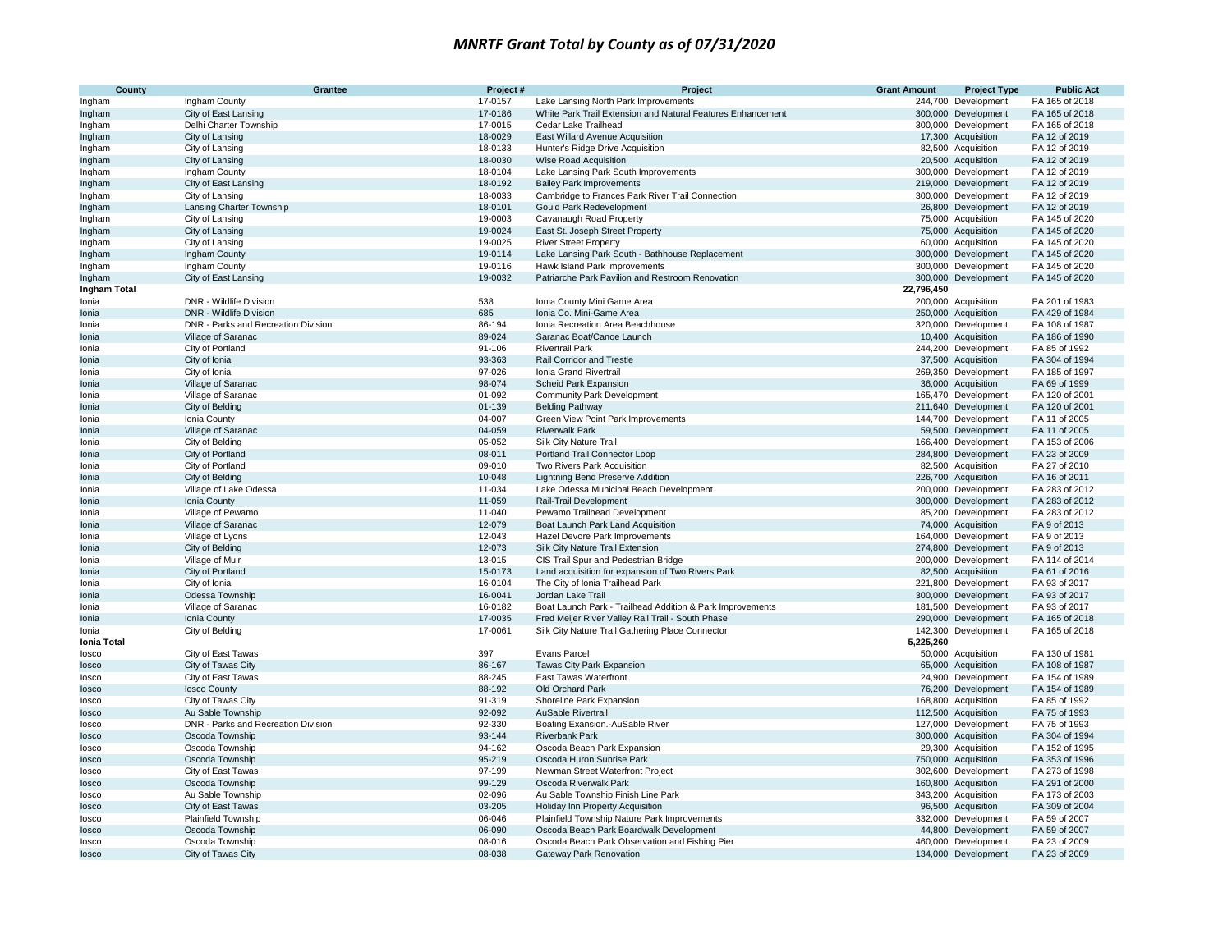| County              | <b>Grantee</b>                      | Project#           | Project                                                                               | <b>Grant Amount</b> | <b>Project Type</b>                        | <b>Public Act</b>                |
|---------------------|-------------------------------------|--------------------|---------------------------------------------------------------------------------------|---------------------|--------------------------------------------|----------------------------------|
| Ingham              | Ingham County                       | 17-0157            | Lake Lansing North Park Improvements                                                  |                     | 244,700 Development                        | PA 165 of 2018                   |
| Ingham              | City of East Lansing                | 17-0186            | White Park Trail Extension and Natural Features Enhancement                           |                     | 300,000 Development                        | PA 165 of 2018                   |
| Ingham              | Delhi Charter Township              | 17-0015            | Cedar Lake Trailhead                                                                  |                     | 300,000 Development                        | PA 165 of 2018                   |
| Ingham              | City of Lansing                     | 18-0029            | East Willard Avenue Acquisition                                                       |                     | 17,300 Acquisition                         | PA 12 of 2019                    |
| Ingham              | City of Lansing                     | 18-0133            | Hunter's Ridge Drive Acquisition                                                      |                     | 82,500 Acquisition                         | PA 12 of 2019                    |
| Ingham              | City of Lansing                     | 18-0030            | Wise Road Acquisition                                                                 |                     | 20,500 Acquisition                         | PA 12 of 2019                    |
| Ingham              | Ingham County                       | 18-0104            | Lake Lansing Park South Improvements                                                  |                     | 300,000 Development                        | PA 12 of 2019                    |
| Ingham              | City of East Lansing                | 18-0192            | <b>Bailey Park Improvements</b>                                                       |                     | 219,000 Development                        | PA 12 of 2019                    |
| Ingham              | City of Lansing                     | 18-0033            | Cambridge to Frances Park River Trail Connection                                      |                     | 300,000 Development                        | PA 12 of 2019                    |
| Ingham              | Lansing Charter Township            | 18-0101            | Gould Park Redevelopment                                                              |                     | 26,800 Development                         | PA 12 of 2019                    |
| Ingham              | City of Lansing                     | 19-0003            | Cavanaugh Road Property                                                               |                     | 75,000 Acquisition                         | PA 145 of 2020                   |
| Ingham              | City of Lansing                     | 19-0024            | East St. Joseph Street Property                                                       |                     | 75,000 Acquisition                         | PA 145 of 2020                   |
| Ingham              | City of Lansing                     | 19-0025            | <b>River Street Property</b>                                                          |                     | 60,000 Acquisition                         | PA 145 of 2020<br>PA 145 of 2020 |
| Ingham<br>Ingham    | Ingham County<br>Ingham County      | 19-0114<br>19-0116 | Lake Lansing Park South - Bathhouse Replacement<br>Hawk Island Park Improvements      |                     | 300,000 Development<br>300,000 Development | PA 145 of 2020                   |
| Ingham              | City of East Lansing                | 19-0032            | Patriarche Park Pavilion and Restroom Renovation                                      |                     | 300,000 Development                        | PA 145 of 2020                   |
| <b>Ingham Total</b> |                                     |                    |                                                                                       | 22,796,450          |                                            |                                  |
| Ionia               | DNR - Wildlife Division             | 538                | Ionia County Mini Game Area                                                           |                     | 200,000 Acquisition                        | PA 201 of 1983                   |
| Ionia               | <b>DNR - Wildlife Division</b>      | 685                | Ionia Co. Mini-Game Area                                                              |                     | 250,000 Acquisition                        | PA 429 of 1984                   |
| Ionia               | DNR - Parks and Recreation Division | 86-194             | Ionia Recreation Area Beachhouse                                                      |                     | 320,000 Development                        | PA 108 of 1987                   |
| Ionia               | Village of Saranac                  | 89-024             | Saranac Boat/Canoe Launch                                                             |                     | 10,400 Acquisition                         | PA 186 of 1990                   |
| Ionia               | City of Portland                    | 91-106             | <b>Rivertrail Park</b>                                                                |                     | 244,200 Development                        | PA 85 of 1992                    |
| Ionia               | City of Ionia                       | 93-363             | Rail Corridor and Trestle                                                             |                     | 37,500 Acquisition                         | PA 304 of 1994                   |
| Ionia               | City of Ionia                       | 97-026             | Ionia Grand Rivertrail                                                                |                     | 269,350 Development                        | PA 185 of 1997                   |
| Ionia               | Village of Saranac                  | 98-074             | <b>Scheid Park Expansion</b>                                                          |                     | 36,000 Acquisition                         | PA 69 of 1999                    |
| Ionia               | Village of Saranac                  | 01-092             | <b>Community Park Development</b>                                                     |                     | 165,470 Development                        | PA 120 of 2001                   |
| Ionia               | City of Belding                     | 01-139             | <b>Belding Pathway</b>                                                                |                     | 211,640 Development                        | PA 120 of 2001                   |
| Ionia               | Ionia County                        | 04-007             | Green View Point Park Improvements                                                    |                     | 144,700 Development                        | PA 11 of 2005                    |
| Ionia               | Village of Saranac                  | 04-059             | <b>Riverwalk Park</b>                                                                 |                     | 59,500 Development                         | PA 11 of 2005                    |
| Ionia               | City of Belding                     | 05-052             | <b>Silk City Nature Trail</b>                                                         |                     | 166,400 Development                        | PA 153 of 2006                   |
| Ionia               | City of Portland                    | 08-011             | Portland Trail Connector Loop                                                         |                     | 284,800 Development                        | PA 23 of 2009                    |
| Ionia               | City of Portland                    | 09-010             | Two Rivers Park Acquisition                                                           |                     | 82,500 Acquisition                         | PA 27 of 2010                    |
| Ionia               | City of Belding                     | 10-048             | Lightning Bend Preserve Addition                                                      |                     | 226,700 Acquisition                        | PA 16 of 2011                    |
| Ionia               | Village of Lake Odessa              | 11-034             | Lake Odessa Municipal Beach Development                                               |                     | 200,000 Development                        | PA 283 of 2012                   |
| Ionia               | Ionia County                        | 11-059             | Rail-Trail Development                                                                |                     | 300,000 Development                        | PA 283 of 2012                   |
| Ionia               | Village of Pewamo                   | 11-040             | Pewamo Trailhead Development                                                          |                     | 85,200 Development                         | PA 283 of 2012                   |
| Ionia               | Village of Saranac                  | 12-079             | Boat Launch Park Land Acquisition                                                     |                     | 74,000 Acquisition                         | PA 9 of 2013                     |
| Ionia               | Village of Lyons                    | 12-043             | Hazel Devore Park Improvements                                                        |                     | 164,000 Development                        | PA 9 of 2013                     |
| Ionia               | City of Belding                     | 12-073             | Silk City Nature Trail Extension                                                      |                     | 274,800 Development                        | PA 9 of 2013                     |
| Ionia<br>Ionia      | Village of Muir<br>City of Portland | 13-015<br>15-0173  | CIS Trail Spur and Pedestrian Bridge                                                  |                     | 200,000 Development<br>82,500 Acquisition  | PA 114 of 2014<br>PA 61 of 2016  |
| Ionia               | City of Ionia                       | 16-0104            | Land acquisition for expansion of Two Rivers Park<br>The City of Ionia Trailhead Park |                     | 221,800 Development                        | PA 93 of 2017                    |
|                     | Odessa Township                     | 16-0041            | Jordan Lake Trail                                                                     |                     | 300,000 Development                        | PA 93 of 2017                    |
| Ionia<br>Ionia      | Village of Saranac                  | 16-0182            | Boat Launch Park - Trailhead Addition & Park Improvements                             |                     | 181,500 Development                        | PA 93 of 2017                    |
| Ionia               | Ionia County                        | 17-0035            | Fred Meijer River Valley Rail Trail - South Phase                                     |                     | 290,000 Development                        | PA 165 of 2018                   |
| Ionia               | City of Belding                     | 17-0061            | Silk City Nature Trail Gathering Place Connector                                      |                     | 142,300 Development                        | PA 165 of 2018                   |
| Ionia Total         |                                     |                    |                                                                                       | 5,225,260           |                                            |                                  |
| losco               | City of East Tawas                  | 397                | <b>Evans Parcel</b>                                                                   |                     | 50,000 Acquisition                         | PA 130 of 1981                   |
| losco               | City of Tawas City                  | 86-167             | Tawas City Park Expansion                                                             |                     | 65,000 Acquisition                         | PA 108 of 1987                   |
| losco               | City of East Tawas                  | 88-245             | <b>East Tawas Waterfront</b>                                                          |                     | 24,900 Development                         | PA 154 of 1989                   |
| losco               | losco County                        | 88-192             | Old Orchard Park                                                                      |                     | 76,200 Development                         | PA 154 of 1989                   |
| losco               | City of Tawas City                  | 91-319             | Shoreline Park Expansion                                                              |                     | 168,800 Acquisition                        | PA 85 of 1992                    |
| losco               | Au Sable Township                   | 92-092             | AuSable Rivertrail                                                                    |                     | 112,500 Acquisition                        | PA 75 of 1993                    |
| losco               | DNR - Parks and Recreation Division | 92-330             | Boating Exansion.-AuSable River                                                       |                     | 127,000 Development                        | PA 75 of 1993                    |
| losco               | Oscoda Township                     | 93-144             | <b>Riverbank Park</b>                                                                 |                     | 300,000 Acquisition                        | PA 304 of 1994                   |
| losco               | Oscoda Township                     | 94-162             | Oscoda Beach Park Expansion                                                           |                     | 29,300 Acquisition                         | PA 152 of 1995                   |
| losco               | Oscoda Township                     | 95-219             | Oscoda Huron Sunrise Park                                                             |                     | 750,000 Acquisition                        | PA 353 of 1996                   |
| losco               | City of East Tawas                  | 97-199             | Newman Street Waterfront Project                                                      |                     | 302,600 Development                        | PA 273 of 1998                   |
| losco               | Oscoda Township                     | 99-129             | Oscoda Riverwalk Park                                                                 |                     | 160,800 Acquisition                        | PA 291 of 2000                   |
| losco               | Au Sable Township                   | 02-096             | Au Sable Township Finish Line Park                                                    |                     | 343,200 Acquisition                        | PA 173 of 2003                   |
| losco               | City of East Tawas                  | 03-205             | Holiday Inn Property Acquisition                                                      |                     | 96,500 Acquisition                         | PA 309 of 2004                   |
| losco               | Plainfield Township                 | 06-046             | Plainfield Township Nature Park Improvements                                          |                     | 332,000 Development                        | PA 59 of 2007                    |
| losco               | Oscoda Township                     | 06-090             | Oscoda Beach Park Boardwalk Development                                               |                     | 44,800 Development                         | PA 59 of 2007                    |
| losco               | Oscoda Township                     | 08-016             | Oscoda Beach Park Observation and Fishing Pier                                        |                     | 460,000 Development                        | PA 23 of 2009                    |
| losco               | City of Tawas City                  | 08-038             | Gateway Park Renovation                                                               |                     | 134,000 Development                        | PA 23 of 2009                    |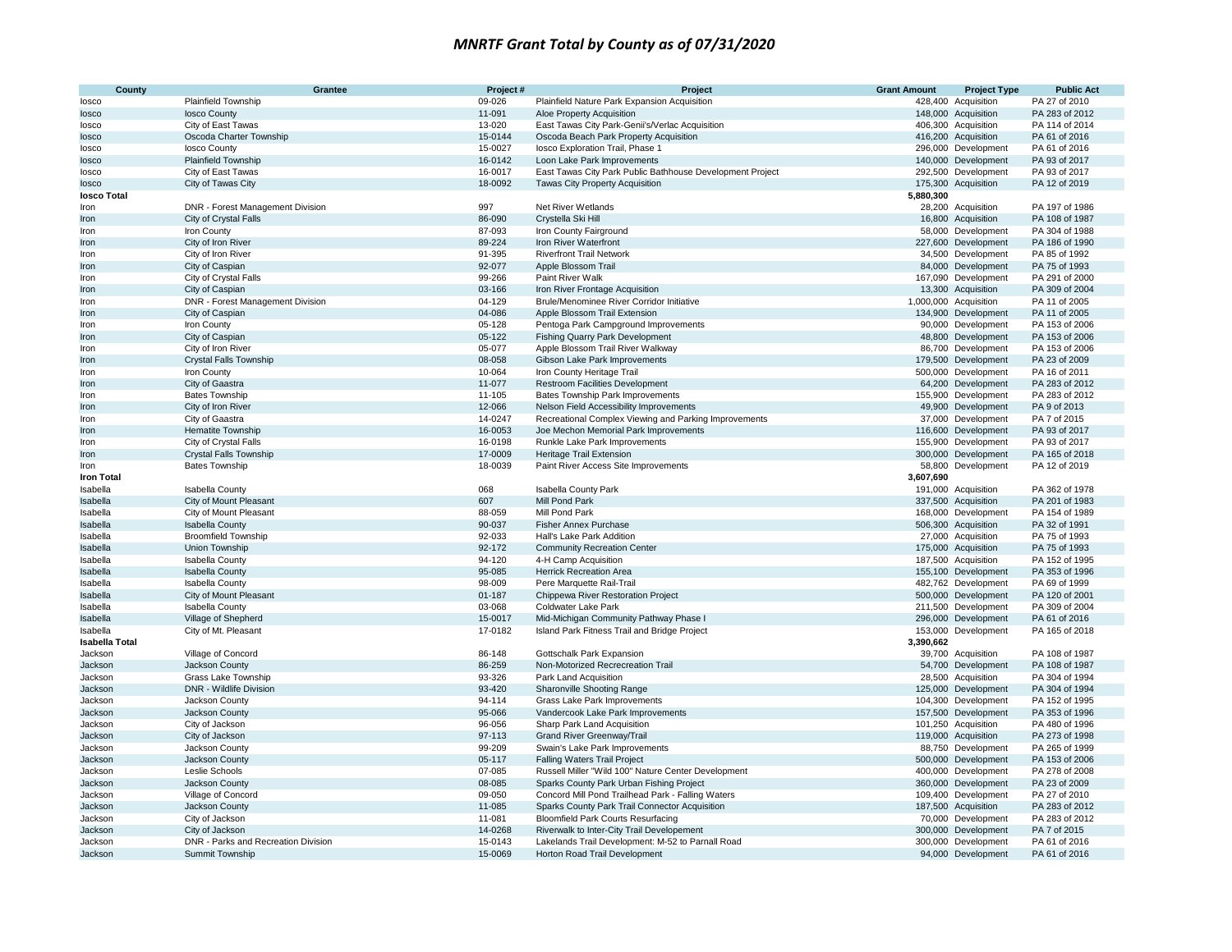| <b>County</b>             | <b>Grantee</b>                      | Project# | Project                                                   | <b>Grant Amount</b> | <b>Project Type</b>   | <b>Public Act</b> |
|---------------------------|-------------------------------------|----------|-----------------------------------------------------------|---------------------|-----------------------|-------------------|
| losco                     | <b>Plainfield Township</b>          | 09-026   | Plainfield Nature Park Expansion Acquisition              |                     | 428,400 Acquisition   | PA 27 of 2010     |
| losco                     | losco County                        | 11-091   | Aloe Property Acquisition                                 |                     | 148,000 Acquisition   | PA 283 of 2012    |
| losco                     | City of East Tawas                  | 13-020   | East Tawas City Park-Genii's/Verlac Acquisition           |                     | 406,300 Acquisition   | PA 114 of 2014    |
| losco                     | Oscoda Charter Township             | 15-0144  | Oscoda Beach Park Property Acquisition                    |                     | 416,200 Acquisition   | PA 61 of 2016     |
| losco                     | losco County                        | 15-0027  | losco Exploration Trail, Phase 1                          |                     | 296,000 Development   | PA 61 of 2016     |
| losco                     | <b>Plainfield Township</b>          | 16-0142  | Loon Lake Park Improvements                               |                     | 140,000 Development   | PA 93 of 2017     |
| losco                     | City of East Tawas                  | 16-0017  | East Tawas City Park Public Bathhouse Development Project |                     | 292,500 Development   | PA 93 of 2017     |
| losco                     | City of Tawas City                  | 18-0092  | Tawas City Property Acquisition                           | 175,300             | Acquisition           | PA 12 of 2019     |
| losco Total               |                                     |          |                                                           | 5,880,300           |                       |                   |
| Iron                      | DNR - Forest Management Division    | 997      | Net River Wetlands                                        |                     | 28,200 Acquisition    | PA 197 of 1986    |
| Iron                      | City of Crystal Falls               | 86-090   | Crystella Ski Hill                                        |                     | 16,800 Acquisition    | PA 108 of 1987    |
| Iron                      | Iron County                         | 87-093   | Iron County Fairground                                    |                     | 58,000 Development    | PA 304 of 1988    |
| Iron                      | City of Iron River                  | 89-224   | Iron River Waterfront                                     |                     | 227,600 Development   | PA 186 of 1990    |
| Iron                      | City of Iron River                  | 91-395   | <b>Riverfront Trail Network</b>                           |                     | 34,500 Development    | PA 85 of 1992     |
| Iron                      | City of Caspian                     | 92-077   | Apple Blossom Trail                                       |                     | 84,000 Development    | PA 75 of 1993     |
| Iron                      | City of Crystal Falls               | 99-266   | Paint River Walk                                          |                     | 167,090 Development   | PA 291 of 2000    |
| Iron                      | City of Caspian                     | 03-166   | Iron River Frontage Acquisition                           |                     | 13,300 Acquisition    | PA 309 of 2004    |
| Iron                      | DNR - Forest Management Division    | 04-129   | Brule/Menominee River Corridor Initiative                 |                     | 1,000,000 Acquisition | PA 11 of 2005     |
| Iron                      | City of Caspian                     | 04-086   | Apple Blossom Trail Extension                             |                     | 134,900 Development   | PA 11 of 2005     |
| Iron                      | Iron County                         | 05-128   | Pentoga Park Campground Improvements                      |                     | 90,000 Development    | PA 153 of 2006    |
| Iron                      | City of Caspian                     | 05-122   | <b>Fishing Quarry Park Development</b>                    |                     | 48,800 Development    | PA 153 of 2006    |
| Iron                      | City of Iron River                  | 05-077   | Apple Blossom Trail River Walkway                         |                     | 86,700 Development    | PA 153 of 2006    |
| Iron                      | <b>Crystal Falls Township</b>       | 08-058   | Gibson Lake Park Improvements                             |                     | 179,500 Development   | PA 23 of 2009     |
| Iron                      | Iron County                         | 10-064   | Iron County Heritage Trail                                |                     | 500,000 Development   | PA 16 of 2011     |
| Iron                      | City of Gaastra                     | 11-077   | <b>Restroom Facilities Development</b>                    |                     | 64,200 Development    | PA 283 of 2012    |
| Iron                      | <b>Bates Township</b>               | 11-105   | Bates Township Park Improvements                          |                     | 155,900 Development   | PA 283 of 2012    |
| Iron                      | City of Iron River                  | 12-066   | Nelson Field Accessibility Improvements                   |                     | 49,900 Development    | PA 9 of 2013      |
| Iron                      | City of Gaastra                     | 14-0247  | Recreational Complex Viewing and Parking Improvements     |                     | 37,000 Development    | PA 7 of 2015      |
| Iron                      | <b>Hematite Township</b>            | 16-0053  | Joe Mechon Memorial Park Improvements                     |                     | 116,600 Development   | PA 93 of 2017     |
| Iron                      | City of Crystal Falls               | 16-0198  | Runkle Lake Park Improvements                             |                     | 155,900 Development   | PA 93 of 2017     |
| Iron                      | Crystal Falls Township              | 17-0009  | Heritage Trail Extension                                  |                     | 300,000 Development   | PA 165 of 2018    |
| Iron<br><b>Iron Total</b> | <b>Bates Township</b>               | 18-0039  | Paint River Access Site Improvements                      | 58,800<br>3,607,690 | Development           | PA 12 of 2019     |
| Isabella                  | <b>Isabella County</b>              | 068      | <b>Isabella County Park</b>                               |                     | 191,000 Acquisition   | PA 362 of 1978    |
| Isabella                  | City of Mount Pleasant              | 607      | <b>Mill Pond Park</b>                                     |                     | 337,500 Acquisition   | PA 201 of 1983    |
| Isabella                  | City of Mount Pleasant              | 88-059   | Mill Pond Park                                            |                     | 168,000 Development   | PA 154 of 1989    |
| Isabella                  | <b>Isabella County</b>              | 90-037   | <b>Fisher Annex Purchase</b>                              |                     | 506,300 Acquisition   | PA 32 of 1991     |
| Isabella                  | <b>Broomfield Township</b>          | 92-033   | Hall's Lake Park Addition                                 |                     | 27,000 Acquisition    | PA 75 of 1993     |
| Isabella                  | Union Township                      | 92-172   | <b>Community Recreation Center</b>                        |                     | 175,000 Acquisition   | PA 75 of 1993     |
| Isabella                  | <b>Isabella County</b>              | 94-120   | 4-H Camp Acquisition                                      |                     | 187,500 Acquisition   | PA 152 of 1995    |
| Isabella                  | <b>Isabella County</b>              | 95-085   | Herrick Recreation Area                                   |                     | 155,100 Development   | PA 353 of 1996    |
| Isabella                  | Isabella County                     | 98-009   | Pere Marquette Rail-Trail                                 |                     | 482,762 Development   | PA 69 of 1999     |
| Isabella                  | City of Mount Pleasant              | 01-187   | Chippewa River Restoration Project                        |                     | 500,000 Development   | PA 120 of 2001    |
| Isabella                  | <b>Isabella County</b>              | 03-068   | Coldwater Lake Park                                       |                     | 211,500 Development   | PA 309 of 2004    |
| Isabella                  | Village of Shepherd                 | 15-0017  | Mid-Michigan Community Pathway Phase I                    |                     | 296,000 Development   | PA 61 of 2016     |
| Isabella                  | City of Mt. Pleasant                | 17-0182  | Island Park Fitness Trail and Bridge Project              |                     | 153,000 Development   | PA 165 of 2018    |
| <b>Isabella Total</b>     |                                     |          |                                                           | 3,390,662           |                       |                   |
| Jackson                   | Village of Concord                  | 86-148   | Gottschalk Park Expansion                                 |                     | 39,700 Acquisition    | PA 108 of 1987    |
| Jackson                   | Jackson County                      | 86-259   | Non-Motorized Recrecreation Trail                         |                     | 54,700 Development    | PA 108 of 1987    |
| Jackson                   | Grass Lake Township                 | 93-326   | Park Land Acquisition                                     |                     | 28,500 Acquisition    | PA 304 of 1994    |
| Jackson                   | DNR - Wildlife Division             | 93-420   | Sharonville Shooting Range                                |                     | 125,000 Development   | PA 304 of 1994    |
| Jackson                   | Jackson County                      | 94-114   | Grass Lake Park Improvements                              |                     | 104,300 Development   | PA 152 of 1995    |
| Jackson                   | Jackson County                      | 95-066   | Vandercook Lake Park Improvements                         |                     | 157,500 Development   | PA 353 of 1996    |
| Jackson                   | City of Jackson                     | 96-056   | Sharp Park Land Acquisition                               |                     | 101,250 Acquisition   | PA 480 of 1996    |
| Jackson                   | City of Jackson                     | 97-113   | Grand River Greenway/Trail                                |                     | 119,000 Acquisition   | PA 273 of 1998    |
| Jackson                   | Jackson County                      | 99-209   | Swain's Lake Park Improvements                            |                     | 88,750 Development    | PA 265 of 1999    |
| Jackson                   | Jackson County                      | 05-117   | <b>Falling Waters Trail Project</b>                       |                     | 500,000 Development   | PA 153 of 2006    |
| Jackson                   | Leslie Schools                      | 07-085   | Russell Miller "Wild 100" Nature Center Development       |                     | 400,000 Development   | PA 278 of 2008    |
| Jackson                   | <b>Jackson County</b>               | 08-085   | Sparks County Park Urban Fishing Project                  |                     | 360,000 Development   | PA 23 of 2009     |
| Jackson                   | Village of Concord                  | 09-050   | Concord Mill Pond Trailhead Park - Falling Waters         |                     | 109,400 Development   | PA 27 of 2010     |
| Jackson                   | Jackson County                      | 11-085   | Sparks County Park Trail Connector Acquisition            |                     | 187,500 Acquisition   | PA 283 of 2012    |
| Jackson                   | City of Jackson                     | 11-081   | <b>Bloomfield Park Courts Resurfacing</b>                 |                     | 70,000 Development    | PA 283 of 2012    |
| Jackson                   | City of Jackson                     | 14-0268  | Riverwalk to Inter-City Trail Developement                |                     | 300,000 Development   | PA 7 of 2015      |
| Jackson                   | DNR - Parks and Recreation Division | 15-0143  | Lakelands Trail Development: M-52 to Parnall Road         |                     | 300,000 Development   | PA 61 of 2016     |
| Jackson                   | Summit Township                     | 15-0069  | Horton Road Trail Development                             |                     | 94,000 Development    | PA 61 of 2016     |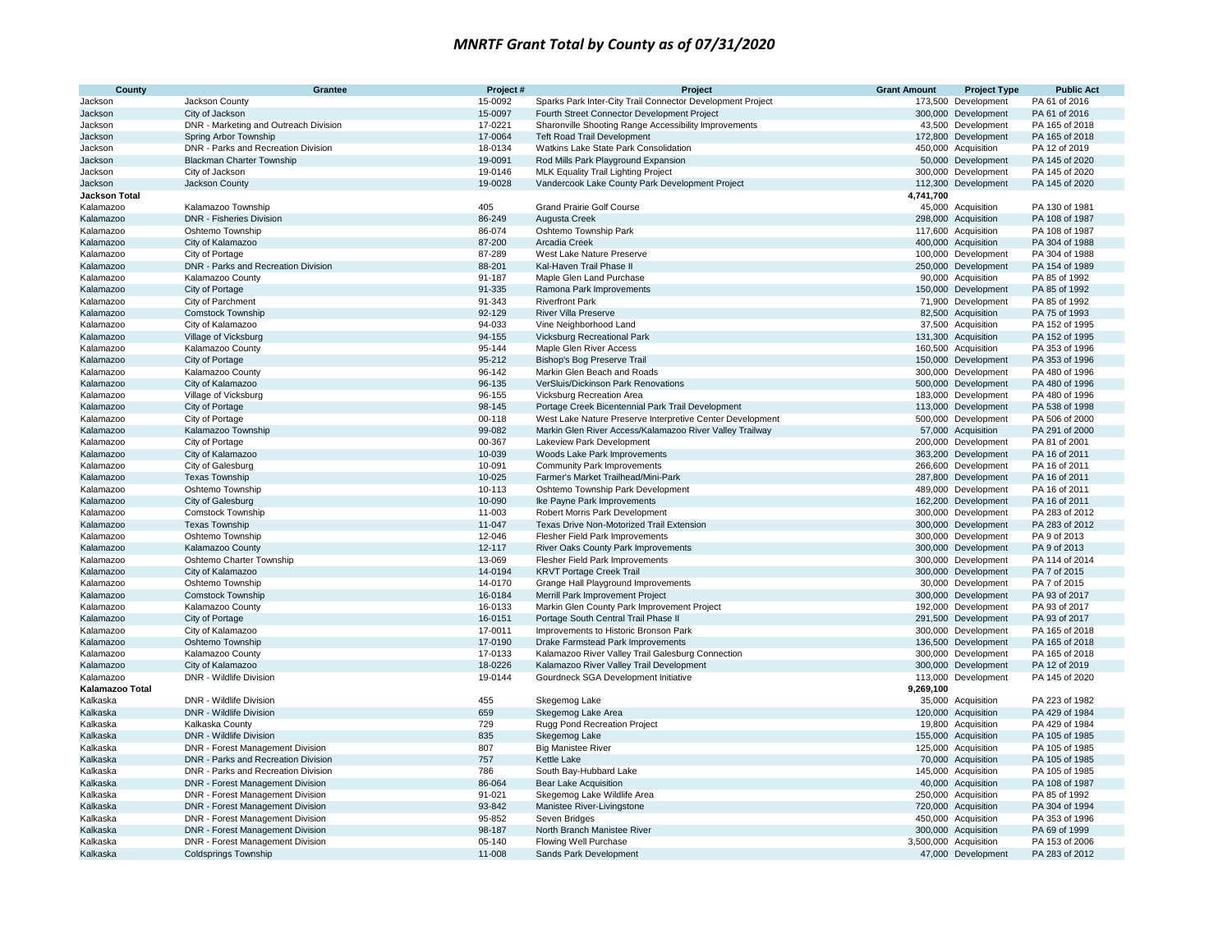| County                 | Grantee                                                              | Project#         | Project                                                                                                               | <b>Grant Amount</b> | <b>Project Type</b>                        | <b>Public Act</b>                |
|------------------------|----------------------------------------------------------------------|------------------|-----------------------------------------------------------------------------------------------------------------------|---------------------|--------------------------------------------|----------------------------------|
| Jackson                | Jackson County                                                       | 15-0092          | Sparks Park Inter-City Trail Connector Development Project                                                            | 173,500             | Development                                | PA 61 of 2016                    |
| Jackson                | City of Jackson                                                      | 15-0097          | Fourth Street Connector Development Project                                                                           | 300,000             | Development                                | PA 61 of 2016                    |
| Jackson                | DNR - Marketing and Outreach Division                                | 17-0221          | Sharonville Shooting Range Accessibility Improvements                                                                 |                     | 43,500 Development                         | PA 165 of 2018                   |
| Jackson                | Spring Arbor Township                                                | 17-0064          | <b>Teft Road Trail Development</b>                                                                                    |                     | 172,800 Development                        | PA 165 of 2018                   |
| Jackson                | DNR - Parks and Recreation Division                                  | 18-0134          | Watkins Lake State Park Consolidation                                                                                 |                     | 450,000 Acquisition                        | PA 12 of 2019                    |
| Jackson                | <b>Blackman Charter Township</b>                                     | 19-0091          | Rod Mills Park Playground Expansion                                                                                   |                     | 50,000 Development                         | PA 145 of 2020                   |
| Jackson                | City of Jackson                                                      | 19-0146          | <b>MLK Equality Trail Lighting Project</b>                                                                            |                     | 300,000 Development                        | PA 145 of 2020                   |
| Jackson                | Jackson County                                                       | 19-0028          | Vandercook Lake County Park Development Project                                                                       | 112,300             | Development                                | PA 145 of 2020                   |
| <b>Jackson Total</b>   |                                                                      |                  |                                                                                                                       | 4,741,700           |                                            |                                  |
| Kalamazoo              | Kalamazoo Township                                                   | 405              | <b>Grand Prairie Golf Course</b>                                                                                      |                     | 45,000 Acquisition                         | PA 130 of 1981                   |
| Kalamazoo              | <b>DNR - Fisheries Division</b>                                      | 86-249           | Augusta Creek                                                                                                         |                     | 298,000 Acquisition                        | PA 108 of 1987                   |
| Kalamazoo              | Oshtemo Township                                                     | 86-074           | Oshtemo Township Park                                                                                                 |                     | 117,600 Acquisition                        | PA 108 of 1987                   |
| Kalamazoo              | City of Kalamazoo                                                    | 87-200           | Arcadia Creek                                                                                                         |                     | 400,000 Acquisition                        | PA 304 of 1988                   |
| Kalamazoo              | City of Portage                                                      | 87-289           | West Lake Nature Preserve                                                                                             |                     | 100,000 Development                        | PA 304 of 1988                   |
| Kalamazoo              | DNR - Parks and Recreation Division                                  | 88-201           | Kal-Haven Trail Phase II                                                                                              |                     | 250,000 Development                        | PA 154 of 1989                   |
| Kalamazoo              | Kalamazoo County                                                     | 91-187           | Maple Glen Land Purchase                                                                                              |                     | 90,000 Acquisition                         | PA 85 of 1992                    |
| Kalamazoo              | City of Portage                                                      | 91-335           | Ramona Park Improvements                                                                                              |                     | 150,000 Development                        | PA 85 of 1992                    |
| Kalamazoo              | City of Parchment                                                    | 91-343           | <b>Riverfront Park</b>                                                                                                |                     | 71,900 Development                         | PA 85 of 1992                    |
| Kalamazoo              | <b>Comstock Township</b>                                             | 92-129           | <b>River Villa Preserve</b>                                                                                           |                     | 82,500 Acquisition                         | PA 75 of 1993                    |
| Kalamazoo              | City of Kalamazoo                                                    | 94-033           | Vine Neighborhood Land                                                                                                |                     | 37,500 Acquisition                         | PA 152 of 1995                   |
| Kalamazoo              | Village of Vicksburg                                                 | 94-155           | Vicksburg Recreational Park                                                                                           |                     | 131,300 Acquisition                        | PA 152 of 1995                   |
| Kalamazoo              | Kalamazoo County                                                     | 95-144           | Maple Glen River Access                                                                                               |                     | 160,500 Acquisition                        | PA 353 of 1996                   |
| Kalamazoo              | City of Portage                                                      | 95-212           | Bishop's Bog Preserve Trail                                                                                           |                     | 150,000 Development                        | PA 353 of 1996                   |
| Kalamazoo              | Kalamazoo County                                                     | 96-142           | Markin Glen Beach and Roads                                                                                           |                     | 300,000 Development                        | PA 480 of 1996                   |
| Kalamazoo              | City of Kalamazoo                                                    | 96-135           | VerSluis/Dickinson Park Renovations                                                                                   |                     | 500,000 Development                        | PA 480 of 1996                   |
| Kalamazoo              | Village of Vicksburg                                                 | 96-155<br>98-145 | Vicksburg Recreation Area                                                                                             |                     | 183,000 Development                        | PA 480 of 1996<br>PA 538 of 1998 |
| Kalamazoo              | City of Portage                                                      | 00-118           | Portage Creek Bicentennial Park Trail Development                                                                     |                     | 113,000 Development<br>500,000 Development | PA 506 of 2000                   |
| Kalamazoo<br>Kalamazoo | City of Portage<br>Kalamazoo Township                                | 99-082           | West Lake Nature Preserve Interpretive Center Development<br>Markin Glen River Access/Kalamazoo River Valley Trailway |                     | 57,000 Acquisition                         | PA 291 of 2000                   |
| Kalamazoo              | City of Portage                                                      | 00-367           | Lakeview Park Development                                                                                             |                     | 200,000 Development                        | PA 81 of 2001                    |
| Kalamazoo              | City of Kalamazoo                                                    | 10-039           | Woods Lake Park Improvements                                                                                          |                     | 363,200 Development                        | PA 16 of 2011                    |
| Kalamazoo              | City of Galesburg                                                    | 10-091           | <b>Community Park Improvements</b>                                                                                    |                     | 266,600 Development                        | PA 16 of 2011                    |
| Kalamazoo              | <b>Texas Township</b>                                                | 10-025           | Farmer's Market Trailhead/Mini-Park                                                                                   |                     | 287,800 Development                        | PA 16 of 2011                    |
| Kalamazoo              | Oshtemo Township                                                     | 10-113           | Oshtemo Township Park Development                                                                                     |                     | 489,000 Development                        | PA 16 of 2011                    |
| Kalamazoo              | City of Galesburg                                                    | 10-090           | Ike Payne Park Improvements                                                                                           |                     | 162,200 Development                        | PA 16 of 2011                    |
| Kalamazoo              | Comstock Township                                                    | 11-003           | Robert Morris Park Development                                                                                        |                     | 300,000 Development                        | PA 283 of 2012                   |
| Kalamazoo              | <b>Texas Township</b>                                                | $11 - 047$       | Texas Drive Non-Motorized Trail Extension                                                                             |                     | 300,000 Development                        | PA 283 of 2012                   |
| Kalamazoo              | Oshtemo Township                                                     | 12-046           | Flesher Field Park Improvements                                                                                       |                     | 300,000 Development                        | PA 9 of 2013                     |
| Kalamazoo              | Kalamazoo County                                                     | 12-117           | River Oaks County Park Improvements                                                                                   |                     | 300,000 Development                        | PA 9 of 2013                     |
| Kalamazoo              | Oshtemo Charter Township                                             | 13-069           | Flesher Field Park Improvements                                                                                       |                     | 300,000 Development                        | PA 114 of 2014                   |
| Kalamazoo              | City of Kalamazoo                                                    | 14-0194          | <b>KRVT Portage Creek Trail</b>                                                                                       |                     | 300,000 Development                        | PA 7 of 2015                     |
| Kalamazoo              | Oshtemo Township                                                     | 14-0170          | Grange Hall Playground Improvements                                                                                   |                     | 30,000 Development                         | PA 7 of 2015                     |
| Kalamazoo              | <b>Comstock Township</b>                                             | 16-0184          | Merrill Park Improvement Project                                                                                      |                     | 300,000 Development                        | PA 93 of 2017                    |
| Kalamazoo              | Kalamazoo County                                                     | 16-0133          | Markin Glen County Park Improvement Project                                                                           |                     | 192.000 Development                        | PA 93 of 2017                    |
| Kalamazoo              | City of Portage                                                      | 16-0151          | Portage South Central Trail Phase II                                                                                  |                     | 291,500 Development                        | PA 93 of 2017                    |
| Kalamazoo              | City of Kalamazoo                                                    | 17-0011          | Improvements to Historic Bronson Park                                                                                 |                     | 300,000 Development                        | PA 165 of 2018                   |
| Kalamazoo              | Oshtemo Township                                                     | 17-0190          | Drake Farmstead Park Improvements                                                                                     |                     | 136,500 Development                        | PA 165 of 2018                   |
| Kalamazoo              | Kalamazoo County                                                     | 17-0133          | Kalamazoo River Valley Trail Galesburg Connection                                                                     |                     | 300,000 Development                        | PA 165 of 2018                   |
| Kalamazoo              | City of Kalamazoo                                                    | 18-0226          | Kalamazoo River Valley Trail Development                                                                              |                     | 300,000 Development                        | PA 12 of 2019                    |
| Kalamazoo              | DNR - Wildlife Division                                              | 19-0144          | Gourdneck SGA Development Initiative                                                                                  |                     | 113,000 Development                        | PA 145 of 2020                   |
| Kalamazoo Total        |                                                                      |                  |                                                                                                                       | 9,269,100           |                                            |                                  |
| Kalkaska               | DNR - Wildlife Division                                              | 455              | Skegemog Lake                                                                                                         |                     | 35,000 Acquisition                         | PA 223 of 1982                   |
| Kalkaska               | DNR - Wildlife Division                                              | 659              | Skegemog Lake Area                                                                                                    |                     | 120,000 Acquisition                        | PA 429 of 1984                   |
| Kalkaska               | Kalkaska County                                                      | 729              | Rugg Pond Recreation Project                                                                                          |                     | 19,800 Acquisition                         | PA 429 of 1984                   |
| Kalkaska               | DNR - Wildlife Division                                              | 835              | Skegemog Lake                                                                                                         |                     | 155,000 Acquisition                        | PA 105 of 1985                   |
| Kalkaska               | DNR - Forest Management Division                                     | 807<br>757       | <b>Big Manistee River</b>                                                                                             |                     | 125,000 Acquisition                        | PA 105 of 1985                   |
| Kalkaska               | DNR - Parks and Recreation Division                                  |                  | Kettle Lake                                                                                                           |                     | 70,000 Acquisition                         | PA 105 of 1985                   |
| Kalkaska               | DNR - Parks and Recreation Division                                  | 786<br>86-064    | South Bay-Hubbard Lake                                                                                                |                     | 145,000 Acquisition                        | PA 105 of 1985<br>PA 108 of 1987 |
| Kalkaska<br>Kalkaska   | DNR - Forest Management Division<br>DNR - Forest Management Division | 91-021           | <b>Bear Lake Acquisition</b><br>Skegemog Lake Wildlife Area                                                           |                     | 40,000 Acquisition<br>250,000 Acquisition  | PA 85 of 1992                    |
| Kalkaska               | DNR - Forest Management Division                                     | 93-842           | Manistee River-Livingstone                                                                                            |                     | 720,000 Acquisition                        | PA 304 of 1994                   |
| Kalkaska               | DNR - Forest Management Division                                     | 95-852           | Seven Bridges                                                                                                         |                     | 450,000 Acquisition                        | PA 353 of 1996                   |
| Kalkaska               | DNR - Forest Management Division                                     | 98-187           | North Branch Manistee River                                                                                           |                     | 300,000 Acquisition                        | PA 69 of 1999                    |
| Kalkaska               | DNR - Forest Management Division                                     | 05-140           | Flowing Well Purchase                                                                                                 |                     | 3,500,000 Acquisition                      | PA 153 of 2006                   |
| Kalkaska               | <b>Coldsprings Township</b>                                          | 11-008           | Sands Park Development                                                                                                |                     | 47,000 Development                         | PA 283 of 2012                   |
|                        |                                                                      |                  |                                                                                                                       |                     |                                            |                                  |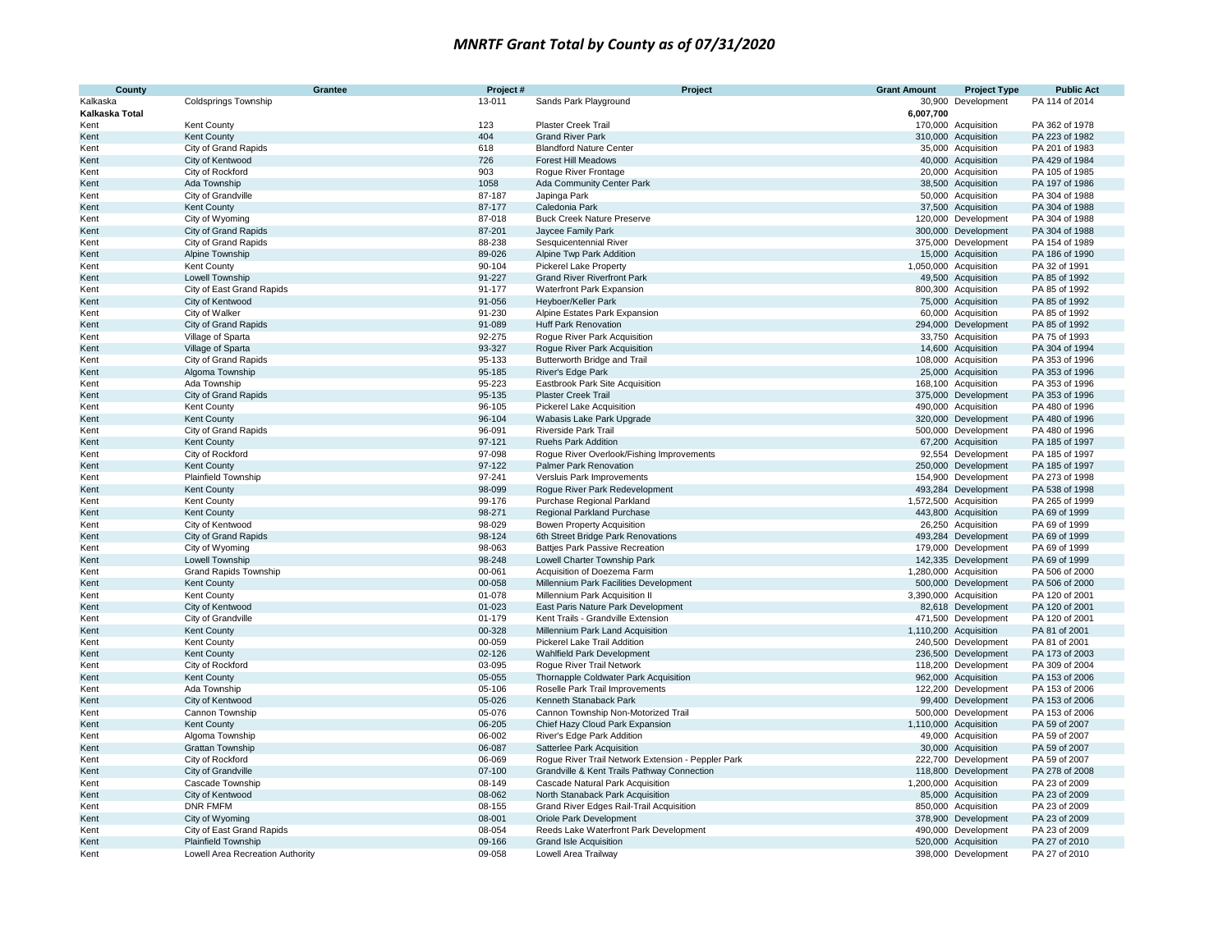| <b>County</b>  | Grantee                          | Project# | Project                                            | <b>Grant Amount</b> | <b>Project Type</b>   | <b>Public Act</b> |
|----------------|----------------------------------|----------|----------------------------------------------------|---------------------|-----------------------|-------------------|
| Kalkaska       | <b>Coldsprings Township</b>      | 13-011   | Sands Park Playground                              |                     | 30,900 Development    | PA 114 of 2014    |
| Kalkaska Total |                                  |          |                                                    | 6,007,700           |                       |                   |
| Kent           | <b>Kent County</b>               | 123      | <b>Plaster Creek Trail</b>                         |                     | 170,000 Acquisition   | PA 362 of 1978    |
| Kent           | <b>Kent County</b>               | 404      | <b>Grand River Park</b>                            |                     | 310,000 Acquisition   | PA 223 of 1982    |
| Kent           | City of Grand Rapids             | 618      | <b>Blandford Nature Center</b>                     |                     | 35,000 Acquisition    | PA 201 of 1983    |
| Kent           | City of Kentwood                 | 726      | Forest Hill Meadows                                |                     | 40,000 Acquisition    | PA 429 of 1984    |
| Kent           | City of Rockford                 | 903      | Rogue River Frontage                               |                     | 20,000 Acquisition    | PA 105 of 1985    |
| Kent           | Ada Township                     | 1058     | Ada Community Center Park                          |                     | 38,500 Acquisition    | PA 197 of 1986    |
| Kent           | City of Grandville               | 87-187   | Japinga Park                                       |                     | 50,000 Acquisition    | PA 304 of 1988    |
| Kent           | <b>Kent County</b>               | 87-177   | Caledonia Park                                     |                     | 37,500 Acquisition    | PA 304 of 1988    |
| Kent           | City of Wyoming                  | 87-018   | <b>Buck Creek Nature Preserve</b>                  |                     | 120,000 Development   | PA 304 of 1988    |
| Kent           | <b>City of Grand Rapids</b>      | 87-201   | Jaycee Family Park                                 |                     | 300,000 Development   | PA 304 of 1988    |
| Kent           | City of Grand Rapids             | 88-238   | Sesquicentennial River                             |                     | 375,000 Development   | PA 154 of 1989    |
| Kent           | Alpine Township                  | 89-026   | Alpine Twp Park Addition                           |                     | 15,000 Acquisition    | PA 186 of 1990    |
| Kent           | <b>Kent County</b>               | 90-104   | <b>Pickerel Lake Property</b>                      |                     | 1,050,000 Acquisition | PA 32 of 1991     |
| Kent           | Lowell Township                  | 91-227   | <b>Grand River Riverfront Park</b>                 |                     | 49,500 Acquisition    | PA 85 of 1992     |
| Kent           | City of East Grand Rapids        | 91-177   | Waterfront Park Expansion                          |                     | 800,300 Acquisition   | PA 85 of 1992     |
| Kent           | City of Kentwood                 | 91-056   | Heyboer/Keller Park                                |                     | 75,000 Acquisition    | PA 85 of 1992     |
| Kent           | City of Walker                   | 91-230   | Alpine Estates Park Expansion                      |                     | 60,000 Acquisition    | PA 85 of 1992     |
| Kent           | City of Grand Rapids             | 91-089   | <b>Huff Park Renovation</b>                        |                     | 294,000 Development   | PA 85 of 1992     |
| Kent           | Village of Sparta                | 92-275   | Rogue River Park Acquisition                       |                     | 33,750 Acquisition    | PA 75 of 1993     |
| Kent           | Village of Sparta                | 93-327   | Rogue River Park Acquisition                       |                     | 14,600 Acquisition    | PA 304 of 1994    |
| Kent           | City of Grand Rapids             | 95-133   | Butterworth Bridge and Trail                       |                     | 108,000 Acquisition   | PA 353 of 1996    |
| Kent           | Algoma Township                  | 95-185   | River's Edge Park                                  |                     | 25,000 Acquisition    | PA 353 of 1996    |
| Kent           | Ada Township                     | 95-223   | Eastbrook Park Site Acquisition                    |                     | 168,100 Acquisition   | PA 353 of 1996    |
| Kent           | <b>City of Grand Rapids</b>      | 95-135   | Plaster Creek Trail                                |                     | 375,000 Development   | PA 353 of 1996    |
| Kent           | Kent County                      | 96-105   | Pickerel Lake Acquisition                          |                     | 490,000 Acquisition   | PA 480 of 1996    |
| Kent           | <b>Kent County</b>               | 96-104   | Wabasis Lake Park Upgrade                          |                     | 320,000 Development   | PA 480 of 1996    |
| Kent           | City of Grand Rapids             | 96-091   | Riverside Park Trail                               |                     | 500,000 Development   | PA 480 of 1996    |
| Kent           | <b>Kent County</b>               | 97-121   | <b>Ruehs Park Addition</b>                         |                     | 67,200 Acquisition    | PA 185 of 1997    |
| Kent           | City of Rockford                 | 97-098   | Rogue River Overlook/Fishing Improvements          |                     | 92,554 Development    | PA 185 of 1997    |
| Kent           | <b>Kent County</b>               | 97-122   | Palmer Park Renovation                             |                     | 250,000 Development   | PA 185 of 1997    |
| Kent           | <b>Plainfield Township</b>       | 97-241   | Versluis Park Improvements                         |                     | 154,900 Development   | PA 273 of 1998    |
| Kent           | <b>Kent County</b>               | 98-099   | Roque River Park Redevelopment                     |                     | 493,284 Development   | PA 538 of 1998    |
| Kent           | Kent County                      | 99-176   | Purchase Regional Parkland                         |                     | 1,572,500 Acquisition | PA 265 of 1999    |
| Kent           | <b>Kent County</b>               | 98-271   | Regional Parkland Purchase                         |                     | 443,800 Acquisition   | PA 69 of 1999     |
| Kent           | City of Kentwood                 | 98-029   | Bowen Property Acquisition                         |                     | 26,250 Acquisition    | PA 69 of 1999     |
| Kent           | <b>City of Grand Rapids</b>      | 98-124   | 6th Street Bridge Park Renovations                 |                     | 493,284 Development   | PA 69 of 1999     |
| Kent           | City of Wyoming                  | 98-063   | <b>Battjes Park Passive Recreation</b>             |                     | 179,000 Development   | PA 69 of 1999     |
| Kent           | Lowell Township                  | 98-248   | Lowell Charter Township Park                       |                     | 142,335 Development   | PA 69 of 1999     |
| Kent           | <b>Grand Rapids Township</b>     | 00-061   | Acquisition of Doezema Farm                        |                     | 1,280,000 Acquisition | PA 506 of 2000    |
| Kent           | <b>Kent County</b>               | 00-058   | Millennium Park Facilities Development             |                     | 500,000 Development   | PA 506 of 2000    |
| Kent           | <b>Kent County</b>               | 01-078   | Millennium Park Acquisition II                     |                     | 3,390,000 Acquisition | PA 120 of 2001    |
| Kent           | City of Kentwood                 | 01-023   | East Paris Nature Park Development                 |                     | 82,618 Development    | PA 120 of 2001    |
| Kent           | City of Grandville               | 01-179   | Kent Trails - Grandville Extension                 |                     | 471,500 Development   | PA 120 of 2001    |
| Kent           | <b>Kent County</b>               | 00-328   | Millennium Park Land Acquisition                   |                     | 1,110,200 Acquisition | PA 81 of 2001     |
| Kent           | <b>Kent County</b>               | 00-059   | Pickerel Lake Trail Addition                       |                     | 240,500 Development   | PA 81 of 2001     |
| Kent           | <b>Kent County</b>               | 02-126   | Wahlfield Park Development                         |                     | 236,500 Development   | PA 173 of 2003    |
| Kent           | City of Rockford                 | 03-095   | Roque River Trail Network                          |                     | 118,200 Development   | PA 309 of 2004    |
| Kent           | <b>Kent County</b>               | 05-055   | Thornapple Coldwater Park Acquisition              |                     | 962,000 Acquisition   | PA 153 of 2006    |
| Kent           | Ada Township                     | 05-106   | Roselle Park Trail Improvements                    |                     | 122,200 Development   | PA 153 of 2006    |
| Kent           | City of Kentwood                 | 05-026   | Kenneth Stanaback Park                             |                     | 99,400 Development    | PA 153 of 2006    |
| Kent           | Cannon Township                  | 05-076   | Cannon Township Non-Motorized Trail                |                     | 500,000 Development   | PA 153 of 2006    |
| Kent           | <b>Kent County</b>               | 06-205   | Chief Hazy Cloud Park Expansion                    |                     | 1,110,000 Acquisition | PA 59 of 2007     |
| Kent           | Algoma Township                  | 06-002   | River's Edge Park Addition                         |                     | 49,000 Acquisition    | PA 59 of 2007     |
| Kent           | Grattan Township                 | 06-087   | Satterlee Park Acquisition                         |                     | 30,000 Acquisition    | PA 59 of 2007     |
| Kent           | City of Rockford                 | 06-069   | Rogue River Trail Network Extension - Peppler Park |                     | 222,700 Development   | PA 59 of 2007     |
| Kent           | City of Grandville               | 07-100   | Grandville & Kent Trails Pathway Connection        |                     | 118,800 Development   | PA 278 of 2008    |
| Kent           | Cascade Township                 | 08-149   | Cascade Natural Park Acquisition                   |                     | 1,200,000 Acquisition | PA 23 of 2009     |
| Kent           | City of Kentwood                 | 08-062   | North Stanaback Park Acquisition                   |                     | 85,000 Acquisition    | PA 23 of 2009     |
| Kent           | <b>DNR FMFM</b>                  | 08-155   | Grand River Edges Rail-Trail Acquisition           |                     | 850,000 Acquisition   | PA 23 of 2009     |
| Kent           | City of Wyoming                  | 08-001   | Oriole Park Development                            |                     | 378,900 Development   | PA 23 of 2009     |
| Kent           | City of East Grand Rapids        | 08-054   | Reeds Lake Waterfront Park Development             |                     | 490,000 Development   | PA 23 of 2009     |
| Kent           | Plainfield Township              | 09-166   | <b>Grand Isle Acquisition</b>                      |                     | 520,000 Acquisition   | PA 27 of 2010     |
| Kent           | Lowell Area Recreation Authority | 09-058   | Lowell Area Trailway                               |                     | 398,000 Development   | PA 27 of 2010     |
|                |                                  |          |                                                    |                     |                       |                   |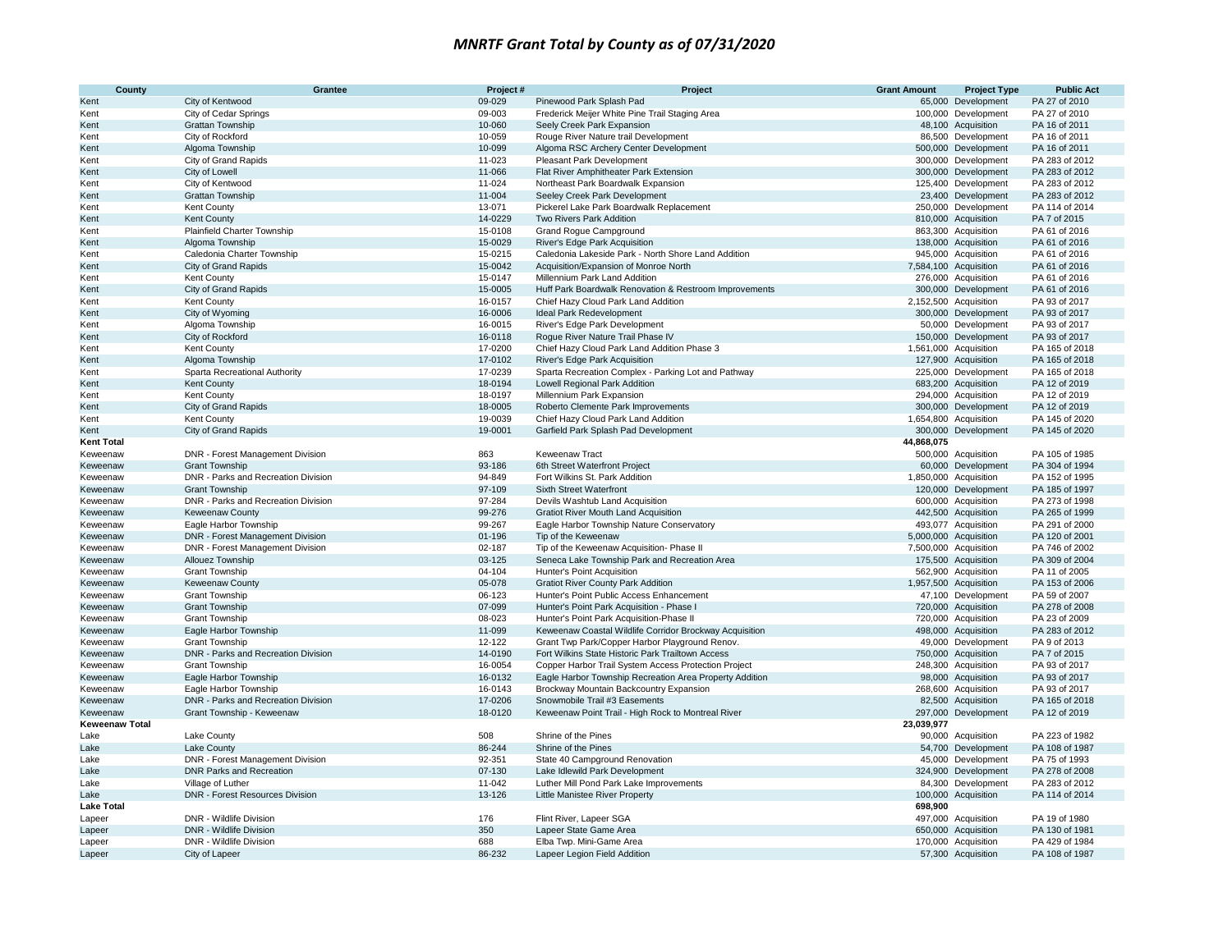| County                | Grantee                                              | Project#           | Project                                                                              | <b>Grant Amount</b> | <b>Project Type</b>                        | <b>Public Act</b>                |
|-----------------------|------------------------------------------------------|--------------------|--------------------------------------------------------------------------------------|---------------------|--------------------------------------------|----------------------------------|
| Kent                  | City of Kentwood                                     | 09-029             | Pinewood Park Splash Pad                                                             |                     | 65,000 Development                         | PA 27 of 2010                    |
| Kent                  | City of Cedar Springs                                | 09-003             | Frederick Meijer White Pine Trail Staging Area                                       |                     | 100,000 Development                        | PA 27 of 2010                    |
| Kent                  | Grattan Township                                     | 10-060             | Seely Creek Park Expansion                                                           |                     | 48,100 Acquisition                         | PA 16 of 2011                    |
| Kent                  | City of Rockford                                     | 10-059             | Rouge River Nature trail Development                                                 |                     | 86,500 Development                         | PA 16 of 2011                    |
| Kent                  | Algoma Township                                      | 10-099             | Algoma RSC Archery Center Development                                                |                     | 500,000 Development                        | PA 16 of 2011                    |
| Kent                  | City of Grand Rapids                                 | 11-023             | Pleasant Park Development                                                            |                     | 300,000 Development                        | PA 283 of 2012                   |
| Kent<br>Kent          | City of Lowell<br>City of Kentwood                   | 11-066<br>11-024   | Flat River Amphitheater Park Extension<br>Northeast Park Boardwalk Expansion         |                     | 300,000 Development<br>125,400 Development | PA 283 of 2012<br>PA 283 of 2012 |
| Kent                  | Grattan Township                                     | 11-004             | Seeley Creek Park Development                                                        |                     | 23,400 Development                         | PA 283 of 2012                   |
| Kent                  | <b>Kent County</b>                                   | 13-071             | Pickerel Lake Park Boardwalk Replacement                                             |                     | 250,000 Development                        | PA 114 of 2014                   |
| Kent                  | <b>Kent County</b>                                   | 14-0229            | Two Rivers Park Addition                                                             |                     | 810,000 Acquisition                        | PA 7 of 2015                     |
| Kent                  | Plainfield Charter Township                          | 15-0108            | Grand Rogue Campground                                                               |                     | 863,300 Acquisition                        | PA 61 of 2016                    |
| Kent                  | Algoma Township                                      | 15-0029            | River's Edge Park Acquisition                                                        |                     | 138,000 Acquisition                        | PA 61 of 2016                    |
| Kent                  | Caledonia Charter Township                           | 15-0215            | Caledonia Lakeside Park - North Shore Land Addition                                  |                     | 945,000 Acquisition                        | PA 61 of 2016                    |
| Kent                  | City of Grand Rapids                                 | 15-0042            | Acquisition/Expansion of Monroe North                                                |                     | 7,584,100 Acquisition                      | PA 61 of 2016                    |
| Kent                  | Kent County                                          | 15-0147            | Millennium Park Land Addition                                                        |                     | 276,000 Acquisition                        | PA 61 of 2016                    |
| Kent                  | City of Grand Rapids                                 | 15-0005            | Huff Park Boardwalk Renovation & Restroom Improvements                               |                     | 300,000 Development                        | PA 61 of 2016                    |
| Kent                  | Kent County                                          | 16-0157            | Chief Hazy Cloud Park Land Addition                                                  |                     | 2,152,500 Acquisition                      | PA 93 of 2017                    |
| Kent                  | City of Wyoming                                      | 16-0006            | Ideal Park Redevelopment                                                             |                     | 300,000 Development                        | PA 93 of 2017                    |
| Kent                  | Algoma Township                                      | 16-0015            | River's Edge Park Development                                                        |                     | 50,000 Development                         | PA 93 of 2017                    |
| Kent                  | City of Rockford                                     | 16-0118            | Roque River Nature Trail Phase IV                                                    |                     | 150,000 Development                        | PA 93 of 2017                    |
| Kent                  | Kent County                                          | 17-0200            | Chief Hazy Cloud Park Land Addition Phase 3                                          |                     | 1,561,000 Acquisition                      | PA 165 of 2018                   |
| Kent                  | Algoma Township                                      | 17-0102            | River's Edge Park Acquisition                                                        |                     | 127,900 Acquisition                        | PA 165 of 2018                   |
| Kent                  | Sparta Recreational Authority                        | 17-0239<br>18-0194 | Sparta Recreation Complex - Parking Lot and Pathway<br>Lowell Regional Park Addition |                     | 225,000 Development                        | PA 165 of 2018<br>PA 12 of 2019  |
| Kent<br>Kent          | <b>Kent County</b><br><b>Kent County</b>             | 18-0197            | Millennium Park Expansion                                                            |                     | 683,200 Acquisition<br>294,000 Acquisition | PA 12 of 2019                    |
| Kent                  | City of Grand Rapids                                 | 18-0005            | Roberto Clemente Park Improvements                                                   |                     | 300,000 Development                        | PA 12 of 2019                    |
| Kent                  | <b>Kent County</b>                                   | 19-0039            | Chief Hazy Cloud Park Land Addition                                                  |                     | 1,654,800 Acquisition                      | PA 145 of 2020                   |
| Kent                  | City of Grand Rapids                                 | 19-0001            | Garfield Park Splash Pad Development                                                 |                     | 300,000 Development                        | PA 145 of 2020                   |
| <b>Kent Total</b>     |                                                      |                    |                                                                                      | 44,868,075          |                                            |                                  |
| Keweenaw              | DNR - Forest Management Division                     | 863                | Keweenaw Tract                                                                       |                     | 500,000 Acquisition                        | PA 105 of 1985                   |
| Keweenaw              | <b>Grant Township</b>                                | 93-186             | 6th Street Waterfront Project                                                        |                     | 60,000 Development                         | PA 304 of 1994                   |
| Keweenaw              | DNR - Parks and Recreation Division                  | 94-849             | Fort Wilkins St. Park Addition                                                       |                     | 1,850,000 Acquisition                      | PA 152 of 1995                   |
| Keweenaw              | <b>Grant Township</b>                                | 97-109             | Sixth Street Waterfront                                                              |                     | 120,000 Development                        | PA 185 of 1997                   |
| Keweenaw              | DNR - Parks and Recreation Division                  | 97-284             | Devils Washtub Land Acquisition                                                      |                     | 600,000 Acquisition                        | PA 273 of 1998                   |
| Keweenaw              | <b>Keweenaw County</b>                               | 99-276             | <b>Gratiot River Mouth Land Acquisition</b>                                          |                     | 442,500 Acquisition                        | PA 265 of 1999                   |
| Keweenaw              | Eagle Harbor Township                                | 99-267             | Eagle Harbor Township Nature Conservatory                                            |                     | 493,077 Acquisition                        | PA 291 of 2000                   |
| Keweenaw              | DNR - Forest Management Division                     | 01-196             | Tip of the Keweenaw                                                                  |                     | 5,000,000 Acquisition                      | PA 120 of 2001                   |
| Keweenaw              | DNR - Forest Management Division                     | 02-187             | Tip of the Keweenaw Acquisition- Phase II                                            |                     | 7,500,000 Acquisition                      | PA 746 of 2002                   |
| Keweenaw              | Allouez Township                                     | 03-125<br>04-104   | Seneca Lake Township Park and Recreation Area<br>Hunter's Point Acquisition          |                     | 175,500 Acquisition<br>562,900 Acquisition | PA 309 of 2004                   |
| Keweenaw              | <b>Grant Township</b><br>Keweenaw County             | 05-078             | <b>Gratiot River County Park Addition</b>                                            |                     | 1,957,500 Acquisition                      | PA 11 of 2005<br>PA 153 of 2006  |
| Keweenaw<br>Keweenaw  | <b>Grant Township</b>                                | 06-123             | Hunter's Point Public Access Enhancement                                             |                     | 47,100 Development                         | PA 59 of 2007                    |
| Keweenaw              | <b>Grant Township</b>                                | 07-099             | Hunter's Point Park Acquisition - Phase I                                            |                     | 720,000 Acquisition                        | PA 278 of 2008                   |
| Keweenaw              | <b>Grant Township</b>                                | 08-023             | Hunter's Point Park Acquisition-Phase II                                             |                     | 720,000 Acquisition                        | PA 23 of 2009                    |
| Keweenaw              | Eagle Harbor Township                                | 11-099             | Keweenaw Coastal Wildlife Corridor Brockway Acquisition                              |                     | 498,000 Acquisition                        | PA 283 of 2012                   |
| Keweenaw              | <b>Grant Township</b>                                | 12-122             | Grant Twp Park/Copper Harbor Playground Renov.                                       |                     | 49,000 Development                         | PA 9 of 2013                     |
| Keweenaw              | DNR - Parks and Recreation Division                  | 14-0190            | Fort Wilkins State Historic Park Trailtown Access                                    |                     | 750,000 Acquisition                        | PA 7 of 2015                     |
| Keweenaw              | <b>Grant Township</b>                                | 16-0054            | Copper Harbor Trail System Access Protection Project                                 |                     | 248,300 Acquisition                        | PA 93 of 2017                    |
| Keweenaw              | Eagle Harbor Township                                | 16-0132            | Eagle Harbor Township Recreation Area Property Addition                              |                     | 98,000 Acquisition                         | PA 93 of 2017                    |
| Keweenaw              | Eagle Harbor Township                                | 16-0143            | Brockway Mountain Backcountry Expansion                                              |                     | 268,600 Acquisition                        | PA 93 of 2017                    |
| Keweenaw              | DNR - Parks and Recreation Division                  | 17-0206            | Snowmobile Trail #3 Easements                                                        |                     | 82,500 Acquisition                         | PA 165 of 2018                   |
| Keweenaw              | Grant Township - Keweenaw                            | 18-0120            | Keweenaw Point Trail - High Rock to Montreal River                                   |                     | 297,000 Development                        | PA 12 of 2019                    |
| <b>Keweenaw Total</b> |                                                      |                    |                                                                                      | 23,039,977          |                                            |                                  |
| Lake                  | Lake County                                          | 508                | Shrine of the Pines                                                                  |                     | 90,000 Acquisition                         | PA 223 of 1982                   |
| Lake                  | <b>Lake County</b>                                   | 86-244             | Shrine of the Pines                                                                  |                     | 54,700 Development                         | PA 108 of 1987                   |
| Lake                  | DNR - Forest Management Division                     | 92-351             | State 40 Campground Renovation                                                       |                     | 45,000 Development                         | PA 75 of 1993                    |
| Lake<br>Lake          | <b>DNR Parks and Recreation</b>                      | 07-130             | Lake Idlewild Park Development                                                       |                     | 324,900 Development                        | PA 278 of 2008                   |
| Lake                  | Village of Luther<br>DNR - Forest Resources Division | 11-042<br>13-126   | Luther Mill Pond Park Lake Improvements<br><b>Little Manistee River Property</b>     |                     | 84,300 Development<br>100,000 Acquisition  | PA 283 of 2012<br>PA 114 of 2014 |
| <b>Lake Total</b>     |                                                      |                    |                                                                                      | 698,900             |                                            |                                  |
| Lapeer                | DNR - Wildlife Division                              | 176                | Flint River, Lapeer SGA                                                              |                     | 497,000 Acquisition                        | PA 19 of 1980                    |
| Lapeer                | DNR - Wildlife Division                              | 350                | Lapeer State Game Area                                                               |                     | 650,000 Acquisition                        | PA 130 of 1981                   |
| Lapeer                | DNR - Wildlife Division                              | 688                | Elba Twp. Mini-Game Area                                                             |                     | 170,000 Acquisition                        | PA 429 of 1984                   |
| Lapeer                | City of Lapeer                                       | 86-232             | Lapeer Legion Field Addition                                                         |                     | 57,300 Acquisition                         | PA 108 of 1987                   |
|                       |                                                      |                    |                                                                                      |                     |                                            |                                  |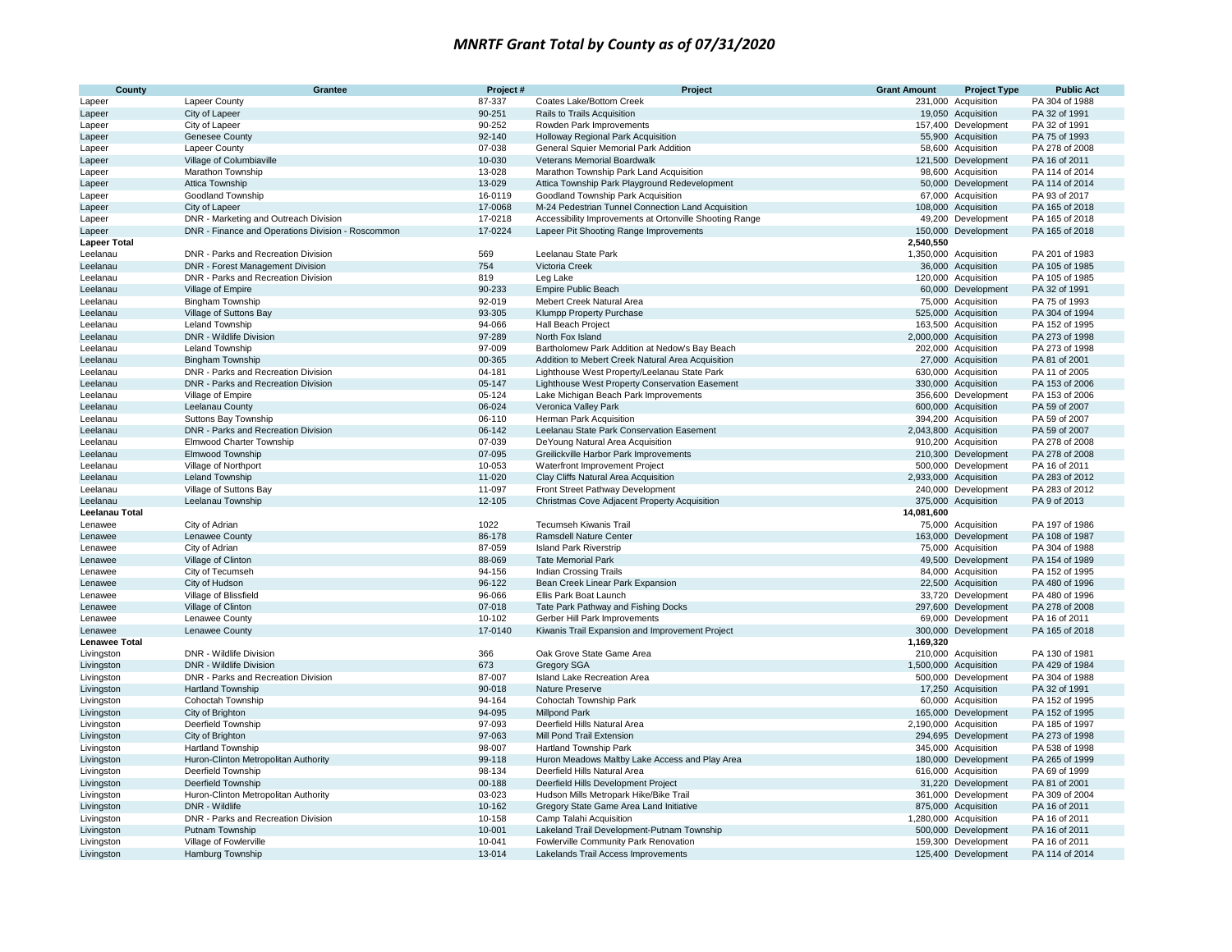| County               | Grantee                                           | Project#         | Project                                                                          | <b>Grant Amount</b> | <b>Project Type</b>                       | <b>Public Act</b>               |
|----------------------|---------------------------------------------------|------------------|----------------------------------------------------------------------------------|---------------------|-------------------------------------------|---------------------------------|
| Lapeer               | <b>Lapeer County</b>                              | 87-337           | Coates Lake/Bottom Creek                                                         |                     | 231,000 Acquisition                       | PA 304 of 1988                  |
| Lapeer               | City of Lapeer                                    | 90-251           | Rails to Trails Acquisition                                                      |                     | 19,050 Acquisition                        | PA 32 of 1991                   |
| Lapeer               | City of Lapeer                                    | 90-252           | Rowden Park Improvements                                                         |                     | 157,400 Development                       | PA 32 of 1991                   |
| Lapeer               | Genesee County                                    | 92-140           | Holloway Regional Park Acquisition                                               |                     | 55,900 Acquisition                        | PA 75 of 1993                   |
| Lapeer               | Lapeer County                                     | 07-038           | General Squier Memorial Park Addition                                            |                     | 58,600 Acquisition                        | PA 278 of 2008                  |
| Lapeer               | Village of Columbiaville                          | 10-030           | Veterans Memorial Boardwalk                                                      |                     | 121,500 Development                       | PA 16 of 2011                   |
| Lapeer               | Marathon Township                                 | 13-028           | Marathon Township Park Land Acquisition                                          |                     | 98,600 Acquisition                        | PA 114 of 2014                  |
| Lapeer               | Attica Township                                   | 13-029           | Attica Township Park Playground Redevelopment                                    |                     | 50,000 Development                        | PA 114 of 2014                  |
| Lapeer               | Goodland Township                                 | 16-0119          | Goodland Township Park Acquisition                                               |                     | 67,000 Acquisition                        | PA 93 of 2017                   |
| Lapeer               | City of Lapeer                                    | 17-0068          | M-24 Pedestrian Tunnel Connection Land Acquisition                               |                     | 108,000 Acquisition                       | PA 165 of 2018                  |
| Lapeer               | DNR - Marketing and Outreach Division             | 17-0218          | Accessibility Improvements at Ortonville Shooting Range                          |                     | 49,200 Development                        | PA 165 of 2018                  |
| Lapeer               | DNR - Finance and Operations Division - Roscommon | 17-0224          | Lapeer Pit Shooting Range Improvements                                           |                     | 150,000 Development                       | PA 165 of 2018                  |
| <b>Lapeer Total</b>  |                                                   |                  |                                                                                  | 2,540,550           |                                           |                                 |
| Leelanau             | DNR - Parks and Recreation Division               | 569              | Leelanau State Park                                                              |                     | 1,350,000 Acquisition                     | PA 201 of 1983                  |
| Leelanau             | DNR - Forest Management Division                  | 754              | Victoria Creek                                                                   |                     | 36,000 Acquisition                        | PA 105 of 1985                  |
| Leelanau             | DNR - Parks and Recreation Division               | 819              | Leg Lake                                                                         |                     | 120,000 Acquisition                       | PA 105 of 1985                  |
| Leelanau             | Village of Empire                                 | 90-233           | Empire Public Beach                                                              |                     | 60,000 Development                        | PA 32 of 1991                   |
| Leelanau             | <b>Bingham Township</b>                           | 92-019           | Mebert Creek Natural Area                                                        |                     | 75,000 Acquisition                        | PA 75 of 1993                   |
| Leelanau             | Village of Suttons Bay                            | 93-305           | Klumpp Property Purchase                                                         |                     | 525,000 Acquisition                       | PA 304 of 1994                  |
| Leelanau             | Leland Township                                   | 94-066           | <b>Hall Beach Project</b>                                                        |                     | 163,500 Acquisition                       | PA 152 of 1995                  |
| Leelanau             | DNR - Wildlife Division                           | 97-289           | North Fox Island                                                                 |                     | 2,000,000 Acquisition                     | PA 273 of 1998                  |
| Leelanau             | Leland Township                                   | 97-009           | Bartholomew Park Addition at Nedow's Bay Beach                                   |                     | 202,000 Acquisition                       | PA 273 of 1998                  |
| Leelanau             | <b>Bingham Township</b>                           | 00-365           | Addition to Mebert Creek Natural Area Acquisition                                |                     | 27,000 Acquisition                        | PA 81 of 2001                   |
| Leelanau             | DNR - Parks and Recreation Division               | 04-181           | Lighthouse West Property/Leelanau State Park                                     |                     | 630,000 Acquisition                       | PA 11 of 2005                   |
| Leelanau             | DNR - Parks and Recreation Division               | 05-147           | Lighthouse West Property Conservation Easement                                   |                     | 330,000 Acquisition                       | PA 153 of 2006                  |
| Leelanau             | Village of Empire                                 | 05-124           | Lake Michigan Beach Park Improvements                                            |                     | 356,600 Development                       | PA 153 of 2006                  |
| Leelanau             | Leelanau County                                   | 06-024           | Veronica Valley Park                                                             |                     | 600,000 Acquisition                       | PA 59 of 2007                   |
| Leelanau             | Suttons Bay Township                              | 06-110           | Herman Park Acquisition                                                          |                     | 394,200 Acquisition                       | PA 59 of 2007                   |
| Leelanau             | DNR - Parks and Recreation Division               | 06-142           | Leelanau State Park Conservation Easement                                        |                     | 2,043,800 Acquisition                     | PA 59 of 2007                   |
| Leelanau             | Elmwood Charter Township                          | 07-039           | DeYoung Natural Area Acquisition                                                 |                     | 910,200 Acquisition                       | PA 278 of 2008                  |
| Leelanau             | Elmwood Township                                  | 07-095           | Greilickville Harbor Park Improvements                                           |                     | 210,300 Development                       | PA 278 of 2008                  |
| Leelanau             | Village of Northport                              | 10-053           | Waterfront Improvement Project                                                   |                     | 500,000 Development                       | PA 16 of 2011                   |
| Leelanau             | Leland Township                                   | 11-020           | Clay Cliffs Natural Area Acquisition                                             |                     | 2,933,000 Acquisition                     | PA 283 of 2012                  |
| Leelanau             | Village of Suttons Bay                            | 11-097           | Front Street Pathway Development                                                 |                     | 240,000 Development                       | PA 283 of 2012                  |
| Leelanau             | Leelanau Township                                 | 12-105           | Christmas Cove Adjacent Property Acquisition                                     |                     | 375,000 Acquisition                       | PA 9 of 2013                    |
| Leelanau Total       |                                                   |                  |                                                                                  | 14,081,600          |                                           |                                 |
| Lenawee              | City of Adrian                                    | 1022             | <b>Tecumseh Kiwanis Trail</b>                                                    |                     | 75,000 Acquisition                        | PA 197 of 1986                  |
| Lenawee              | Lenawee County                                    | 86-178           | <b>Ramsdell Nature Center</b>                                                    |                     | 163,000 Development                       | PA 108 of 1987                  |
| Lenawee              | City of Adrian                                    | 87-059           | <b>Island Park Riverstrip</b>                                                    |                     | 75,000 Acquisition                        | PA 304 of 1988                  |
| Lenawee              | Village of Clinton                                | 88-069           | <b>Tate Memorial Park</b>                                                        | 49,500              | Development                               | PA 154 of 1989                  |
| Lenawee              | City of Tecumseh                                  | 94-156           | Indian Crossing Trails                                                           |                     | 84,000 Acquisition                        | PA 152 of 1995                  |
| Lenawee              | City of Hudson                                    | 96-122           | Bean Creek Linear Park Expansion                                                 |                     | 22,500 Acquisition                        | PA 480 of 1996                  |
| Lenawee              | Village of Blissfield                             | 96-066           | Ellis Park Boat Launch                                                           |                     | 33,720 Development                        | PA 480 of 1996                  |
| Lenawee              | Village of Clinton                                | 07-018<br>10-102 | Tate Park Pathway and Fishing Docks                                              |                     | 297,600 Development                       | PA 278 of 2008                  |
| Lenawee<br>Lenawee   | Lenawee County<br>Lenawee County                  | 17-0140          | Gerber Hill Park Improvements<br>Kiwanis Trail Expansion and Improvement Project |                     | 69,000 Development<br>300,000 Development | PA 16 of 2011<br>PA 165 of 2018 |
| <b>Lenawee Total</b> |                                                   |                  |                                                                                  | 1,169,320           |                                           |                                 |
| Livingston           | DNR - Wildlife Division                           | 366              | Oak Grove State Game Area                                                        |                     | 210,000 Acquisition                       | PA 130 of 1981                  |
| Livingston           | DNR - Wildlife Division                           | 673              | <b>Gregory SGA</b>                                                               |                     | 1,500,000 Acquisition                     | PA 429 of 1984                  |
| Livingston           | DNR - Parks and Recreation Division               | 87-007           | Island Lake Recreation Area                                                      |                     | 500,000 Development                       | PA 304 of 1988                  |
| Livingston           | Hartland Township                                 | 90-018           | Nature Preserve                                                                  |                     | 17,250 Acquisition                        | PA 32 of 1991                   |
| Livingston           | Cohoctah Township                                 | 94-164           | Cohoctah Township Park                                                           |                     | 60,000 Acquisition                        | PA 152 of 1995                  |
| Livingston           | City of Brighton                                  | 94-095           | <b>Millpond Park</b>                                                             |                     | 165,000 Development                       | PA 152 of 1995                  |
| Livingston           | Deerfield Township                                | 97-093           | Deerfield Hills Natural Area                                                     |                     | 2,190,000 Acquisition                     | PA 185 of 1997                  |
| Livingston           | City of Brighton                                  | 97-063           | Mill Pond Trail Extension                                                        |                     | 294,695 Development                       | PA 273 of 1998                  |
| Livingston           | <b>Hartland Township</b>                          | 98-007           | <b>Hartland Township Park</b>                                                    |                     | 345,000 Acquisition                       | PA 538 of 1998                  |
| Livingston           | Huron-Clinton Metropolitan Authority              | 99-118           | Huron Meadows Maltby Lake Access and Play Area                                   |                     | 180,000 Development                       | PA 265 of 1999                  |
| Livingston           | Deerfield Township                                | 98-134           | Deerfield Hills Natural Area                                                     |                     | 616,000 Acquisition                       | PA 69 of 1999                   |
| Livingston           | <b>Deerfield Township</b>                         | 00-188           | Deerfield Hills Development Project                                              |                     | 31,220 Development                        | PA 81 of 2001                   |
| Livingston           | Huron-Clinton Metropolitan Authority              | 03-023           | Hudson Mills Metropark Hike/Bike Trail                                           |                     | 361,000 Development                       | PA 309 of 2004                  |
| Livingston           | DNR - Wildlife                                    | 10-162           | Gregory State Game Area Land Initiative                                          |                     | 875,000 Acquisition                       | PA 16 of 2011                   |
| Livingston           | DNR - Parks and Recreation Division               | 10-158           | Camp Talahi Acquisition                                                          |                     | 1,280,000 Acquisition                     | PA 16 of 2011                   |
| Livingston           | Putnam Township                                   | 10-001           | Lakeland Trail Development-Putnam Township                                       |                     | 500,000 Development                       | PA 16 of 2011                   |
| Livingston           | Village of Fowlerville                            | 10-041           | Fowlerville Community Park Renovation                                            |                     | 159,300 Development                       | PA 16 of 2011                   |
| Livingston           | Hamburg Township                                  | 13-014           | Lakelands Trail Access Improvements                                              |                     | 125,400 Development                       | PA 114 of 2014                  |
|                      |                                                   |                  |                                                                                  |                     |                                           |                                 |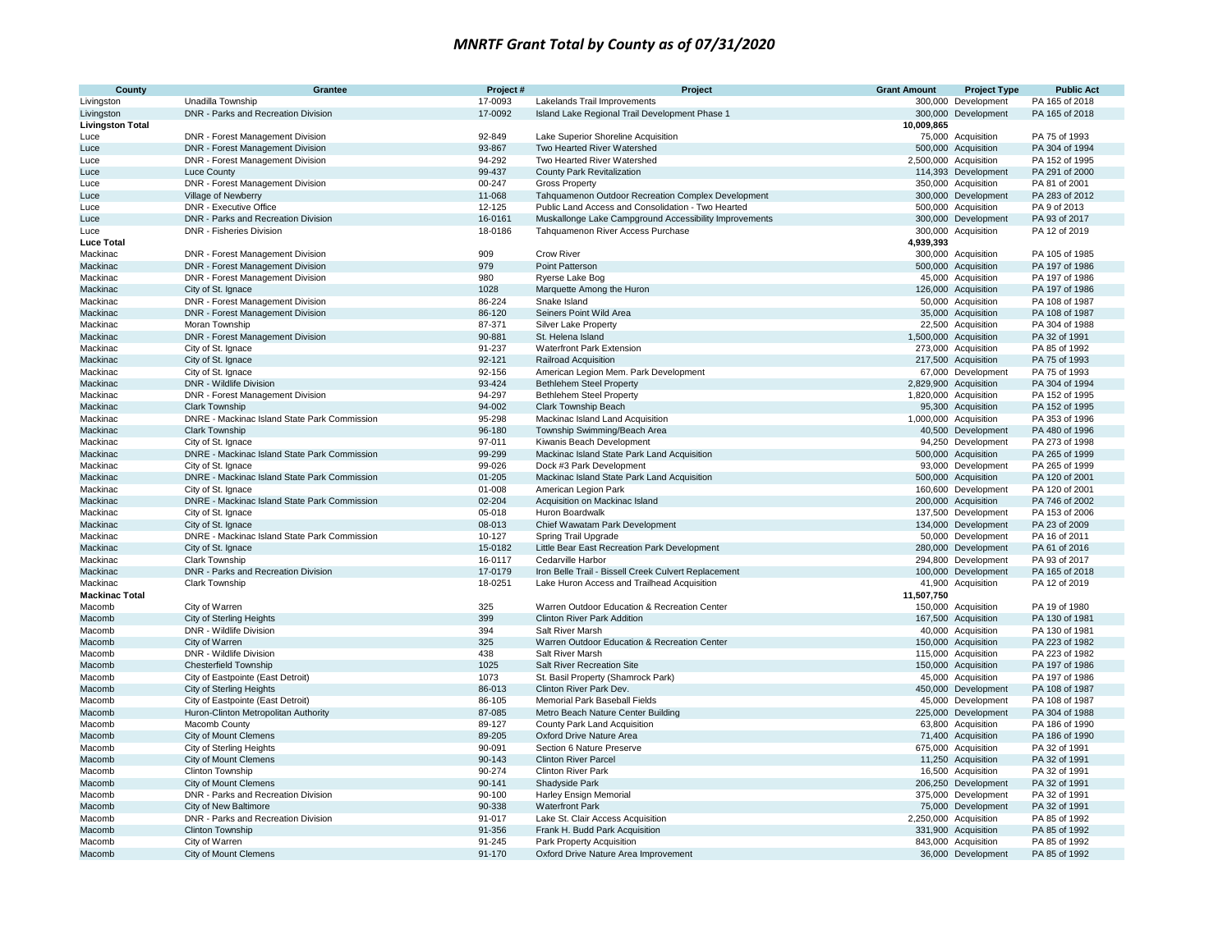| County                  | Grantee                                                | Project#           | Project                                                            | <b>Grant Amount</b> | <b>Project Type</b>                          | <b>Public Act</b>                |
|-------------------------|--------------------------------------------------------|--------------------|--------------------------------------------------------------------|---------------------|----------------------------------------------|----------------------------------|
| Livingston              | Unadilla Township                                      | 17-0093            | Lakelands Trail Improvements                                       |                     | 300,000 Development                          | PA 165 of 2018                   |
| Livingston              | DNR - Parks and Recreation Division                    | 17-0092            | Island Lake Regional Trail Development Phase 1                     |                     | 300,000 Development                          | PA 165 of 2018                   |
| <b>Livingston Total</b> |                                                        |                    |                                                                    | 10,009,865          |                                              |                                  |
| Luce                    | DNR - Forest Management Division                       | 92-849             | Lake Superior Shoreline Acquisition                                |                     | 75,000 Acquisition                           | PA 75 of 1993                    |
| Luce                    | DNR - Forest Management Division                       | 93-867             | Two Hearted River Watershed                                        |                     | 500,000 Acquisition                          | PA 304 of 1994                   |
| Luce<br>Luce            | DNR - Forest Management Division                       | 94-292<br>99-437   | Two Hearted River Watershed<br>County Park Revitalization          |                     | 2,500,000 Acquisition<br>114,393 Development | PA 152 of 1995<br>PA 291 of 2000 |
| Luce                    | <b>Luce County</b><br>DNR - Forest Management Division | 00-247             | <b>Gross Property</b>                                              |                     | 350,000 Acquisition                          | PA 81 of 2001                    |
| Luce                    | Village of Newberry                                    | 11-068             | Tahquamenon Outdoor Recreation Complex Development                 |                     | 300,000 Development                          | PA 283 of 2012                   |
| Luce                    | DNR - Executive Office                                 | 12-125             | Public Land Access and Consolidation - Two Hearted                 |                     | 500,000 Acquisition                          | PA 9 of 2013                     |
| Luce                    | DNR - Parks and Recreation Division                    | 16-0161            | Muskallonge Lake Campground Accessibility Improvements             |                     | 300,000 Development                          | PA 93 of 2017                    |
| Luce                    | DNR - Fisheries Division                               | 18-0186            | Tahquamenon River Access Purchase                                  |                     | 300,000 Acquisition                          | PA 12 of 2019                    |
| <b>Luce Total</b>       |                                                        |                    |                                                                    | 4,939,393           |                                              |                                  |
| Mackinac                | DNR - Forest Management Division                       | 909                | <b>Crow River</b>                                                  |                     | 300,000 Acquisition                          | PA 105 of 1985                   |
| Mackinac                | DNR - Forest Management Division                       | 979                | Point Patterson                                                    |                     | 500,000 Acquisition                          | PA 197 of 1986                   |
| Mackinac                | DNR - Forest Management Division                       | 980                | Ryerse Lake Bog                                                    |                     | 45,000 Acquisition                           | PA 197 of 1986                   |
| Mackinac                | City of St. Ignace                                     | 1028               | Marquette Among the Huron                                          |                     | 126,000 Acquisition                          | PA 197 of 1986                   |
| Mackinac                | DNR - Forest Management Division                       | 86-224             | Snake Island                                                       |                     | 50,000 Acquisition                           | PA 108 of 1987                   |
| Mackinac                | DNR - Forest Management Division                       | 86-120             | Seiners Point Wild Area                                            |                     | 35,000 Acquisition                           | PA 108 of 1987                   |
| Mackinac                | Moran Township                                         | 87-371             | Silver Lake Property                                               |                     | 22,500 Acquisition                           | PA 304 of 1988                   |
| Mackinac                | DNR - Forest Management Division                       | 90-881             | St. Helena Island                                                  |                     | 1,500,000 Acquisition                        | PA 32 of 1991                    |
| Mackinac                | City of St. Ignace                                     | 91-237<br>92-121   | Waterfront Park Extension                                          |                     | 273,000 Acquisition                          | PA 85 of 1992<br>PA 75 of 1993   |
| Mackinac<br>Mackinac    | City of St. Ignace<br>City of St. Ignace               | 92-156             | Railroad Acquisition<br>American Legion Mem. Park Development      |                     | 217,500 Acquisition<br>67,000 Development    | PA 75 of 1993                    |
| Mackinac                | DNR - Wildlife Division                                | 93-424             | <b>Bethlehem Steel Property</b>                                    |                     | 2,829,900 Acquisition                        | PA 304 of 1994                   |
| Mackinac                | DNR - Forest Management Division                       | 94-297             | <b>Bethlehem Steel Property</b>                                    |                     | 1,820,000 Acquisition                        | PA 152 of 1995                   |
| Mackinac                | <b>Clark Township</b>                                  | 94-002             | Clark Township Beach                                               |                     | 95,300 Acquisition                           | PA 152 of 1995                   |
| Mackinac                | DNRE - Mackinac Island State Park Commission           | 95-298             | Mackinac Island Land Acquisition                                   |                     | 1,000,000 Acquisition                        | PA 353 of 1996                   |
| Mackinac                | <b>Clark Township</b>                                  | 96-180             | Township Swimming/Beach Area                                       |                     | 40,500 Development                           | PA 480 of 1996                   |
| Mackinac                | City of St. Ignace                                     | 97-011             | Kiwanis Beach Development                                          |                     | 94,250 Development                           | PA 273 of 1998                   |
| Mackinac                | DNRE - Mackinac Island State Park Commission           | 99-299             | Mackinac Island State Park Land Acquisition                        |                     | 500,000 Acquisition                          | PA 265 of 1999                   |
| Mackinac                | City of St. Ignace                                     | 99-026             | Dock #3 Park Development                                           |                     | 93,000 Development                           | PA 265 of 1999                   |
| Mackinac                | DNRE - Mackinac Island State Park Commission           | 01-205             | Mackinac Island State Park Land Acquisition                        |                     | 500,000 Acquisition                          | PA 120 of 2001                   |
| Mackinac                | City of St. Ignace                                     | 01-008             | American Legion Park                                               |                     | 160,600 Development                          | PA 120 of 2001                   |
| Mackinac                | DNRE - Mackinac Island State Park Commission           | 02-204             | Acquisition on Mackinac Island                                     |                     | 200,000 Acquisition                          | PA 746 of 2002                   |
| Mackinac                | City of St. Ignace                                     | 05-018             | Huron Boardwalk                                                    |                     | 137,500 Development                          | PA 153 of 2006                   |
| Mackinac                | City of St. Ignace                                     | 08-013             | Chief Wawatam Park Development                                     |                     | 134,000 Development                          | PA 23 of 2009                    |
| Mackinac                | DNRE - Mackinac Island State Park Commission           | 10-127             | Spring Trail Upgrade                                               |                     | 50,000 Development                           | PA 16 of 2011                    |
| Mackinac<br>Mackinac    | City of St. Ignace<br><b>Clark Township</b>            | 15-0182<br>16-0117 | Little Bear East Recreation Park Development<br>Cedarville Harbor  |                     | 280,000 Development<br>294,800 Development   | PA 61 of 2016<br>PA 93 of 2017   |
| Mackinac                | DNR - Parks and Recreation Division                    | 17-0179            | Iron Belle Trail - Bissell Creek Culvert Replacement               |                     | 100,000 Development                          | PA 165 of 2018                   |
| Mackinac                | Clark Township                                         | 18-0251            | Lake Huron Access and Trailhead Acquisition                        |                     | 41,900 Acquisition                           | PA 12 of 2019                    |
| <b>Mackinac Total</b>   |                                                        |                    |                                                                    | 11,507,750          |                                              |                                  |
| Macomb                  | City of Warren                                         | 325                | Warren Outdoor Education & Recreation Center                       |                     | 150,000 Acquisition                          | PA 19 of 1980                    |
| Macomb                  | <b>City of Sterling Heights</b>                        | 399                | <b>Clinton River Park Addition</b>                                 |                     | 167,500 Acquisition                          | PA 130 of 1981                   |
| Macomb                  | DNR - Wildlife Division                                | 394                | Salt River Marsh                                                   |                     | 40,000 Acquisition                           | PA 130 of 1981                   |
| Macomb                  | City of Warren                                         | 325                | Warren Outdoor Education & Recreation Center                       |                     | 150,000 Acquisition                          | PA 223 of 1982                   |
| Macomb                  | DNR - Wildlife Division                                | 438                | Salt River Marsh                                                   |                     | 115,000 Acquisition                          | PA 223 of 1982                   |
| Macomb                  | <b>Chesterfield Township</b>                           | 1025               | Salt River Recreation Site                                         |                     | 150,000 Acquisition                          | PA 197 of 1986                   |
| Macomb                  | City of Eastpointe (East Detroit)                      | 1073               | St. Basil Property (Shamrock Park)                                 |                     | 45,000 Acquisition                           | PA 197 of 1986                   |
| Macomb                  | <b>City of Sterling Heights</b>                        | 86-013             | Clinton River Park Dev.                                            |                     | 450,000 Development                          | PA 108 of 1987                   |
| Macomb                  | City of Eastpointe (East Detroit)                      | 86-105             | Memorial Park Baseball Fields                                      |                     | 45,000 Development                           | PA 108 of 1987                   |
| Macomb<br>Macomb        | Huron-Clinton Metropolitan Authority<br>Macomb County  | 87-085<br>89-127   | Metro Beach Nature Center Building<br>County Park Land Acquisition |                     | 225,000 Development<br>63,800 Acquisition    | PA 304 of 1988<br>PA 186 of 1990 |
| Macomb                  | City of Mount Clemens                                  | 89-205             | Oxford Drive Nature Area                                           |                     | 71,400 Acquisition                           | PA 186 of 1990                   |
| Macomb                  | City of Sterling Heights                               | 90-091             | Section 6 Nature Preserve                                          |                     | 675,000 Acquisition                          | PA 32 of 1991                    |
| Macomb                  | City of Mount Clemens                                  | 90-143             | <b>Clinton River Parcel</b>                                        |                     | 11,250 Acquisition                           | PA 32 of 1991                    |
| Macomb                  | Clinton Township                                       | 90-274             | <b>Clinton River Park</b>                                          |                     | 16,500 Acquisition                           | PA 32 of 1991                    |
| Macomb                  | City of Mount Clemens                                  | 90-141             | Shadyside Park                                                     |                     | 206,250 Development                          | PA 32 of 1991                    |
| Macomb                  | DNR - Parks and Recreation Division                    | 90-100             | Harley Ensign Memorial                                             |                     | 375,000 Development                          | PA 32 of 1991                    |
| Macomb                  | City of New Baltimore                                  | 90-338             | <b>Waterfront Park</b>                                             |                     | 75,000 Development                           | PA 32 of 1991                    |
| Macomb                  | DNR - Parks and Recreation Division                    | 91-017             | Lake St. Clair Access Acquisition                                  |                     | 2,250,000 Acquisition                        | PA 85 of 1992                    |
| Macomb                  | Clinton Township                                       | 91-356             | Frank H. Budd Park Acquisition                                     |                     | 331,900 Acquisition                          | PA 85 of 1992                    |
| Macomb                  | City of Warren                                         | 91-245             | Park Property Acquisition                                          |                     | 843,000 Acquisition                          | PA 85 of 1992                    |
| Macomb                  | City of Mount Clemens                                  | 91-170             | Oxford Drive Nature Area Improvement                               |                     | 36,000 Development                           | PA 85 of 1992                    |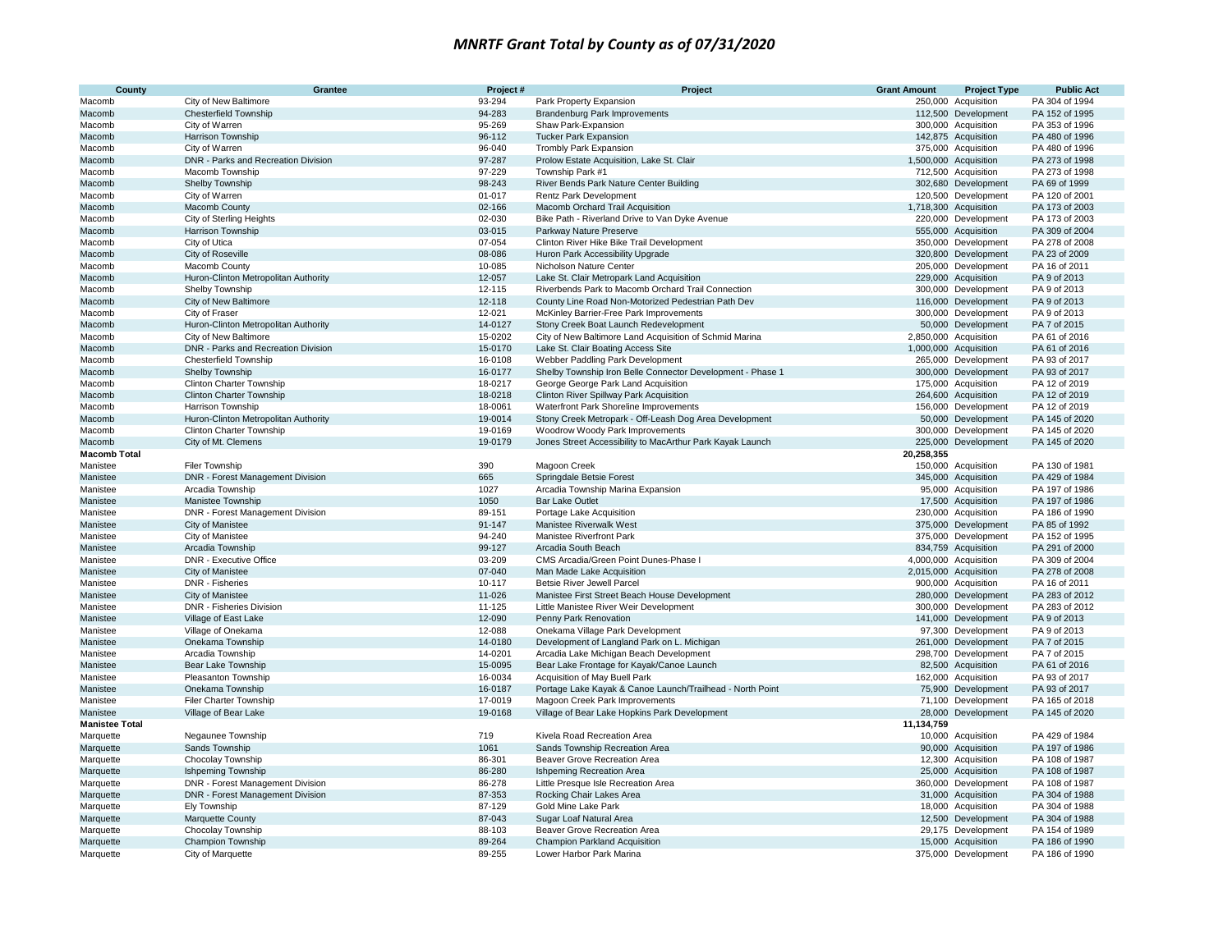| County                | Grantee                                      | Project#         | Project                                                                                 | <b>Grant Amount</b> | <b>Project Type</b>                        | <b>Public Act</b>               |
|-----------------------|----------------------------------------------|------------------|-----------------------------------------------------------------------------------------|---------------------|--------------------------------------------|---------------------------------|
| Macomb                | City of New Baltimore                        | 93-294           | Park Property Expansion                                                                 |                     | 250,000 Acquisition                        | PA 304 of 1994                  |
| Macomb                | <b>Chesterfield Township</b>                 | 94-283           | Brandenburg Park Improvements                                                           |                     | 112,500 Development                        | PA 152 of 1995                  |
| Macomb                | City of Warren                               | 95-269           | Shaw Park-Expansion                                                                     |                     | 300,000 Acquisition                        | PA 353 of 1996                  |
| Macomb                | <b>Harrison Township</b>                     | 96-112           | <b>Tucker Park Expansion</b>                                                            |                     | 142,875 Acquisition                        | PA 480 of 1996                  |
| Macomb                | City of Warren                               | 96-040           | Trombly Park Expansion                                                                  |                     | 375,000 Acquisition                        | PA 480 of 1996                  |
| Macomb                | DNR - Parks and Recreation Division          | 97-287           | Prolow Estate Acquisition, Lake St. Clair                                               |                     | 1,500,000 Acquisition                      | PA 273 of 1998                  |
| Macomb                | Macomb Township                              | 97-229           | Township Park #1                                                                        |                     | 712,500 Acquisition                        | PA 273 of 1998                  |
| Macomb                | Shelby Township                              | 98-243           | River Bends Park Nature Center Building                                                 |                     | 302,680 Development                        | PA 69 of 1999                   |
| Macomb                | City of Warren                               | 01-017           | Rentz Park Development                                                                  |                     | 120,500 Development                        | PA 120 of 2001                  |
| Macomb                | Macomb County                                | 02-166           | Macomb Orchard Trail Acquisition                                                        |                     | 1,718,300 Acquisition                      | PA 173 of 2003                  |
| Macomb                | City of Sterling Heights                     | 02-030           | Bike Path - Riverland Drive to Van Dyke Avenue                                          |                     | 220,000 Development                        | PA 173 of 2003                  |
| Macomb                | Harrison Township                            | 03-015           | Parkway Nature Preserve                                                                 |                     | 555,000 Acquisition                        | PA 309 of 2004                  |
| Macomb                | City of Utica                                | 07-054<br>08-086 | Clinton River Hike Bike Trail Development                                               |                     | 350,000 Development                        | PA 278 of 2008<br>PA 23 of 2009 |
| Macomb<br>Macomb      | City of Roseville<br>Macomb County           | 10-085           | Huron Park Accessibility Upgrade<br>Nicholson Nature Center                             |                     | 320,800 Development<br>205,000 Development | PA 16 of 2011                   |
| Macomb                | Huron-Clinton Metropolitan Authority         | 12-057           | Lake St. Clair Metropark Land Acquisition                                               |                     | 229,000 Acquisition                        | PA 9 of 2013                    |
| Macomb                | Shelby Township                              | 12-115           | Riverbends Park to Macomb Orchard Trail Connection                                      |                     | 300,000 Development                        | PA 9 of 2013                    |
| Macomb                | City of New Baltimore                        | 12-118           | County Line Road Non-Motorized Pedestrian Path Dev                                      |                     | 116,000 Development                        | PA 9 of 2013                    |
| Macomb                | City of Fraser                               | 12-021           | McKinley Barrier-Free Park Improvements                                                 |                     | 300.000 Development                        | PA 9 of 2013                    |
| Macomb                | Huron-Clinton Metropolitan Authority         | 14-0127          | Stony Creek Boat Launch Redevelopment                                                   |                     | 50,000 Development                         | PA 7 of 2015                    |
| Macomb                | City of New Baltimore                        | 15-0202          | City of New Baltimore Land Acquisition of Schmid Marina                                 |                     | 2,850,000 Acquisition                      | PA 61 of 2016                   |
| Macomb                | DNR - Parks and Recreation Division          | 15-0170          | Lake St. Clair Boating Access Site                                                      |                     | 1,000,000 Acquisition                      | PA 61 of 2016                   |
| Macomb                | Chesterfield Township                        | 16-0108          | Webber Paddling Park Development                                                        |                     | 265,000 Development                        | PA 93 of 2017                   |
| Macomb                | Shelby Township                              | 16-0177          | Shelby Township Iron Belle Connector Development - Phase 1                              |                     | 300,000 Development                        | PA 93 of 2017                   |
| Macomb                | <b>Clinton Charter Township</b>              | 18-0217          | George George Park Land Acquisition                                                     |                     | 175,000 Acquisition                        | PA 12 of 2019                   |
| Macomb                | <b>Clinton Charter Township</b>              | 18-0218          | Clinton River Spillway Park Acquisition                                                 |                     | 264,600 Acquisition                        | PA 12 of 2019                   |
| Macomb                | <b>Harrison Township</b>                     | 18-0061          | Waterfront Park Shoreline Improvements                                                  |                     | 156,000 Development                        | PA 12 of 2019                   |
| Macomb                | Huron-Clinton Metropolitan Authority         | 19-0014          | Stony Creek Metropark - Off-Leash Dog Area Development                                  |                     | 50,000 Development                         | PA 145 of 2020                  |
| Macomb                | <b>Clinton Charter Township</b>              | 19-0169          | Woodrow Woody Park Improvements                                                         |                     | 300,000 Development                        | PA 145 of 2020                  |
| Macomb                | City of Mt. Clemens                          | 19-0179          | Jones Street Accessibility to MacArthur Park Kayak Launch                               |                     | 225,000 Development                        | PA 145 of 2020                  |
| <b>Macomb Total</b>   |                                              |                  |                                                                                         | 20,258,355          |                                            |                                 |
| Manistee              | Filer Township                               | 390              | Magoon Creek                                                                            |                     | 150,000 Acquisition                        | PA 130 of 1981                  |
| Manistee              | DNR - Forest Management Division             | 665              | Springdale Betsie Forest                                                                |                     | 345,000 Acquisition                        | PA 429 of 1984                  |
| Manistee              | Arcadia Township                             | 1027             | Arcadia Township Marina Expansion                                                       |                     | 95,000 Acquisition                         | PA 197 of 1986                  |
| Manistee              | Manistee Township                            | 1050             | <b>Bar Lake Outlet</b>                                                                  |                     | 17,500 Acquisition                         | PA 197 of 1986                  |
| Manistee              | DNR - Forest Management Division             | 89-151           | Portage Lake Acquisition                                                                |                     | 230,000 Acquisition                        | PA 186 of 1990                  |
| Manistee              | City of Manistee                             | 91-147           | Manistee Riverwalk West                                                                 |                     | 375,000 Development                        | PA 85 of 1992                   |
| Manistee              | City of Manistee                             | 94-240           | Manistee Riverfront Park                                                                |                     | 375,000 Development                        | PA 152 of 1995                  |
| Manistee              | Arcadia Township                             | 99-127           | Arcadia South Beach                                                                     |                     | 834,759 Acquisition                        | PA 291 of 2000                  |
| Manistee              | <b>DNR - Executive Office</b>                | 03-209           | CMS Arcadia/Green Point Dunes-Phase I                                                   |                     | 4,000,000 Acquisition                      | PA 309 of 2004                  |
| Manistee              | City of Manistee                             | 07-040           | Man Made Lake Acquisition                                                               |                     | 2,015,000 Acquisition                      | PA 278 of 2008                  |
| Manistee              | DNR - Fisheries                              | 10-117<br>11-026 | <b>Betsie River Jewell Parcel</b>                                                       |                     | 900,000 Acquisition                        | PA 16 of 2011<br>PA 283 of 2012 |
| Manistee              | City of Manistee<br>DNR - Fisheries Division | 11-125           | Manistee First Street Beach House Development<br>Little Manistee River Weir Development |                     | 280,000 Development<br>300,000 Development | PA 283 of 2012                  |
| Manistee              | Village of East Lake                         | 12-090           | Penny Park Renovation                                                                   |                     | 141,000 Development                        | PA 9 of 2013                    |
| Manistee<br>Manistee  | Village of Onekama                           | 12-088           | Onekama Village Park Development                                                        |                     | 97,300 Development                         | PA 9 of 2013                    |
| Manistee              | Onekama Township                             | 14-0180          | Development of Langland Park on L. Michigan                                             |                     | 261,000 Development                        | PA 7 of 2015                    |
| Manistee              | Arcadia Township                             | 14-0201          | Arcadia Lake Michigan Beach Development                                                 |                     | 298,700 Development                        | PA 7 of 2015                    |
| Manistee              | <b>Bear Lake Township</b>                    | 15-0095          | Bear Lake Frontage for Kayak/Canoe Launch                                               |                     | 82,500 Acquisition                         | PA 61 of 2016                   |
| Manistee              | Pleasanton Township                          | 16-0034          | Acquisition of May Buell Park                                                           |                     | 162,000 Acquisition                        | PA 93 of 2017                   |
| Manistee              | Onekama Township                             | 16-0187          | Portage Lake Kayak & Canoe Launch/Trailhead - North Point                               |                     | 75,900 Development                         | PA 93 of 2017                   |
| Manistee              | Filer Charter Township                       | 17-0019          | Magoon Creek Park Improvements                                                          |                     | 71,100 Development                         | PA 165 of 2018                  |
| Manistee              | Village of Bear Lake                         | 19-0168          | Village of Bear Lake Hopkins Park Development                                           |                     | 28,000 Development                         | PA 145 of 2020                  |
| <b>Manistee Total</b> |                                              |                  |                                                                                         | 11,134,759          |                                            |                                 |
| Marquette             | Negaunee Township                            | 719              | Kivela Road Recreation Area                                                             |                     | 10,000 Acquisition                         | PA 429 of 1984                  |
| Marquette             | Sands Township                               | 1061             | Sands Township Recreation Area                                                          |                     | 90,000 Acquisition                         | PA 197 of 1986                  |
| Marquette             | Chocolay Township                            | 86-301           | Beaver Grove Recreation Area                                                            |                     | 12,300 Acquisition                         | PA 108 of 1987                  |
| Marquette             | <b>Ishpeming Township</b>                    | 86-280           | Ishpeming Recreation Area                                                               |                     | 25,000 Acquisition                         | PA 108 of 1987                  |
| Marquette             | DNR - Forest Management Division             | 86-278           | Little Presque Isle Recreation Area                                                     |                     | 360,000 Development                        | PA 108 of 1987                  |
| Marquette             | <b>DNR - Forest Management Division</b>      | 87-353           | Rocking Chair Lakes Area                                                                |                     | 31,000 Acquisition                         | PA 304 of 1988                  |
| Marquette             | Ely Township                                 | 87-129           | Gold Mine Lake Park                                                                     |                     | 18,000 Acquisition                         | PA 304 of 1988                  |
| Marquette             | Marquette County                             | 87-043           | Sugar Loaf Natural Area                                                                 |                     | 12,500 Development                         | PA 304 of 1988                  |
| Marquette             | Chocolay Township                            | 88-103           | Beaver Grove Recreation Area                                                            |                     | 29,175 Development                         | PA 154 of 1989                  |
| Marquette             | Champion Township                            | 89-264           | <b>Champion Parkland Acquisition</b>                                                    |                     | 15,000 Acquisition                         | PA 186 of 1990                  |
| Marquette             | City of Marquette                            | 89-255           | Lower Harbor Park Marina                                                                |                     | 375,000 Development                        | PA 186 of 1990                  |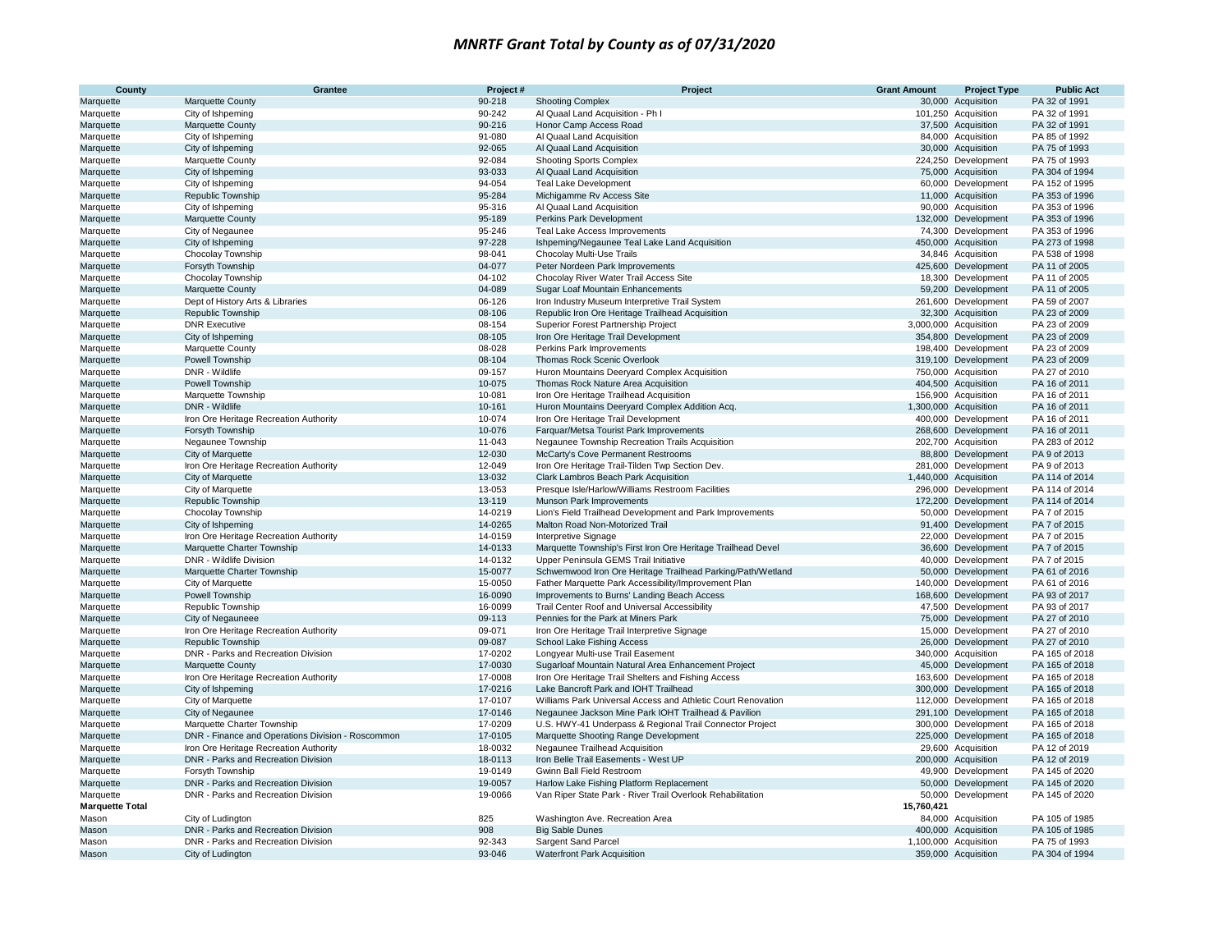| County                 | Grantee                                                     | Project#           | Project                                                                                            | <b>Grant Amount</b> | <b>Project Type</b>                        | <b>Public Act</b>                |
|------------------------|-------------------------------------------------------------|--------------------|----------------------------------------------------------------------------------------------------|---------------------|--------------------------------------------|----------------------------------|
| Marquette              | Marquette County                                            | 90-218             | <b>Shooting Complex</b>                                                                            |                     | 30,000 Acquisition                         | PA 32 of 1991                    |
| Marquette              | City of Ishpeming                                           | 90-242             | Al Quaal Land Acquisition - Ph I                                                                   |                     | 101,250 Acquisition                        | PA 32 of 1991                    |
| Marquette              | Marquette County                                            | 90-216             | Honor Camp Access Road                                                                             |                     | 37,500 Acquisition                         | PA 32 of 1991                    |
| Marquette              | City of Ishpeming                                           | 91-080             | Al Quaal Land Acquisition                                                                          |                     | 84,000 Acquisition                         | PA 85 of 1992                    |
| Marquette              | City of Ishpeming                                           | 92-065             | Al Quaal Land Acquisition                                                                          |                     | 30,000 Acquisition                         | PA 75 of 1993                    |
| Marquette              | Marquette County                                            | 92-084             | <b>Shooting Sports Complex</b>                                                                     |                     | 224,250 Development                        | PA 75 of 1993                    |
| Marquette              | City of Ishpeming                                           | 93-033             | Al Quaal Land Acquisition                                                                          |                     | 75,000 Acquisition                         | PA 304 of 1994                   |
| Marquette              | City of Ishpeming                                           | 94-054             | <b>Teal Lake Development</b>                                                                       |                     | 60,000 Development                         | PA 152 of 1995                   |
| Marquette              | Republic Township                                           | 95-284             | Michigamme Rv Access Site                                                                          |                     | 11,000 Acquisition                         | PA 353 of 1996                   |
| Marquette              | City of Ishpeming                                           | 95-316             | Al Quaal Land Acquisition                                                                          |                     | 90,000 Acquisition                         | PA 353 of 1996                   |
| Marquette              | Marquette County                                            | 95-189             | Perkins Park Development                                                                           |                     | 132,000 Development                        | PA 353 of 1996                   |
| Marquette              | City of Negaunee                                            | 95-246             | Teal Lake Access Improvements                                                                      |                     | 74,300 Development                         | PA 353 of 1996                   |
| Marquette              | City of Ishpeming                                           | 97-228             | Ishpeming/Negaunee Teal Lake Land Acquisition                                                      |                     | 450,000 Acquisition                        | PA 273 of 1998                   |
| Marquette              | Chocolay Township                                           | 98-041             | Chocolay Multi-Use Trails                                                                          |                     | 34,846 Acquisition                         | PA 538 of 1998                   |
| Marquette              | Forsyth Township                                            | 04-077             | Peter Nordeen Park Improvements                                                                    |                     | 425,600 Development                        | PA 11 of 2005                    |
| Marquette              | Chocolay Township                                           | 04-102<br>04-089   | Chocolay River Water Trail Access Site                                                             |                     | 18,300 Development                         | PA 11 of 2005<br>PA 11 of 2005   |
| Marquette              | Marquette County                                            | 06-126             | Sugar Loaf Mountain Enhancements                                                                   |                     | 59,200 Development                         |                                  |
| Marquette              | Dept of History Arts & Libraries<br>Republic Township       | 08-106             | Iron Industry Museum Interpretive Trail System<br>Republic Iron Ore Heritage Trailhead Acquisition |                     | 261,600 Development<br>32,300 Acquisition  | PA 59 of 2007<br>PA 23 of 2009   |
| Marquette<br>Marquette | <b>DNR Executive</b>                                        | 08-154             | Superior Forest Partnership Project                                                                |                     | 3,000,000 Acquisition                      | PA 23 of 2009                    |
| Marquette              | City of Ishpeming                                           | 08-105             | Iron Ore Heritage Trail Development                                                                |                     | 354,800 Development                        | PA 23 of 2009                    |
| Marquette              | Marquette County                                            | 08-028             | Perkins Park Improvements                                                                          |                     | 198,400 Development                        | PA 23 of 2009                    |
| Marquette              | Powell Township                                             | 08-104             | Thomas Rock Scenic Overlook                                                                        |                     | 319,100 Development                        | PA 23 of 2009                    |
| Marquette              | DNR - Wildlife                                              | 09-157             | Huron Mountains Deeryard Complex Acquisition                                                       |                     | 750,000 Acquisition                        | PA 27 of 2010                    |
| Marquette              | Powell Township                                             | 10-075             | Thomas Rock Nature Area Acquisition                                                                |                     | 404,500 Acquisition                        | PA 16 of 2011                    |
| Marquette              | Marquette Township                                          | 10-081             | Iron Ore Heritage Trailhead Acquisition                                                            |                     | 156,900 Acquisition                        | PA 16 of 2011                    |
| Marquette              | DNR - Wildlife                                              | 10-161             | Huron Mountains Deeryard Complex Addition Acq.                                                     |                     | 1,300,000 Acquisition                      | PA 16 of 2011                    |
| Marquette              | Iron Ore Heritage Recreation Authority                      | 10-074             | Iron Ore Heritage Trail Development                                                                |                     | 400,000 Development                        | PA 16 of 2011                    |
| Marquette              | Forsyth Township                                            | 10-076             | Farquar/Metsa Tourist Park Improvements                                                            |                     | 268,600 Development                        | PA 16 of 2011                    |
| Marquette              | Negaunee Township                                           | 11-043             | Negaunee Township Recreation Trails Acquisition                                                    |                     | 202,700 Acquisition                        | PA 283 of 2012                   |
| Marquette              | City of Marquette                                           | 12-030             | McCarty's Cove Permanent Restrooms                                                                 |                     | 88.800 Development                         | PA 9 of 2013                     |
| Marquette              | Iron Ore Heritage Recreation Authority                      | 12-049             | Iron Ore Heritage Trail-Tilden Twp Section Dev.                                                    |                     | 281,000 Development                        | PA 9 of 2013                     |
| Marquette              | City of Marquette                                           | 13-032             | Clark Lambros Beach Park Acquisition                                                               |                     | 1,440,000 Acquisition                      | PA 114 of 2014                   |
| Marquette              | City of Marquette                                           | 13-053             | Presque Isle/Harlow/Williams Restroom Facilities                                                   |                     | 296,000 Development                        | PA 114 of 2014                   |
| Marquette              | Republic Township                                           | 13-119             | Munson Park Improvements                                                                           |                     | 172,200 Development                        | PA 114 of 2014                   |
| Marquette              | Chocolay Township                                           | 14-0219            | Lion's Field Trailhead Development and Park Improvements                                           |                     | 50,000 Development                         | PA 7 of 2015                     |
| Marquette              | City of Ishpeming                                           | 14-0265            | Malton Road Non-Motorized Trail                                                                    |                     | 91,400 Development                         | PA 7 of 2015                     |
| Marquette              | Iron Ore Heritage Recreation Authority                      | 14-0159            | <b>Interpretive Signage</b>                                                                        |                     | 22,000 Development                         | PA 7 of 2015                     |
| Marquette              | Marquette Charter Township                                  | 14-0133            | Marquette Township's First Iron Ore Heritage Trailhead Devel                                       |                     | 36,600 Development                         | PA 7 of 2015                     |
| Marquette              | DNR - Wildlife Division                                     | 14-0132            | Upper Peninsula GEMS Trail Initiative                                                              |                     | 40,000 Development                         | PA 7 of 2015                     |
| Marquette              | Marquette Charter Township                                  | 15-0077            | Schwemwood Iron Ore Heritage Trailhead Parking/Path/Wetland                                        |                     | 50,000 Development                         | PA 61 of 2016                    |
| Marquette              | City of Marquette                                           | 15-0050            | Father Marquette Park Accessibility/Improvement Plan                                               |                     | 140,000 Development                        | PA 61 of 2016                    |
| Marquette              | Powell Township                                             | 16-0090            | Improvements to Burns' Landing Beach Access                                                        |                     | 168,600 Development                        | PA 93 of 2017                    |
| Marquette              | Republic Township                                           | 16-0099            | Trail Center Roof and Universal Accessibility                                                      |                     | 47,500 Development                         | PA 93 of 2017                    |
| Marquette              | City of Negauneee                                           | 09-113             | Pennies for the Park at Miners Park                                                                |                     | 75,000 Development                         | PA 27 of 2010                    |
| Marquette              | Iron Ore Heritage Recreation Authority                      | 09-071             | Iron Ore Heritage Trail Interpretive Signage                                                       |                     | 15,000 Development                         | PA 27 of 2010                    |
| Marquette              | <b>Republic Township</b>                                    | 09-087             | School Lake Fishing Access                                                                         |                     | 26,000 Development                         | PA 27 of 2010                    |
| Marquette              | DNR - Parks and Recreation Division                         | 17-0202            | Longyear Multi-use Trail Easement                                                                  |                     | 340,000 Acquisition                        | PA 165 of 2018                   |
| Marquette              | Marquette County                                            | 17-0030            | Sugarloaf Mountain Natural Area Enhancement Project                                                |                     | 45,000 Development                         | PA 165 of 2018                   |
| Marquette<br>Marquette | Iron Ore Heritage Recreation Authority<br>City of Ishpeming | 17-0008<br>17-0216 | Iron Ore Heritage Trail Shelters and Fishing Access<br>Lake Bancroft Park and IOHT Trailhead       |                     | 163,600 Development<br>300,000 Development | PA 165 of 2018<br>PA 165 of 2018 |
| Marquette              | City of Marquette                                           | 17-0107            | Williams Park Universal Access and Athletic Court Renovation                                       |                     | 112,000 Development                        | PA 165 of 2018                   |
| Marquette              | City of Negaunee                                            | 17-0146            | Negaunee Jackson Mine Park IOHT Trailhead & Pavilion                                               |                     | 291,100 Development                        | PA 165 of 2018                   |
| Marquette              | Marquette Charter Township                                  | 17-0209            | U.S. HWY-41 Underpass & Regional Trail Connector Project                                           |                     | 300,000 Development                        | PA 165 of 2018                   |
| Marquette              | DNR - Finance and Operations Division - Roscommon           | 17-0105            | Marquette Shooting Range Development                                                               |                     | 225,000 Development                        | PA 165 of 2018                   |
| Marquette              | Iron Ore Heritage Recreation Authority                      | 18-0032            | Negaunee Trailhead Acquisition                                                                     |                     | 29,600 Acquisition                         | PA 12 of 2019                    |
| Marquette              | DNR - Parks and Recreation Division                         | 18-0113            | Iron Belle Trail Easements - West UP                                                               |                     | 200,000 Acquisition                        | PA 12 of 2019                    |
| Marquette              | Forsyth Township                                            | 19-0149            | Gwinn Ball Field Restroom                                                                          |                     | 49,900 Development                         | PA 145 of 2020                   |
| Marquette              | DNR - Parks and Recreation Division                         | 19-0057            | Harlow Lake Fishing Platform Replacement                                                           |                     | 50,000 Development                         | PA 145 of 2020                   |
| Marquette              | DNR - Parks and Recreation Division                         | 19-0066            | Van Riper State Park - River Trail Overlook Rehabilitation                                         |                     | 50,000 Development                         | PA 145 of 2020                   |
| <b>Marquette Total</b> |                                                             |                    |                                                                                                    | 15,760,421          |                                            |                                  |
| Mason                  | City of Ludington                                           | 825                | Washington Ave. Recreation Area                                                                    |                     | 84,000 Acquisition                         | PA 105 of 1985                   |
| Mason                  | DNR - Parks and Recreation Division                         | 908                | <b>Big Sable Dunes</b>                                                                             |                     | 400,000 Acquisition                        | PA 105 of 1985                   |
| Mason                  | DNR - Parks and Recreation Division                         | 92-343             | <b>Sargent Sand Parcel</b>                                                                         |                     | 1,100,000 Acquisition                      | PA 75 of 1993                    |
| Mason                  | City of Ludington                                           | 93-046             | <b>Waterfront Park Acquisition</b>                                                                 |                     | 359,000 Acquisition                        | PA 304 of 1994                   |
|                        |                                                             |                    |                                                                                                    |                     |                                            |                                  |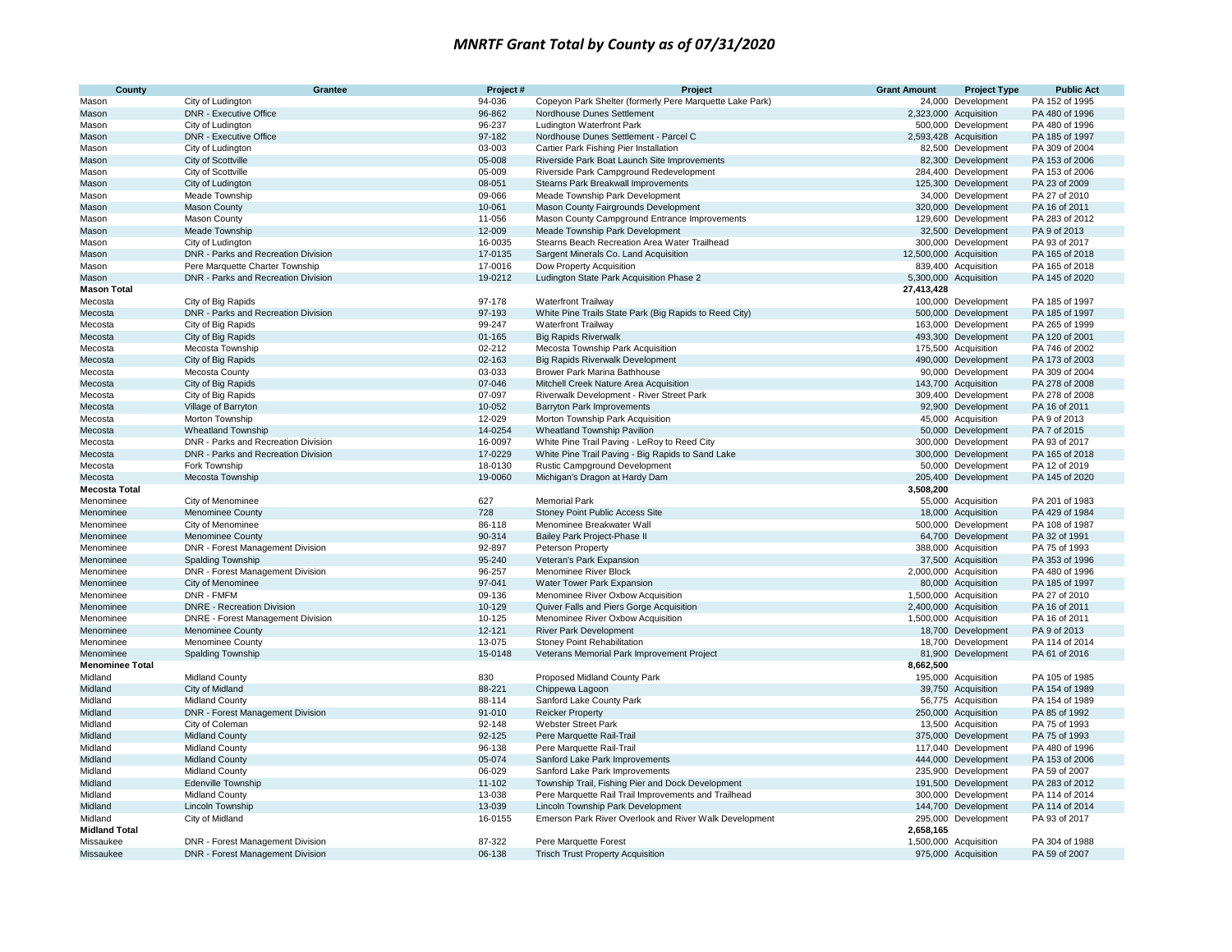| County                 | <b>Grantee</b>                           | Project#   | Project                                                  | <b>Grant Amount</b>    | <b>Project Type</b>   | <b>Public Act</b> |
|------------------------|------------------------------------------|------------|----------------------------------------------------------|------------------------|-----------------------|-------------------|
| Mason                  | City of Ludington                        | 94-036     | Copeyon Park Shelter (formerly Pere Marquette Lake Park) |                        | 24,000 Development    | PA 152 of 1995    |
| Mason                  | <b>DNR - Executive Office</b>            | 96-862     | Nordhouse Dunes Settlement                               |                        | 2,323,000 Acquisition | PA 480 of 1996    |
| Mason                  | City of Ludington                        | 96-237     | <b>Ludington Waterfront Park</b>                         |                        | 500,000 Development   | PA 480 of 1996    |
| Mason                  | <b>DNR - Executive Office</b>            | 97-182     | Nordhouse Dunes Settlement - Parcel C                    |                        | 2,593,428 Acquisition | PA 185 of 1997    |
| Mason                  | City of Ludington                        | 03-003     | Cartier Park Fishing Pier Installation                   |                        | 82,500 Development    | PA 309 of 2004    |
| Mason                  | City of Scottville                       | 05-008     | Riverside Park Boat Launch Site Improvements             |                        | 82,300 Development    | PA 153 of 2006    |
| Mason                  | City of Scottville                       | 05-009     | Riverside Park Campground Redevelopment                  |                        | 284,400 Development   | PA 153 of 2006    |
| Mason                  | City of Ludington                        | 08-051     | Stearns Park Breakwall Improvements                      |                        | 125,300 Development   | PA 23 of 2009     |
| Mason                  | Meade Township                           | 09-066     | Meade Township Park Development                          |                        | 34,000 Development    | PA 27 of 2010     |
| Mason                  | Mason County                             | 10-061     | Mason County Fairgrounds Development                     |                        | 320,000 Development   | PA 16 of 2011     |
| Mason                  | Mason County                             | 11-056     | Mason County Campground Entrance Improvements            |                        | 129,600 Development   | PA 283 of 2012    |
| Mason                  | Meade Township                           | 12-009     | Meade Township Park Development                          |                        | 32,500 Development    | PA 9 of 2013      |
| Mason                  | City of Ludington                        | 16-0035    | Stearns Beach Recreation Area Water Trailhead            |                        | 300,000 Development   | PA 93 of 2017     |
| Mason                  | DNR - Parks and Recreation Division      | 17-0135    | Sargent Minerals Co. Land Acquisition                    | 12,500,000 Acquisition |                       | PA 165 of 2018    |
| Mason                  | Pere Marquette Charter Township          | 17-0016    | Dow Property Acquisition                                 |                        | 839,400 Acquisition   | PA 165 of 2018    |
| Mason                  | DNR - Parks and Recreation Division      | 19-0212    | Ludington State Park Acquisition Phase 2                 |                        | 5,300,000 Acquisition | PA 145 of 2020    |
| <b>Mason Total</b>     |                                          |            |                                                          | 27,413,428             |                       |                   |
| Mecosta                | City of Big Rapids                       | 97-178     | <b>Waterfront Trailway</b>                               |                        | 100,000 Development   | PA 185 of 1997    |
| Mecosta                | DNR - Parks and Recreation Division      | 97-193     | White Pine Trails State Park (Big Rapids to Reed City)   |                        | 500.000 Development   | PA 185 of 1997    |
| Mecosta                | City of Big Rapids                       | 99-247     | <b>Waterfront Trailway</b>                               |                        | 163,000 Development   | PA 265 of 1999    |
| Mecosta                | City of Big Rapids                       | $01 - 165$ | <b>Big Rapids Riverwalk</b>                              |                        | 493,300 Development   | PA 120 of 2001    |
| Mecosta                | Mecosta Township                         | 02-212     | Mecosta Township Park Acquisition                        |                        | 175,500 Acquisition   | PA 746 of 2002    |
| Mecosta                | City of Big Rapids                       | 02-163     | <b>Big Rapids Riverwalk Development</b>                  |                        | 490,000 Development   | PA 173 of 2003    |
| Mecosta                | Mecosta County                           | 03-033     | Brower Park Marina Bathhouse                             |                        | 90,000 Development    | PA 309 of 2004    |
| Mecosta                | City of Big Rapids                       | 07-046     | Mitchell Creek Nature Area Acquisition                   |                        | 143,700 Acquisition   | PA 278 of 2008    |
| Mecosta                | City of Big Rapids                       | 07-097     | Riverwalk Development - River Street Park                |                        | 309,400 Development   | PA 278 of 2008    |
| Mecosta                | Village of Barryton                      | 10-052     | <b>Barryton Park Improvements</b>                        |                        | 92,900 Development    | PA 16 of 2011     |
| Mecosta                | Morton Township                          | 12-029     | Morton Township Park Acquisition                         |                        | 45,000 Acquisition    | PA 9 of 2013      |
| Mecosta                | <b>Wheatland Township</b>                | 14-0254    | <b>Wheatland Township Pavilion</b>                       |                        | 50,000 Development    | PA 7 of 2015      |
| Mecosta                | DNR - Parks and Recreation Division      | 16-0097    | White Pine Trail Paving - LeRoy to Reed City             |                        | 300,000 Development   | PA 93 of 2017     |
| Mecosta                | DNR - Parks and Recreation Division      | 17-0229    | White Pine Trail Paving - Big Rapids to Sand Lake        |                        | 300,000 Development   | PA 165 of 2018    |
| Mecosta                | Fork Township                            | 18-0130    | Rustic Campground Development                            |                        | 50,000 Development    | PA 12 of 2019     |
| Mecosta                | Mecosta Township                         | 19-0060    | Michigan's Dragon at Hardy Dam                           |                        | 205,400 Development   | PA 145 of 2020    |
| <b>Mecosta Total</b>   |                                          |            |                                                          | 3,508,200              |                       |                   |
| Menominee              | City of Menominee                        | 627        | <b>Memorial Park</b>                                     |                        | 55,000 Acquisition    | PA 201 of 1983    |
| Menominee              | <b>Menominee County</b>                  | 728        | Stoney Point Public Access Site                          |                        | 18,000 Acquisition    | PA 429 of 1984    |
| Menominee              | City of Menominee                        | 86-118     | Menominee Breakwater Wall                                |                        | 500,000 Development   | PA 108 of 1987    |
| Menominee              | <b>Menominee County</b>                  | 90-314     | Bailey Park Project-Phase II                             |                        | 64,700 Development    | PA 32 of 1991     |
| Menominee              | DNR - Forest Management Division         | 92-897     | Peterson Property                                        |                        | 388,000 Acquisition   | PA 75 of 1993     |
| Menominee              | <b>Spalding Township</b>                 | 95-240     | Veteran's Park Expansion                                 |                        | 37,500 Acquisition    | PA 353 of 1996    |
| Menominee              | DNR - Forest Management Division         | 96-257     | Menominee River Block                                    |                        | 2,000,000 Acquisition | PA 480 of 1996    |
| Menominee              | City of Menominee                        | 97-041     | Water Tower Park Expansion                               |                        | 80,000 Acquisition    | PA 185 of 1997    |
| Menominee              | DNR - FMFM                               | 09-136     | Menominee River Oxbow Acquisition                        |                        | 1,500,000 Acquisition | PA 27 of 2010     |
| Menominee              | <b>DNRE</b> - Recreation Division        | 10-129     | Quiver Falls and Piers Gorge Acquisition                 |                        | 2,400,000 Acquisition | PA 16 of 2011     |
| Menominee              | <b>DNRE</b> - Forest Management Division | 10-125     | Menominee River Oxbow Acquisition                        |                        | 1,500,000 Acquisition | PA 16 of 2011     |
| Menominee              | <b>Menominee County</b>                  | 12-121     | <b>River Park Development</b>                            |                        | 18,700 Development    | PA 9 of 2013      |
| Menominee              | Menominee County                         | 13-075     | Stoney Point Rehabilitation                              |                        | 18,700 Development    | PA 114 of 2014    |
| Menominee              | Spalding Township                        | 15-0148    | Veterans Memorial Park Improvement Project               | 81,900                 | Development           | PA 61 of 2016     |
| <b>Menominee Total</b> |                                          |            |                                                          | 8,662,500              |                       |                   |
| Midland                | Midland County                           | 830        | Proposed Midland County Park                             |                        | 195,000 Acquisition   | PA 105 of 1985    |
| Midland                | City of Midland                          | 88-221     | Chippewa Lagoon                                          |                        | 39,750 Acquisition    | PA 154 of 1989    |
| Midland                | <b>Midland County</b>                    | 88-114     | Sanford Lake County Park                                 |                        | 56,775 Acquisition    | PA 154 of 1989    |
| Midland                | DNR - Forest Management Division         | 91-010     | <b>Reicker Property</b>                                  |                        | 250,000 Acquisition   | PA 85 of 1992     |
| Midland                | City of Coleman                          | 92-148     | <b>Webster Street Park</b>                               |                        | 13,500 Acquisition    | PA 75 of 1993     |
| Midland                | <b>Midland County</b>                    | 92-125     | Pere Marquette Rail-Trail                                |                        | 375,000 Development   | PA 75 of 1993     |
| Midland                | <b>Midland County</b>                    | 96-138     | Pere Marquette Rail-Trail                                |                        | 117,040 Development   | PA 480 of 1996    |
| Midland                | <b>Midland County</b>                    | 05-074     | Sanford Lake Park Improvements                           |                        | 444,000 Development   | PA 153 of 2006    |
| Midland                | <b>Midland County</b>                    | 06-029     | Sanford Lake Park Improvements                           |                        | 235,900 Development   | PA 59 of 2007     |
| Midland                | <b>Edenville Township</b>                | 11-102     | Township Trail, Fishing Pier and Dock Development        |                        | 191,500 Development   | PA 283 of 2012    |
| Midland                | <b>Midland County</b>                    | 13-038     | Pere Marquette Rail Trail Improvements and Trailhead     |                        | 300,000 Development   | PA 114 of 2014    |
| Midland                | Lincoln Township                         | 13-039     | Lincoln Township Park Development                        |                        | 144,700 Development   | PA 114 of 2014    |
| Midland                | City of Midland                          | 16-0155    | Emerson Park River Overlook and River Walk Development   |                        | 295,000 Development   | PA 93 of 2017     |
| <b>Midland Total</b>   |                                          |            |                                                          | 2,658,165              |                       |                   |
| Missaukee              | DNR - Forest Management Division         | 87-322     | Pere Marquette Forest                                    |                        | 1,500,000 Acquisition | PA 304 of 1988    |
| Missaukee              | DNR - Forest Management Division         | 06-138     | <b>Trisch Trust Property Acquisition</b>                 |                        | 975,000 Acquisition   | PA 59 of 2007     |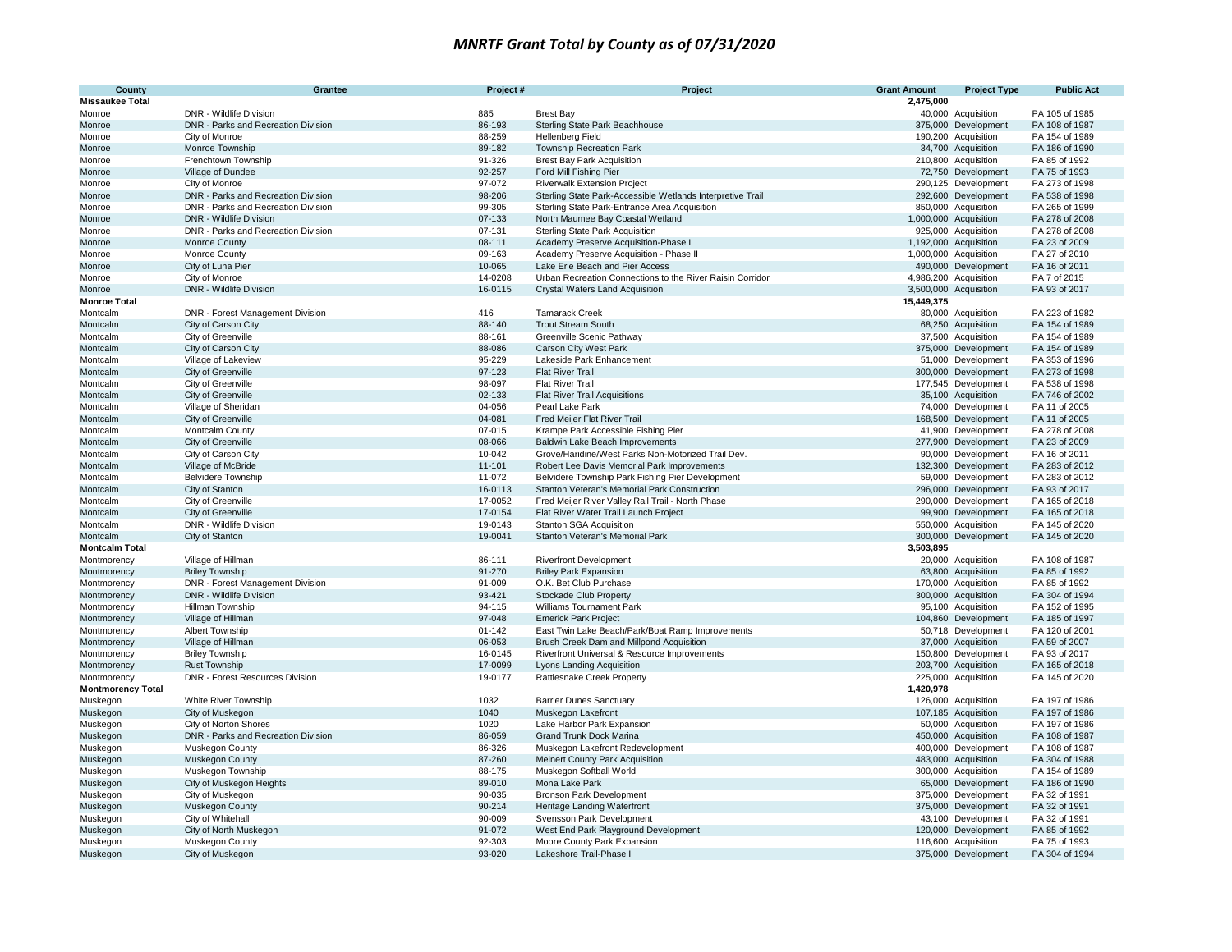| County<br><b>Missaukee Total</b> | Grantee                             | Project#   | Project                                                    | <b>Grant Amount</b><br>2,475,000 | <b>Project Type</b>   | <b>Public Act</b>                |
|----------------------------------|-------------------------------------|------------|------------------------------------------------------------|----------------------------------|-----------------------|----------------------------------|
|                                  | DNR - Wildlife Division             | 885        |                                                            |                                  | 40,000 Acquisition    | PA 105 of 1985                   |
| Monroe<br>Monroe                 | DNR - Parks and Recreation Division | 86-193     | <b>Brest Bay</b><br>Sterling State Park Beachhouse         |                                  | 375,000 Development   | PA 108 of 1987                   |
| Monroe                           | City of Monroe                      | 88-259     | <b>Hellenberg Field</b>                                    |                                  | 190,200 Acquisition   | PA 154 of 1989                   |
| Monroe                           |                                     | 89-182     |                                                            |                                  |                       | PA 186 of 1990                   |
|                                  | Monroe Township                     |            | <b>Township Recreation Park</b>                            |                                  | 34,700 Acquisition    |                                  |
| Monroe                           | Frenchtown Township                 | 91-326     | <b>Brest Bay Park Acquisition</b>                          |                                  | 210,800 Acquisition   | PA 85 of 1992                    |
| Monroe                           | Village of Dundee                   | 92-257     | Ford Mill Fishing Pier                                     |                                  | 72,750 Development    | PA 75 of 1993                    |
| Monroe                           | City of Monroe                      | 97-072     | <b>Riverwalk Extension Project</b>                         |                                  | 290,125 Development   | PA 273 of 1998                   |
| Monroe                           | DNR - Parks and Recreation Division | 98-206     | Sterling State Park-Accessible Wetlands Interpretive Trail |                                  | 292,600 Development   | PA 538 of 1998                   |
| Monroe                           | DNR - Parks and Recreation Division | 99-305     | Sterling State Park-Entrance Area Acquisition              |                                  | 850,000 Acquisition   | PA 265 of 1999                   |
| Monroe                           | <b>DNR</b> - Wildlife Division      | 07-133     | North Maumee Bay Coastal Wetland                           |                                  | 1,000,000 Acquisition | PA 278 of 2008                   |
| Monroe                           | DNR - Parks and Recreation Division | 07-131     | <b>Sterling State Park Acquisition</b>                     |                                  | 925,000 Acquisition   | PA 278 of 2008                   |
| Monroe                           | Monroe County                       | 08-111     | Academy Preserve Acquisition-Phase I                       |                                  | 1,192,000 Acquisition | PA 23 of 2009                    |
| Monroe                           | Monroe County                       | 09-163     | Academy Preserve Acquisition - Phase II                    |                                  | 1,000,000 Acquisition | PA 27 of 2010                    |
| Monroe                           | City of Luna Pier                   | 10-065     | Lake Erie Beach and Pier Access                            |                                  | 490,000 Development   | PA 16 of 2011                    |
| Monroe                           | City of Monroe                      | 14-0208    | Urban Recreation Connections to the River Raisin Corridor  |                                  | 4,986,200 Acquisition | PA 7 of 2015                     |
| Monroe                           | DNR - Wildlife Division             | 16-0115    | Crystal Waters Land Acquisition                            |                                  | 3,500,000 Acquisition | PA 93 of 2017                    |
| <b>Monroe Total</b>              |                                     |            |                                                            | 15,449,375                       |                       |                                  |
| Montcalm                         | DNR - Forest Management Division    | 416        | <b>Tamarack Creek</b>                                      |                                  | 80,000 Acquisition    | PA 223 of 1982                   |
| Montcalm                         | City of Carson City                 | 88-140     | <b>Trout Stream South</b>                                  |                                  | 68,250 Acquisition    | PA 154 of 1989                   |
| Montcalm                         | City of Greenville                  | 88-161     | Greenville Scenic Pathway                                  |                                  | 37,500 Acquisition    | PA 154 of 1989                   |
| Montcalm                         | City of Carson City                 | 88-086     | Carson City West Park                                      |                                  | 375,000 Development   | PA 154 of 1989                   |
| Montcalm                         | Village of Lakeview                 | 95-229     | Lakeside Park Enhancement                                  |                                  | 51,000 Development    | PA 353 of 1996                   |
| Montcalm                         | City of Greenville                  | 97-123     | <b>Flat River Trail</b>                                    |                                  | 300,000 Development   | PA 273 of 1998                   |
| Montcalm                         | City of Greenville                  | 98-097     | <b>Flat River Trail</b>                                    |                                  | 177,545 Development   | PA 538 of 1998                   |
| Montcalm                         | City of Greenville                  | 02-133     | <b>Flat River Trail Acquisitions</b>                       |                                  | 35,100 Acquisition    | PA 746 of 2002                   |
| Montcalm                         | Village of Sheridan                 | 04-056     | Pearl Lake Park                                            |                                  | 74,000 Development    | PA 11 of 2005                    |
| Montcalm                         | City of Greenville                  | 04-081     | Fred Meijer Flat River Trail                               |                                  | 168,500 Development   | PA 11 of 2005                    |
| Montcalm                         | Montcalm County                     | 07-015     | Krampe Park Accessible Fishing Pier                        |                                  | 41,900 Development    | PA 278 of 2008                   |
| Montcalm                         | City of Greenville                  | 08-066     | Baldwin Lake Beach Improvements                            |                                  | 277,900 Development   | PA 23 of 2009                    |
| Montcalm                         | City of Carson City                 | 10-042     | Grove/Haridine/West Parks Non-Motorized Trail Dev.         |                                  | 90,000 Development    | PA 16 of 2011                    |
| Montcalm                         | Village of McBride                  | 11-101     | Robert Lee Davis Memorial Park Improvements                |                                  | 132,300 Development   | PA 283 of 2012                   |
| Montcalm                         | <b>Belvidere Township</b>           | 11-072     | Belvidere Township Park Fishing Pier Development           |                                  | 59,000 Development    | PA 283 of 2012                   |
| Montcalm                         | City of Stanton                     | 16-0113    | Stanton Veteran's Memorial Park Construction               |                                  | 296,000 Development   | PA 93 of 2017                    |
| Montcalm                         | City of Greenville                  | 17-0052    | Fred Meijer River Valley Rail Trail - North Phase          |                                  | 290,000 Development   | PA 165 of 2018                   |
| Montcalm                         | City of Greenville                  | 17-0154    | Flat River Water Trail Launch Project                      |                                  | 99,900 Development    | PA 165 of 2018                   |
| Montcalm                         | DNR - Wildlife Division             | 19-0143    | <b>Stanton SGA Acquisition</b>                             |                                  | 550,000 Acquisition   | PA 145 of 2020                   |
| Montcalm                         | City of Stanton                     | 19-0041    | Stanton Veteran's Memorial Park                            |                                  | 300,000 Development   | PA 145 of 2020                   |
| <b>Montcalm Total</b>            |                                     |            |                                                            | 3,503,895                        |                       |                                  |
| Montmorency                      | Village of Hillman                  | 86-111     | <b>Riverfront Development</b>                              |                                  | 20,000 Acquisition    | PA 108 of 1987                   |
| Montmorency                      | <b>Briley Township</b>              | 91-270     | <b>Briley Park Expansion</b>                               |                                  | 63,800 Acquisition    | PA 85 of 1992                    |
| Montmorency                      | DNR - Forest Management Division    | 91-009     | O.K. Bet Club Purchase                                     |                                  | 170,000 Acquisition   | PA 85 of 1992                    |
| Montmorency                      | DNR - Wildlife Division             | 93-421     | Stockade Club Property                                     |                                  | 300,000 Acquisition   | PA 304 of 1994                   |
| Montmorency                      | Hillman Township                    | 94-115     | <b>Williams Tournament Park</b>                            |                                  | 95,100 Acquisition    | PA 152 of 1995                   |
| Montmorency                      | Village of Hillman                  | 97-048     | <b>Emerick Park Project</b>                                |                                  | 104,860 Development   | PA 185 of 1997                   |
| Montmorency                      | Albert Township                     | $01 - 142$ | East Twin Lake Beach/Park/Boat Ramp Improvements           |                                  | 50,718 Development    | PA 120 of 2001                   |
| Montmorency                      | Village of Hillman                  | 06-053     | Brush Creek Dam and Millpond Acquisition                   |                                  | 37,000 Acquisition    | PA 59 of 2007                    |
| Montmorency                      | <b>Briley Township</b>              | 16-0145    | Riverfront Universal & Resource Improvements               |                                  | 150,800 Development   | PA 93 of 2017                    |
| Montmorency                      | <b>Rust Township</b>                | 17-0099    | Lyons Landing Acquisition                                  |                                  | 203,700 Acquisition   | PA 165 of 2018                   |
| Montmorency                      | DNR - Forest Resources Division     | 19-0177    | Rattlesnake Creek Property                                 |                                  | 225,000 Acquisition   | PA 145 of 2020                   |
| <b>Montmorency Total</b>         |                                     |            |                                                            | 1,420,978                        |                       |                                  |
| Muskegon                         | White River Township                | 1032       | <b>Barrier Dunes Sanctuary</b>                             |                                  | 126,000 Acquisition   | PA 197 of 1986                   |
| Muskegon                         | City of Muskegon                    | 1040       | Muskegon Lakefront                                         |                                  | 107,185 Acquisition   | PA 197 of 1986                   |
|                                  | City of Norton Shores               | 1020       | Lake Harbor Park Expansion                                 |                                  | 50,000 Acquisition    | PA 197 of 1986                   |
| Muskegon                         |                                     | 86-059     |                                                            |                                  | 450,000 Acquisition   | PA 108 of 1987                   |
| Muskegon                         | DNR - Parks and Recreation Division |            | Grand Trunk Dock Marina                                    |                                  |                       |                                  |
| Muskegon                         | Muskegon County                     | 86-326     | Muskegon Lakefront Redevelopment                           |                                  | 400,000 Development   | PA 108 of 1987<br>PA 304 of 1988 |
| Muskegon                         | Muskegon County                     | 87-260     | Meinert County Park Acquisition                            |                                  | 483,000 Acquisition   |                                  |
| Muskegon                         | Muskegon Township                   | 88-175     | Muskegon Softball World                                    |                                  | 300,000 Acquisition   | PA 154 of 1989                   |
| Muskegon                         | City of Muskegon Heights            | 89-010     | Mona Lake Park                                             |                                  | 65,000 Development    | PA 186 of 1990                   |
| Muskegon                         | City of Muskegon                    | 90-035     | <b>Bronson Park Development</b>                            |                                  | 375,000 Development   | PA 32 of 1991                    |
| Muskegon                         | Muskegon County                     | 90-214     | Heritage Landing Waterfront                                |                                  | 375,000 Development   | PA 32 of 1991                    |
| Muskegon                         | City of Whitehall                   | 90-009     | Svensson Park Development                                  |                                  | 43,100 Development    | PA 32 of 1991                    |
| Muskegon                         | City of North Muskegon              | 91-072     | West End Park Playground Development                       |                                  | 120,000 Development   | PA 85 of 1992                    |
| Muskegon                         | Muskegon County                     | 92-303     | Moore County Park Expansion                                |                                  | 116,600 Acquisition   | PA 75 of 1993                    |
| Muskegon                         | City of Muskegon                    | 93-020     | Lakeshore Trail-Phase I                                    |                                  | 375,000 Development   | PA 304 of 1994                   |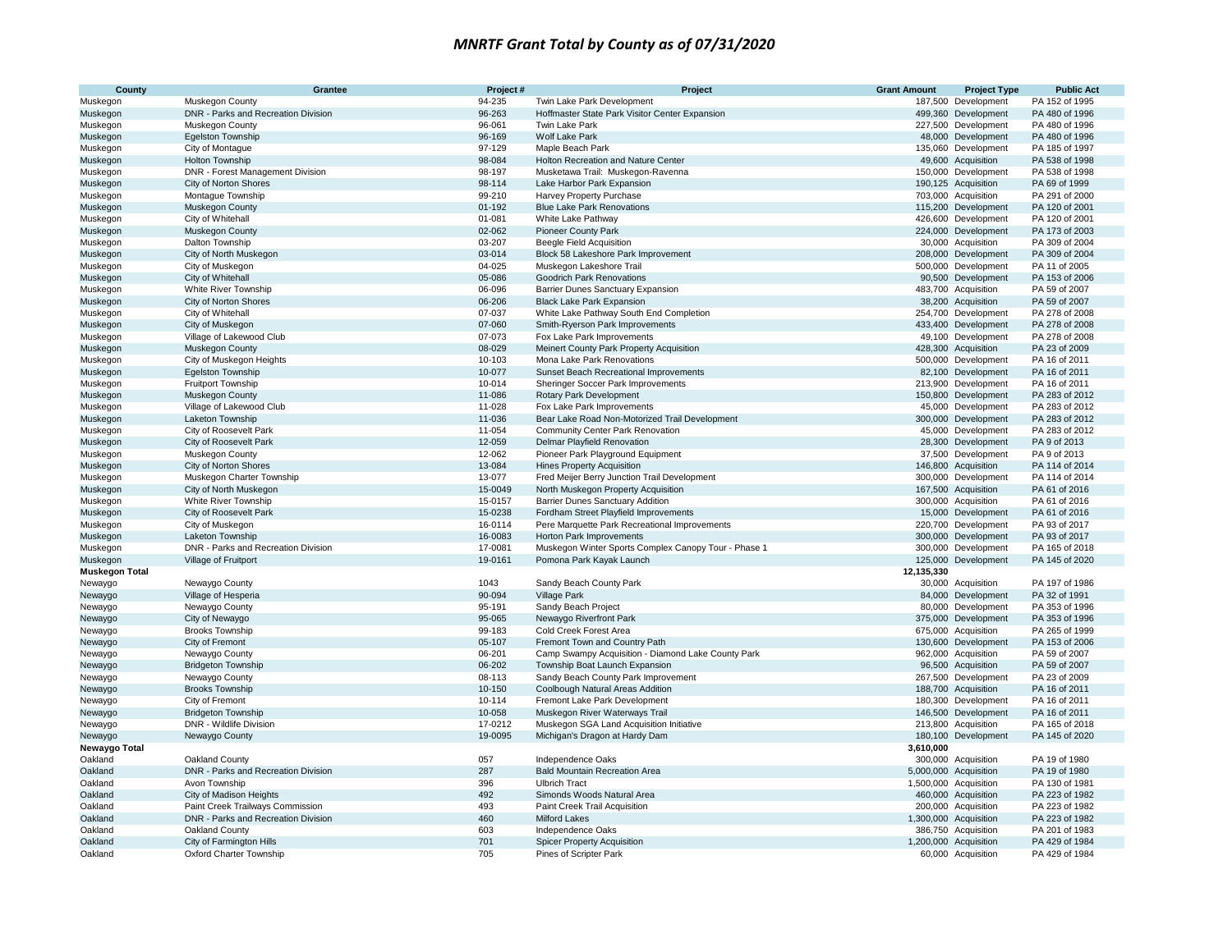| County                | Grantee                                      | Project#         | Project                                                                                   | <b>Grant Amount</b> | <b>Project Type</b>                          | <b>Public Act</b>                |
|-----------------------|----------------------------------------------|------------------|-------------------------------------------------------------------------------------------|---------------------|----------------------------------------------|----------------------------------|
| Muskegon              | Muskegon County                              | 94-235           | Twin Lake Park Development                                                                | 187,500             | Development                                  | PA 152 of 1995                   |
| Muskegon              | DNR - Parks and Recreation Division          | 96-263           | Hoffmaster State Park Visitor Center Expansion                                            |                     | 499,360 Development                          | PA 480 of 1996                   |
| Muskegon              | Muskegon County                              | 96-061           | Twin Lake Park                                                                            |                     | 227,500 Development                          | PA 480 of 1996                   |
| Muskegon              | Egelston Township                            | 96-169           | Wolf Lake Park                                                                            |                     | 48,000 Development                           | PA 480 of 1996                   |
| Muskegon              | City of Montaque                             | 97-129           | Maple Beach Park                                                                          |                     | 135,060 Development                          | PA 185 of 1997                   |
| Muskegon              | Holton Township                              | 98-084           | Holton Recreation and Nature Center                                                       |                     | 49,600 Acquisition                           | PA 538 of 1998                   |
| Muskegon              | DNR - Forest Management Division             | 98-197           | Musketawa Trail: Muskegon-Ravenna                                                         |                     | 150,000 Development                          | PA 538 of 1998                   |
| Muskegon              | City of Norton Shores                        | 98-114           | Lake Harbor Park Expansion                                                                |                     | 190,125 Acquisition                          | PA 69 of 1999                    |
| Muskegon              | Montague Township                            | 99-210           | Harvey Property Purchase                                                                  |                     | 703,000 Acquisition                          | PA 291 of 2000                   |
| Muskegon              | Muskegon County                              | $01 - 192$       | <b>Blue Lake Park Renovations</b>                                                         |                     | 115,200 Development                          | PA 120 of 2001                   |
| Muskegon              | City of Whitehall                            | 01-081           | White Lake Pathway                                                                        |                     | 426,600 Development                          | PA 120 of 2001                   |
| Muskegon              | Muskegon County                              | 02-062           | <b>Pioneer County Park</b>                                                                |                     | 224,000 Development                          | PA 173 of 2003                   |
| Muskegon              | Dalton Township                              | 03-207           | <b>Beegle Field Acquisition</b>                                                           |                     | 30,000 Acquisition                           | PA 309 of 2004                   |
| Muskegon              | City of North Muskegon                       | 03-014           | Block 58 Lakeshore Park Improvement                                                       |                     | 208,000 Development                          | PA 309 of 2004                   |
| Muskegon              | City of Muskegon                             | 04-025           | Muskegon Lakeshore Trail                                                                  |                     | 500,000 Development                          | PA 11 of 2005                    |
| Muskegon              | City of Whitehall                            | 05-086           | Goodrich Park Renovations                                                                 |                     | 90,500 Development                           | PA 153 of 2006                   |
| Muskegon              | White River Township                         | 06-096           | Barrier Dunes Sanctuary Expansion                                                         |                     | 483,700 Acquisition                          | PA 59 of 2007                    |
| Muskegon              | City of Norton Shores                        | 06-206           | <b>Black Lake Park Expansion</b>                                                          |                     | 38,200 Acquisition                           | PA 59 of 2007                    |
| Muskegon              | City of Whitehall                            | 07-037           | White Lake Pathway South End Completion                                                   |                     | 254,700 Development                          | PA 278 of 2008                   |
| Muskegon              | City of Muskegon                             | 07-060           | Smith-Ryerson Park Improvements                                                           |                     | 433,400 Development                          | PA 278 of 2008                   |
| Muskegon              | Village of Lakewood Club                     | 07-073           | Fox Lake Park Improvements                                                                |                     | 49,100 Development                           | PA 278 of 2008                   |
| Muskegon              | Muskegon County                              | 08-029           | Meinert County Park Property Acquisition                                                  |                     | 428,300 Acquisition                          | PA 23 of 2009                    |
| Muskegon              | City of Muskegon Heights                     | 10-103           | Mona Lake Park Renovations                                                                |                     | 500,000 Development                          | PA 16 of 2011                    |
| Muskegon              | <b>Egelston Township</b>                     | 10-077           | <b>Sunset Beach Recreational Improvements</b>                                             |                     | 82,100 Development                           | PA 16 of 2011                    |
| Muskegon              | Fruitport Township                           | 10-014           | Sheringer Soccer Park Improvements                                                        |                     | 213,900 Development                          | PA 16 of 2011                    |
| Muskegon              | Muskegon County                              | 11-086           | Rotary Park Development                                                                   |                     | 150,800 Development                          | PA 283 of 2012<br>PA 283 of 2012 |
| Muskegon              | Village of Lakewood Club<br>Laketon Township | 11-028<br>11-036 | Fox Lake Park Improvements                                                                |                     | 45,000 Development                           | PA 283 of 2012                   |
| Muskegon<br>Muskegon  | City of Roosevelt Park                       | 11-054           | Bear Lake Road Non-Motorized Trail Development<br><b>Community Center Park Renovation</b> |                     | 300,000 Development<br>45,000 Development    | PA 283 of 2012                   |
| Muskegon              | City of Roosevelt Park                       | 12-059           | Delmar Playfield Renovation                                                               |                     | 28,300 Development                           | PA 9 of 2013                     |
| Muskegon              | Muskegon County                              | 12-062           | Pioneer Park Playground Equipment                                                         |                     | 37,500 Development                           | PA 9 of 2013                     |
| Muskegon              | City of Norton Shores                        | 13-084           | <b>Hines Property Acquisition</b>                                                         |                     | 146,800 Acquisition                          | PA 114 of 2014                   |
| Muskegon              | Muskegon Charter Township                    | 13-077           | Fred Meijer Berry Junction Trail Development                                              |                     | 300,000 Development                          | PA 114 of 2014                   |
| Muskegon              | City of North Muskegon                       | 15-0049          | North Muskegon Property Acquisition                                                       |                     | 167,500 Acquisition                          | PA 61 of 2016                    |
| Muskegon              | White River Township                         | 15-0157          | Barrier Dunes Sanctuary Addition                                                          |                     | 300,000 Acquisition                          | PA 61 of 2016                    |
| Muskegon              | City of Roosevelt Park                       | 15-0238          | Fordham Street Playfield Improvements                                                     |                     | 15,000 Development                           | PA 61 of 2016                    |
| Muskegon              | City of Muskegon                             | 16-0114          | Pere Marquette Park Recreational Improvements                                             |                     | 220,700 Development                          | PA 93 of 2017                    |
| Muskegon              | Laketon Township                             | 16-0083          | Horton Park Improvements                                                                  |                     | 300,000 Development                          | PA 93 of 2017                    |
| Muskegon              | DNR - Parks and Recreation Division          | 17-0081          | Muskegon Winter Sports Complex Canopy Tour - Phase 1                                      |                     | 300,000 Development                          | PA 165 of 2018                   |
| Muskegon              | Village of Fruitport                         | 19-0161          | Pomona Park Kayak Launch                                                                  | 125,000             | Development                                  | PA 145 of 2020                   |
| <b>Muskegon Total</b> |                                              |                  |                                                                                           | 12,135,330          |                                              |                                  |
| Newaygo               | Newaygo County                               | 1043             | Sandy Beach County Park                                                                   |                     | 30,000 Acquisition                           | PA 197 of 1986                   |
| Newaygo               | Village of Hesperia                          | 90-094           | <b>Village Park</b>                                                                       |                     | 84,000 Development                           | PA 32 of 1991                    |
| Newaygo               | Newaygo County                               | 95-191           | Sandy Beach Project                                                                       |                     | 80.000 Development                           | PA 353 of 1996                   |
| Newaygo               | City of Newaygo                              | 95-065           | Newaygo Riverfront Park                                                                   |                     | 375,000 Development                          | PA 353 of 1996                   |
| Newaygo               | <b>Brooks Township</b>                       | 99-183           | Cold Creek Forest Area                                                                    |                     | 675,000 Acquisition                          | PA 265 of 1999                   |
| Newaygo               | City of Fremont                              | 05-107           | Fremont Town and Country Path                                                             |                     | 130,600 Development                          | PA 153 of 2006                   |
| Newaygo               | Newaygo County                               | 06-201           | Camp Swampy Acquisition - Diamond Lake County Park                                        |                     | 962,000 Acquisition                          | PA 59 of 2007                    |
| Newaygo               | <b>Bridgeton Township</b>                    | 06-202           | Township Boat Launch Expansion                                                            |                     | 96,500 Acquisition                           | PA 59 of 2007                    |
| Newaygo               | Newaygo County                               | 08-113           | Sandy Beach County Park Improvement                                                       |                     | 267,500 Development                          | PA 23 of 2009                    |
| Newaygo               | <b>Brooks Township</b>                       | 10-150           | Coolbough Natural Areas Addition                                                          |                     | 188,700 Acquisition                          | PA 16 of 2011                    |
| Newaygo               | City of Fremont                              | 10-114           | Fremont Lake Park Development                                                             |                     | 180,300 Development                          | PA 16 of 2011                    |
| Newaygo               | <b>Bridgeton Township</b>                    | 10-058           | Muskegon River Waterways Trail                                                            |                     | 146,500 Development                          | PA 16 of 2011                    |
| Newaygo               | <b>DNR - Wildlife Division</b>               | 17-0212          | Muskegon SGA Land Acquisition Initiative                                                  |                     | 213,800 Acquisition                          | PA 165 of 2018                   |
| Newaygo               | Newaygo County                               | 19-0095          | Michigan's Dragon at Hardy Dam                                                            |                     | 180,100 Development                          | PA 145 of 2020                   |
| Newaygo Total         |                                              |                  |                                                                                           | 3,610,000           |                                              |                                  |
| Oakland               | Oakland County                               | 057<br>287       | Independence Oaks<br><b>Bald Mountain Recreation Area</b>                                 |                     | 300,000 Acquisition                          | PA 19 of 1980<br>PA 19 of 1980   |
| Oakland               | DNR - Parks and Recreation Division          | 396              |                                                                                           |                     | 5,000,000 Acquisition                        |                                  |
| Oakland<br>Oakland    | Avon Township<br>City of Madison Heights     | 492              | <b>Ulbrich Tract</b><br>Simonds Woods Natural Area                                        |                     | 1,500,000 Acquisition<br>460,000 Acquisition | PA 130 of 1981<br>PA 223 of 1982 |
| Oakland               | Paint Creek Trailways Commission             | 493              | Paint Creek Trail Acquisition                                                             |                     | 200,000 Acquisition                          | PA 223 of 1982                   |
| Oakland               | DNR - Parks and Recreation Division          | 460              | <b>Milford Lakes</b>                                                                      |                     | 1,300,000 Acquisition                        | PA 223 of 1982                   |
| Oakland               | Oakland County                               | 603              | Independence Oaks                                                                         |                     | 386,750 Acquisition                          | PA 201 of 1983                   |
| Oakland               | City of Farmington Hills                     | 701              | <b>Spicer Property Acquisition</b>                                                        |                     | 1,200,000 Acquisition                        | PA 429 of 1984                   |
| Oakland               | Oxford Charter Township                      | 705              | Pines of Scripter Park                                                                    |                     | 60,000 Acquisition                           | PA 429 of 1984                   |
|                       |                                              |                  |                                                                                           |                     |                                              |                                  |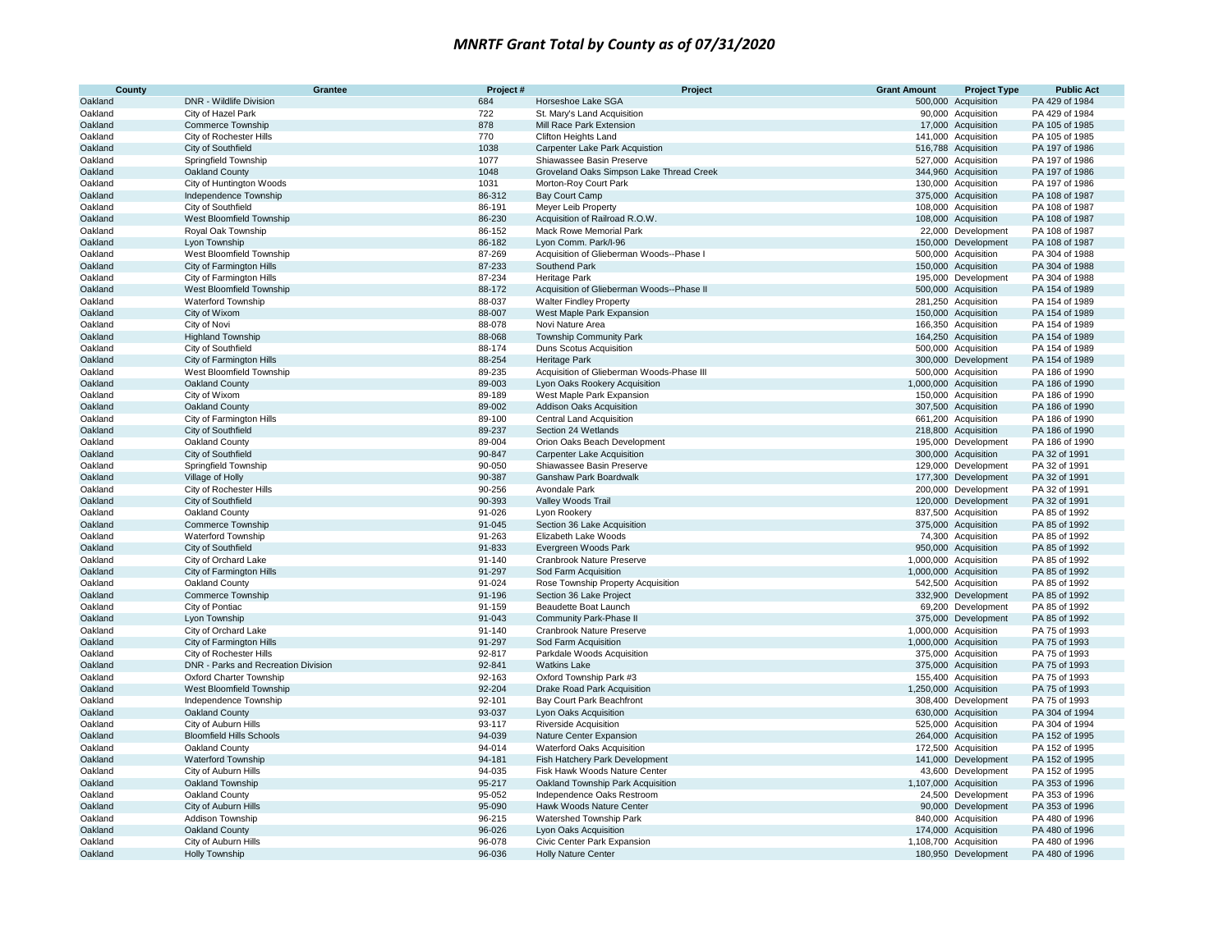| County  | Grantee                             | Project# | Project                                   | <b>Grant Amount</b> | <b>Project Type</b>   | <b>Public Act</b> |
|---------|-------------------------------------|----------|-------------------------------------------|---------------------|-----------------------|-------------------|
| Oakland | DNR - Wildlife Division             | 684      | Horseshoe Lake SGA                        |                     | 500,000 Acquisition   | PA 429 of 1984    |
| Oakland | City of Hazel Park                  | 722      | St. Mary's Land Acquisition               |                     | 90,000 Acquisition    | PA 429 of 1984    |
| Oakland | <b>Commerce Township</b>            | 878      | Mill Race Park Extension                  |                     | 17,000 Acquisition    | PA 105 of 1985    |
| Oakland | City of Rochester Hills             | 770      | <b>Clifton Heights Land</b>               |                     | 141,000 Acquisition   | PA 105 of 1985    |
| Oakland | City of Southfield                  | 1038     | Carpenter Lake Park Acquistion            |                     | 516,788 Acquisition   | PA 197 of 1986    |
| Oakland | Springfield Township                | 1077     | Shiawassee Basin Preserve                 |                     | 527,000 Acquisition   | PA 197 of 1986    |
| Oakland | Oakland County                      | 1048     | Groveland Oaks Simpson Lake Thread Creek  |                     | 344,960 Acquisition   | PA 197 of 1986    |
| Oakland | City of Huntington Woods            | 1031     | Morton-Roy Court Park                     |                     | 130,000 Acquisition   | PA 197 of 1986    |
| Oakland | Independence Township               | 86-312   | <b>Bay Court Camp</b>                     |                     | 375,000 Acquisition   | PA 108 of 1987    |
| Oakland | City of Southfield                  | 86-191   | Meyer Leib Property                       |                     | 108,000 Acquisition   | PA 108 of 1987    |
| Oakland | West Bloomfield Township            | 86-230   | Acquisition of Railroad R.O.W.            |                     | 108,000 Acquisition   | PA 108 of 1987    |
| Oakland | Royal Oak Township                  | 86-152   | Mack Rowe Memorial Park                   |                     | 22,000 Development    | PA 108 of 1987    |
| Oakland | Lyon Township                       | 86-182   | Lyon Comm. Park/I-96                      |                     | 150,000 Development   | PA 108 of 1987    |
| Oakland | West Bloomfield Township            | 87-269   | Acquisition of Glieberman Woods--Phase I  |                     | 500,000 Acquisition   | PA 304 of 1988    |
| Oakland | City of Farmington Hills            | 87-233   | Southend Park                             |                     | 150,000 Acquisition   | PA 304 of 1988    |
| Oakland | City of Farmington Hills            | 87-234   | Heritage Park                             |                     | 195,000 Development   | PA 304 of 1988    |
| Oakland | West Bloomfield Township            | 88-172   | Acquisition of Glieberman Woods--Phase II |                     | 500,000 Acquisition   | PA 154 of 1989    |
| Oakland | Waterford Township                  | 88-037   | <b>Walter Findley Property</b>            |                     | 281,250 Acquisition   | PA 154 of 1989    |
| Oakland | City of Wixom                       | 88-007   | West Maple Park Expansion                 |                     | 150,000 Acquisition   | PA 154 of 1989    |
| Oakland | City of Novi                        | 88-078   | Novi Nature Area                          |                     | 166,350 Acquisition   | PA 154 of 1989    |
| Oakland | <b>Highland Township</b>            | 88-068   | <b>Township Community Park</b>            |                     | 164,250 Acquisition   | PA 154 of 1989    |
| Oakland | City of Southfield                  | 88-174   | Duns Scotus Acquisition                   |                     | 500,000 Acquisition   | PA 154 of 1989    |
| Oakland | City of Farmington Hills            | 88-254   | Heritage Park                             |                     | 300,000 Development   | PA 154 of 1989    |
| Oakland | West Bloomfield Township            | 89-235   | Acquisition of Glieberman Woods-Phase III |                     | 500,000 Acquisition   | PA 186 of 1990    |
| Oakland | Oakland County                      | 89-003   | Lyon Oaks Rookery Acquisition             |                     | 1,000,000 Acquisition | PA 186 of 1990    |
| Oakland | City of Wixom                       | 89-189   | West Maple Park Expansion                 |                     | 150,000 Acquisition   | PA 186 of 1990    |
| Oakland | Oakland County                      | 89-002   | <b>Addison Oaks Acquisition</b>           |                     | 307,500 Acquisition   | PA 186 of 1990    |
| Oakland | City of Farmington Hills            | 89-100   | <b>Central Land Acquisition</b>           |                     | 661,200 Acquisition   | PA 186 of 1990    |
| Oakland | City of Southfield                  | 89-237   | Section 24 Wetlands                       |                     | 218,800 Acquisition   | PA 186 of 1990    |
| Oakland | Oakland County                      | 89-004   | Orion Oaks Beach Development              |                     | 195,000 Development   | PA 186 of 1990    |
| Oakland | City of Southfield                  | 90-847   | <b>Carpenter Lake Acquisition</b>         |                     | 300,000 Acquisition   | PA 32 of 1991     |
| Oakland | Springfield Township                | 90-050   | Shiawassee Basin Preserve                 |                     | 129,000 Development   | PA 32 of 1991     |
| Oakland | Village of Holly                    | 90-387   | <b>Ganshaw Park Boardwalk</b>             |                     | 177,300 Development   | PA 32 of 1991     |
| Oakland | City of Rochester Hills             | 90-256   | Avondale Park                             |                     | 200,000 Development   | PA 32 of 1991     |
| Oakland | City of Southfield                  | 90-393   | Valley Woods Trail                        |                     | 120,000 Development   | PA 32 of 1991     |
| Oakland | Oakland County                      | 91-026   | Lyon Rookery                              |                     | 837,500 Acquisition   | PA 85 of 1992     |
| Oakland | Commerce Township                   | 91-045   | Section 36 Lake Acquisition               |                     | 375,000 Acquisition   | PA 85 of 1992     |
| Oakland | <b>Waterford Township</b>           | 91-263   | Elizabeth Lake Woods                      |                     | 74,300 Acquisition    | PA 85 of 1992     |
| Oakland | City of Southfield                  | 91-833   | Evergreen Woods Park                      |                     | 950,000 Acquisition   | PA 85 of 1992     |
| Oakland | City of Orchard Lake                | 91-140   | Cranbrook Nature Preserve                 |                     | 1,000,000 Acquisition | PA 85 of 1992     |
| Oakland | City of Farmington Hills            | 91-297   | Sod Farm Acquisition                      |                     | 1,000,000 Acquisition | PA 85 of 1992     |
| Oakland | Oakland County                      | 91-024   | Rose Township Property Acquisition        |                     | 542,500 Acquisition   | PA 85 of 1992     |
| Oakland | Commerce Township                   | 91-196   | Section 36 Lake Project                   |                     | 332,900 Development   | PA 85 of 1992     |
| Oakland | City of Pontiac                     | 91-159   | Beaudette Boat Launch                     |                     | 69,200 Development    | PA 85 of 1992     |
| Oakland | Lyon Township                       | 91-043   | Community Park-Phase II                   |                     | 375,000 Development   | PA 85 of 1992     |
| Oakland | City of Orchard Lake                | 91-140   | Cranbrook Nature Preserve                 |                     | 1,000,000 Acquisition | PA 75 of 1993     |
| Oakland | City of Farmington Hills            | 91-297   | Sod Farm Acquisition                      |                     | 1,000,000 Acquisition | PA 75 of 1993     |
| Oakland | City of Rochester Hills             | 92-817   | Parkdale Woods Acquisition                |                     | 375,000 Acquisition   | PA 75 of 1993     |
| Oakland | DNR - Parks and Recreation Division | 92-841   | <b>Watkins Lake</b>                       |                     | 375,000 Acquisition   | PA 75 of 1993     |
| Oakland | Oxford Charter Township             | 92-163   | Oxford Township Park #3                   |                     | 155,400 Acquisition   | PA 75 of 1993     |
| Oakland | West Bloomfield Township            | 92-204   | Drake Road Park Acquisition               |                     | 1,250,000 Acquisition | PA 75 of 1993     |
| Oakland | Independence Township               | 92-101   | Bay Court Park Beachfront                 |                     | 308,400 Development   | PA 75 of 1993     |
| Oakland | Oakland County                      | 93-037   | Lyon Oaks Acquisition                     |                     | 630,000 Acquisition   | PA 304 of 1994    |
| Oakland | City of Auburn Hills                | 93-117   | Riverside Acquisition                     |                     | 525,000 Acquisition   | PA 304 of 1994    |
| Oakland | <b>Bloomfield Hills Schools</b>     | 94-039   | Nature Center Expansion                   |                     | 264,000 Acquisition   | PA 152 of 1995    |
| Oakland | Oakland County                      | 94-014   | <b>Waterford Oaks Acquisition</b>         |                     | 172,500 Acquisition   | PA 152 of 1995    |
| Oakland | <b>Waterford Township</b>           | 94-181   | Fish Hatchery Park Development            |                     | 141,000 Development   | PA 152 of 1995    |
| Oakland | City of Auburn Hills                | 94-035   | Fisk Hawk Woods Nature Center             |                     | 43,600 Development    | PA 152 of 1995    |
| Oakland | Oakland Township                    | 95-217   | Oakland Township Park Acquisition         |                     | 1,107,000 Acquisition | PA 353 of 1996    |
| Oakland | Oakland County                      | 95-052   | Independence Oaks Restroom                |                     | 24,500 Development    | PA 353 of 1996    |
| Oakland | City of Auburn Hills                | 95-090   | Hawk Woods Nature Center                  |                     | 90,000 Development    | PA 353 of 1996    |
| Oakland | Addison Township                    | 96-215   | Watershed Township Park                   |                     | 840,000 Acquisition   | PA 480 of 1996    |
| Oakland | Oakland County                      | 96-026   | Lyon Oaks Acquisition                     |                     | 174,000 Acquisition   | PA 480 of 1996    |
| Oakland | City of Auburn Hills                | 96-078   | Civic Center Park Expansion               |                     | 1,108,700 Acquisition | PA 480 of 1996    |
| Oakland | <b>Holly Township</b>               | 96-036   | <b>Holly Nature Center</b>                |                     | 180,950 Development   | PA 480 of 1996    |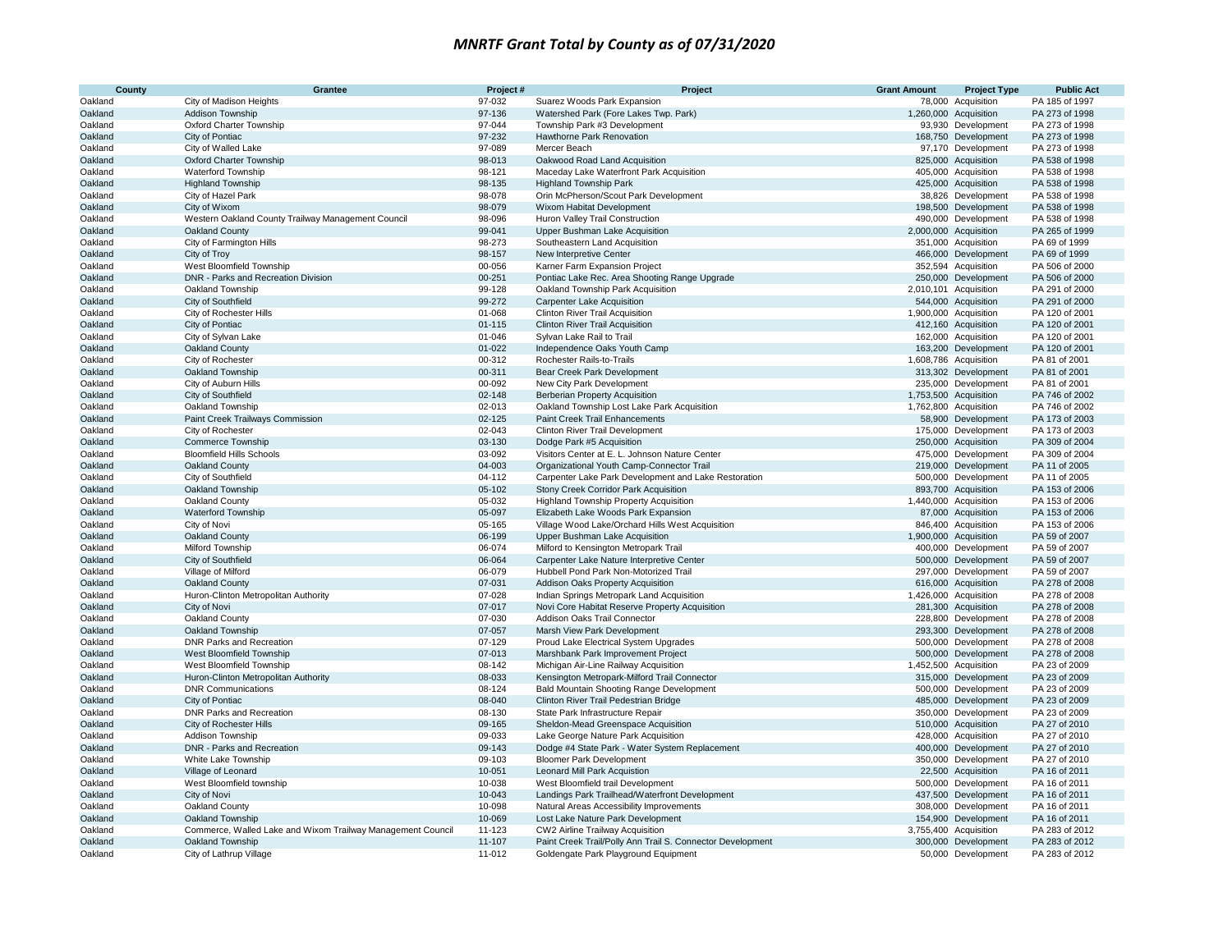| County  | Grantee                                                     | Project#   | Project                                                    | <b>Grant Amount</b> | <b>Project Type</b>   | <b>Public Act</b> |
|---------|-------------------------------------------------------------|------------|------------------------------------------------------------|---------------------|-----------------------|-------------------|
| Oakland | City of Madison Heights                                     | 97-032     | Suarez Woods Park Expansion                                |                     | 78,000 Acquisition    | PA 185 of 1997    |
| Oakland | Addison Township                                            | 97-136     | Watershed Park (Fore Lakes Twp. Park)                      |                     | 1,260,000 Acquisition | PA 273 of 1998    |
| Oakland | Oxford Charter Township                                     | 97-044     | Township Park #3 Development                               |                     | 93,930 Development    | PA 273 of 1998    |
| Oakland | City of Pontiac                                             | 97-232     | Hawthorne Park Renovation                                  |                     | 168,750 Development   | PA 273 of 1998    |
| Oakland | City of Walled Lake                                         | 97-089     | Mercer Beach                                               |                     | 97,170 Development    | PA 273 of 1998    |
| Oakland | <b>Oxford Charter Township</b>                              | 98-013     | Oakwood Road Land Acquisition                              |                     | 825,000 Acquisition   | PA 538 of 1998    |
| Oakland | <b>Waterford Township</b>                                   | 98-121     | Maceday Lake Waterfront Park Acquisition                   |                     | 405,000 Acquisition   | PA 538 of 1998    |
| Oakland | <b>Highland Township</b>                                    | 98-135     | <b>Highland Township Park</b>                              |                     | 425,000 Acquisition   | PA 538 of 1998    |
| Oakland | City of Hazel Park                                          | 98-078     | Orin McPherson/Scout Park Development                      |                     | 38,826 Development    | PA 538 of 1998    |
| Oakland | City of Wixom                                               | 98-079     | Wixom Habitat Development                                  |                     | 198,500 Development   | PA 538 of 1998    |
| Oakland | Western Oakland County Trailway Management Council          | 98-096     | Huron Valley Trail Construction                            |                     | 490,000 Development   | PA 538 of 1998    |
| Oakland | Oakland County                                              | 99-041     | Upper Bushman Lake Acquisition                             |                     | 2,000,000 Acquisition | PA 265 of 1999    |
| Oakland | City of Farmington Hills                                    | 98-273     | Southeastern Land Acquisition                              |                     | 351,000 Acquisition   | PA 69 of 1999     |
| Oakland | City of Troy                                                | 98-157     | New Interpretive Center                                    |                     | 466,000 Development   | PA 69 of 1999     |
| Oakland | West Bloomfield Township                                    | 00-056     | Karner Farm Expansion Project                              |                     | 352,594 Acquisition   | PA 506 of 2000    |
| Oakland | DNR - Parks and Recreation Division                         | 00-251     | Pontiac Lake Rec. Area Shooting Range Upgrade              |                     | 250,000 Development   | PA 506 of 2000    |
| Oakland | Oakland Township                                            | 99-128     | Oakland Township Park Acquisition                          |                     | 2,010,101 Acquisition | PA 291 of 2000    |
| Oakland | City of Southfield                                          | 99-272     | <b>Carpenter Lake Acquisition</b>                          |                     | 544,000 Acquisition   | PA 291 of 2000    |
| Oakland | City of Rochester Hills                                     | 01-068     | <b>Clinton River Trail Acquisition</b>                     |                     | 1,900,000 Acquisition | PA 120 of 2001    |
| Oakland | City of Pontiac                                             | $01 - 115$ | <b>Clinton River Trail Acquisition</b>                     |                     | 412,160 Acquisition   | PA 120 of 2001    |
| Oakland | City of Sylvan Lake                                         | 01-046     | Sylvan Lake Rail to Trail                                  |                     | 162,000 Acquisition   | PA 120 of 2001    |
| Oakland | Oakland County                                              | 01-022     | Independence Oaks Youth Camp                               |                     | 163,200 Development   | PA 120 of 2001    |
| Oakland | City of Rochester                                           | 00-312     | Rochester Rails-to-Trails                                  |                     | 1,608,786 Acquisition | PA 81 of 2001     |
| Oakland | Oakland Township                                            | 00-311     | Bear Creek Park Development                                |                     | 313,302 Development   | PA 81 of 2001     |
| Oakland | City of Auburn Hills                                        | 00-092     | New City Park Development                                  |                     | 235,000 Development   | PA 81 of 2001     |
| Oakland | City of Southfield                                          | 02-148     | <b>Berberian Property Acquisition</b>                      |                     | 1,753,500 Acquisition | PA 746 of 2002    |
| Oakland | Oakland Township                                            | 02-013     | Oakland Township Lost Lake Park Acquisition                |                     | 1,762,800 Acquisition | PA 746 of 2002    |
| Oakland | Paint Creek Trailways Commission                            | 02-125     | Paint Creek Trail Enhancements                             |                     | 58,900 Development    | PA 173 of 2003    |
| Oakland | City of Rochester                                           | 02-043     | <b>Clinton River Trail Development</b>                     |                     | 175,000 Development   | PA 173 of 2003    |
| Oakland | <b>Commerce Township</b>                                    | 03-130     | Dodge Park #5 Acquisition                                  |                     | 250,000 Acquisition   | PA 309 of 2004    |
| Oakland | <b>Bloomfield Hills Schools</b>                             | 03-092     | Visitors Center at E. L. Johnson Nature Center             |                     | 475,000 Development   | PA 309 of 2004    |
| Oakland | Oakland County                                              | 04-003     | Organizational Youth Camp-Connector Trail                  |                     | 219,000 Development   | PA 11 of 2005     |
| Oakland | City of Southfield                                          | 04-112     | Carpenter Lake Park Development and Lake Restoration       |                     | 500,000 Development   | PA 11 of 2005     |
| Oakland | <b>Oakland Township</b>                                     | 05-102     | Stony Creek Corridor Park Acquisition                      |                     | 893,700 Acquisition   | PA 153 of 2006    |
| Oakland | Oakland County                                              | 05-032     | <b>Highland Township Property Acquisition</b>              |                     | 1,440,000 Acquisition | PA 153 of 2006    |
| Oakland | <b>Waterford Township</b>                                   | 05-097     | Elizabeth Lake Woods Park Expansion                        |                     | 87,000 Acquisition    | PA 153 of 2006    |
| Oakland | City of Novi                                                | 05-165     | Village Wood Lake/Orchard Hills West Acquisition           |                     | 846,400 Acquisition   | PA 153 of 2006    |
| Oakland | Oakland County                                              | 06-199     | Upper Bushman Lake Acquisition                             |                     | 1,900,000 Acquisition | PA 59 of 2007     |
| Oakland | Milford Township                                            | 06-074     | Milford to Kensington Metropark Trail                      |                     | 400,000 Development   | PA 59 of 2007     |
| Oakland | City of Southfield                                          | 06-064     | Carpenter Lake Nature Interpretive Center                  |                     | 500,000 Development   | PA 59 of 2007     |
| Oakland | Village of Milford                                          | 06-079     | Hubbell Pond Park Non-Motorized Trail                      |                     | 297,000 Development   | PA 59 of 2007     |
| Oakland | Oakland County                                              | 07-031     | Addison Oaks Property Acquisition                          |                     | 616,000 Acquisition   | PA 278 of 2008    |
| Oakland | Huron-Clinton Metropolitan Authority                        | 07-028     | Indian Springs Metropark Land Acquisition                  |                     | 1,426,000 Acquisition | PA 278 of 2008    |
| Oakland | City of Novi                                                | 07-017     | Novi Core Habitat Reserve Property Acquisition             |                     | 281,300 Acquisition   | PA 278 of 2008    |
| Oakland | Oakland County                                              | 07-030     | Addison Oaks Trail Connector                               |                     | 228,800 Development   | PA 278 of 2008    |
| Oakland | <b>Oakland Township</b>                                     | 07-057     | Marsh View Park Development                                |                     | 293,300 Development   | PA 278 of 2008    |
| Oakland | <b>DNR Parks and Recreation</b>                             | 07-129     | Proud Lake Electrical System Upgrades                      |                     | 500,000 Development   | PA 278 of 2008    |
| Oakland | West Bloomfield Township                                    | 07-013     | Marshbank Park Improvement Project                         |                     | 500,000 Development   | PA 278 of 2008    |
| Oakland | West Bloomfield Township                                    | 08-142     | Michigan Air-Line Railway Acquisition                      |                     | 1,452,500 Acquisition | PA 23 of 2009     |
| Oakland | Huron-Clinton Metropolitan Authority                        | 08-033     | Kensington Metropark-Milford Trail Connector               |                     | 315,000 Development   | PA 23 of 2009     |
| Oakland | <b>DNR Communications</b>                                   | 08-124     | Bald Mountain Shooting Range Development                   |                     | 500,000 Development   | PA 23 of 2009     |
| Oakland | City of Pontiac                                             | 08-040     | Clinton River Trail Pedestrian Bridge                      |                     | 485,000 Development   | PA 23 of 2009     |
| Oakland | DNR Parks and Recreation                                    | 08-130     | State Park Infrastructure Repair                           |                     | 350,000 Development   | PA 23 of 2009     |
| Oakland | City of Rochester Hills                                     | 09-165     | Sheldon-Mead Greenspace Acquisition                        |                     | 510,000 Acquisition   | PA 27 of 2010     |
| Oakland | <b>Addison Township</b>                                     | 09-033     | Lake George Nature Park Acquisition                        |                     | 428,000 Acquisition   | PA 27 of 2010     |
| Oakland | DNR - Parks and Recreation                                  | 09-143     | Dodge #4 State Park - Water System Replacement             |                     | 400,000 Development   | PA 27 of 2010     |
| Oakland | White Lake Township                                         | 09-103     | <b>Bloomer Park Development</b>                            |                     | 350,000 Development   | PA 27 of 2010     |
| Oakland | Village of Leonard                                          | 10-051     | Leonard Mill Park Acquistion                               |                     | 22,500 Acquisition    | PA 16 of 2011     |
| Oakland | West Bloomfield township                                    | 10-038     | West Bloomfield trail Development                          |                     | 500,000 Development   | PA 16 of 2011     |
| Oakland | City of Novi                                                | 10-043     | Landings Park Trailhead/Waterfront Development             |                     | 437,500 Development   | PA 16 of 2011     |
| Oakland | Oakland County                                              | 10-098     | Natural Areas Accessibility Improvements                   |                     | 308,000 Development   | PA 16 of 2011     |
| Oakland | Oakland Township                                            | 10-069     | Lost Lake Nature Park Development                          |                     | 154,900 Development   | PA 16 of 2011     |
| Oakland | Commerce, Walled Lake and Wixom Trailway Management Council | 11-123     | CW2 Airline Trailway Acquisition                           |                     | 3,755,400 Acquisition | PA 283 of 2012    |
| Oakland | Oakland Township                                            | $11 - 107$ | Paint Creek Trail/Polly Ann Trail S. Connector Development |                     | 300,000 Development   | PA 283 of 2012    |
| Oakland | City of Lathrup Village                                     | 11-012     | Goldengate Park Playground Equipment                       |                     | 50,000 Development    | PA 283 of 2012    |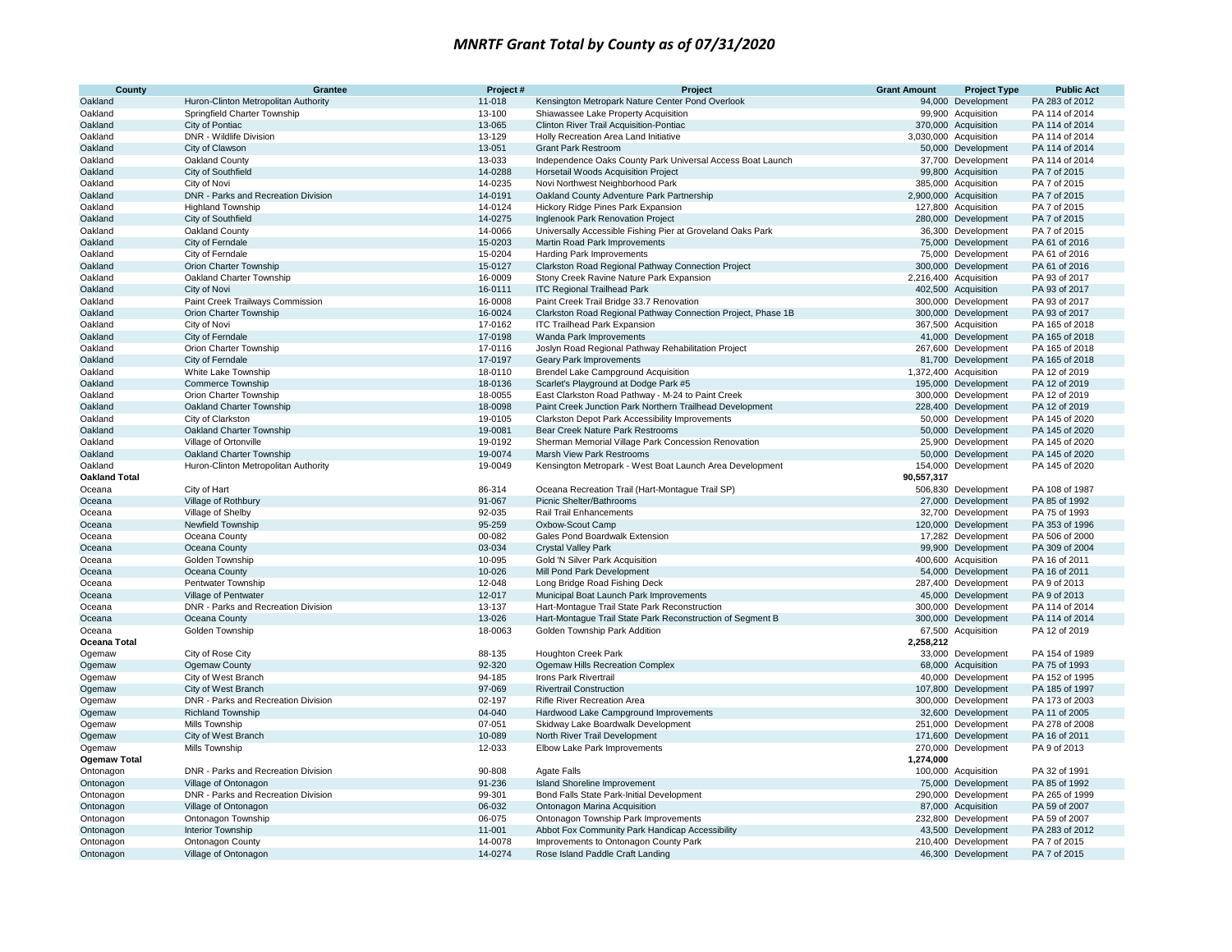| County               | Grantee                                                          | Project #          | Project                                                                             | <b>Grant Amount</b> | <b>Project Type</b>                      | <b>Public Act</b>                |
|----------------------|------------------------------------------------------------------|--------------------|-------------------------------------------------------------------------------------|---------------------|------------------------------------------|----------------------------------|
| Oakland              | Huron-Clinton Metropolitan Authority                             | 11-018             | Kensington Metropark Nature Center Pond Overlook                                    |                     | 94,000 Development                       | PA 283 of 2012                   |
| Oakland              | Springfield Charter Township                                     | 13-100             | Shiawassee Lake Property Acquisition                                                |                     | 99,900 Acquisition                       | PA 114 of 2014                   |
| Oakland              | City of Pontiac                                                  | 13-065             | <b>Clinton River Trail Acquisition-Pontiac</b>                                      |                     | 370,000 Acquisition                      | PA 114 of 2014                   |
| Oakland              | DNR - Wildlife Division                                          | 13-129             | Holly Recreation Area Land Initiative                                               |                     | 3,030,000 Acquisition                    | PA 114 of 2014                   |
| Oakland              | City of Clawson                                                  | 13-051             | <b>Grant Park Restroom</b>                                                          |                     | 50,000 Development                       | PA 114 of 2014                   |
| Oakland              | Oakland County                                                   | 13-033             | Independence Oaks County Park Universal Access Boat Launch                          |                     | 37,700 Development                       | PA 114 of 2014                   |
| Oakland              | City of Southfield                                               | 14-0288            | <b>Horsetail Woods Acquisition Project</b>                                          |                     | 99,800 Acquisition                       | PA 7 of 2015                     |
| Oakland              | City of Novi                                                     | 14-0235            | Novi Northwest Neighborhood Park                                                    |                     | 385,000 Acquisition                      | PA 7 of 2015                     |
| Oakland              | DNR - Parks and Recreation Division                              | 14-0191            | Oakland County Adventure Park Partnership                                           |                     | 2,900,000 Acquisition                    | PA 7 of 2015                     |
| Oakland              | <b>Highland Township</b>                                         | 14-0124            | Hickory Ridge Pines Park Expansion                                                  |                     | 127,800 Acquisition                      | PA 7 of 2015                     |
| Oakland              | City of Southfield                                               | 14-0275            | <b>Inglenook Park Renovation Project</b>                                            |                     | 280,000 Development                      | PA 7 of 2015                     |
| Oakland              | Oakland County                                                   | 14-0066            | Universally Accessible Fishing Pier at Groveland Oaks Park                          |                     | 36,300 Development                       | PA 7 of 2015                     |
| Oakland              | City of Ferndale                                                 | 15-0203            | Martin Road Park Improvements                                                       |                     | 75,000 Development                       | PA 61 of 2016                    |
| Oakland              | City of Ferndale                                                 | 15-0204            | Harding Park Improvements                                                           |                     | 75,000 Development                       | PA 61 of 2016                    |
| Oakland              | Orion Charter Township                                           | 15-0127            | Clarkston Road Regional Pathway Connection Project                                  |                     | 300,000 Development                      | PA 61 of 2016                    |
| Oakland              | Oakland Charter Township                                         | 16-0009            | Stony Creek Ravine Nature Park Expansion                                            |                     | 2,216,400 Acquisition                    | PA 93 of 2017                    |
| Oakland              | City of Novi                                                     | 16-0111            | <b>ITC Regional Trailhead Park</b>                                                  |                     | 402,500 Acquisition                      | PA 93 of 2017                    |
| Oakland              | Paint Creek Trailways Commission                                 | 16-0008            | Paint Creek Trail Bridge 33.7 Renovation                                            |                     | 300,000 Development                      | PA 93 of 2017                    |
| Oakland              | Orion Charter Township                                           | 16-0024            | Clarkston Road Regional Pathway Connection Project, Phase 1B                        |                     | 300,000 Development                      | PA 93 of 2017                    |
| Oakland              | City of Novi                                                     | 17-0162            | <b>ITC Trailhead Park Expansion</b>                                                 |                     | 367,500 Acquisition                      | PA 165 of 2018                   |
| Oakland              | City of Ferndale                                                 | 17-0198            | Wanda Park Improvements                                                             |                     | 41,000 Development                       | PA 165 of 2018                   |
| Oakland              | Orion Charter Township                                           | 17-0116            | Joslyn Road Regional Pathway Rehabilitation Project                                 |                     | 267,600 Development                      | PA 165 of 2018                   |
| Oakland              | City of Ferndale                                                 | 17-0197            | Geary Park Improvements                                                             |                     | 81,700 Development                       | PA 165 of 2018                   |
| Oakland              | White Lake Township                                              | 18-0110            | <b>Brendel Lake Campground Acquisition</b>                                          |                     | 1,372,400 Acquisition                    | PA 12 of 2019                    |
| Oakland              | Commerce Township                                                | 18-0136            | Scarlet's Playground at Dodge Park #5                                               |                     | 195,000 Development                      | PA 12 of 2019                    |
| Oakland              | Orion Charter Township                                           | 18-0055            | East Clarkston Road Pathway - M-24 to Paint Creek                                   |                     | 300,000 Development                      | PA 12 of 2019                    |
| Oakland              | Oakland Charter Township                                         | 18-0098            | Paint Creek Junction Park Northern Trailhead Development                            |                     | 228,400 Development                      | PA 12 of 2019                    |
| Oakland<br>Oakland   | City of Clarkston<br>Oakland Charter Township                    | 19-0105<br>19-0081 | Clarkston Depot Park Accessibility Improvements<br>Bear Creek Nature Park Restrooms |                     | 50,000 Development<br>50,000 Development | PA 145 of 2020<br>PA 145 of 2020 |
| Oakland              |                                                                  | 19-0192            |                                                                                     |                     |                                          | PA 145 of 2020                   |
| Oakland              | Village of Ortonville                                            | 19-0074            | Sherman Memorial Village Park Concession Renovation<br>Marsh View Park Restrooms    |                     | 25,900 Development                       | PA 145 of 2020                   |
| Oakland              | Oakland Charter Township<br>Huron-Clinton Metropolitan Authority | 19-0049            | Kensington Metropark - West Boat Launch Area Development                            | 154,000             | 50,000 Development<br>Development        | PA 145 of 2020                   |
| <b>Oakland Total</b> |                                                                  |                    |                                                                                     | 90,557,317          |                                          |                                  |
| Oceana               | City of Hart                                                     | 86-314             | Oceana Recreation Trail (Hart-Montaque Trail SP)                                    |                     | 506,830 Development                      | PA 108 of 1987                   |
| Oceana               | Village of Rothbury                                              | 91-067             | Picnic Shelter/Bathrooms                                                            |                     | 27,000 Development                       | PA 85 of 1992                    |
| Oceana               | Village of Shelby                                                | 92-035             | Rail Trail Enhancements                                                             |                     | 32,700 Development                       | PA 75 of 1993                    |
| Oceana               | Newfield Township                                                | 95-259             | Oxbow-Scout Camp                                                                    |                     | 120,000 Development                      | PA 353 of 1996                   |
| Oceana               | Oceana County                                                    | 00-082             | Gales Pond Boardwalk Extension                                                      |                     | 17,282 Development                       | PA 506 of 2000                   |
| Oceana               | Oceana County                                                    | 03-034             | <b>Crystal Valley Park</b>                                                          | 99,900              | Development                              | PA 309 of 2004                   |
| Oceana               | Golden Township                                                  | 10-095             | Gold 'N Silver Park Acquisition                                                     |                     | 400,600 Acquisition                      | PA 16 of 2011                    |
| Oceana               | Oceana County                                                    | 10-026             | Mill Pond Park Development                                                          |                     | 54,000 Development                       | PA 16 of 2011                    |
| Oceana               | Pentwater Township                                               | 12-048             | Long Bridge Road Fishing Deck                                                       |                     | 287,400 Development                      | PA 9 of 2013                     |
| Oceana               | Village of Pentwater                                             | 12-017             | Municipal Boat Launch Park Improvements                                             |                     | 45,000 Development                       | PA 9 of 2013                     |
| Oceana               | DNR - Parks and Recreation Division                              | 13-137             | Hart-Montague Trail State Park Reconstruction                                       |                     | 300.000 Development                      | PA 114 of 2014                   |
| Oceana               | Oceana County                                                    | 13-026             | Hart-Montague Trail State Park Reconstruction of Segment B                          |                     | 300,000 Development                      | PA 114 of 2014                   |
| Oceana               | Golden Township                                                  | 18-0063            | Golden Township Park Addition                                                       |                     | 67,500 Acquisition                       | PA 12 of 2019                    |
| Oceana Total         |                                                                  |                    |                                                                                     | 2,258,212           |                                          |                                  |
| Ogemaw               | City of Rose City                                                | 88-135             | <b>Houghton Creek Park</b>                                                          |                     | 33,000 Development                       | PA 154 of 1989                   |
| Ogemaw               | Ogemaw County                                                    | 92-320             | Ogemaw Hills Recreation Complex                                                     |                     | 68,000 Acquisition                       | PA 75 of 1993                    |
| Ogemaw               | City of West Branch                                              | 94-185             | <b>Irons Park Rivertrail</b>                                                        |                     | 40,000 Development                       | PA 152 of 1995                   |
| Ogemaw               | City of West Branch                                              | 97-069             | <b>Rivertrail Construction</b>                                                      |                     | 107,800 Development                      | PA 185 of 1997                   |
| Ogemaw               | DNR - Parks and Recreation Division                              | 02-197             | Rifle River Recreation Area                                                         |                     | 300,000 Development                      | PA 173 of 2003                   |
| Ogemaw               | <b>Richland Township</b>                                         | 04-040             | Hardwood Lake Campground Improvements                                               |                     | 32,600 Development                       | PA 11 of 2005                    |
| Ogemaw               | Mills Township                                                   | 07-051             | Skidway Lake Boardwalk Development                                                  |                     | 251.000 Development                      | PA 278 of 2008                   |
| Ogemaw               | City of West Branch                                              | 10-089             | North River Trail Development                                                       |                     | 171,600 Development                      | PA 16 of 2011                    |
| Ogemaw               | Mills Township                                                   | 12-033             | Elbow Lake Park Improvements                                                        | 270,000             | Development                              | PA 9 of 2013                     |
| <b>Ogemaw Total</b>  |                                                                  |                    |                                                                                     | 1,274,000           |                                          |                                  |
| Ontonagon            | DNR - Parks and Recreation Division                              | 90-808             | <b>Agate Falls</b>                                                                  |                     | 100,000 Acquisition                      | PA 32 of 1991                    |
| Ontonagon            | Village of Ontonagon                                             | 91-236             | <b>Island Shoreline Improvement</b>                                                 |                     | 75,000 Development                       | PA 85 of 1992                    |
| Ontonagon            | DNR - Parks and Recreation Division                              | 99-301             | Bond Falls State Park-Initial Development                                           |                     | 290,000 Development                      | PA 265 of 1999                   |
| Ontonagon            | Village of Ontonagon                                             | 06-032             | Ontonagon Marina Acquisition                                                        |                     | 87,000 Acquisition                       | PA 59 of 2007                    |
| Ontonagon            | Ontonagon Township                                               | 06-075             | Ontonagon Township Park Improvements                                                |                     | 232,800 Development                      | PA 59 of 2007                    |
| Ontonagon            | Interior Township                                                | 11-001             | Abbot Fox Community Park Handicap Accessibility                                     |                     | 43,500 Development                       | PA 283 of 2012                   |
| Ontonagon            | Ontonagon County                                                 | 14-0078            | Improvements to Ontonagon County Park                                               |                     | 210,400 Development                      | PA 7 of 2015                     |
| Ontonagon            | Village of Ontonagon                                             | 14-0274            | Rose Island Paddle Craft Landing                                                    |                     | 46,300 Development                       | PA 7 of 2015                     |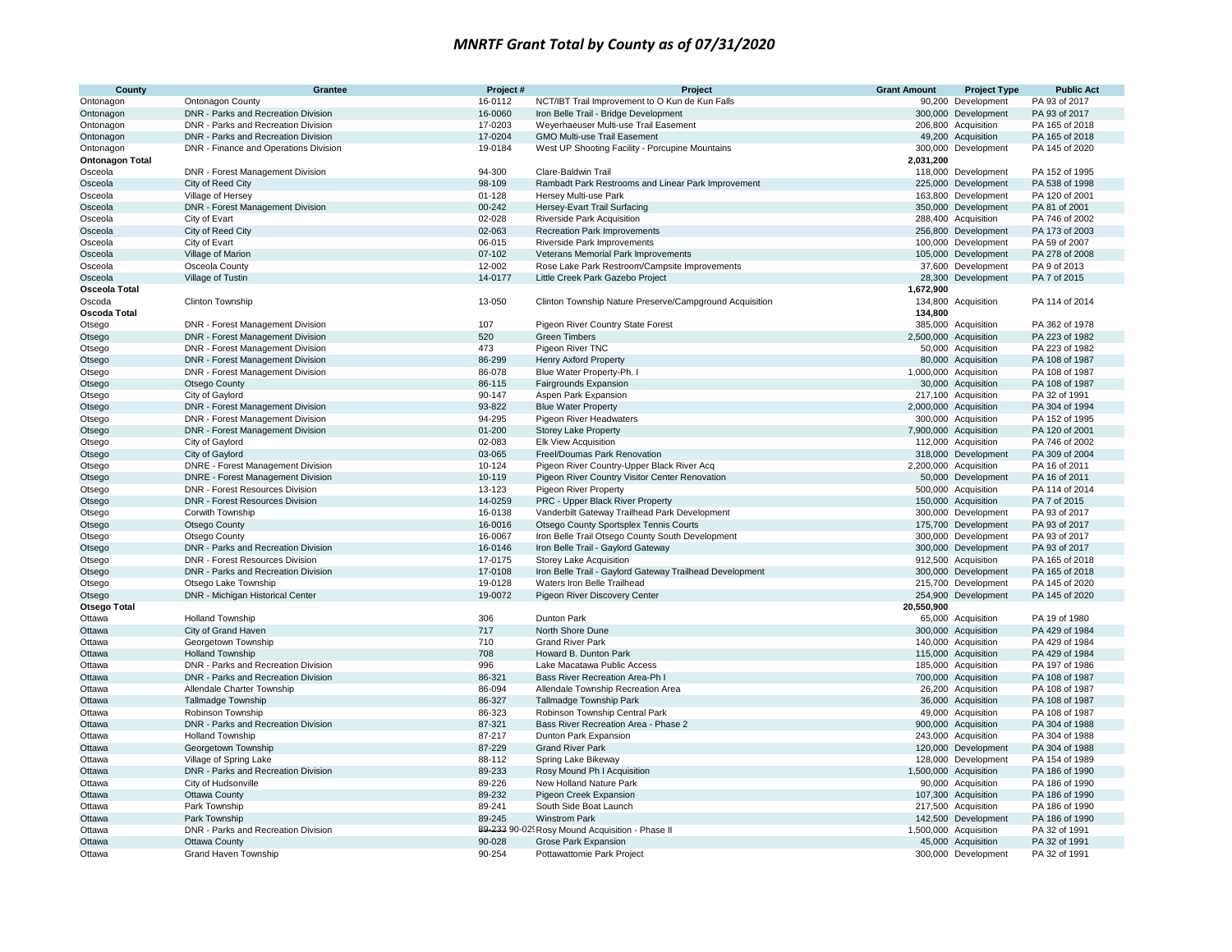| <b>County</b>          | Grantee                                  | Project#   | Project                                                  | <b>Grant Amount</b> | <b>Project Type</b>   | <b>Public Act</b>                |
|------------------------|------------------------------------------|------------|----------------------------------------------------------|---------------------|-----------------------|----------------------------------|
| Ontonagon              | <b>Ontonagon County</b>                  | 16-0112    | NCT/IBT Trail Improvement to O Kun de Kun Falls          |                     | 90,200 Development    | PA 93 of 2017                    |
| Ontonagon              | DNR - Parks and Recreation Division      | 16-0060    | Iron Belle Trail - Bridge Development                    |                     | 300,000 Development   | PA 93 of 2017                    |
| Ontonagon              | DNR - Parks and Recreation Division      | 17-0203    | Weyerhaeuser Multi-use Trail Easement                    |                     | 206,800 Acquisition   | PA 165 of 2018                   |
| Ontonagon              | DNR - Parks and Recreation Division      | 17-0204    | <b>GMO Multi-use Trail Easement</b>                      |                     | 49,200 Acquisition    | PA 165 of 2018                   |
| Ontonagon              | DNR - Finance and Operations Division    | 19-0184    | West UP Shooting Facility - Porcupine Mountains          |                     | 300,000 Development   | PA 145 of 2020                   |
| <b>Ontonagon Total</b> |                                          |            |                                                          | 2,031,200           |                       |                                  |
| Osceola                | DNR - Forest Management Division         | 94-300     | Clare-Baldwin Trail                                      |                     | 118,000 Development   | PA 152 of 1995                   |
| Osceola                | City of Reed City                        | 98-109     | Rambadt Park Restrooms and Linear Park Improvement       |                     | 225,000 Development   | PA 538 of 1998                   |
| Osceola                | Village of Hersey                        | $01 - 128$ | Hersey Multi-use Park                                    |                     | 163,800 Development   | PA 120 of 2001                   |
| Osceola                | DNR - Forest Management Division         | 00-242     | Hersey-Evart Trail Surfacing                             |                     | 350,000 Development   | PA 81 of 2001                    |
| Osceola                | City of Evart                            | 02-028     | <b>Riverside Park Acquisition</b>                        |                     | 288,400 Acquisition   | PA 746 of 2002                   |
| Osceola                | City of Reed City                        | 02-063     | <b>Recreation Park Improvements</b>                      |                     | 256,800 Development   | PA 173 of 2003                   |
| Osceola                | City of Evart                            | 06-015     | <b>Riverside Park Improvements</b>                       |                     | 100,000 Development   | PA 59 of 2007                    |
| Osceola                | Village of Marion                        | 07-102     | Veterans Memorial Park Improvements                      |                     | 105,000 Development   | PA 278 of 2008                   |
| Osceola                | Osceola County                           | 12-002     | Rose Lake Park Restroom/Campsite Improvements            |                     | 37,600 Development    | PA 9 of 2013                     |
| Osceola                | Village of Tustin                        | 14-0177    | Little Creek Park Gazebo Project                         |                     | 28,300 Development    | PA 7 of 2015                     |
| Osceola Total          |                                          |            |                                                          | 1,672,900           |                       |                                  |
| Oscoda                 | Clinton Township                         | 13-050     | Clinton Township Nature Preserve/Campground Acquisition  |                     | 134,800 Acquisition   | PA 114 of 2014                   |
| <b>Oscoda Total</b>    |                                          |            |                                                          | 134,800             |                       |                                  |
| Otsego                 | DNR - Forest Management Division         | 107        | Pigeon River Country State Forest                        |                     | 385,000 Acquisition   | PA 362 of 1978                   |
| Otsego                 | DNR - Forest Management Division         | 520        | <b>Green Timbers</b>                                     |                     | 2,500,000 Acquisition | PA 223 of 1982                   |
| Otsego                 | DNR - Forest Management Division         | 473        | Pigeon River TNC                                         |                     | 50,000 Acquisition    | PA 223 of 1982                   |
|                        | DNR - Forest Management Division         | 86-299     | <b>Henry Axford Property</b>                             |                     | 80,000 Acquisition    | PA 108 of 1987                   |
| Otsego                 |                                          | 86-078     |                                                          |                     | 1,000,000 Acquisition |                                  |
| Otsego                 | DNR - Forest Management Division         |            | Blue Water Property-Ph.                                  |                     |                       | PA 108 of 1987<br>PA 108 of 1987 |
| Otsego                 | Otsego County                            | 86-115     | Fairgrounds Expansion                                    |                     | 30,000 Acquisition    |                                  |
| Otsego                 | City of Gaylord                          | 90-147     | Aspen Park Expansion                                     |                     | 217,100 Acquisition   | PA 32 of 1991                    |
| Otsego                 | DNR - Forest Management Division         | 93-822     | <b>Blue Water Property</b>                               |                     | 2,000,000 Acquisition | PA 304 of 1994                   |
| Otsego                 | DNR - Forest Management Division         | 94-295     | Pigeon River Headwaters                                  |                     | 300,000 Acquisition   | PA 152 of 1995                   |
| Otsego                 | DNR - Forest Management Division         | $01 - 200$ | <b>Storey Lake Property</b>                              |                     | 7,900,000 Acquisition | PA 120 of 2001                   |
| Otsego                 | City of Gaylord                          | 02-083     | Elk View Acquisition                                     |                     | 112,000 Acquisition   | PA 746 of 2002                   |
| Otsego                 | City of Gaylord                          | 03-065     | Freel/Doumas Park Renovation                             |                     | 318,000 Development   | PA 309 of 2004                   |
| Otsego                 | <b>DNRE</b> - Forest Management Division | 10-124     | Pigeon River Country-Upper Black River Acq               |                     | 2,200,000 Acquisition | PA 16 of 2011                    |
| Otsego                 | <b>DNRE</b> - Forest Management Division | 10-119     | Pigeon River Country Visitor Center Renovation           |                     | 50,000 Development    | PA 16 of 2011                    |
| Otsego                 | DNR - Forest Resources Division          | 13-123     | Pigeon River Property                                    |                     | 500,000 Acquisition   | PA 114 of 2014                   |
| Otsego                 | <b>DNR - Forest Resources Division</b>   | 14-0259    | PRC - Upper Black River Property                         |                     | 150,000 Acquisition   | PA 7 of 2015                     |
| Otsego                 | Corwith Township                         | 16-0138    | Vanderbilt Gateway Trailhead Park Development            |                     | 300,000 Development   | PA 93 of 2017                    |
| Otsego                 | Otsego County                            | 16-0016    | Otsego County Sportsplex Tennis Courts                   |                     | 175,700 Development   | PA 93 of 2017                    |
| Otsego                 | Otsego County                            | 16-0067    | Iron Belle Trail Otsego County South Development         |                     | 300,000 Development   | PA 93 of 2017                    |
| Otsego                 | DNR - Parks and Recreation Division      | 16-0146    | Iron Belle Trail - Gaylord Gateway                       |                     | 300,000 Development   | PA 93 of 2017                    |
| Otsego                 | <b>DNR - Forest Resources Division</b>   | 17-0175    | <b>Storey Lake Acquisition</b>                           |                     | 912,500 Acquisition   | PA 165 of 2018                   |
| Otsego                 | DNR - Parks and Recreation Division      | 17-0108    | Iron Belle Trail - Gaylord Gateway Trailhead Development |                     | 300,000 Development   | PA 165 of 2018                   |
| Otsego                 | Otsego Lake Township                     | 19-0128    | Waters Iron Belle Trailhead                              |                     | 215,700 Development   | PA 145 of 2020                   |
| Otsego                 | DNR - Michigan Historical Center         | 19-0072    | Pigeon River Discovery Center                            |                     | 254,900 Development   | PA 145 of 2020                   |
| <b>Otsego Total</b>    |                                          |            |                                                          | 20,550,900          |                       |                                  |
| Ottawa                 | <b>Holland Township</b>                  | 306        | Dunton Park                                              |                     | 65,000 Acquisition    | PA 19 of 1980                    |
| Ottawa                 | City of Grand Haven                      | 717        | North Shore Dune                                         |                     | 300,000 Acquisition   | PA 429 of 1984                   |
| Ottawa                 | Georgetown Township                      | 710        | <b>Grand River Park</b>                                  |                     | 140,000 Acquisition   | PA 429 of 1984                   |
| Ottawa                 | <b>Holland Township</b>                  | 708        | Howard B. Dunton Park                                    |                     | 115,000 Acquisition   | PA 429 of 1984                   |
| Ottawa                 | DNR - Parks and Recreation Division      | 996        | Lake Macatawa Public Access                              |                     | 185,000 Acquisition   | PA 197 of 1986                   |
| Ottawa                 | DNR - Parks and Recreation Division      | 86-321     | Bass River Recreation Area-Ph I                          |                     | 700,000 Acquisition   | PA 108 of 1987                   |
| Ottawa                 | Allendale Charter Township               | 86-094     | Allendale Township Recreation Area                       |                     | 26,200 Acquisition    | PA 108 of 1987                   |
| Ottawa                 | <b>Tallmadge Township</b>                | 86-327     | Tallmadge Township Park                                  |                     | 36,000 Acquisition    | PA 108 of 1987                   |
| Ottawa                 | Robinson Township                        | 86-323     | Robinson Township Central Park                           |                     | 49,000 Acquisition    | PA 108 of 1987                   |
| Ottawa                 | DNR - Parks and Recreation Division      | 87-321     | Bass River Recreation Area - Phase 2                     |                     | 900,000 Acquisition   | PA 304 of 1988                   |
| Ottawa                 | <b>Holland Township</b>                  | 87-217     | Dunton Park Expansion                                    |                     | 243,000 Acquisition   | PA 304 of 1988                   |
| Ottawa                 | Georgetown Township                      | 87-229     | <b>Grand River Park</b>                                  |                     | 120,000 Development   | PA 304 of 1988                   |
| Ottawa                 | Village of Spring Lake                   | 88-112     | Spring Lake Bikeway                                      |                     | 128,000 Development   | PA 154 of 1989                   |
| Ottawa                 | DNR - Parks and Recreation Division      | 89-233     | Rosy Mound Ph I Acquisition                              |                     | 1,500,000 Acquisition | PA 186 of 1990                   |
| Ottawa                 | City of Hudsonville                      | 89-226     | New Holland Nature Park                                  |                     | 90,000 Acquisition    | PA 186 of 1990                   |
| Ottawa                 | Ottawa County                            | 89-232     | Pigeon Creek Expansion                                   |                     | 107,300 Acquisition   | PA 186 of 1990                   |
| Ottawa                 | Park Township                            | 89-241     | South Side Boat Launch                                   |                     | 217,500 Acquisition   | PA 186 of 1990                   |
| Ottawa                 | Park Township                            | 89-245     | <b>Winstrom Park</b>                                     |                     | 142,500 Development   | PA 186 of 1990                   |
| Ottawa                 | DNR - Parks and Recreation Division      |            | 89-233 90-02! Rosy Mound Acquisition - Phase II          |                     | 1,500,000 Acquisition | PA 32 of 1991                    |
| Ottawa                 | Ottawa County                            | 90-028     | Grose Park Expansion                                     |                     | 45,000 Acquisition    | PA 32 of 1991                    |
| Ottawa                 | Grand Haven Township                     | 90-254     | Pottawattomie Park Project                               |                     | 300,000 Development   | PA 32 of 1991                    |
|                        |                                          |            |                                                          |                     |                       |                                  |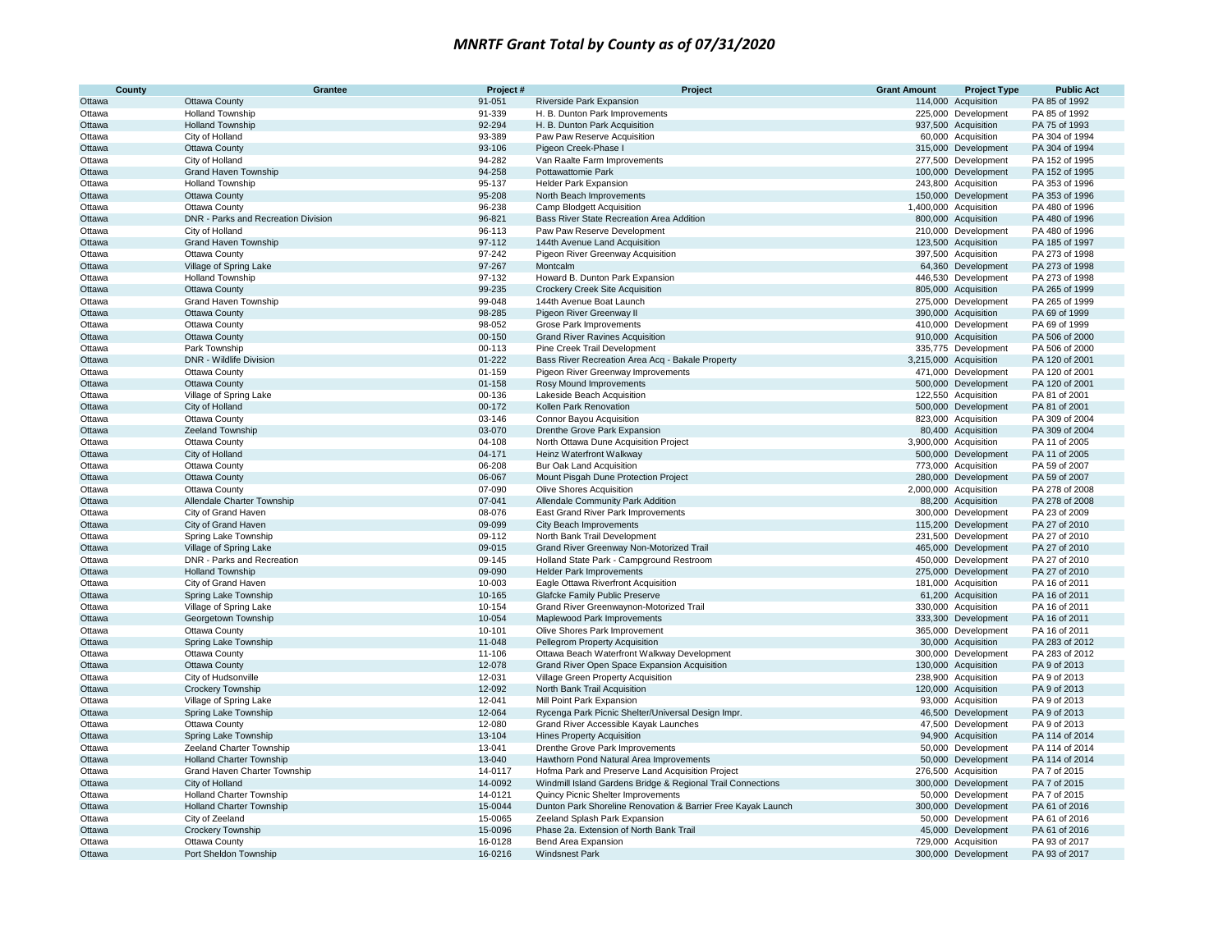| County | <b>Grantee</b>                      | Project#   | Project                                                      | <b>Grant Amount</b> | <b>Project Type</b>   | <b>Public Act</b> |
|--------|-------------------------------------|------------|--------------------------------------------------------------|---------------------|-----------------------|-------------------|
| Ottawa | <b>Ottawa County</b>                | 91-051     | Riverside Park Expansion                                     | 114,000             | Acquisition           | PA 85 of 1992     |
| Ottawa | <b>Holland Township</b>             | 91-339     | H. B. Dunton Park Improvements                               |                     | 225,000 Development   | PA 85 of 1992     |
| Ottawa | <b>Holland Township</b>             | 92-294     | H. B. Dunton Park Acquisition                                |                     | 937,500 Acquisition   | PA 75 of 1993     |
| Ottawa | City of Holland                     | 93-389     | Paw Paw Reserve Acquisition                                  |                     | 60,000 Acquisition    | PA 304 of 1994    |
| Ottawa | <b>Ottawa County</b>                | 93-106     | Pigeon Creek-Phase I                                         |                     | 315,000 Development   | PA 304 of 1994    |
| Ottawa | City of Holland                     | 94-282     | Van Raalte Farm Improvements                                 |                     | 277,500 Development   | PA 152 of 1995    |
| Ottawa | Grand Haven Township                | 94-258     | Pottawattomie Park                                           |                     | 100,000 Development   | PA 152 of 1995    |
| Ottawa | <b>Holland Township</b>             | 95-137     | <b>Helder Park Expansion</b>                                 |                     | 243,800 Acquisition   | PA 353 of 1996    |
| Ottawa | <b>Ottawa County</b>                | 95-208     | North Beach Improvements                                     |                     | 150,000 Development   | PA 353 of 1996    |
| Ottawa | Ottawa County                       | 96-238     | Camp Blodgett Acquisition                                    |                     | 1,400,000 Acquisition | PA 480 of 1996    |
| Ottawa | DNR - Parks and Recreation Division | 96-821     | Bass River State Recreation Area Addition                    |                     | 800,000 Acquisition   | PA 480 of 1996    |
| Ottawa | City of Holland                     | 96-113     | Paw Paw Reserve Development                                  |                     | 210,000 Development   | PA 480 of 1996    |
| Ottawa | <b>Grand Haven Township</b>         | 97-112     | 144th Avenue Land Acquisition                                |                     | 123,500 Acquisition   | PA 185 of 1997    |
| Ottawa | Ottawa County                       | 97-242     | Pigeon River Greenway Acquisition                            |                     | 397,500 Acquisition   | PA 273 of 1998    |
| Ottawa | Village of Spring Lake              | 97-267     | Montcalm                                                     |                     | 64,360 Development    | PA 273 of 1998    |
| Ottawa | <b>Holland Township</b>             | 97-132     | Howard B. Dunton Park Expansion                              |                     | 446,530 Development   | PA 273 of 1998    |
| Ottawa | <b>Ottawa County</b>                | 99-235     | Crockery Creek Site Acquisition                              |                     | 805,000 Acquisition   | PA 265 of 1999    |
| Ottawa | Grand Haven Township                | 99-048     | 144th Avenue Boat Launch                                     |                     | 275,000 Development   | PA 265 of 1999    |
| Ottawa | <b>Ottawa County</b>                | 98-285     | Pigeon River Greenway II                                     |                     | 390,000 Acquisition   | PA 69 of 1999     |
| Ottawa | Ottawa County                       | 98-052     | Grose Park Improvements                                      |                     | 410,000 Development   | PA 69 of 1999     |
| Ottawa | Ottawa County                       | 00-150     | <b>Grand River Ravines Acquisition</b>                       |                     | 910,000 Acquisition   | PA 506 of 2000    |
| Ottawa | Park Township                       | 00-113     | Pine Creek Trail Development                                 |                     | 335,775 Development   | PA 506 of 2000    |
| Ottawa | DNR - Wildlife Division             | $01 - 222$ | Bass River Recreation Area Acq - Bakale Property             |                     | 3,215,000 Acquisition | PA 120 of 2001    |
| Ottawa | Ottawa County                       | 01-159     | Pigeon River Greenway Improvements                           |                     | 471,000 Development   | PA 120 of 2001    |
| Ottawa | Ottawa County                       | $01 - 158$ | Rosy Mound Improvements                                      |                     | 500,000 Development   | PA 120 of 2001    |
| Ottawa | Village of Spring Lake              | 00-136     | Lakeside Beach Acquisition                                   |                     | 122,550 Acquisition   | PA 81 of 2001     |
| Ottawa | City of Holland                     | 00-172     | Kollen Park Renovation                                       |                     | 500,000 Development   | PA 81 of 2001     |
| Ottawa | Ottawa County                       | 03-146     | Connor Bayou Acquisition                                     |                     | 823,000 Acquisition   | PA 309 of 2004    |
| Ottawa | Zeeland Township                    | 03-070     | Drenthe Grove Park Expansion                                 |                     | 80,400 Acquisition    | PA 309 of 2004    |
| Ottawa | Ottawa County                       | 04-108     | North Ottawa Dune Acquisition Project                        |                     | 3,900,000 Acquisition | PA 11 of 2005     |
| Ottawa | City of Holland                     | 04-171     | Heinz Waterfront Walkway                                     |                     | 500,000 Development   | PA 11 of 2005     |
| Ottawa | Ottawa County                       | 06-208     | <b>Bur Oak Land Acquisition</b>                              |                     | 773,000 Acquisition   | PA 59 of 2007     |
| Ottawa | Ottawa County                       | 06-067     | Mount Pisgah Dune Protection Project                         |                     | 280,000 Development   | PA 59 of 2007     |
| Ottawa | Ottawa County                       | 07-090     | <b>Olive Shores Acquisition</b>                              |                     | 2,000,000 Acquisition | PA 278 of 2008    |
| Ottawa | Allendale Charter Township          | 07-041     | Allendale Community Park Addition                            |                     | 88,200 Acquisition    | PA 278 of 2008    |
| Ottawa | City of Grand Haven                 | 08-076     | East Grand River Park Improvements                           |                     | 300,000 Development   | PA 23 of 2009     |
| Ottawa | City of Grand Haven                 | 09-099     | City Beach Improvements                                      |                     | 115,200 Development   | PA 27 of 2010     |
| Ottawa | Spring Lake Township                | 09-112     | North Bank Trail Development                                 |                     | 231,500 Development   | PA 27 of 2010     |
| Ottawa | Village of Spring Lake              | 09-015     | Grand River Greenway Non-Motorized Trail                     |                     | 465,000 Development   | PA 27 of 2010     |
| Ottawa | DNR - Parks and Recreation          | 09-145     | Holland State Park - Campground Restroom                     |                     | 450,000 Development   | PA 27 of 2010     |
| Ottawa | <b>Holland Township</b>             | 09-090     | <b>Helder Park Improvements</b>                              |                     | 275,000 Development   | PA 27 of 2010     |
| Ottawa | City of Grand Haven                 | 10-003     | Eagle Ottawa Riverfront Acquisition                          |                     | 181,000 Acquisition   | PA 16 of 2011     |
| Ottawa | Spring Lake Township                | 10-165     | Glafcke Family Public Preserve                               |                     | 61,200 Acquisition    | PA 16 of 2011     |
| Ottawa | Village of Spring Lake              | 10-154     | Grand River Greenwaynon-Motorized Trail                      |                     | 330,000 Acquisition   | PA 16 of 2011     |
| Ottawa | Georgetown Township                 | 10-054     | Maplewood Park Improvements                                  |                     | 333,300 Development   | PA 16 of 2011     |
| Ottawa | Ottawa County                       | 10-101     | Olive Shores Park Improvement                                |                     | 365,000 Development   | PA 16 of 2011     |
| Ottawa | Spring Lake Township                | 11-048     | Pellegrom Property Acquisition                               |                     | 30,000 Acquisition    | PA 283 of 2012    |
| Ottawa | Ottawa County                       | 11-106     | Ottawa Beach Waterfront Walkway Development                  |                     | 300,000 Development   | PA 283 of 2012    |
| Ottawa | <b>Ottawa County</b>                | 12-078     | Grand River Open Space Expansion Acquisition                 |                     | 130,000 Acquisition   | PA 9 of 2013      |
| Ottawa | City of Hudsonville                 | 12-031     | Village Green Property Acquisition                           |                     | 238,900 Acquisition   | PA 9 of 2013      |
| Ottawa | <b>Crockery Township</b>            | 12-092     | North Bank Trail Acquisition                                 |                     | 120,000 Acquisition   | PA 9 of 2013      |
| Ottawa | Village of Spring Lake              | 12-041     | Mill Point Park Expansion                                    |                     | 93,000 Acquisition    | PA 9 of 2013      |
| Ottawa | Spring Lake Township                | 12-064     | Rycenga Park Picnic Shelter/Universal Design Impr.           |                     | 46,500 Development    | PA 9 of 2013      |
| Ottawa | Ottawa County                       | 12-080     | Grand River Accessible Kayak Launches                        |                     | 47,500 Development    | PA 9 of 2013      |
| Ottawa | Spring Lake Township                | 13-104     | <b>Hines Property Acquisition</b>                            |                     | 94,900 Acquisition    | PA 114 of 2014    |
| Ottawa | Zeeland Charter Township            | 13-041     | Drenthe Grove Park Improvements                              |                     | 50,000 Development    | PA 114 of 2014    |
| Ottawa | <b>Holland Charter Township</b>     | 13-040     | Hawthorn Pond Natural Area Improvements                      |                     | 50,000 Development    | PA 114 of 2014    |
| Ottawa | Grand Haven Charter Township        | 14-0117    | Hofma Park and Preserve Land Acquisition Project             |                     | 276,500 Acquisition   | PA 7 of 2015      |
| Ottawa | City of Holland                     | 14-0092    | Windmill Island Gardens Bridge & Regional Trail Connections  |                     | 300,000 Development   | PA 7 of 2015      |
| Ottawa | <b>Holland Charter Township</b>     | 14-0121    | Quincy Picnic Shelter Improvements                           |                     | 50,000 Development    | PA 7 of 2015      |
| Ottawa | <b>Holland Charter Township</b>     | 15-0044    | Dunton Park Shoreline Renovation & Barrier Free Kayak Launch |                     | 300,000 Development   | PA 61 of 2016     |
| Ottawa | City of Zeeland                     | 15-0065    | Zeeland Splash Park Expansion                                |                     | 50,000 Development    | PA 61 of 2016     |
| Ottawa | <b>Crockery Township</b>            | 15-0096    | Phase 2a. Extension of North Bank Trail                      |                     | 45,000 Development    | PA 61 of 2016     |
| Ottawa | Ottawa County                       | 16-0128    | Bend Area Expansion                                          |                     | 729,000 Acquisition   | PA 93 of 2017     |
| Ottawa | Port Sheldon Township               | 16-0216    | <b>Windsnest Park</b>                                        |                     | 300,000 Development   | PA 93 of 2017     |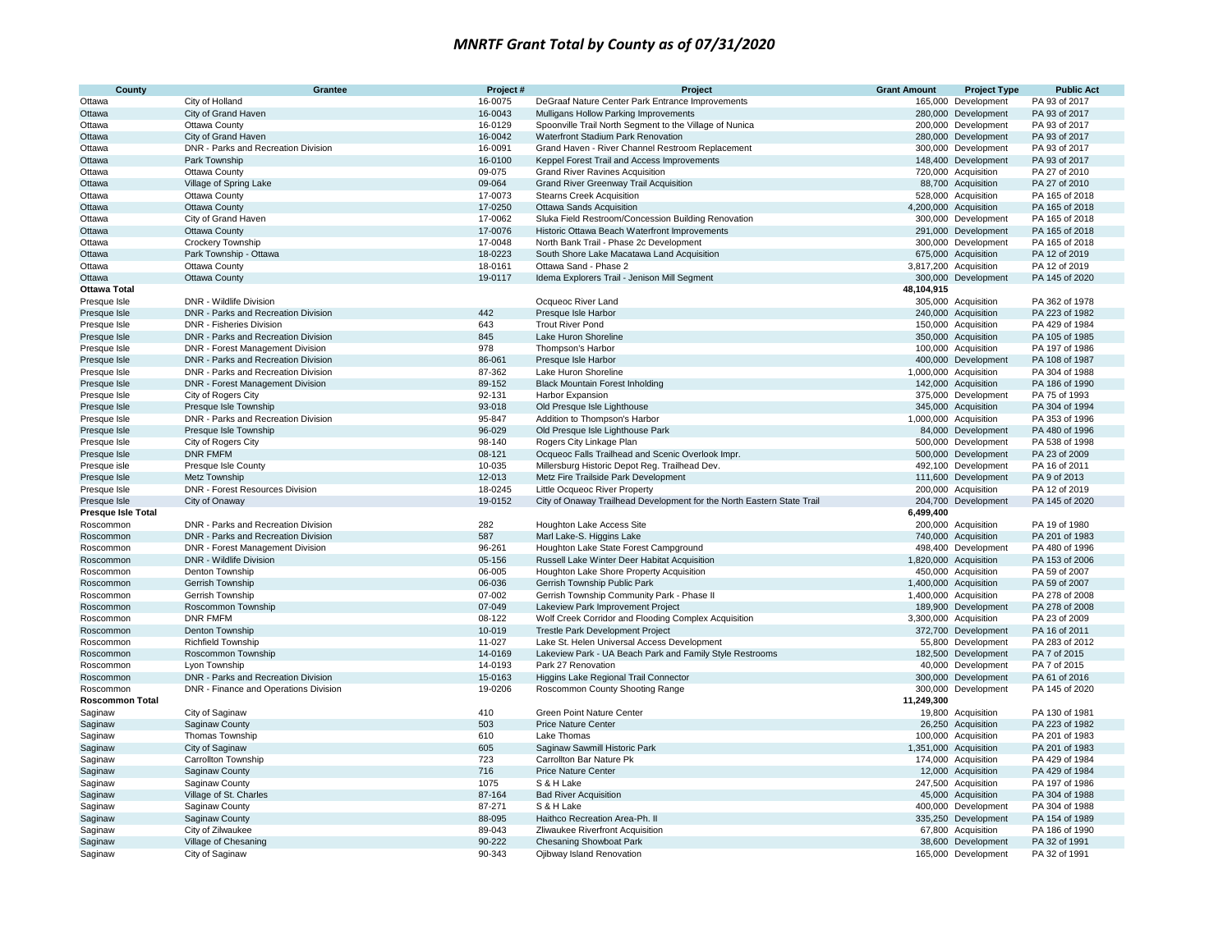| County                       | Grantee                                                      | Project#         | Project                                                                | <b>Grant Amount</b> | <b>Project Type</b>                        | <b>Public Act</b>               |
|------------------------------|--------------------------------------------------------------|------------------|------------------------------------------------------------------------|---------------------|--------------------------------------------|---------------------------------|
| Ottawa                       | City of Holland                                              | 16-0075          | DeGraaf Nature Center Park Entrance Improvements                       |                     | 165,000 Development                        | PA 93 of 2017                   |
| Ottawa                       | City of Grand Haven                                          | 16-0043          | Mulligans Hollow Parking Improvements                                  |                     | 280,000 Development                        | PA 93 of 2017                   |
| Ottawa                       | Ottawa County                                                | 16-0129          | Spoonville Trail North Segment to the Village of Nunica                |                     | 200,000 Development                        | PA 93 of 2017                   |
| Ottawa                       | City of Grand Haven                                          | 16-0042          | Waterfront Stadium Park Renovation                                     |                     | 280,000 Development                        | PA 93 of 2017                   |
| Ottawa                       | DNR - Parks and Recreation Division                          | 16-0091          | Grand Haven - River Channel Restroom Replacement                       |                     | 300,000 Development                        | PA 93 of 2017                   |
| Ottawa                       | Park Township                                                | 16-0100          | Keppel Forest Trail and Access Improvements                            |                     | 148,400 Development                        | PA 93 of 2017                   |
| Ottawa                       | Ottawa County                                                | 09-075           | <b>Grand River Ravines Acquisition</b>                                 |                     | 720,000 Acquisition                        | PA 27 of 2010                   |
| Ottawa                       | Village of Spring Lake                                       | 09-064           | <b>Grand River Greenway Trail Acquisition</b>                          |                     | 88,700 Acquisition                         | PA 27 of 2010                   |
| Ottawa                       | Ottawa County                                                | 17-0073          | <b>Stearns Creek Acquisition</b>                                       |                     | 528,000 Acquisition                        | PA 165 of 2018                  |
| Ottawa                       | Ottawa County                                                | 17-0250          | <b>Ottawa Sands Acquisition</b>                                        |                     | 4,200,000 Acquisition                      | PA 165 of 2018                  |
| Ottawa                       | City of Grand Haven                                          | 17-0062          | Sluka Field Restroom/Concession Building Renovation                    |                     | 300,000 Development                        | PA 165 of 2018                  |
| Ottawa                       | <b>Ottawa County</b>                                         | 17-0076          | Historic Ottawa Beach Waterfront Improvements                          |                     | 291,000 Development                        | PA 165 of 2018                  |
| Ottawa                       | Crockery Township                                            | 17-0048          | North Bank Trail - Phase 2c Development                                |                     | 300,000 Development                        | PA 165 of 2018                  |
| Ottawa                       | Park Township - Ottawa                                       | 18-0223          | South Shore Lake Macatawa Land Acquisition                             |                     | 675,000 Acquisition                        | PA 12 of 2019                   |
| Ottawa                       | Ottawa County                                                | 18-0161          | Ottawa Sand - Phase 2                                                  |                     | 3,817,200 Acquisition                      | PA 12 of 2019                   |
| Ottawa                       | Ottawa County                                                | 19-0117          | Idema Explorers Trail - Jenison Mill Segment                           |                     | 300,000 Development                        | PA 145 of 2020                  |
| <b>Ottawa Total</b>          |                                                              |                  |                                                                        | 48,104,915          |                                            |                                 |
| Presque Isle                 | DNR - Wildlife Division                                      |                  | Ocqueoc River Land                                                     |                     | 305,000 Acquisition                        | PA 362 of 1978                  |
| Presque Isle                 | DNR - Parks and Recreation Division                          | 442              | Presque Isle Harbor                                                    |                     | 240,000 Acquisition                        | PA 223 of 1982                  |
| Presque Isle                 | <b>DNR - Fisheries Division</b>                              | 643              | <b>Trout River Pond</b>                                                |                     | 150,000 Acquisition                        | PA 429 of 1984                  |
| Presque Isle                 | DNR - Parks and Recreation Division                          | 845<br>978       | Lake Huron Shoreline                                                   |                     | 350,000 Acquisition                        | PA 105 of 1985                  |
| Presque Isle                 | DNR - Forest Management Division                             |                  | Thompson's Harbor                                                      |                     | 100,000 Acquisition                        | PA 197 of 1986                  |
| Presque Isle                 | DNR - Parks and Recreation Division                          | 86-061           | Presque Isle Harbor                                                    |                     | 400,000 Development                        | PA 108 of 1987                  |
| Presque Isle                 | DNR - Parks and Recreation Division                          | 87-362           | Lake Huron Shoreline                                                   |                     | 1,000,000 Acquisition                      | PA 304 of 1988                  |
| Presque Isle                 | <b>DNR - Forest Management Division</b>                      | 89-152<br>92-131 | <b>Black Mountain Forest Inholding</b>                                 |                     | 142,000 Acquisition<br>375,000 Development | PA 186 of 1990<br>PA 75 of 1993 |
| Presque Isle                 | City of Rogers City                                          | 93-018           | <b>Harbor Expansion</b>                                                |                     | 345,000 Acquisition                        | PA 304 of 1994                  |
| Presque Isle                 | Presque Isle Township<br>DNR - Parks and Recreation Division | 95-847           | Old Presque Isle Lighthouse<br>Addition to Thompson's Harbor           |                     | 1,000,000 Acquisition                      | PA 353 of 1996                  |
| Presque Isle<br>Presque Isle | Presque Isle Township                                        | 96-029           | Old Presque Isle Lighthouse Park                                       |                     | 84,000 Development                         | PA 480 of 1996                  |
| Presque Isle                 | City of Rogers City                                          | 98-140           | Rogers City Linkage Plan                                               |                     | 500,000 Development                        | PA 538 of 1998                  |
| Presque Isle                 | <b>DNR FMFM</b>                                              | 08-121           | Ocqueoc Falls Trailhead and Scenic Overlook Impr.                      |                     | 500,000 Development                        | PA 23 of 2009                   |
| Presque isle                 | Presque Isle County                                          | 10-035           | Millersburg Historic Depot Reg. Trailhead Dev.                         |                     | 492,100 Development                        | PA 16 of 2011                   |
| Presque Isle                 | Metz Township                                                | 12-013           | Metz Fire Trailside Park Development                                   |                     | 111,600 Development                        | PA 9 of 2013                    |
| Presque Isle                 | <b>DNR - Forest Resources Division</b>                       | 18-0245          | Little Ocqueoc River Property                                          |                     | 200,000 Acquisition                        | PA 12 of 2019                   |
| Presque Isle                 | City of Onaway                                               | 19-0152          | City of Onaway Trailhead Development for the North Eastern State Trail |                     | 204,700 Development                        | PA 145 of 2020                  |
| Presque Isle Total           |                                                              |                  |                                                                        | 6,499,400           |                                            |                                 |
| Roscommon                    | DNR - Parks and Recreation Division                          | 282              | Houghton Lake Access Site                                              |                     | 200,000 Acquisition                        | PA 19 of 1980                   |
| Roscommon                    | DNR - Parks and Recreation Division                          | 587              | Marl Lake-S. Higgins Lake                                              |                     | 740,000 Acquisition                        | PA 201 of 1983                  |
| Roscommon                    | DNR - Forest Management Division                             | 96-261           | Houghton Lake State Forest Campground                                  |                     | 498,400 Development                        | PA 480 of 1996                  |
| Roscommon                    | DNR - Wildlife Division                                      | 05-156           | Russell Lake Winter Deer Habitat Acquisition                           |                     | 1,820,000 Acquisition                      | PA 153 of 2006                  |
| Roscommon                    | Denton Township                                              | 06-005           | Houghton Lake Shore Property Acquisition                               |                     | 450,000 Acquisition                        | PA 59 of 2007                   |
| Roscommon                    | Gerrish Township                                             | 06-036           | Gerrish Township Public Park                                           |                     | 1,400,000 Acquisition                      | PA 59 of 2007                   |
| Roscommon                    | Gerrish Township                                             | 07-002           | Gerrish Township Community Park - Phase II                             |                     | 1,400,000 Acquisition                      | PA 278 of 2008                  |
| Roscommon                    | Roscommon Township                                           | 07-049           | Lakeview Park Improvement Project                                      |                     | 189,900 Development                        | PA 278 of 2008                  |
| Roscommon                    | <b>DNR FMFM</b>                                              | 08-122           | Wolf Creek Corridor and Flooding Complex Acquisition                   |                     | 3,300,000 Acquisition                      | PA 23 of 2009                   |
| Roscommon                    | Denton Township                                              | 10-019           | <b>Trestle Park Development Project</b>                                |                     | 372,700 Development                        | PA 16 of 2011                   |
| Roscommon                    | <b>Richfield Township</b>                                    | 11-027           | Lake St. Helen Universal Access Development                            |                     | 55,800 Development                         | PA 283 of 2012                  |
| Roscommon                    | Roscommon Township                                           | 14-0169          | Lakeview Park - UA Beach Park and Family Style Restrooms               |                     | 182,500 Development                        | PA 7 of 2015                    |
| Roscommon                    | Lyon Township                                                | 14-0193          | Park 27 Renovation                                                     |                     | 40,000 Development                         | PA 7 of 2015                    |
| Roscommon                    | DNR - Parks and Recreation Division                          | 15-0163          | Higgins Lake Regional Trail Connector                                  |                     | 300,000 Development                        | PA 61 of 2016                   |
| Roscommon                    | DNR - Finance and Operations Division                        | 19-0206          | Roscommon County Shooting Range                                        |                     | 300,000 Development                        | PA 145 of 2020                  |
| <b>Roscommon Total</b>       |                                                              |                  |                                                                        | 11,249,300          |                                            |                                 |
| Saginaw                      | City of Saginaw                                              | 410              | <b>Green Point Nature Center</b>                                       |                     | 19,800 Acquisition                         | PA 130 of 1981                  |
| Saginaw                      | Saginaw County                                               | 503              | <b>Price Nature Center</b>                                             |                     | 26,250 Acquisition                         | PA 223 of 1982                  |
| Saginaw                      | Thomas Township                                              | 610              | Lake Thomas                                                            |                     | 100,000 Acquisition                        | PA 201 of 1983                  |
| Saginaw                      | City of Saginaw                                              | 605              | Saginaw Sawmill Historic Park                                          |                     | 1,351,000 Acquisition                      | PA 201 of 1983                  |
| Saginaw                      | Carrollton Township                                          | 723              | Carrollton Bar Nature Pk                                               |                     | 174,000 Acquisition                        | PA 429 of 1984                  |
| Saginaw                      | Saginaw County                                               | 716              | <b>Price Nature Center</b>                                             |                     | 12,000 Acquisition                         | PA 429 of 1984                  |
| Saginaw                      | Saginaw County                                               | 1075             | S & H Lake                                                             |                     | 247,500 Acquisition                        | PA 197 of 1986                  |
| Saginaw                      | Village of St. Charles                                       | 87-164           | <b>Bad River Acquisition</b>                                           |                     | 45,000 Acquisition                         | PA 304 of 1988                  |
| Saginaw                      | Saginaw County                                               | 87-271           | S & H Lake                                                             |                     | 400,000 Development                        | PA 304 of 1988                  |
| Saginaw                      | <b>Saginaw County</b>                                        | 88-095           | Haithco Recreation Area-Ph. II                                         |                     | 335,250 Development                        | PA 154 of 1989                  |
| Saginaw                      | City of Zilwaukee                                            | 89-043           | Zliwaukee Riverfront Acquisition                                       |                     | 67,800 Acquisition                         | PA 186 of 1990                  |
| Saginaw                      | Village of Chesaning                                         | 90-222           | <b>Chesaning Showboat Park</b>                                         |                     | 38,600 Development                         | PA 32 of 1991                   |
| Saginaw                      | City of Saginaw                                              | 90-343           | Ojibway Island Renovation                                              |                     | 165,000 Development                        | PA 32 of 1991                   |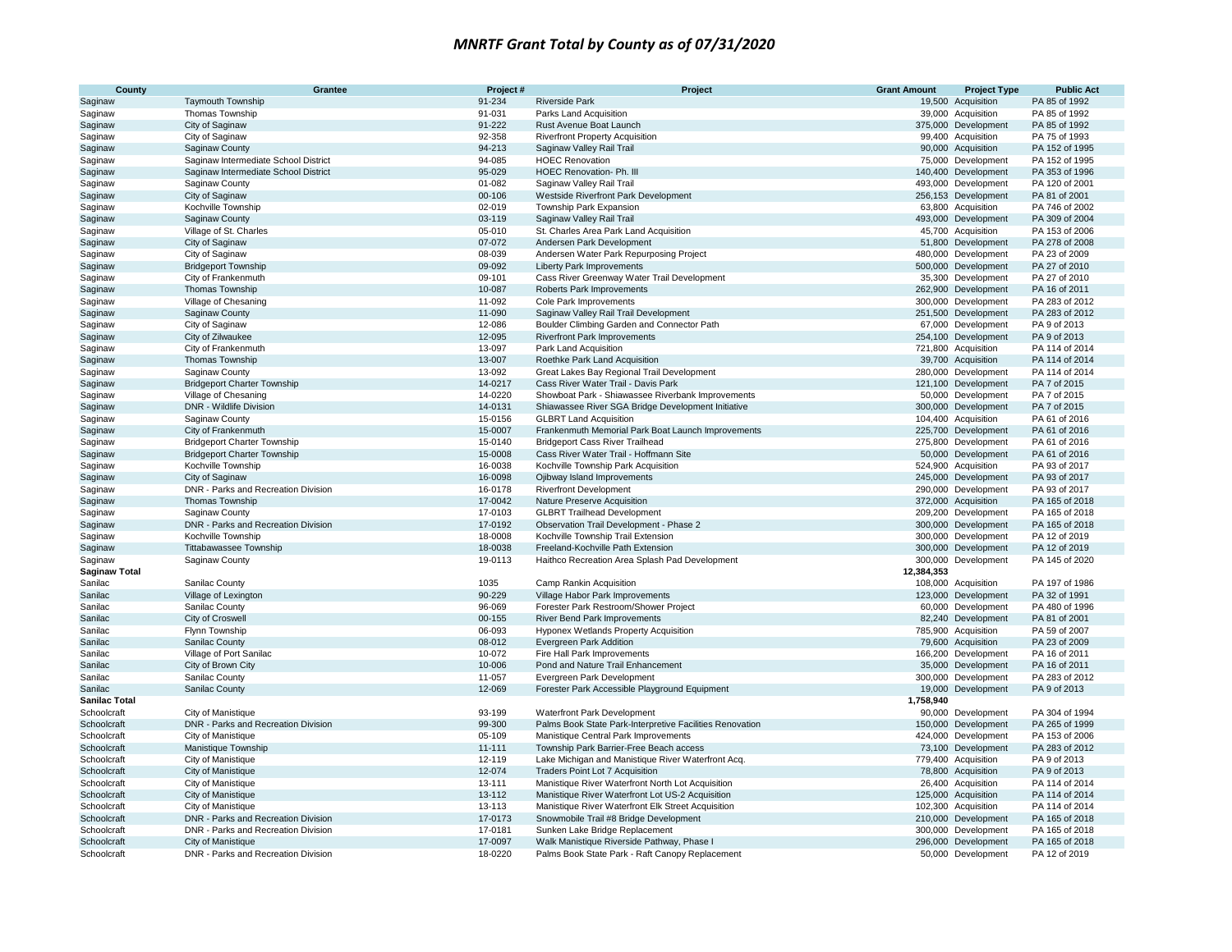| County               | Grantee                               | Project#           | Project                                                                             | <b>Grant Amount</b> | <b>Project Type</b>                        | <b>Public Act</b>              |
|----------------------|---------------------------------------|--------------------|-------------------------------------------------------------------------------------|---------------------|--------------------------------------------|--------------------------------|
| Saginaw              | <b>Taymouth Township</b>              | 91-234             | <b>Riverside Park</b>                                                               |                     | 19,500 Acquisition                         | PA 85 of 1992                  |
| Saginaw              | Thomas Township                       | 91-031             | Parks Land Acquisition                                                              |                     | 39,000 Acquisition                         | PA 85 of 1992                  |
| Saginaw              | City of Saginaw                       | 91-222             | Rust Avenue Boat Launch                                                             |                     | 375,000 Development                        | PA 85 of 1992                  |
| Saginaw              | City of Saginaw                       | 92-358             | <b>Riverfront Property Acquisition</b>                                              |                     | 99,400 Acquisition                         | PA 75 of 1993                  |
| Saginaw              | <b>Saginaw County</b>                 | 94-213             | Saginaw Valley Rail Trail                                                           |                     | 90,000 Acquisition                         | PA 152 of 1995                 |
| Saginaw              | Saginaw Intermediate School District  | 94-085             | <b>HOEC Renovation</b>                                                              |                     | 75,000 Development                         | PA 152 of 1995                 |
| Saginaw              | Saginaw Intermediate School District  | 95-029             | HOEC Renovation- Ph. III                                                            |                     | 140,400 Development                        | PA 353 of 1996                 |
| Saginaw              | Saginaw County                        | 01-082             | Saginaw Valley Rail Trail                                                           |                     | 493,000 Development                        | PA 120 of 2001                 |
| Saginaw              | City of Saginaw                       | 00-106             | Westside Riverfront Park Development                                                |                     | 256,153 Development                        | PA 81 of 2001                  |
| Saginaw              | Kochville Township                    | 02-019             | Township Park Expansion                                                             |                     | 63,800 Acquisition                         | PA 746 of 2002                 |
| Saginaw              | <b>Saginaw County</b>                 | 03-119             | Saginaw Valley Rail Trail                                                           |                     | 493,000 Development                        | PA 309 of 2004                 |
| Saginaw              | Village of St. Charles                | 05-010             | St. Charles Area Park Land Acquisition                                              |                     | 45,700 Acquisition                         | PA 153 of 2006                 |
| Saginaw              | City of Saginaw                       | 07-072             | Andersen Park Development                                                           |                     | 51,800 Development                         | PA 278 of 2008                 |
| Saginaw              | City of Saginaw                       | 08-039             | Andersen Water Park Repurposing Project                                             |                     | 480,000 Development                        | PA 23 of 2009                  |
| Saginaw              | <b>Bridgeport Township</b>            | 09-092             | <b>Liberty Park Improvements</b>                                                    |                     | 500,000 Development                        | PA 27 of 2010                  |
| Saginaw              | City of Frankenmuth                   | 09-101             | Cass River Greenway Water Trail Development                                         |                     | 35,300 Development                         | PA 27 of 2010                  |
| Saginaw              | Thomas Township                       | 10-087             | Roberts Park Improvements                                                           |                     | 262,900 Development                        | PA 16 of 2011                  |
| Saginaw              | Village of Chesaning                  | 11-092             | Cole Park Improvements                                                              |                     | 300,000 Development                        | PA 283 of 2012                 |
| Saginaw              | Saginaw County                        | 11-090             | Saginaw Valley Rail Trail Development                                               |                     | 251,500 Development                        | PA 283 of 2012                 |
| Saginaw              | City of Saginaw                       | 12-086             | Boulder Climbing Garden and Connector Path                                          |                     | 67,000 Development                         | PA 9 of 2013                   |
| Saginaw              | City of Zilwaukee                     | 12-095             | <b>Riverfront Park Improvements</b>                                                 |                     | 254,100 Development                        | PA 9 of 2013                   |
| Saginaw              | City of Frankenmuth                   | 13-097             | Park Land Acquisition                                                               |                     | 721,800 Acquisition                        | PA 114 of 2014                 |
| Saginaw              | Thomas Township                       | 13-007             | Roethke Park Land Acquisition                                                       |                     | 39,700 Acquisition                         | PA 114 of 2014                 |
| Saginaw              | Saginaw County                        | 13-092             | Great Lakes Bay Regional Trail Development                                          |                     | 280,000 Development                        | PA 114 of 2014                 |
| Saginaw              | <b>Bridgeport Charter Township</b>    | 14-0217            | Cass River Water Trail - Davis Park                                                 |                     | 121,100 Development                        | PA 7 of 2015                   |
| Saginaw              | Village of Chesaning                  | 14-0220            | Showboat Park - Shiawassee Riverbank Improvements                                   |                     | 50,000 Development                         | PA 7 of 2015                   |
| Saginaw              | DNR - Wildlife Division               | 14-0131            | Shiawassee River SGA Bridge Development Initiative                                  |                     | 300,000 Development                        | PA 7 of 2015                   |
| Saginaw              | Saginaw County                        | 15-0156<br>15-0007 | <b>GLBRT Land Acquisition</b><br>Frankenmuth Memorial Park Boat Launch Improvements |                     | 104,400 Acquisition<br>225,700 Development | PA 61 of 2016<br>PA 61 of 2016 |
| Saginaw              | City of Frankenmuth                   | 15-0140            | <b>Bridgeport Cass River Trailhead</b>                                              |                     | 275,800 Development                        | PA 61 of 2016                  |
| Saginaw              | <b>Bridgeport Charter Township</b>    | 15-0008            | Cass River Water Trail - Hoffmann Site                                              |                     |                                            | PA 61 of 2016                  |
| Saginaw              | <b>Bridgeport Charter Township</b>    | 16-0038            |                                                                                     |                     | 50,000 Development                         | PA 93 of 2017                  |
| Saginaw              | Kochville Township<br>City of Saginaw | 16-0098            | Kochville Township Park Acquisition<br>Ojibway Island Improvements                  |                     | 524,900 Acquisition<br>245,000 Development | PA 93 of 2017                  |
| Saginaw              | DNR - Parks and Recreation Division   | 16-0178            |                                                                                     |                     |                                            | PA 93 of 2017                  |
| Saginaw              | <b>Thomas Township</b>                | 17-0042            | <b>Riverfront Development</b><br>Nature Preserve Acquisition                        |                     | 290,000 Development<br>372,000 Acquisition | PA 165 of 2018                 |
| Saginaw<br>Saginaw   | Saginaw County                        | 17-0103            | <b>GLBRT Trailhead Development</b>                                                  |                     | 209,200 Development                        | PA 165 of 2018                 |
| Saginaw              | DNR - Parks and Recreation Division   | 17-0192            | Observation Trail Development - Phase 2                                             |                     | 300,000 Development                        | PA 165 of 2018                 |
| Saginaw              | Kochville Township                    | 18-0008            | Kochville Township Trail Extension                                                  |                     | 300,000 Development                        | PA 12 of 2019                  |
| Saginaw              | <b>Tittabawassee Township</b>         | 18-0038            | Freeland-Kochville Path Extension                                                   |                     | 300,000 Development                        | PA 12 of 2019                  |
| Saginaw              | Saginaw County                        | 19-0113            | Haithco Recreation Area Splash Pad Development                                      | 300,000             | Development                                | PA 145 of 2020                 |
| <b>Saginaw Total</b> |                                       |                    |                                                                                     | 12,384,353          |                                            |                                |
| Sanilac              | Sanilac County                        | 1035               | Camp Rankin Acquisition                                                             |                     | 108,000 Acquisition                        | PA 197 of 1986                 |
| Sanilac              | Village of Lexington                  | 90-229             | Village Habor Park Improvements                                                     |                     | 123,000 Development                        | PA 32 of 1991                  |
| Sanilac              | Sanilac County                        | 96-069             | Forester Park Restroom/Shower Project                                               |                     | 60,000 Development                         | PA 480 of 1996                 |
| Sanilac              | City of Croswell                      | 00-155             | River Bend Park Improvements                                                        |                     | 82,240 Development                         | PA 81 of 2001                  |
| Sanilac              | Flynn Township                        | 06-093             | Hyponex Wetlands Property Acquisition                                               |                     | 785,900 Acquisition                        | PA 59 of 2007                  |
| Sanilac              | Sanilac County                        | 08-012             | Evergreen Park Addition                                                             |                     | 79,600 Acquisition                         | PA 23 of 2009                  |
| Sanilac              | Village of Port Sanilac               | 10-072             | Fire Hall Park Improvements                                                         |                     | 166,200 Development                        | PA 16 of 2011                  |
| Sanilac              | City of Brown City                    | 10-006             | Pond and Nature Trail Enhancement                                                   |                     | 35,000 Development                         | PA 16 of 2011                  |
| Sanilac              | Sanilac County                        | 11-057             | Evergreen Park Development                                                          |                     | 300,000 Development                        | PA 283 of 2012                 |
| Sanilac              | Sanilac County                        | 12-069             | Forester Park Accessible Playground Equipment                                       |                     | 19,000 Development                         | PA 9 of 2013                   |
| <b>Sanilac Total</b> |                                       |                    |                                                                                     | 1,758,940           |                                            |                                |
| Schoolcraft          | City of Manistique                    | 93-199             | Waterfront Park Development                                                         |                     | 90,000 Development                         | PA 304 of 1994                 |
| Schoolcraft          | DNR - Parks and Recreation Division   | 99-300             | Palms Book State Park-Interpretive Facilities Renovation                            |                     | 150,000 Development                        | PA 265 of 1999                 |
| Schoolcraft          | City of Manistique                    | 05-109             | Manistique Central Park Improvements                                                |                     | 424,000 Development                        | PA 153 of 2006                 |
| Schoolcraft          | <b>Manistique Township</b>            | $11 - 111$         | Township Park Barrier-Free Beach access                                             |                     | 73,100 Development                         | PA 283 of 2012                 |
| Schoolcraft          | City of Manistique                    | 12-119             | Lake Michigan and Manistique River Waterfront Acq.                                  |                     | 779,400 Acquisition                        | PA 9 of 2013                   |
| Schoolcraft          | City of Manistique                    | 12-074             | <b>Traders Point Lot 7 Acquisition</b>                                              |                     | 78,800 Acquisition                         | PA 9 of 2013                   |
| Schoolcraft          | City of Manistique                    | 13-111             | Manistique River Waterfront North Lot Acquisition                                   |                     | 26,400 Acquisition                         | PA 114 of 2014                 |
| Schoolcraft          | City of Manistique                    | 13-112             | Manistique River Waterfront Lot US-2 Acquisition                                    |                     | 125,000 Acquisition                        | PA 114 of 2014                 |
| Schoolcraft          | City of Manistique                    | 13-113             | Manistique River Waterfront Elk Street Acquisition                                  |                     | 102,300 Acquisition                        | PA 114 of 2014                 |
| Schoolcraft          | DNR - Parks and Recreation Division   | 17-0173            | Snowmobile Trail #8 Bridge Development                                              |                     | 210,000 Development                        | PA 165 of 2018                 |
| Schoolcraft          | DNR - Parks and Recreation Division   | 17-0181            | Sunken Lake Bridge Replacement                                                      |                     | 300,000 Development                        | PA 165 of 2018                 |
| Schoolcraft          | City of Manistique                    | 17-0097            | Walk Manistique Riverside Pathway, Phase I                                          |                     | 296,000 Development                        | PA 165 of 2018                 |
| Schoolcraft          | DNR - Parks and Recreation Division   | 18-0220            | Palms Book State Park - Raft Canopy Replacement                                     |                     | 50,000 Development                         | PA 12 of 2019                  |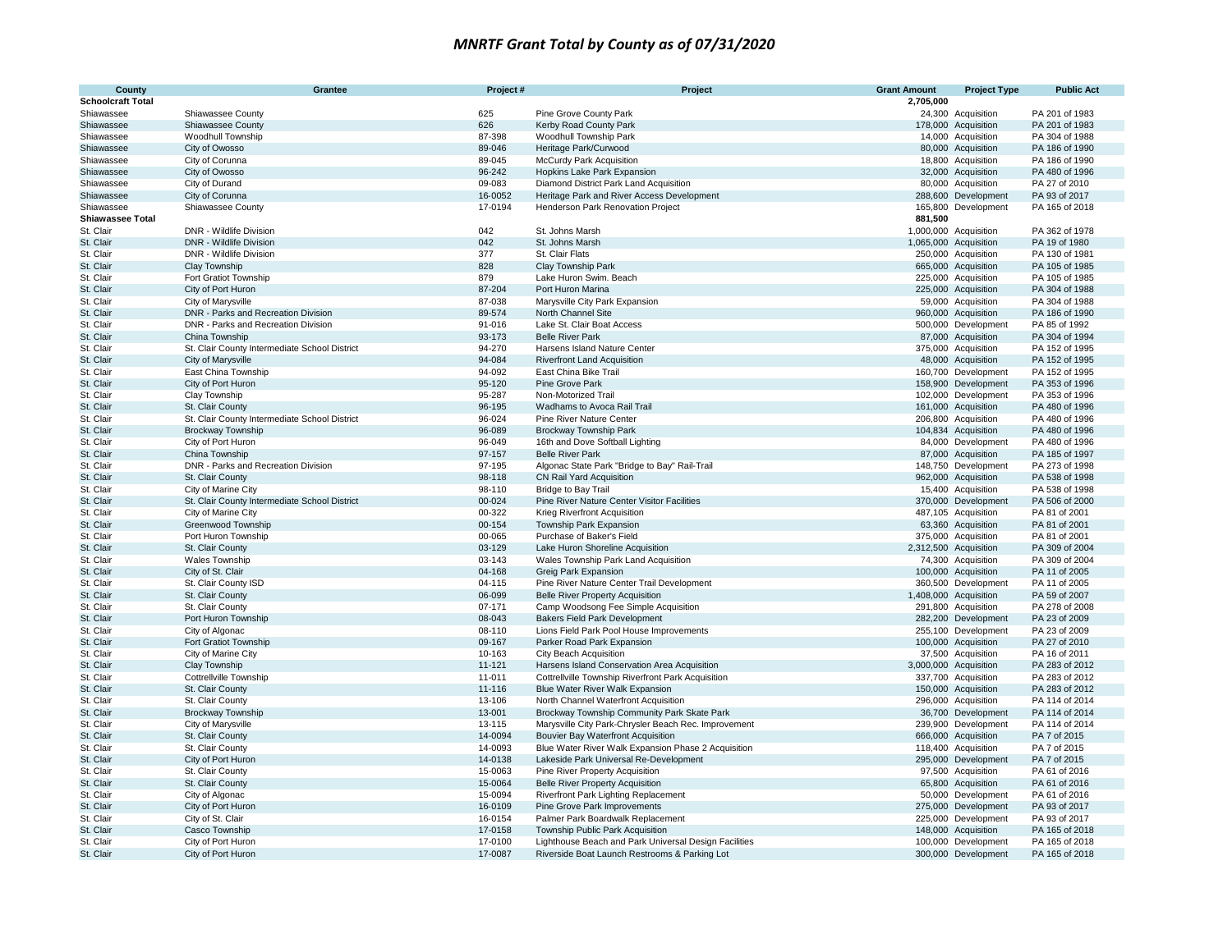| County                   | Grantee                                       | Project #        | Project                                                                                    | <b>Grant Amount</b> | <b>Project Type</b>                        | <b>Public Act</b>                |
|--------------------------|-----------------------------------------------|------------------|--------------------------------------------------------------------------------------------|---------------------|--------------------------------------------|----------------------------------|
| <b>Schoolcraft Total</b> |                                               |                  |                                                                                            | 2,705,000           |                                            |                                  |
| Shiawassee               | Shiawassee County                             | 625              | Pine Grove County Park                                                                     |                     | 24,300 Acquisition                         | PA 201 of 1983                   |
| Shiawassee               | Shiawassee County                             | 626              | Kerby Road County Park                                                                     |                     | 178,000 Acquisition                        | PA 201 of 1983                   |
| Shiawassee               | Woodhull Township                             | 87-398           | Woodhull Township Park                                                                     |                     | 14,000 Acquisition                         | PA 304 of 1988                   |
| Shiawassee               | City of Owosso                                | 89-046           | Heritage Park/Curwood                                                                      |                     | 80,000 Acquisition                         | PA 186 of 1990                   |
| Shiawassee               | City of Corunna                               | 89-045           | <b>McCurdy Park Acquisition</b>                                                            |                     | 18,800 Acquisition                         | PA 186 of 1990                   |
| Shiawassee               | City of Owosso                                | 96-242           | Hopkins Lake Park Expansion                                                                |                     | 32,000 Acquisition                         | PA 480 of 1996                   |
| Shiawassee               | City of Durand                                | 09-083           | Diamond District Park Land Acquisition                                                     |                     | 80,000 Acquisition                         | PA 27 of 2010                    |
| Shiawassee               | City of Corunna                               | 16-0052          | Heritage Park and River Access Development                                                 |                     | 288,600 Development                        | PA 93 of 2017                    |
| Shiawassee               | Shiawassee County                             | 17-0194          | Henderson Park Renovation Project                                                          |                     | 165,800 Development                        | PA 165 of 2018                   |
| <b>Shiawassee Total</b>  |                                               |                  |                                                                                            | 881,500             |                                            |                                  |
| St. Clair                | DNR - Wildlife Division                       | 042              | St. Johns Marsh                                                                            |                     | 1,000,000 Acquisition                      | PA 362 of 1978                   |
| St. Clair                | <b>DNR - Wildlife Division</b>                | 042              | St. Johns Marsh                                                                            |                     | 1,065,000 Acquisition                      | PA 19 of 1980                    |
| St. Clair                | DNR - Wildlife Division                       | 377              | St. Clair Flats                                                                            |                     | 250,000 Acquisition                        | PA 130 of 1981                   |
| St. Clair                | Clay Township                                 | 828              | Clay Township Park                                                                         |                     | 665,000 Acquisition                        | PA 105 of 1985                   |
| St. Clair                | Fort Gratiot Township                         | 879              | Lake Huron Swim. Beach                                                                     |                     | 225,000 Acquisition                        | PA 105 of 1985                   |
| St. Clair                | City of Port Huron                            | 87-204           | Port Huron Marina                                                                          |                     | 225,000 Acquisition                        | PA 304 of 1988                   |
| St. Clair                | City of Marysville                            | 87-038           | Marysville City Park Expansion                                                             |                     | 59,000 Acquisition                         | PA 304 of 1988                   |
| St. Clair                | DNR - Parks and Recreation Division           | 89-574           | North Channel Site                                                                         |                     | 960,000 Acquisition                        | PA 186 of 1990                   |
| St. Clair                | DNR - Parks and Recreation Division           | 91-016           | Lake St. Clair Boat Access                                                                 |                     | 500,000 Development                        | PA 85 of 1992                    |
| St. Clair                | China Township                                | 93-173           | <b>Belle River Park</b>                                                                    |                     | 87,000 Acquisition                         | PA 304 of 1994                   |
| St. Clair                | St. Clair County Intermediate School District | 94-270<br>94-084 | Harsens Island Nature Center                                                               |                     | 375,000 Acquisition                        | PA 152 of 1995                   |
| St. Clair                | City of Marysville                            |                  | <b>Riverfront Land Acquisition</b>                                                         |                     | 48,000 Acquisition                         | PA 152 of 1995                   |
| St. Clair<br>St. Clair   | East China Township<br>City of Port Huron     | 94-092<br>95-120 | East China Bike Trail<br>Pine Grove Park                                                   |                     | 160,700 Development<br>158,900 Development | PA 152 of 1995<br>PA 353 of 1996 |
| St. Clair                | Clay Township                                 | 95-287           | Non-Motorized Trail                                                                        |                     | 102,000 Development                        | PA 353 of 1996                   |
| St. Clair                | St. Clair County                              | 96-195           | Wadhams to Avoca Rail Trail                                                                |                     | 161,000 Acquisition                        | PA 480 of 1996                   |
| St. Clair                | St. Clair County Intermediate School District | 96-024           | Pine River Nature Center                                                                   |                     | 206,800 Acquisition                        | PA 480 of 1996                   |
| St. Clair                | <b>Brockway Township</b>                      | 96-089           | <b>Brockway Township Park</b>                                                              |                     | 104,834 Acquisition                        | PA 480 of 1996                   |
| St. Clair                | City of Port Huron                            | 96-049           | 16th and Dove Softball Lighting                                                            |                     | 84,000 Development                         | PA 480 of 1996                   |
| St. Clair                | China Township                                | 97-157           | <b>Belle River Park</b>                                                                    |                     | 87,000 Acquisition                         | PA 185 of 1997                   |
| St. Clair                | DNR - Parks and Recreation Division           | 97-195           | Algonac State Park "Bridge to Bay" Rail-Trail                                              |                     | 148,750 Development                        | PA 273 of 1998                   |
| St. Clair                | St. Clair County                              | 98-118           | CN Rail Yard Acquisition                                                                   |                     | 962,000 Acquisition                        | PA 538 of 1998                   |
| St. Clair                | City of Marine City                           | 98-110           | <b>Bridge to Bay Trail</b>                                                                 |                     | 15,400 Acquisition                         | PA 538 of 1998                   |
| St. Clair                | St. Clair County Intermediate School District | 00-024           | Pine River Nature Center Visitor Facilities                                                |                     | 370,000 Development                        | PA 506 of 2000                   |
| St. Clair                | City of Marine City                           | 00-322           | Krieg Riverfront Acquisition                                                               |                     | 487,105 Acquisition                        | PA 81 of 2001                    |
| St. Clair                | Greenwood Township                            | 00-154           | Township Park Expansion                                                                    |                     | 63,360 Acquisition                         | PA 81 of 2001                    |
| St. Clair                | Port Huron Township                           | 00-065           | Purchase of Baker's Field                                                                  |                     | 375,000 Acquisition                        | PA 81 of 2001                    |
| St. Clair                | St. Clair County                              | 03-129           | Lake Huron Shoreline Acquisition                                                           |                     | 2,312,500 Acquisition                      | PA 309 of 2004                   |
| St. Clair                | <b>Wales Township</b>                         | 03-143           | Wales Township Park Land Acquisition                                                       |                     | 74,300 Acquisition                         | PA 309 of 2004                   |
| St. Clair                | City of St. Clair                             | 04-168           | Greig Park Expansion                                                                       |                     | 100,000 Acquisition                        | PA 11 of 2005                    |
| St. Clair                | St. Clair County ISD                          | 04-115           | Pine River Nature Center Trail Development                                                 |                     | 360,500 Development                        | PA 11 of 2005                    |
| St. Clair                | St. Clair County                              | 06-099           | <b>Belle River Property Acquisition</b>                                                    |                     | 1,408,000 Acquisition                      | PA 59 of 2007                    |
| St. Clair                | St. Clair County                              | 07-171           | Camp Woodsong Fee Simple Acquisition                                                       |                     | 291,800 Acquisition                        | PA 278 of 2008                   |
| St. Clair                | Port Huron Township                           | 08-043           | <b>Bakers Field Park Development</b>                                                       |                     | 282,200 Development                        | PA 23 of 2009                    |
| St. Clair                | City of Algonac                               | 08-110           | Lions Field Park Pool House Improvements                                                   |                     | 255,100 Development                        | PA 23 of 2009                    |
| St. Clair                | Fort Gratiot Township                         | 09-167           | Parker Road Park Expansion                                                                 |                     | 100,000 Acquisition                        | PA 27 of 2010                    |
| St. Clair                | City of Marine City                           | 10-163           | City Beach Acquisition                                                                     |                     | 37,500 Acquisition                         | PA 16 of 2011                    |
| St. Clair                | Clay Township                                 | 11-121           | Harsens Island Conservation Area Acquisition                                               |                     | 3,000,000 Acquisition                      | PA 283 of 2012                   |
| St. Clair                | <b>Cottrellville Township</b>                 | 11-011           | <b>Cottrellville Township Riverfront Park Acquisition</b>                                  |                     | 337,700 Acquisition                        | PA 283 of 2012                   |
| St. Clair                | St. Clair County                              | 11-116           | Blue Water River Walk Expansion                                                            |                     | 150,000 Acquisition                        | PA 283 of 2012                   |
| St. Clair                | St. Clair County                              | 13-106           | North Channel Waterfront Acquisition                                                       |                     | 296,000 Acquisition                        | PA 114 of 2014                   |
| St. Clair<br>St. Clair   | <b>Brockway Township</b>                      | 13-001<br>13-115 | Brockway Township Community Park Skate Park                                                |                     | 36,700 Development                         | PA 114 of 2014<br>PA 114 of 2014 |
| St. Clair                | City of Marysville<br>St. Clair County        | 14-0094          | Marysville City Park-Chrysler Beach Rec. Improvement<br>Bouvier Bay Waterfront Acquisition |                     | 239,900 Development<br>666,000 Acquisition | PA 7 of 2015                     |
| St. Clair                | St. Clair County                              | 14-0093          | Blue Water River Walk Expansion Phase 2 Acquisition                                        |                     | 118,400 Acquisition                        | PA 7 of 2015                     |
| St. Clair                | City of Port Huron                            | 14-0138          | Lakeside Park Universal Re-Development                                                     |                     | 295,000 Development                        | PA 7 of 2015                     |
| St. Clair                | St. Clair County                              | 15-0063          | Pine River Property Acquisition                                                            |                     | 97,500 Acquisition                         | PA 61 of 2016                    |
| St. Clair                | St. Clair County                              | 15-0064          | <b>Belle River Property Acquisition</b>                                                    |                     | 65,800 Acquisition                         | PA 61 of 2016                    |
| St. Clair                | City of Algonac                               | 15-0094          | <b>Riverfront Park Lighting Replacement</b>                                                |                     | 50,000 Development                         | PA 61 of 2016                    |
| St. Clair                | City of Port Huron                            | 16-0109          | Pine Grove Park Improvements                                                               |                     | 275,000 Development                        | PA 93 of 2017                    |
| St. Clair                | City of St. Clair                             | 16-0154          | Palmer Park Boardwalk Replacement                                                          |                     | 225,000 Development                        | PA 93 of 2017                    |
| St. Clair                | Casco Township                                | 17-0158          | Township Public Park Acquisition                                                           |                     | 148,000 Acquisition                        | PA 165 of 2018                   |
| St. Clair                | City of Port Huron                            | 17-0100          | Lighthouse Beach and Park Universal Design Facilities                                      |                     | 100,000 Development                        | PA 165 of 2018                   |
| St. Clair                | City of Port Huron                            | 17-0087          | Riverside Boat Launch Restrooms & Parking Lot                                              |                     | 300,000 Development                        | PA 165 of 2018                   |
|                          |                                               |                  |                                                                                            |                     |                                            |                                  |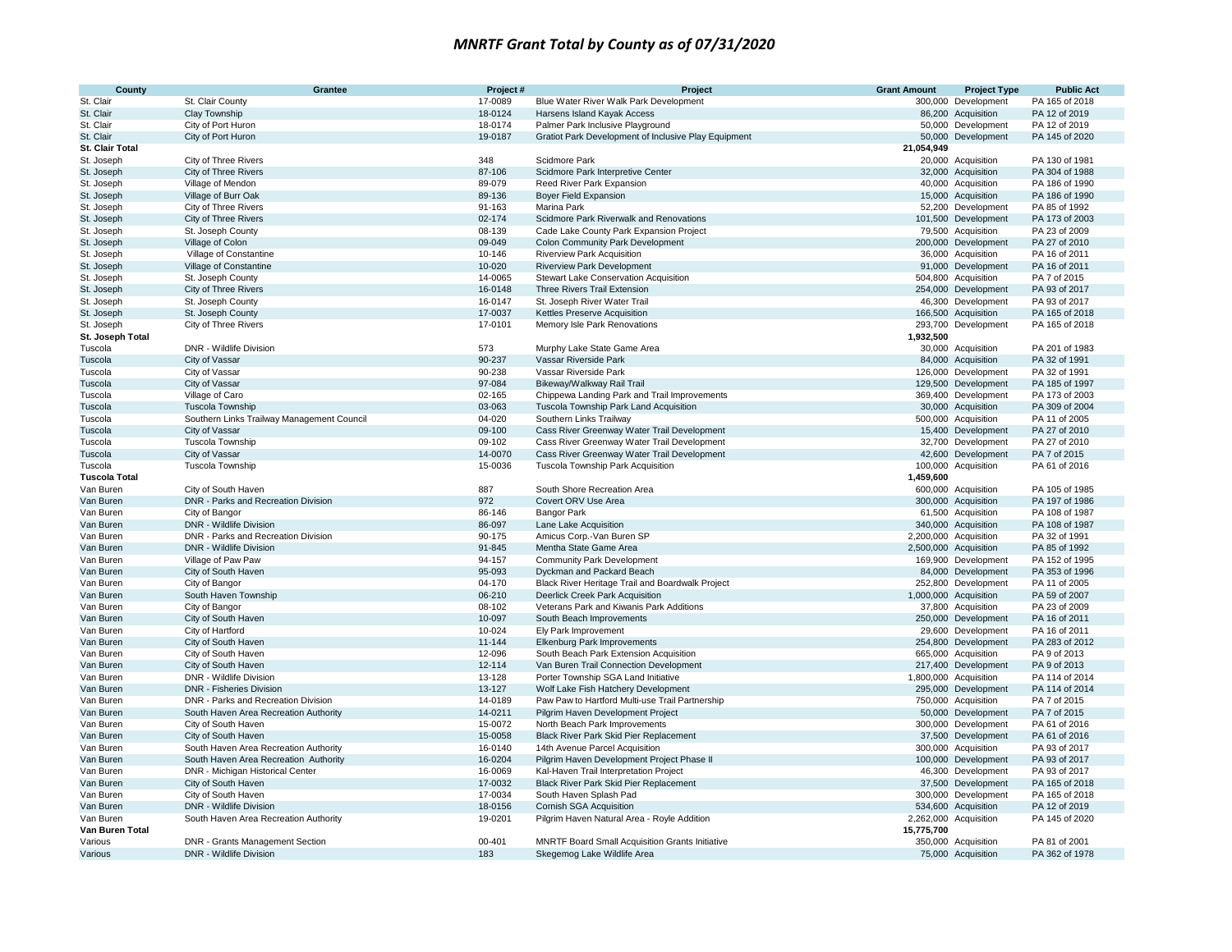| County                 | <b>Grantee</b>                                                         | Project #          | Project                                                                                | <b>Grant Amount</b> | <b>Project Type</b>                          | <b>Public Act</b> |
|------------------------|------------------------------------------------------------------------|--------------------|----------------------------------------------------------------------------------------|---------------------|----------------------------------------------|-------------------|
| St. Clair              | St. Clair County                                                       | 17-0089            | Blue Water River Walk Park Development                                                 | 300,000             | Development                                  | PA 165 of 2018    |
| St. Clair              | Clay Township                                                          | 18-0124            | Harsens Island Kayak Access                                                            |                     | 86,200 Acquisition                           | PA 12 of 2019     |
| St. Clair              | City of Port Huron                                                     | 18-0174            | Palmer Park Inclusive Playground                                                       |                     | 50,000 Development                           | PA 12 of 2019     |
| St. Clair              | City of Port Huron                                                     | 19-0187            | Gratiot Park Development of Inclusive Play Equipment                                   |                     | 50,000 Development                           | PA 145 of 2020    |
| St. Clair Total        |                                                                        |                    |                                                                                        | 21,054,949          |                                              |                   |
| St. Joseph             | City of Three Rivers                                                   | 348                | Scidmore Park                                                                          |                     | 20,000 Acquisition                           | PA 130 of 1981    |
| St. Joseph             | <b>City of Three Rivers</b>                                            | 87-106             | Scidmore Park Interpretive Center                                                      |                     | 32,000 Acquisition                           | PA 304 of 1988    |
| St. Joseph             | Village of Mendon                                                      | 89-079             | Reed River Park Expansion                                                              |                     | 40,000 Acquisition                           | PA 186 of 1990    |
| St. Joseph             | Village of Burr Oak                                                    | 89-136             | <b>Boyer Field Expansion</b>                                                           |                     | 15,000 Acquisition                           | PA 186 of 1990    |
| St. Joseph             | City of Three Rivers                                                   | 91-163             | Marina Park                                                                            |                     | 52,200 Development                           | PA 85 of 1992     |
| St. Joseph             | City of Three Rivers                                                   | 02-174             | Scidmore Park Riverwalk and Renovations                                                |                     | 101,500 Development                          | PA 173 of 2003    |
| St. Joseph             | St. Joseph County                                                      | 08-139             | Cade Lake County Park Expansion Project                                                |                     | 79,500 Acquisition                           | PA 23 of 2009     |
| St. Joseph             | Village of Colon                                                       | 09-049             | <b>Colon Community Park Development</b>                                                |                     | 200,000 Development                          | PA 27 of 2010     |
| St. Joseph             | Village of Constantine                                                 | 10-146             | <b>Riverview Park Acquisition</b>                                                      |                     | 36,000 Acquisition                           | PA 16 of 2011     |
| St. Joseph             | Village of Constantine                                                 | 10-020             | <b>Riverview Park Development</b>                                                      |                     | 91,000 Development                           | PA 16 of 2011     |
| St. Joseph             | St. Joseph County                                                      | 14-0065            | Stewart Lake Conservation Acquisition                                                  |                     | 504,800 Acquisition                          | PA 7 of 2015      |
| St. Joseph             | <b>City of Three Rivers</b>                                            | 16-0148            | Three Rivers Trail Extension                                                           |                     | 254,000 Development                          | PA 93 of 2017     |
| St. Joseph             | St. Joseph County                                                      | 16-0147            | St. Joseph River Water Trail                                                           |                     | 46,300 Development                           | PA 93 of 2017     |
| St. Joseph             | St. Joseph County                                                      | 17-0037            | Kettles Preserve Acquisition                                                           |                     | 166,500 Acquisition                          | PA 165 of 2018    |
| St. Joseph             | City of Three Rivers                                                   | 17-0101            | Memory Isle Park Renovations                                                           |                     | 293,700 Development                          | PA 165 of 2018    |
| St. Joseph Total       |                                                                        |                    |                                                                                        | 1,932,500           |                                              |                   |
| Tuscola                | DNR - Wildlife Division                                                | 573                | Murphy Lake State Game Area                                                            |                     | 30,000 Acquisition                           | PA 201 of 1983    |
| Tuscola                | City of Vassar                                                         | 90-237             | Vassar Riverside Park                                                                  |                     | 84,000 Acquisition                           | PA 32 of 1991     |
| Tuscola                | City of Vassar                                                         | 90-238             | Vassar Riverside Park                                                                  |                     | 126,000 Development                          | PA 32 of 1991     |
| Tuscola                | City of Vassar                                                         | 97-084             | Bikeway/Walkway Rail Trail                                                             |                     | 129,500 Development                          | PA 185 of 1997    |
| Tuscola                | Village of Caro                                                        | 02-165             | Chippewa Landing Park and Trail Improvements                                           |                     | 369,400 Development                          | PA 173 of 2003    |
| Tuscola                | <b>Tuscola Township</b>                                                | 03-063             | Tuscola Township Park Land Acquisition                                                 |                     | 30,000 Acquisition                           | PA 309 of 2004    |
| Tuscola                | Southern Links Trailway Management Council                             | 04-020             | Southern Links Trailway                                                                |                     | 500,000 Acquisition                          | PA 11 of 2005     |
| Tuscola                | City of Vassar                                                         | 09-100             | Cass River Greenway Water Trail Development                                            |                     | 15,400 Development                           | PA 27 of 2010     |
| Tuscola                | Tuscola Township                                                       | 09-102             | Cass River Greenway Water Trail Development                                            |                     | 32,700 Development                           | PA 27 of 2010     |
| Tuscola                | City of Vassar                                                         | 14-0070            | Cass River Greenway Water Trail Development                                            |                     | 42,600 Development                           | PA 7 of 2015      |
| Tuscola                | Tuscola Township                                                       | 15-0036            | Tuscola Township Park Acquisition                                                      |                     | 100,000 Acquisition                          | PA 61 of 2016     |
| <b>Tuscola Total</b>   |                                                                        |                    |                                                                                        | 1,459,600           |                                              |                   |
| Van Buren              | City of South Haven                                                    | 887                | South Shore Recreation Area                                                            |                     | 600,000 Acquisition                          | PA 105 of 1985    |
| Van Buren              | DNR - Parks and Recreation Division                                    | 972                | Covert ORV Use Area                                                                    |                     | 300,000 Acquisition                          | PA 197 of 1986    |
| Van Buren              | City of Bangor                                                         | 86-146             | <b>Bangor Park</b>                                                                     |                     | 61,500 Acquisition                           | PA 108 of 1987    |
| Van Buren              | DNR - Wildlife Division                                                | 86-097             | Lane Lake Acquisition                                                                  |                     | 340,000 Acquisition                          | PA 108 of 1987    |
| Van Buren              | DNR - Parks and Recreation Division                                    | 90-175             | Amicus Corp.-Van Buren SP                                                              |                     | 2,200,000 Acquisition                        | PA 32 of 1991     |
| Van Buren              | <b>DNR - Wildlife Division</b>                                         | 91-845             | Mentha State Game Area                                                                 |                     | 2,500,000 Acquisition                        | PA 85 of 1992     |
| Van Buren              | Village of Paw Paw                                                     | 94-157             | <b>Community Park Development</b>                                                      |                     | 169,900 Development                          | PA 152 of 1995    |
| Van Buren              | City of South Haven                                                    | 95-093             | Dyckman and Packard Beach                                                              |                     | 84,000 Development                           | PA 353 of 1996    |
| Van Buren              | City of Bangor                                                         | 04-170             | Black River Heritage Trail and Boardwalk Project                                       |                     | 252,800 Development                          | PA 11 of 2005     |
|                        | South Haven Township                                                   | 06-210             | Deerlick Creek Park Acquisition                                                        |                     | 1,000,000 Acquisition                        | PA 59 of 2007     |
| Van Buren              | City of Bangor                                                         | 08-102             | Veterans Park and Kiwanis Park Additions                                               |                     | 37,800 Acquisition                           | PA 23 of 2009     |
| Van Buren              | City of South Haven                                                    | 10-097             | South Beach Improvements                                                               |                     | 250,000 Development                          | PA 16 of 2011     |
| Van Buren<br>Van Buren | City of Hartford                                                       | 10-024             | Ely Park Improvement                                                                   |                     | 29,600 Development                           | PA 16 of 2011     |
|                        | City of South Haven                                                    | 11-144             | Elkenburg Park Improvements                                                            |                     | 254,800 Development                          | PA 283 of 2012    |
| Van Buren<br>Van Buren | City of South Haven                                                    | 12-096             | South Beach Park Extension Acquisition                                                 |                     | 665,000 Acquisition                          | PA 9 of 2013      |
|                        |                                                                        |                    | Van Buren Trail Connection Development                                                 |                     | 217,400 Development                          | PA 9 of 2013      |
| Van Buren              | City of South Haven<br>DNR - Wildlife Division                         | 12-114<br>13-128   | Porter Township SGA Land Initiative                                                    |                     |                                              | PA 114 of 2014    |
| Van Buren              |                                                                        | 13-127             |                                                                                        |                     | 1,800,000 Acquisition<br>295,000 Development | PA 114 of 2014    |
| Van Buren<br>Van Buren | <b>DNR - Fisheries Division</b><br>DNR - Parks and Recreation Division | 14-0189            | Wolf Lake Fish Hatchery Development<br>Paw Paw to Hartford Multi-use Trail Partnership |                     |                                              | PA 7 of 2015      |
|                        |                                                                        |                    |                                                                                        |                     | 750,000 Acquisition                          | PA 7 of 2015      |
| Van Buren              | South Haven Area Recreation Authority                                  | 14-0211<br>15-0072 | Pilgrim Haven Development Project<br>North Beach Park Improvements                     |                     | 50,000 Development                           | PA 61 of 2016     |
| Van Buren              | City of South Haven                                                    | 15-0058            |                                                                                        |                     | 300,000 Development                          |                   |
| Van Buren              | City of South Haven                                                    |                    | Black River Park Skid Pier Replacement                                                 |                     | 37,500 Development                           | PA 61 of 2016     |
| Van Buren              | South Haven Area Recreation Authority                                  | 16-0140            | 14th Avenue Parcel Acquisition                                                         |                     | 300,000 Acquisition                          | PA 93 of 2017     |
| Van Buren              | South Haven Area Recreation Authority                                  | 16-0204            | Pilgrim Haven Development Project Phase II                                             |                     | 100,000 Development                          | PA 93 of 2017     |
| Van Buren              | DNR - Michigan Historical Center                                       | 16-0069            | Kal-Haven Trail Interpretation Project                                                 |                     | 46,300 Development                           | PA 93 of 2017     |
| Van Buren              | City of South Haven                                                    | 17-0032            | Black River Park Skid Pier Replacement                                                 |                     | 37,500 Development                           | PA 165 of 2018    |
| Van Buren              | City of South Haven                                                    | 17-0034            | South Haven Splash Pad                                                                 |                     | 300,000 Development                          | PA 165 of 2018    |
| Van Buren              | DNR - Wildlife Division                                                | 18-0156            | Cornish SGA Acquisition                                                                |                     | 534,600 Acquisition                          | PA 12 of 2019     |
| Van Buren              | South Haven Area Recreation Authority                                  | 19-0201            | Pilgrim Haven Natural Area - Royle Addition                                            |                     | 2,262,000 Acquisition                        | PA 145 of 2020    |
| Van Buren Total        |                                                                        |                    |                                                                                        | 15,775,700          |                                              |                   |
| Various                | <b>DNR - Grants Management Section</b>                                 | $00 - 401$         | MNRTF Board Small Acquisition Grants Initiative                                        |                     | 350,000 Acquisition                          | PA 81 of 2001     |
| Various                | DNR - Wildlife Division                                                | 183                | Skegemog Lake Wildlife Area                                                            |                     | 75,000 Acquisition                           | PA 362 of 1978    |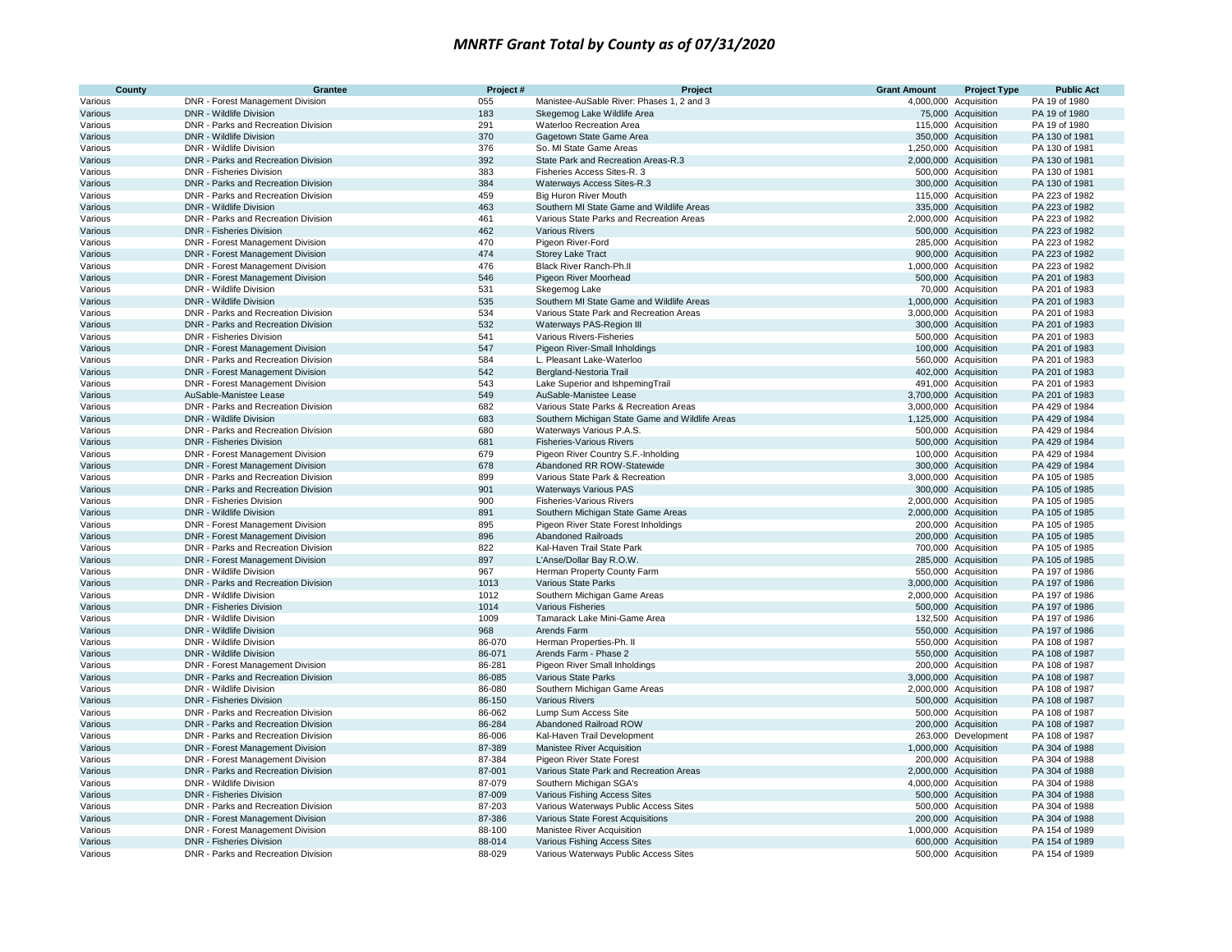| County             | Grantee                                                                 | Project#   | Project                                                                               | <b>Grant Amount</b> | <b>Project Type</b>                          | <b>Public Act</b>                |
|--------------------|-------------------------------------------------------------------------|------------|---------------------------------------------------------------------------------------|---------------------|----------------------------------------------|----------------------------------|
| Various            | DNR - Forest Management Division                                        | 055        | Manistee-AuSable River: Phases 1, 2 and 3                                             |                     | 4,000,000 Acquisition                        | PA 19 of 1980                    |
| Various            | DNR - Wildlife Division                                                 | 183        | Skegemog Lake Wildlife Area                                                           |                     | 75,000 Acquisition                           | PA 19 of 1980                    |
| Various            | DNR - Parks and Recreation Division                                     | 291        | Waterloo Recreation Area                                                              |                     | 115,000 Acquisition                          | PA 19 of 1980                    |
| Various            | DNR - Wildlife Division                                                 | 370        | Gagetown State Game Area                                                              |                     | 350,000 Acquisition                          | PA 130 of 1981                   |
| Various            | DNR - Wildlife Division                                                 | 376        | So. MI State Game Areas                                                               |                     | 1,250,000 Acquisition                        | PA 130 of 1981                   |
| Various            | DNR - Parks and Recreation Division                                     | 392        | State Park and Recreation Areas-R.3                                                   |                     | 2,000,000 Acquisition                        | PA 130 of 1981                   |
| Various            | DNR - Fisheries Division                                                | 383        | Fisheries Access Sites-R. 3                                                           |                     | 500,000 Acquisition                          | PA 130 of 1981                   |
| Various            | DNR - Parks and Recreation Division                                     | 384        | Waterways Access Sites-R.3                                                            |                     | 300,000 Acquisition                          | PA 130 of 1981                   |
| Various            | DNR - Parks and Recreation Division                                     | 459        | <b>Big Huron River Mouth</b>                                                          |                     | 115,000 Acquisition                          | PA 223 of 1982                   |
| Various            | DNR - Wildlife Division<br>DNR - Parks and Recreation Division          | 463<br>461 | Southern MI State Game and Wildlife Areas<br>Various State Parks and Recreation Areas |                     | 335,000 Acquisition<br>2,000,000 Acquisition | PA 223 of 1982<br>PA 223 of 1982 |
| Various<br>Various | DNR - Fisheries Division                                                | 462        | <b>Various Rivers</b>                                                                 |                     | 500,000 Acquisition                          | PA 223 of 1982                   |
| Various            | DNR - Forest Management Division                                        | 470        | Pigeon River-Ford                                                                     |                     | 285,000 Acquisition                          | PA 223 of 1982                   |
| Various            | DNR - Forest Management Division                                        | 474        | <b>Storey Lake Tract</b>                                                              |                     | 900,000 Acquisition                          | PA 223 of 1982                   |
| Various            | DNR - Forest Management Division                                        | 476        | Black River Ranch-Ph.II                                                               |                     | 1,000,000 Acquisition                        | PA 223 of 1982                   |
| Various            | DNR - Forest Management Division                                        | 546        | Pigeon River Moorhead                                                                 |                     | 500,000 Acquisition                          | PA 201 of 1983                   |
| Various            | DNR - Wildlife Division                                                 | 531        | Skegemog Lake                                                                         |                     | 70,000 Acquisition                           | PA 201 of 1983                   |
| Various            | DNR - Wildlife Division                                                 | 535        | Southern MI State Game and Wildlife Areas                                             |                     | 1,000,000 Acquisition                        | PA 201 of 1983                   |
| Various            | DNR - Parks and Recreation Division                                     | 534        | Various State Park and Recreation Areas                                               |                     | 3,000,000 Acquisition                        | PA 201 of 1983                   |
| Various            | DNR - Parks and Recreation Division                                     | 532        | Waterways PAS-Region III                                                              |                     | 300,000 Acquisition                          | PA 201 of 1983                   |
| Various            | DNR - Fisheries Division                                                | 541        | Various Rivers-Fisheries                                                              |                     | 500,000 Acquisition                          | PA 201 of 1983                   |
| Various            | DNR - Forest Management Division                                        | 547        | Pigeon River-Small Inholdings                                                         |                     | 100,000 Acquisition                          | PA 201 of 1983                   |
| Various            | DNR - Parks and Recreation Division                                     | 584        | L. Pleasant Lake-Waterloo                                                             |                     | 560,000 Acquisition                          | PA 201 of 1983                   |
| Various            | DNR - Forest Management Division                                        | 542        | Bergland-Nestoria Trail                                                               |                     | 402,000 Acquisition                          | PA 201 of 1983                   |
| Various            | DNR - Forest Management Division                                        | 543        | Lake Superior and IshpemingTrail                                                      |                     | 491,000 Acquisition                          | PA 201 of 1983                   |
| Various            | AuSable-Manistee Lease                                                  | 549        | AuSable-Manistee Lease                                                                |                     | 3,700,000 Acquisition                        | PA 201 of 1983                   |
| Various            | DNR - Parks and Recreation Division                                     | 682        | Various State Parks & Recreation Areas                                                |                     | 3,000,000 Acquisition                        | PA 429 of 1984                   |
| Various            | DNR - Wildlife Division                                                 | 683        | Southern Michigan State Game and Wildlife Areas                                       |                     | 1,125,000 Acquisition                        | PA 429 of 1984                   |
| Various            | DNR - Parks and Recreation Division                                     | 680        | Waterways Various P.A.S.                                                              |                     | 500,000 Acquisition                          | PA 429 of 1984                   |
| Various            | <b>DNR - Fisheries Division</b>                                         | 681        | <b>Fisheries-Various Rivers</b>                                                       |                     | 500,000 Acquisition                          | PA 429 of 1984                   |
| Various            | DNR - Forest Management Division                                        | 679        | Pigeon River Country S.F.-Inholding                                                   |                     | 100,000 Acquisition                          | PA 429 of 1984                   |
| Various            | <b>DNR - Forest Management Division</b>                                 | 678        | Abandoned RR ROW-Statewide                                                            |                     | 300,000 Acquisition                          | PA 429 of 1984                   |
| Various            | DNR - Parks and Recreation Division                                     | 899        | Various State Park & Recreation                                                       |                     | 3,000,000 Acquisition                        | PA 105 of 1985                   |
| Various            | DNR - Parks and Recreation Division                                     | 901        | <b>Waterways Various PAS</b>                                                          |                     | 300,000 Acquisition                          | PA 105 of 1985                   |
| Various            | <b>DNR - Fisheries Division</b>                                         | 900        | <b>Fisheries-Various Rivers</b>                                                       |                     | 2,000,000 Acquisition                        | PA 105 of 1985                   |
| Various            | DNR - Wildlife Division                                                 | 891        | Southern Michigan State Game Areas                                                    |                     | 2,000,000 Acquisition                        | PA 105 of 1985                   |
| Various            | DNR - Forest Management Division                                        | 895        | Pigeon River State Forest Inholdings                                                  |                     | 200,000 Acquisition                          | PA 105 of 1985                   |
| Various            | DNR - Forest Management Division                                        | 896<br>822 | <b>Abandoned Railroads</b><br>Kal-Haven Trail State Park                              |                     | 200,000 Acquisition                          | PA 105 of 1985<br>PA 105 of 1985 |
| Various<br>Various | DNR - Parks and Recreation Division<br>DNR - Forest Management Division | 897        | L'Anse/Dollar Bay R.O.W.                                                              |                     | 700,000 Acquisition<br>285,000 Acquisition   | PA 105 of 1985                   |
| Various            | DNR - Wildlife Division                                                 | 967        | Herman Property County Farm                                                           |                     | 550,000 Acquisition                          | PA 197 of 1986                   |
| Various            | DNR - Parks and Recreation Division                                     | 1013       | Various State Parks                                                                   |                     | 3,000,000 Acquisition                        | PA 197 of 1986                   |
| Various            | DNR - Wildlife Division                                                 | 1012       | Southern Michigan Game Areas                                                          |                     | 2,000,000 Acquisition                        | PA 197 of 1986                   |
| Various            | <b>DNR - Fisheries Division</b>                                         | 1014       | <b>Various Fisheries</b>                                                              |                     | 500,000 Acquisition                          | PA 197 of 1986                   |
| Various            | DNR - Wildlife Division                                                 | 1009       | Tamarack Lake Mini-Game Area                                                          |                     | 132,500 Acquisition                          | PA 197 of 1986                   |
| Various            | <b>DNR - Wildlife Division</b>                                          | 968        | Arends Farm                                                                           |                     | 550,000 Acquisition                          | PA 197 of 1986                   |
| Various            | DNR - Wildlife Division                                                 | 86-070     | Herman Properties-Ph. II                                                              |                     | 550,000 Acquisition                          | PA 108 of 1987                   |
| Various            | <b>DNR - Wildlife Division</b>                                          | 86-071     | Arends Farm - Phase 2                                                                 |                     | 550,000 Acquisition                          | PA 108 of 1987                   |
| Various            | DNR - Forest Management Division                                        | 86-281     | Pigeon River Small Inholdings                                                         |                     | 200,000 Acquisition                          | PA 108 of 1987                   |
| Various            | DNR - Parks and Recreation Division                                     | 86-085     | Various State Parks                                                                   |                     | 3,000,000 Acquisition                        | PA 108 of 1987                   |
| Various            | DNR - Wildlife Division                                                 | 86-080     | Southern Michigan Game Areas                                                          |                     | 2,000,000 Acquisition                        | PA 108 of 1987                   |
| Various            | DNR - Fisheries Division                                                | 86-150     | <b>Various Rivers</b>                                                                 |                     | 500,000 Acquisition                          | PA 108 of 1987                   |
| Various            | DNR - Parks and Recreation Division                                     | 86-062     | Lump Sum Access Site                                                                  |                     | 500,000 Acquisition                          | PA 108 of 1987                   |
| Various            | DNR - Parks and Recreation Division                                     | 86-284     | Abandoned Railroad ROW                                                                |                     | 200,000 Acquisition                          | PA 108 of 1987                   |
| Various            | DNR - Parks and Recreation Division                                     | 86-006     | Kal-Haven Trail Development                                                           |                     | 263,000 Development                          | PA 108 of 1987                   |
| Various            | <b>DNR - Forest Management Division</b>                                 | 87-389     | <b>Manistee River Acquisition</b>                                                     |                     | 1,000,000 Acquisition                        | PA 304 of 1988                   |
| Various            | DNR - Forest Management Division                                        | 87-384     | Pigeon River State Forest                                                             |                     | 200,000 Acquisition                          | PA 304 of 1988                   |
| Various            | DNR - Parks and Recreation Division                                     | 87-001     | Various State Park and Recreation Areas                                               |                     | 2,000,000 Acquisition                        | PA 304 of 1988                   |
| Various            | DNR - Wildlife Division                                                 | 87-079     | Southern Michigan SGA's                                                               |                     | 4,000,000 Acquisition                        | PA 304 of 1988                   |
| Various            | <b>DNR - Fisheries Division</b>                                         | 87-009     | Various Fishing Access Sites                                                          |                     | 500,000 Acquisition                          | PA 304 of 1988                   |
| Various            | DNR - Parks and Recreation Division                                     | 87-203     | Various Waterways Public Access Sites                                                 |                     | 500,000 Acquisition                          | PA 304 of 1988                   |
| Various            | DNR - Forest Management Division                                        | 87-386     | Various State Forest Acquisitions                                                     |                     | 200,000 Acquisition                          | PA 304 of 1988                   |
| Various            | DNR - Forest Management Division                                        | 88-100     | Manistee River Acquisition                                                            |                     | 1,000,000 Acquisition                        | PA 154 of 1989                   |
| Various            | <b>DNR - Fisheries Division</b>                                         | 88-014     | Various Fishing Access Sites                                                          |                     | 600,000 Acquisition                          | PA 154 of 1989                   |
| Various            | DNR - Parks and Recreation Division                                     | 88-029     | Various Waterways Public Access Sites                                                 |                     | 500,000 Acquisition                          | PA 154 of 1989                   |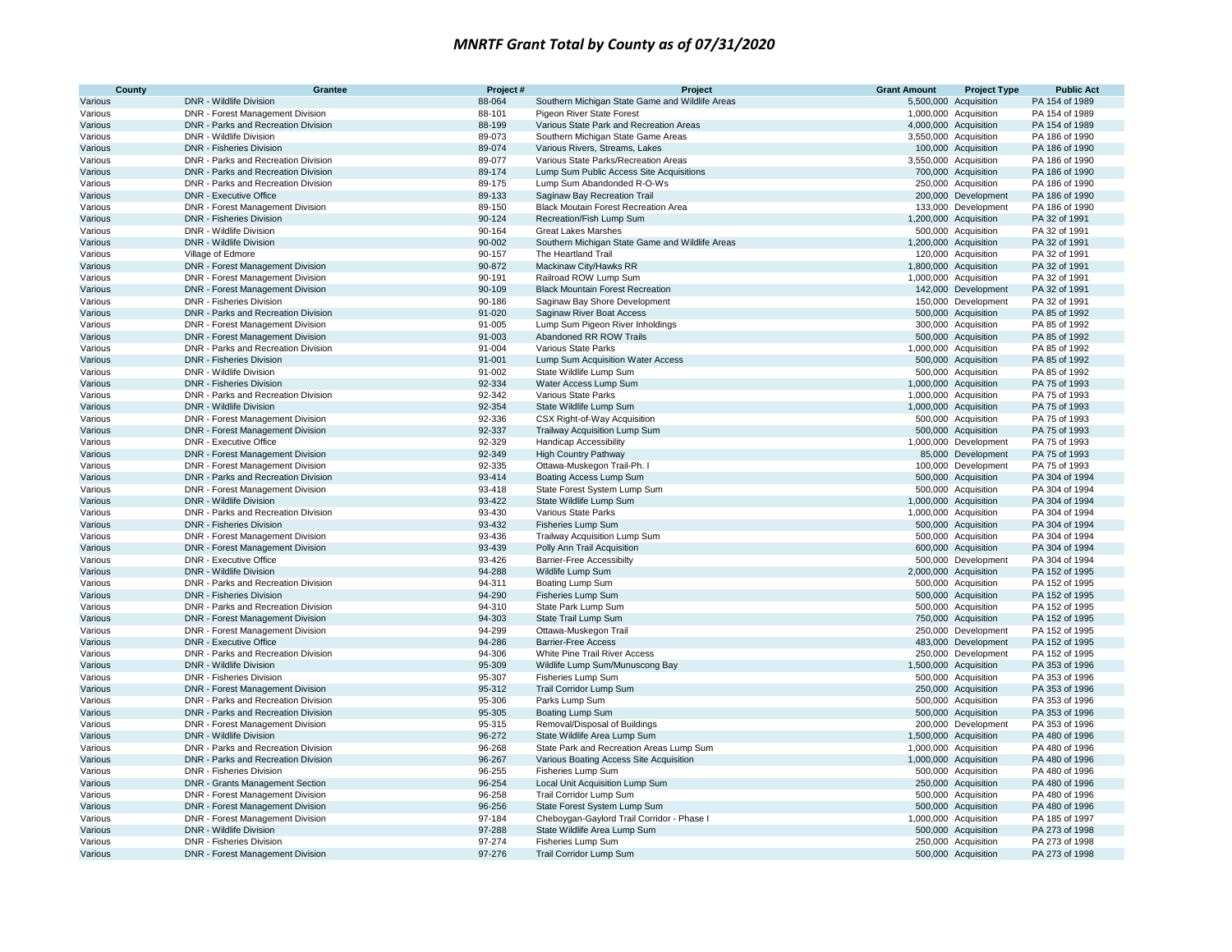| County             | Grantee                                                              | Project#         | Project                                                                       | <b>Grant Amount</b> | <b>Project Type</b>                          | <b>Public Act</b>                |
|--------------------|----------------------------------------------------------------------|------------------|-------------------------------------------------------------------------------|---------------------|----------------------------------------------|----------------------------------|
| Various            | DNR - Wildlife Division                                              | 88-064           | Southern Michigan State Game and Wildlife Areas                               |                     | 5,500,000 Acquisition                        | PA 154 of 1989                   |
| Various            | DNR - Forest Management Division                                     | 88-101           | Pigeon River State Forest                                                     |                     | 1,000,000 Acquisition                        | PA 154 of 1989                   |
| Various            | DNR - Parks and Recreation Division                                  | 88-199           | Various State Park and Recreation Areas                                       |                     | 4,000,000 Acquisition                        | PA 154 of 1989                   |
| Various            | DNR - Wildlife Division                                              | 89-073           | Southern Michigan State Game Areas                                            |                     | 3,550,000 Acquisition                        | PA 186 of 1990                   |
| Various            | <b>DNR - Fisheries Division</b>                                      | 89-074           | Various Rivers, Streams, Lakes                                                |                     | 100,000 Acquisition                          | PA 186 of 1990                   |
| Various            | DNR - Parks and Recreation Division                                  | 89-077           | Various State Parks/Recreation Areas                                          |                     | 3,550,000 Acquisition                        | PA 186 of 1990                   |
| Various            | DNR - Parks and Recreation Division                                  | 89-174           | Lump Sum Public Access Site Acquisitions                                      |                     | 700,000 Acquisition                          | PA 186 of 1990                   |
| Various            | DNR - Parks and Recreation Division                                  | 89-175           | Lump Sum Abandonded R-O-Ws                                                    |                     | 250,000 Acquisition                          | PA 186 of 1990                   |
| Various            | <b>DNR - Executive Office</b>                                        | 89-133           | Saginaw Bay Recreation Trail                                                  |                     | 200,000 Development                          | PA 186 of 1990                   |
| Various            | DNR - Forest Management Division                                     | 89-150<br>90-124 | <b>Black Moutain Forest Recreation Area</b>                                   |                     | 133,000 Development<br>1,200,000 Acquisition | PA 186 of 1990                   |
| Various            | <b>DNR - Fisheries Division</b>                                      |                  | Recreation/Fish Lump Sum                                                      |                     |                                              | PA 32 of 1991                    |
| Various            | DNR - Wildlife Division<br>DNR - Wildlife Division                   | 90-164<br>90-002 | <b>Great Lakes Marshes</b><br>Southern Michigan State Game and Wildlife Areas |                     | 500,000 Acquisition                          | PA 32 of 1991<br>PA 32 of 1991   |
| Various<br>Various | Village of Edmore                                                    | 90-157           | The Heartland Trail                                                           |                     | 1,200,000 Acquisition<br>120,000 Acquisition | PA 32 of 1991                    |
| Various            | DNR - Forest Management Division                                     | 90-872           | Mackinaw City/Hawks RR                                                        |                     | 1,800,000 Acquisition                        | PA 32 of 1991                    |
| Various            | DNR - Forest Management Division                                     | 90-191           | Railroad ROW Lump Sum                                                         |                     | 1,000,000 Acquisition                        | PA 32 of 1991                    |
| Various            | DNR - Forest Management Division                                     | 90-109           | <b>Black Mountain Forest Recreation</b>                                       |                     | 142,000 Development                          | PA 32 of 1991                    |
| Various            | DNR - Fisheries Division                                             | 90-186           | Saginaw Bay Shore Development                                                 |                     | 150,000 Development                          | PA 32 of 1991                    |
| Various            | DNR - Parks and Recreation Division                                  | 91-020           | Saginaw River Boat Access                                                     |                     | 500,000 Acquisition                          | PA 85 of 1992                    |
| Various            | DNR - Forest Management Division                                     | 91-005           | Lump Sum Pigeon River Inholdings                                              |                     | 300,000 Acquisition                          | PA 85 of 1992                    |
| Various            | DNR - Forest Management Division                                     | 91-003           | Abandoned RR ROW Trails                                                       |                     | 500,000 Acquisition                          | PA 85 of 1992                    |
| Various            | DNR - Parks and Recreation Division                                  | 91-004           | Various State Parks                                                           |                     | 1,000,000 Acquisition                        | PA 85 of 1992                    |
| Various            | <b>DNR - Fisheries Division</b>                                      | 91-001           | Lump Sum Acquisition Water Access                                             |                     | 500,000 Acquisition                          | PA 85 of 1992                    |
| Various            | DNR - Wildlife Division                                              | 91-002           | State Wildlife Lump Sum                                                       |                     | 500,000 Acquisition                          | PA 85 of 1992                    |
| Various            | <b>DNR - Fisheries Division</b>                                      | 92-334           | Water Access Lump Sum                                                         |                     | 1,000,000 Acquisition                        | PA 75 of 1993                    |
| Various            | DNR - Parks and Recreation Division                                  | 92-342           | Various State Parks                                                           |                     | 1,000,000 Acquisition                        | PA 75 of 1993                    |
| Various            | DNR - Wildlife Division                                              | 92-354           | State Wildlife Lump Sum                                                       |                     | 1,000,000 Acquisition                        | PA 75 of 1993                    |
| Various            | DNR - Forest Management Division                                     | 92-336           | CSX Right-of-Way Acquisition                                                  |                     | 500,000 Acquisition                          | PA 75 of 1993                    |
| Various            | DNR - Forest Management Division                                     | 92-337           | Trailway Acquisition Lump Sum                                                 |                     | 500,000 Acquisition                          | PA 75 of 1993                    |
| Various            | DNR - Executive Office                                               | 92-329           | <b>Handicap Accessibility</b>                                                 |                     | 1,000,000 Development                        | PA 75 of 1993                    |
| Various            | DNR - Forest Management Division                                     | 92-349           | <b>High Country Pathway</b>                                                   |                     | 85,000 Development                           | PA 75 of 1993                    |
| Various            | DNR - Forest Management Division                                     | 92-335           | Ottawa-Muskegon Trail-Ph. I                                                   |                     | 100,000 Development                          | PA 75 of 1993                    |
| Various            | DNR - Parks and Recreation Division                                  | 93-414           | Boating Access Lump Sum                                                       |                     | 500,000 Acquisition                          | PA 304 of 1994                   |
| Various            | DNR - Forest Management Division                                     | 93-418           | State Forest System Lump Sum                                                  |                     | 500,000 Acquisition                          | PA 304 of 1994                   |
| Various            | <b>DNR - Wildlife Division</b>                                       | 93-422           | State Wildlife Lump Sum                                                       |                     | 1,000,000 Acquisition                        | PA 304 of 1994                   |
| Various            | DNR - Parks and Recreation Division                                  | 93-430           | Various State Parks                                                           |                     | 1,000,000 Acquisition                        | PA 304 of 1994                   |
| Various            | DNR - Fisheries Division                                             | 93-432           | Fisheries Lump Sum                                                            |                     | 500,000 Acquisition                          | PA 304 of 1994<br>PA 304 of 1994 |
| Various<br>Various | DNR - Forest Management Division<br>DNR - Forest Management Division | 93-436<br>93-439 | Trailway Acquisition Lump Sum<br>Polly Ann Trail Acquisition                  |                     | 500,000 Acquisition<br>600,000 Acquisition   | PA 304 of 1994                   |
| Various            | <b>DNR - Executive Office</b>                                        | 93-426           | <b>Barrier-Free Accessibilty</b>                                              |                     | 500,000 Development                          | PA 304 of 1994                   |
| Various            | <b>DNR - Wildlife Division</b>                                       | 94-288           | Wildlife Lump Sum                                                             |                     | 2,000,000 Acquisition                        | PA 152 of 1995                   |
| Various            | DNR - Parks and Recreation Division                                  | 94-311           | Boating Lump Sum                                                              |                     | 500,000 Acquisition                          | PA 152 of 1995                   |
| Various            | <b>DNR - Fisheries Division</b>                                      | 94-290           | Fisheries Lump Sum                                                            |                     | 500,000 Acquisition                          | PA 152 of 1995                   |
| Various            | DNR - Parks and Recreation Division                                  | 94-310           | State Park Lump Sum                                                           |                     | 500,000 Acquisition                          | PA 152 of 1995                   |
| Various            | DNR - Forest Management Division                                     | 94-303           | State Trail Lump Sum                                                          |                     | 750,000 Acquisition                          | PA 152 of 1995                   |
| Various            | DNR - Forest Management Division                                     | 94-299           | Ottawa-Muskegon Trail                                                         |                     | 250,000 Development                          | PA 152 of 1995                   |
| Various            | <b>DNR - Executive Office</b>                                        | 94-286           | <b>Barrier-Free Access</b>                                                    |                     | 483,000 Development                          | PA 152 of 1995                   |
| Various            | DNR - Parks and Recreation Division                                  | 94-306           | White Pine Trail River Access                                                 |                     | 250,000 Development                          | PA 152 of 1995                   |
| Various            | DNR - Wildlife Division                                              | 95-309           | Wildlife Lump Sum/Munuscong Bay                                               |                     | 1,500,000 Acquisition                        | PA 353 of 1996                   |
| Various            | DNR - Fisheries Division                                             | 95-307           | Fisheries Lump Sum                                                            |                     | 500,000 Acquisition                          | PA 353 of 1996                   |
| Various            | DNR - Forest Management Division                                     | 95-312           | Trail Corridor Lump Sum                                                       |                     | 250,000 Acquisition                          | PA 353 of 1996                   |
| Various            | DNR - Parks and Recreation Division                                  | 95-306           | Parks Lump Sum                                                                |                     | 500,000 Acquisition                          | PA 353 of 1996                   |
| Various            | DNR - Parks and Recreation Division                                  | 95-305           | Boating Lump Sum                                                              |                     | 500,000 Acquisition                          | PA 353 of 1996                   |
| Various            | DNR - Forest Management Division                                     | 95-315           | Removal/Disposal of Buildings                                                 |                     | 200,000 Development                          | PA 353 of 1996                   |
| Various            | DNR - Wildlife Division                                              | 96-272           | State Wildlife Area Lump Sum                                                  |                     | 1,500,000 Acquisition                        | PA 480 of 1996                   |
| Various            | DNR - Parks and Recreation Division                                  | 96-268           | State Park and Recreation Areas Lump Sum                                      |                     | 1,000,000 Acquisition                        | PA 480 of 1996                   |
| Various            | DNR - Parks and Recreation Division                                  | 96-267           | Various Boating Access Site Acquisition                                       |                     | 1,000,000 Acquisition                        | PA 480 of 1996                   |
| Various            | <b>DNR - Fisheries Division</b>                                      | 96-255           | Fisheries Lump Sum                                                            |                     | 500,000 Acquisition                          | PA 480 of 1996                   |
| Various            | <b>DNR</b> - Grants Management Section                               | 96-254           | Local Unit Acquisition Lump Sum                                               |                     | 250,000 Acquisition                          | PA 480 of 1996                   |
| Various            | DNR - Forest Management Division                                     | 96-258           | Trail Corridor Lump Sum                                                       |                     | 500,000 Acquisition                          | PA 480 of 1996                   |
| Various            | DNR - Forest Management Division                                     | 96-256           | State Forest System Lump Sum                                                  |                     | 500,000 Acquisition                          | PA 480 of 1996<br>PA 185 of 1997 |
| Various            | DNR - Forest Management Division<br><b>DNR - Wildlife Division</b>   | 97-184<br>97-288 | Cheboygan-Gaylord Trail Corridor - Phase I                                    |                     | 1,000,000 Acquisition                        | PA 273 of 1998                   |
| Various<br>Various | DNR - Fisheries Division                                             | 97-274           | State Wildlife Area Lump Sum<br>Fisheries Lump Sum                            |                     | 500,000 Acquisition<br>250,000 Acquisition   | PA 273 of 1998                   |
| Various            | DNR - Forest Management Division                                     | 97-276           | Trail Corridor Lump Sum                                                       |                     | 500,000 Acquisition                          | PA 273 of 1998                   |
|                    |                                                                      |                  |                                                                               |                     |                                              |                                  |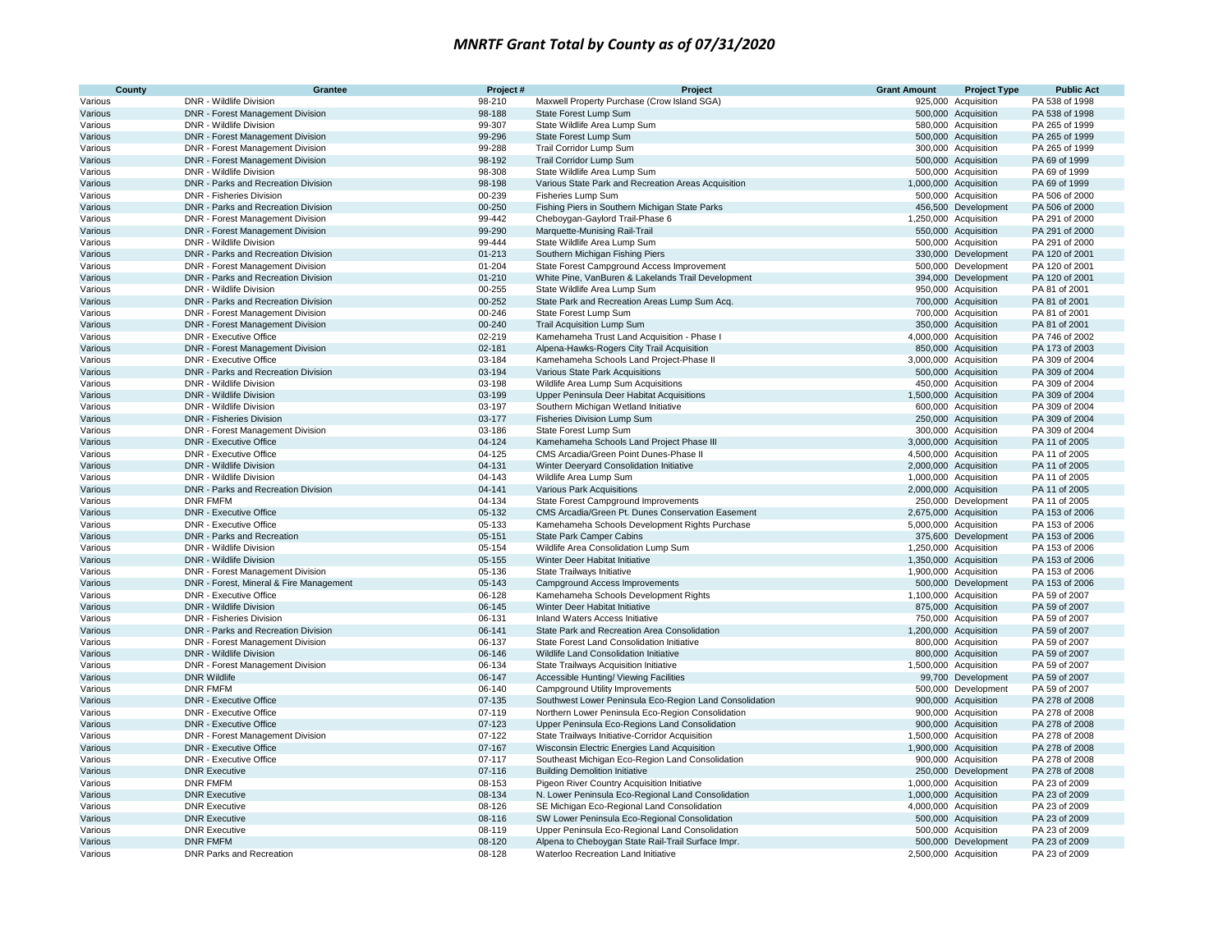| County             | <b>Grantee</b>                                                 | Project#             | Project                                                         | <b>Grant Amount</b> | <b>Project Type</b>                            | <b>Public Act</b>                |
|--------------------|----------------------------------------------------------------|----------------------|-----------------------------------------------------------------|---------------------|------------------------------------------------|----------------------------------|
| Various            | DNR - Wildlife Division                                        | 98-210               | Maxwell Property Purchase (Crow Island SGA)                     |                     | 925,000 Acquisition                            | PA 538 of 1998                   |
| Various            | DNR - Forest Management Division                               | 98-188               | State Forest Lump Sum                                           |                     | 500,000 Acquisition                            | PA 538 of 1998                   |
| Various            | DNR - Wildlife Division                                        | 99-307               | State Wildlife Area Lump Sum                                    |                     | 580,000 Acquisition                            | PA 265 of 1999                   |
| Various            | DNR - Forest Management Division                               | 99-296               | State Forest Lump Sum                                           |                     | 500,000 Acquisition                            | PA 265 of 1999                   |
| Various            | DNR - Forest Management Division                               | 99-288               | Trail Corridor Lump Sum                                         |                     | 300,000 Acquisition                            | PA 265 of 1999                   |
| Various            | DNR - Forest Management Division                               | 98-192               | Trail Corridor Lump Sum                                         |                     | 500,000 Acquisition                            | PA 69 of 1999                    |
| Various            | DNR - Wildlife Division                                        | 98-308               | State Wildlife Area Lump Sum                                    |                     | 500,000 Acquisition                            | PA 69 of 1999                    |
| Various            | DNR - Parks and Recreation Division                            | 98-198               | Various State Park and Recreation Areas Acquisition             |                     | 1,000,000 Acquisition                          | PA 69 of 1999                    |
| Various            | <b>DNR - Fisheries Division</b>                                | 00-239               | Fisheries Lump Sum                                              |                     | 500,000 Acquisition                            | PA 506 of 2000                   |
| Various            | DNR - Parks and Recreation Division                            | 00-250               | Fishing Piers in Southern Michigan State Parks                  |                     | 456,500 Development                            | PA 506 of 2000                   |
| Various            | DNR - Forest Management Division                               | 99-442               | Cheboygan-Gaylord Trail-Phase 6                                 |                     | 1,250,000 Acquisition                          | PA 291 of 2000                   |
| Various            | DNR - Forest Management Division                               | 99-290               | Marquette-Munising Rail-Trail                                   |                     | 550,000 Acquisition                            | PA 291 of 2000                   |
| Various            | DNR - Wildlife Division<br>DNR - Parks and Recreation Division | 99-444<br>$01 - 213$ | State Wildlife Area Lump Sum<br>Southern Michigan Fishing Piers |                     | 500,000 Acquisition<br>330,000 Development     | PA 291 of 2000<br>PA 120 of 2001 |
| Various<br>Various | DNR - Forest Management Division                               | 01-204               | State Forest Campground Access Improvement                      |                     | 500,000 Development                            | PA 120 of 2001                   |
| Various            | DNR - Parks and Recreation Division                            | $01 - 210$           | White Pine, VanBuren & Lakelands Trail Development              |                     | 394,000 Development                            | PA 120 of 2001                   |
| Various            | DNR - Wildlife Division                                        | 00-255               | State Wildlife Area Lump Sum                                    |                     | 950,000 Acquisition                            | PA 81 of 2001                    |
| Various            | DNR - Parks and Recreation Division                            | 00-252               | State Park and Recreation Areas Lump Sum Acq                    |                     | 700,000 Acquisition                            | PA 81 of 2001                    |
| Various            | DNR - Forest Management Division                               | 00-246               | State Forest Lump Sum                                           |                     | 700,000 Acquisition                            | PA 81 of 2001                    |
| Various            | DNR - Forest Management Division                               | 00-240               | Trail Acquisition Lump Sum                                      |                     | 350,000 Acquisition                            | PA 81 of 2001                    |
| Various            | <b>DNR - Executive Office</b>                                  | 02-219               | Kamehameha Trust Land Acquisition - Phase I                     |                     | 4,000,000 Acquisition                          | PA 746 of 2002                   |
| Various            | DNR - Forest Management Division                               | 02-181               | Alpena-Hawks-Rogers City Trail Acquisition                      |                     | 850,000 Acquisition                            | PA 173 of 2003                   |
| Various            | DNR - Executive Office                                         | 03-184               | Kamehameha Schools Land Project-Phase II                        |                     | 3,000,000 Acquisition                          | PA 309 of 2004                   |
| Various            | DNR - Parks and Recreation Division                            | 03-194               | Various State Park Acquisitions                                 |                     | 500,000 Acquisition                            | PA 309 of 2004                   |
| Various            | DNR - Wildlife Division                                        | 03-198               | Wildlife Area Lump Sum Acquisitions                             |                     | 450,000 Acquisition                            | PA 309 of 2004                   |
| Various            | DNR - Wildlife Division                                        | 03-199               | Upper Peninsula Deer Habitat Acquisitions                       |                     | 1,500,000 Acquisition                          | PA 309 of 2004                   |
| Various            | DNR - Wildlife Division                                        | 03-197               | Southern Michigan Wetland Initiative                            |                     | 600,000 Acquisition                            | PA 309 of 2004                   |
| Various            | <b>DNR - Fisheries Division</b>                                | 03-177               | Fisheries Division Lump Sum                                     |                     | 250,000 Acquisition                            | PA 309 of 2004                   |
| Various            | DNR - Forest Management Division                               | 03-186               | State Forest Lump Sum                                           |                     | 300,000 Acquisition                            | PA 309 of 2004                   |
| Various            | <b>DNR - Executive Office</b>                                  | 04-124               | Kamehameha Schools Land Project Phase III                       |                     | 3,000,000 Acquisition                          | PA 11 of 2005                    |
| Various            | <b>DNR - Executive Office</b>                                  | 04-125               | CMS Arcadia/Green Point Dunes-Phase II                          |                     | 4,500,000 Acquisition                          | PA 11 of 2005                    |
| Various            | DNR - Wildlife Division                                        | 04-131               | Winter Deeryard Consolidation Initiative                        |                     | 2,000,000 Acquisition                          | PA 11 of 2005                    |
| Various            | DNR - Wildlife Division                                        | 04-143               | Wildlife Area Lump Sum                                          |                     | 1,000,000 Acquisition                          | PA 11 of 2005                    |
| Various            | DNR - Parks and Recreation Division                            | 04-141               | Various Park Acquisitions                                       |                     | 2,000,000 Acquisition                          | PA 11 of 2005                    |
| Various            | <b>DNR FMFM</b>                                                | 04-134               | State Forest Campground Improvements                            |                     | 250,000 Development                            | PA 11 of 2005                    |
| Various            | <b>DNR - Executive Office</b>                                  | 05-132               | CMS Arcadia/Green Pt. Dunes Conservation Easement               |                     | 2,675,000 Acquisition                          | PA 153 of 2006                   |
| Various            | <b>DNR - Executive Office</b>                                  | 05-133               | Kamehameha Schools Development Rights Purchase                  |                     | 5,000,000 Acquisition                          | PA 153 of 2006                   |
| Various            | DNR - Parks and Recreation                                     | 05-151               | <b>State Park Camper Cabins</b>                                 |                     | 375,600 Development                            | PA 153 of 2006                   |
| Various            | DNR - Wildlife Division                                        | 05-154               | Wildlife Area Consolidation Lump Sum                            |                     | 1,250,000 Acquisition                          | PA 153 of 2006                   |
| Various            | DNR - Wildlife Division<br>DNR - Forest Management Division    | 05-155<br>05-136     | Winter Deer Habitat Initiative                                  |                     | 1,350,000 Acquisition<br>1,900,000 Acquisition | PA 153 of 2006<br>PA 153 of 2006 |
| Various<br>Various | DNR - Forest, Mineral & Fire Management                        | 05-143               | State Trailways Initiative<br>Campground Access Improvements    |                     | 500,000 Development                            | PA 153 of 2006                   |
| Various            | DNR - Executive Office                                         | 06-128               | Kamehameha Schools Development Rights                           |                     | 1,100,000 Acquisition                          | PA 59 of 2007                    |
| Various            | DNR - Wildlife Division                                        | 06-145               | Winter Deer Habitat Initiative                                  |                     | 875,000 Acquisition                            | PA 59 of 2007                    |
| Various            | DNR - Fisheries Division                                       | 06-131               | Inland Waters Access Initiative                                 |                     | 750,000 Acquisition                            | PA 59 of 2007                    |
| Various            | DNR - Parks and Recreation Division                            | 06-141               | State Park and Recreation Area Consolidation                    |                     | 1,200,000 Acquisition                          | PA 59 of 2007                    |
| Various            | DNR - Forest Management Division                               | 06-137               | State Forest Land Consolidation Initiative                      |                     | 800,000 Acquisition                            | PA 59 of 2007                    |
| Various            | <b>DNR - Wildlife Division</b>                                 | 06-146               | Wildlife Land Consolidation Initiative                          |                     | 800,000 Acquisition                            | PA 59 of 2007                    |
| Various            | DNR - Forest Management Division                               | 06-134               | State Trailways Acquisition Initiative                          |                     | 1,500,000 Acquisition                          | PA 59 of 2007                    |
| Various            | <b>DNR Wildlife</b>                                            | 06-147               | Accessible Hunting/ Viewing Facilities                          |                     | 99,700 Development                             | PA 59 of 2007                    |
| Various            | <b>DNR FMFM</b>                                                | 06-140               | <b>Campground Utility Improvements</b>                          |                     | 500,000 Development                            | PA 59 of 2007                    |
| Various            | <b>DNR - Executive Office</b>                                  | 07-135               | Southwest Lower Peninsula Eco-Region Land Consolidation         |                     | 900,000 Acquisition                            | PA 278 of 2008                   |
| Various            | DNR - Executive Office                                         | 07-119               | Northern Lower Peninsula Eco-Region Consolidation               |                     | 900,000 Acquisition                            | PA 278 of 2008                   |
| Various            | <b>DNR - Executive Office</b>                                  | 07-123               | Upper Peninsula Eco-Regions Land Consolidation                  |                     | 900,000 Acquisition                            | PA 278 of 2008                   |
| Various            | DNR - Forest Management Division                               | 07-122               | State Trailways Initiative-Corridor Acquisition                 |                     | 1,500,000 Acquisition                          | PA 278 of 2008                   |
| Various            | <b>DNR - Executive Office</b>                                  | 07-167               | Wisconsin Electric Energies Land Acquisition                    |                     | 1,900,000 Acquisition                          | PA 278 of 2008                   |
| Various            | <b>DNR - Executive Office</b>                                  | 07-117               | Southeast Michigan Eco-Region Land Consolidation                |                     | 900,000 Acquisition                            | PA 278 of 2008                   |
| Various            | <b>DNR Executive</b>                                           | $07 - 116$           | <b>Building Demolition Initiative</b>                           |                     | 250,000 Development                            | PA 278 of 2008                   |
| Various            | <b>DNR FMFM</b>                                                | 08-153               | Pigeon River Country Acquisition Initiative                     |                     | 1,000,000 Acquisition                          | PA 23 of 2009                    |
| Various            | <b>DNR Executive</b>                                           | 08-134               | N. Lower Peninsula Eco-Regional Land Consolidation              |                     | 1,000,000 Acquisition                          | PA 23 of 2009                    |
| Various            | <b>DNR Executive</b>                                           | 08-126               | SE Michigan Eco-Regional Land Consolidation                     |                     | 4,000,000 Acquisition                          | PA 23 of 2009                    |
| Various            | <b>DNR Executive</b>                                           | 08-116               | SW Lower Peninsula Eco-Regional Consolidation                   |                     | 500,000 Acquisition                            | PA 23 of 2009                    |
| Various            | <b>DNR Executive</b>                                           | 08-119               | Upper Peninsula Eco-Regional Land Consolidation                 |                     | 500,000 Acquisition                            | PA 23 of 2009                    |
| Various            | <b>DNR FMFM</b>                                                | 08-120               | Alpena to Cheboygan State Rail-Trail Surface Impr.              |                     | 500,000 Development                            | PA 23 of 2009                    |
| Various            | DNR Parks and Recreation                                       | 08-128               | Waterloo Recreation Land Initiative                             |                     | 2,500,000 Acquisition                          | PA 23 of 2009                    |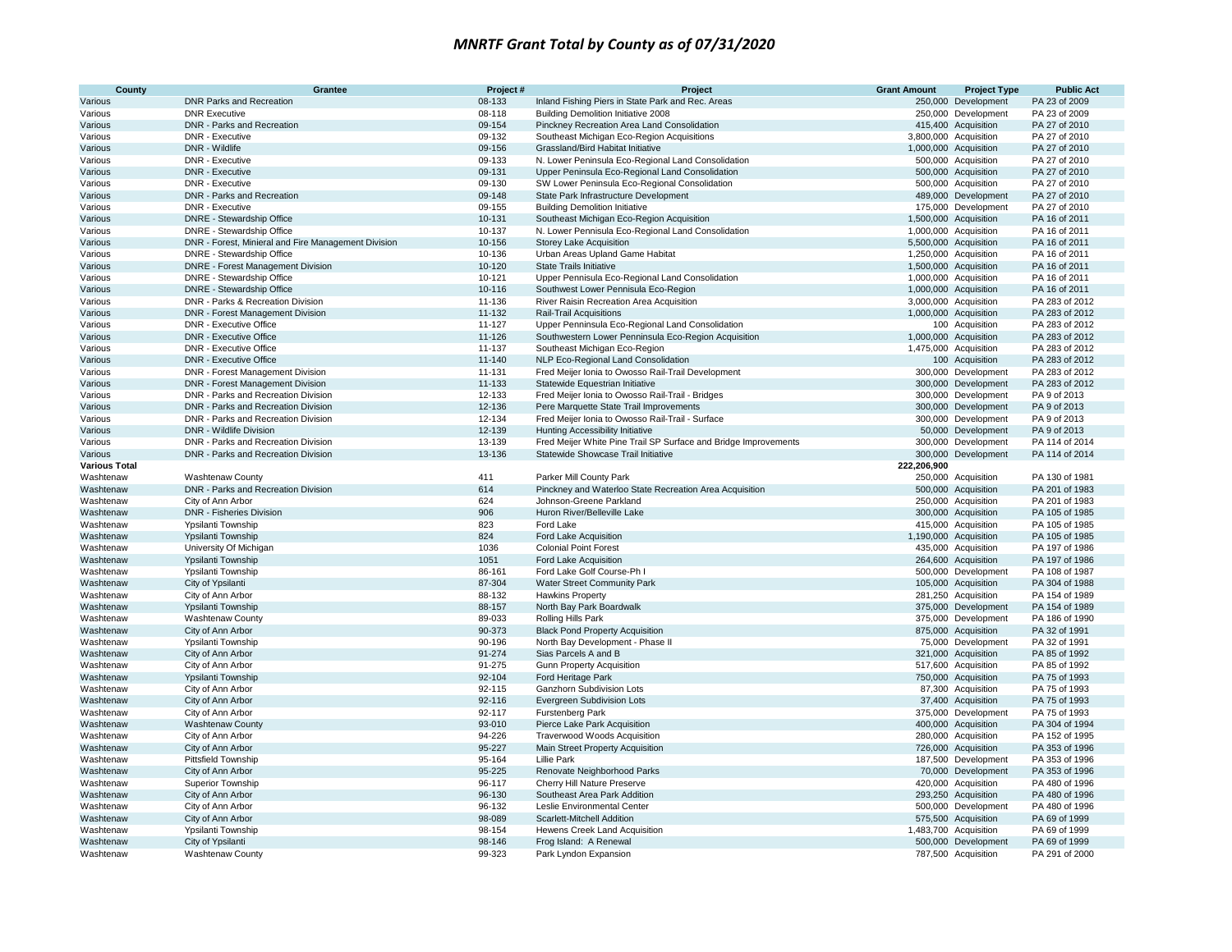| County                 | Grantee                                             | Project#         | Project                                                         | <b>Grant Amount</b> | <b>Project Type</b>                          | <b>Public Act</b>                |
|------------------------|-----------------------------------------------------|------------------|-----------------------------------------------------------------|---------------------|----------------------------------------------|----------------------------------|
| Various                | <b>DNR Parks and Recreation</b>                     | 08-133           | Inland Fishing Piers in State Park and Rec. Areas               | 250,000             | Development                                  | PA 23 of 2009                    |
| Various                | <b>DNR Executive</b>                                | 08-118           | Building Demolition Initiative 2008                             |                     | 250,000 Development                          | PA 23 of 2009                    |
| Various                | DNR - Parks and Recreation                          | 09-154           | Pinckney Recreation Area Land Consolidation                     |                     | 415,400 Acquisition                          | PA 27 of 2010                    |
| Various                | DNR - Executive                                     | 09-132           | Southeast Michigan Eco-Region Acquisitions                      |                     | 3,800,000 Acquisition                        | PA 27 of 2010                    |
| Various                | DNR - Wildlife                                      | 09-156           | Grassland/Bird Habitat Initiative                               |                     | 1,000,000 Acquisition                        | PA 27 of 2010                    |
| Various                | DNR - Executive                                     | 09-133           | N. Lower Peninsula Eco-Regional Land Consolidation              |                     | 500,000 Acquisition                          | PA 27 of 2010                    |
| Various                | <b>DNR - Executive</b>                              | 09-131           | Upper Peninsula Eco-Regional Land Consolidation                 |                     | 500,000 Acquisition                          | PA 27 of 2010                    |
| Various                | DNR - Executive                                     | 09-130           | SW Lower Peninsula Eco-Regional Consolidation                   |                     | 500,000 Acquisition                          | PA 27 of 2010                    |
| Various                | DNR - Parks and Recreation                          | 09-148           | State Park Infrastructure Development                           |                     | 489,000 Development                          | PA 27 of 2010                    |
| Various                | DNR - Executive                                     | 09-155           | <b>Building Demolition Initiative</b>                           |                     | 175,000 Development                          | PA 27 of 2010                    |
| Various                | DNRE - Stewardship Office                           | 10-131           | Southeast Michigan Eco-Region Acquisition                       |                     | 1,500,000 Acquisition                        | PA 16 of 2011                    |
| Various                | DNRE - Stewardship Office                           | 10-137           | N. Lower Pennisula Eco-Regional Land Consolidation              |                     | 1,000,000 Acquisition                        | PA 16 of 2011                    |
| Various                | DNR - Forest, Minieral and Fire Management Division | 10-156           | Storey Lake Acquisition                                         |                     | 5,500,000 Acquisition                        | PA 16 of 2011                    |
| Various                | DNRE - Stewardship Office                           | 10-136           | Urban Areas Upland Game Habitat                                 |                     | 1,250,000 Acquisition                        | PA 16 of 2011                    |
| Various                | <b>DNRE</b> - Forest Management Division            | 10-120           | <b>State Trails Initiative</b>                                  |                     | 1,500,000 Acquisition                        | PA 16 of 2011                    |
| Various                | DNRE - Stewardship Office                           | 10-121           | Upper Pennisula Eco-Regional Land Consolidation                 |                     | 1,000,000 Acquisition                        | PA 16 of 2011                    |
| Various                | DNRE - Stewardship Office                           | 10-116           | Southwest Lower Pennisula Eco-Region                            |                     | 1,000,000 Acquisition                        | PA 16 of 2011                    |
| Various                | DNR - Parks & Recreation Division                   | 11-136           | River Raisin Recreation Area Acquisition                        |                     | 3,000,000 Acquisition                        | PA 283 of 2012                   |
| Various                | <b>DNR - Forest Management Division</b>             | 11-132           | <b>Rail-Trail Acquisitions</b>                                  |                     | 1,000,000 Acquisition                        | PA 283 of 2012                   |
| Various                | DNR - Executive Office                              | 11-127           | Upper Penninsula Eco-Regional Land Consolidation                |                     | 100 Acquisition                              | PA 283 of 2012                   |
| Various                | <b>DNR - Executive Office</b>                       | 11-126           | Southwestern Lower Penninsula Eco-Region Acquisition            |                     | 1,000,000 Acquisition                        | PA 283 of 2012                   |
| Various                | <b>DNR - Executive Office</b>                       | 11-137           | Southeast Michigan Eco-Region                                   |                     | 1,475,000 Acquisition                        | PA 283 of 2012                   |
| Various                | <b>DNR - Executive Office</b>                       | 11-140           | NLP Eco-Regional Land Consolidation                             |                     | 100 Acquisition                              | PA 283 of 2012                   |
| Various                | DNR - Forest Management Division                    | 11-131           | Fred Meijer Ionia to Owosso Rail-Trail Development              |                     | 300,000 Development                          | PA 283 of 2012                   |
| Various                | DNR - Forest Management Division                    | 11-133           | Statewide Equestrian Initiative                                 |                     | 300,000 Development                          | PA 283 of 2012                   |
| Various                | DNR - Parks and Recreation Division                 | 12-133           | Fred Meijer Ionia to Owosso Rail-Trail - Bridges                |                     | 300,000 Development                          | PA 9 of 2013                     |
| Various                | DNR - Parks and Recreation Division                 | 12-136           | Pere Marquette State Trail Improvements                         |                     | 300,000 Development                          | PA 9 of 2013                     |
| Various                | DNR - Parks and Recreation Division                 | 12-134           | Fred Meijer Ionia to Owosso Rail-Trail - Surface                |                     | 300,000 Development                          | PA 9 of 2013                     |
| Various                | <b>DNR - Wildlife Division</b>                      | 12-139           | Hunting Accessibility Initiative                                |                     | 50,000 Development                           | PA 9 of 2013                     |
| Various                | DNR - Parks and Recreation Division                 | 13-139           | Fred Meijer White Pine Trail SP Surface and Bridge Improvements |                     | 300,000 Development                          | PA 114 of 2014                   |
| Various                | DNR - Parks and Recreation Division                 | 13-136           | Statewide Showcase Trail Initiative                             |                     | 300,000 Development                          | PA 114 of 2014                   |
| <b>Various Total</b>   |                                                     |                  |                                                                 | 222,206,900         |                                              |                                  |
| Washtenaw              | Washtenaw County                                    | 411              | Parker Mill County Park                                         |                     | 250,000 Acquisition                          | PA 130 of 1981                   |
| Washtenaw              | DNR - Parks and Recreation Division                 | 614              | Pinckney and Waterloo State Recreation Area Acquisition         |                     | 500,000 Acquisition                          | PA 201 of 1983                   |
| Washtenaw              | City of Ann Arbor                                   | 624              | Johnson-Greene Parkland                                         |                     | 250,000 Acquisition                          | PA 201 of 1983                   |
| Washtenaw              | DNR - Fisheries Division                            | 906              | Huron River/Belleville Lake                                     |                     | 300,000 Acquisition                          | PA 105 of 1985                   |
| Washtenaw              | Ypsilanti Township                                  | 823              | Ford Lake                                                       |                     | 415,000 Acquisition                          | PA 105 of 1985                   |
| Washtenaw              | Ypsilanti Township                                  | 824              | Ford Lake Acquisition                                           |                     | 1,190,000 Acquisition                        | PA 105 of 1985                   |
| Washtenaw              | University Of Michigan                              | 1036             | <b>Colonial Point Forest</b>                                    |                     | 435,000 Acquisition                          | PA 197 of 1986                   |
| Washtenaw              | <b>Ypsilanti Township</b>                           | 1051             | Ford Lake Acquisition                                           |                     | 264,600 Acquisition                          | PA 197 of 1986                   |
| Washtenaw              | Ypsilanti Township                                  | 86-161           | Ford Lake Golf Course-Ph I                                      |                     | 500,000 Development                          | PA 108 of 1987                   |
| Washtenaw              | City of Ypsilanti                                   | 87-304           | Water Street Community Park                                     |                     | 105,000 Acquisition                          | PA 304 of 1988                   |
| Washtenaw              | City of Ann Arbor                                   | 88-132           | <b>Hawkins Property</b>                                         |                     | 281,250 Acquisition                          | PA 154 of 1989                   |
| Washtenaw              | Ypsilanti Township                                  | 88-157           | North Bay Park Boardwalk                                        |                     | 375,000 Development                          | PA 154 of 1989                   |
| Washtenaw              | Washtenaw County                                    | 89-033           | Rolling Hills Park                                              |                     | 375,000 Development                          | PA 186 of 1990                   |
| Washtenaw              | City of Ann Arbor                                   | 90-373           | <b>Black Pond Property Acquisition</b>                          |                     | 875,000 Acquisition                          | PA 32 of 1991                    |
| Washtenaw              | Ypsilanti Township                                  | 90-196           | North Bay Development - Phase I                                 |                     | 75,000 Development                           | PA 32 of 1991                    |
| Washtenaw              | City of Ann Arbor                                   | 91-274           | Sias Parcels A and B                                            |                     | 321,000 Acquisition                          | PA 85 of 1992                    |
| Washtenaw              | City of Ann Arbor                                   | 91-275           | <b>Gunn Property Acquisition</b>                                |                     | 517,600 Acquisition                          | PA 85 of 1992                    |
| Washtenaw              | Ypsilanti Township                                  | 92-104           | Ford Heritage Park                                              |                     | 750,000 Acquisition                          | PA 75 of 1993                    |
| Washtenaw              | City of Ann Arbor                                   | 92-115<br>92-116 | Ganzhorn Subdivision Lots                                       |                     | 87,300 Acquisition                           | PA 75 of 1993<br>PA 75 of 1993   |
| Washtenaw              | City of Ann Arbor                                   |                  | Evergreen Subdivision Lots                                      |                     | 37,400 Acquisition                           |                                  |
| Washtenaw              | City of Ann Arbor                                   | 92-117<br>93-010 | Furstenberg Park                                                |                     | 375,000 Development                          | PA 75 of 1993<br>PA 304 of 1994  |
| Washtenaw              | <b>Washtenaw County</b>                             | 94-226           | Pierce Lake Park Acquisition                                    |                     | 400,000 Acquisition<br>280,000 Acquisition   | PA 152 of 1995                   |
| Washtenaw              | City of Ann Arbor                                   |                  | Traverwood Woods Acquisition                                    |                     |                                              |                                  |
| Washtenaw              | City of Ann Arbor                                   | 95-227           | Main Street Property Acquisition                                |                     | 726,000 Acquisition                          | PA 353 of 1996                   |
| Washtenaw              | Pittsfield Township                                 | 95-164<br>95-225 | <b>Lillie Park</b>                                              |                     | 187,500 Development                          | PA 353 of 1996<br>PA 353 of 1996 |
| Washtenaw              | City of Ann Arbor                                   |                  | Renovate Neighborhood Parks                                     |                     | 70,000 Development                           |                                  |
| Washtenaw              | Superior Township                                   | 96-117<br>96-130 | Cherry Hill Nature Preserve<br>Southeast Area Park Addition     |                     | 420,000 Acquisition                          | PA 480 of 1996<br>PA 480 of 1996 |
| Washtenaw              | City of Ann Arbor                                   | 96-132           | Leslie Environmental Center                                     |                     | 293,250 Acquisition                          | PA 480 of 1996                   |
| Washtenaw              | City of Ann Arbor                                   |                  | Scarlett-Mitchell Addition                                      |                     | 500,000 Development                          |                                  |
| Washtenaw              | City of Ann Arbor                                   | 98-089           |                                                                 |                     | 575,500 Acquisition                          | PA 69 of 1999                    |
| Washtenaw<br>Washtenaw | Ypsilanti Township<br>City of Ypsilanti             | 98-154<br>98-146 | Hewens Creek Land Acquisition<br>Frog Island: A Renewal         |                     | 1,483,700 Acquisition<br>500,000 Development | PA 69 of 1999<br>PA 69 of 1999   |
| Washtenaw              |                                                     | 99-323           |                                                                 |                     | 787,500 Acquisition                          |                                  |
|                        | <b>Washtenaw County</b>                             |                  | Park Lyndon Expansion                                           |                     |                                              | PA 291 of 2000                   |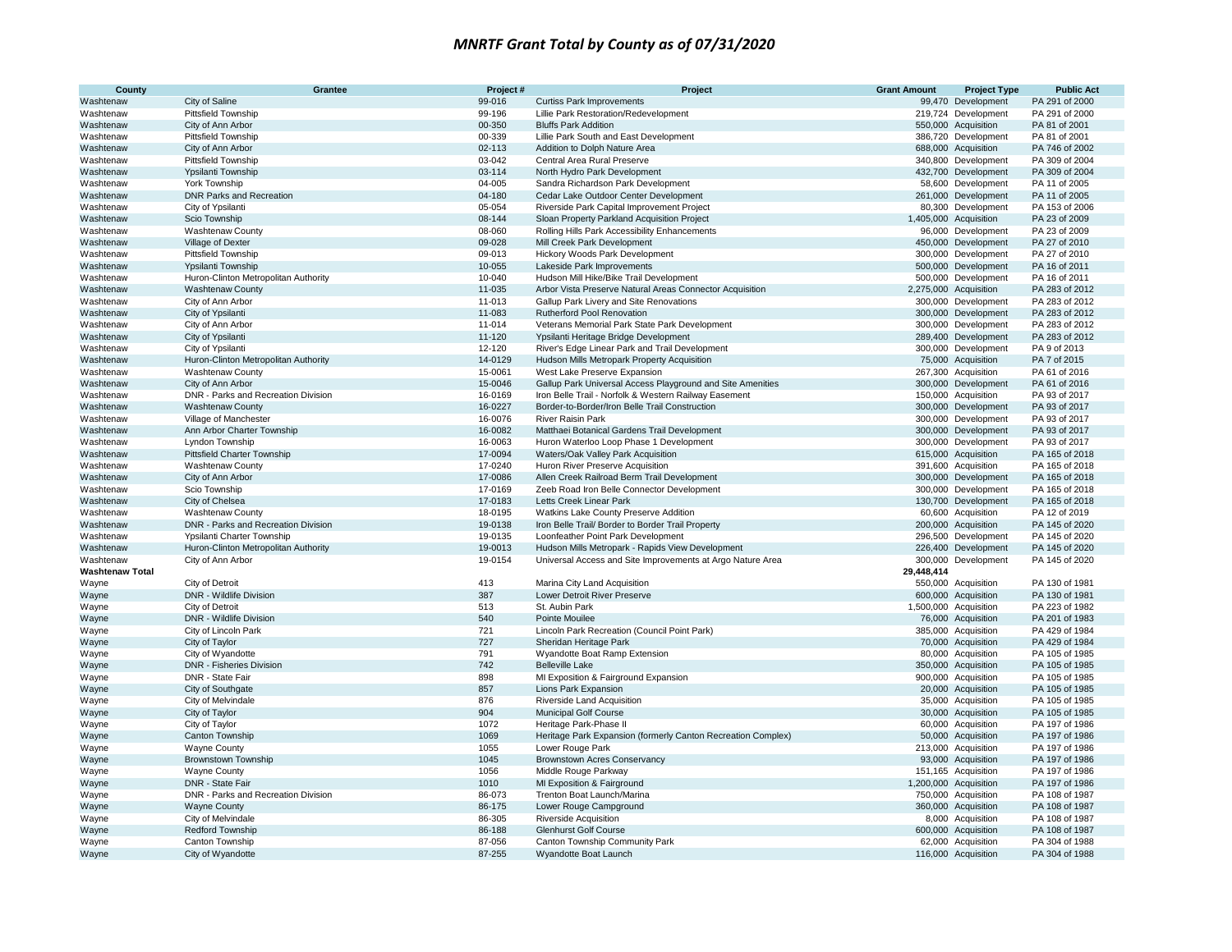| County                 | Grantee                                           | Project#           | Project                                                                                                             | <b>Grant Amount</b> | <b>Project Type</b>                        | <b>Public Act</b>                |
|------------------------|---------------------------------------------------|--------------------|---------------------------------------------------------------------------------------------------------------------|---------------------|--------------------------------------------|----------------------------------|
| Washtenaw              | City of Saline                                    | 99-016             | <b>Curtiss Park Improvements</b>                                                                                    |                     | 99,470 Development                         | PA 291 of 2000                   |
| Washtenaw              | Pittsfield Township                               | 99-196             | Lillie Park Restoration/Redevelopment                                                                               |                     | 219,724 Development                        | PA 291 of 2000                   |
| Washtenaw              | City of Ann Arbor                                 | 00-350             | <b>Bluffs Park Addition</b>                                                                                         |                     | 550,000 Acquisition                        | PA 81 of 2001                    |
| Washtenaw              | Pittsfield Township                               | 00-339             | Lillie Park South and East Development                                                                              |                     | 386,720 Development                        | PA 81 of 2001                    |
| Washtenaw              | City of Ann Arbor                                 | 02-113             | Addition to Dolph Nature Area                                                                                       |                     | 688,000 Acquisition                        | PA 746 of 2002                   |
| Washtenaw              | <b>Pittsfield Township</b>                        | 03-042             | Central Area Rural Preserve                                                                                         |                     | 340,800 Development                        | PA 309 of 2004                   |
| Washtenaw              | Ypsilanti Township                                | 03-114             | North Hydro Park Development                                                                                        |                     | 432,700 Development                        | PA 309 of 2004                   |
| Washtenaw              | York Township                                     | 04-005             | Sandra Richardson Park Development                                                                                  |                     | 58,600 Development                         | PA 11 of 2005                    |
| Washtenaw              | <b>DNR Parks and Recreation</b>                   | 04-180             | Cedar Lake Outdoor Center Development                                                                               |                     | 261,000 Development                        | PA 11 of 2005                    |
| Washtenaw              | City of Ypsilanti                                 | 05-054             | Riverside Park Capital Improvement Project                                                                          |                     | 80,300 Development                         | PA 153 of 2006                   |
| Washtenaw              | Scio Township                                     | 08-144             | Sloan Property Parkland Acquisition Project                                                                         |                     | 1,405,000 Acquisition                      | PA 23 of 2009                    |
| Washtenaw              | Washtenaw County                                  | 08-060             | Rolling Hills Park Accessibility Enhancements                                                                       |                     | 96,000 Development                         | PA 23 of 2009                    |
| Washtenaw              | Village of Dexter                                 | 09-028             | Mill Creek Park Development                                                                                         |                     | 450,000 Development                        | PA 27 of 2010                    |
| Washtenaw              | Pittsfield Township                               | 09-013             | Hickory Woods Park Development                                                                                      |                     | 300,000 Development                        | PA 27 of 2010                    |
| Washtenaw              | Ypsilanti Township                                | 10-055             | Lakeside Park Improvements                                                                                          |                     | 500,000 Development                        | PA 16 of 2011                    |
| Washtenaw              | Huron-Clinton Metropolitan Authority              | 10-040             | Hudson Mill Hike/Bike Trail Development                                                                             |                     | 500,000 Development                        | PA 16 of 2011                    |
| Washtenaw              | <b>Washtenaw County</b>                           | 11-035             | Arbor Vista Preserve Natural Areas Connector Acquisition                                                            |                     | 2,275,000 Acquisition                      | PA 283 of 2012                   |
| Washtenaw              | City of Ann Arbor                                 | 11-013             | Gallup Park Livery and Site Renovations                                                                             |                     | 300,000 Development                        | PA 283 of 2012                   |
| Washtenaw              | City of Ypsilanti                                 | 11-083             | Rutherford Pool Renovation                                                                                          |                     | 300,000 Development                        | PA 283 of 2012                   |
| Washtenaw              | City of Ann Arbor                                 | 11-014             | Veterans Memorial Park State Park Development                                                                       |                     | 300,000 Development                        | PA 283 of 2012                   |
| Washtenaw              | City of Ypsilanti                                 | 11-120             | Ypsilanti Heritage Bridge Development                                                                               |                     | 289,400 Development                        | PA 283 of 2012<br>PA 9 of 2013   |
| Washtenaw              | City of Ypsilanti                                 | 12-120             | River's Edge Linear Park and Trail Development                                                                      |                     | 300,000 Development                        |                                  |
| Washtenaw              | Huron-Clinton Metropolitan Authority              | 14-0129            | Hudson Mills Metropark Property Acquisition                                                                         |                     | 75,000 Acquisition                         | PA 7 of 2015                     |
| Washtenaw              | <b>Washtenaw County</b><br>City of Ann Arbor      | 15-0061<br>15-0046 | West Lake Preserve Expansion                                                                                        |                     | 267,300 Acquisition<br>300,000 Development | PA 61 of 2016<br>PA 61 of 2016   |
| Washtenaw              | DNR - Parks and Recreation Division               | 16-0169            | Gallup Park Universal Access Playground and Site Amenities<br>Iron Belle Trail - Norfolk & Western Railway Easement |                     |                                            | PA 93 of 2017                    |
| Washtenaw<br>Washtenaw | <b>Washtenaw County</b>                           | 16-0227            | Border-to-Border/Iron Belle Trail Construction                                                                      |                     | 150,000 Acquisition<br>300,000 Development | PA 93 of 2017                    |
| Washtenaw              | Village of Manchester                             | 16-0076            | <b>River Raisin Park</b>                                                                                            |                     | 300,000 Development                        | PA 93 of 2017                    |
| Washtenaw              | Ann Arbor Charter Township                        | 16-0082            | Matthaei Botanical Gardens Trail Development                                                                        |                     | 300,000 Development                        | PA 93 of 2017                    |
| Washtenaw              | Lyndon Township                                   | 16-0063            | Huron Waterloo Loop Phase 1 Development                                                                             |                     | 300,000 Development                        | PA 93 of 2017                    |
| Washtenaw              | <b>Pittsfield Charter Township</b>                | 17-0094            | Waters/Oak Valley Park Acquisition                                                                                  |                     | 615,000 Acquisition                        | PA 165 of 2018                   |
| Washtenaw              | <b>Washtenaw County</b>                           | 17-0240            | Huron River Preserve Acquisition                                                                                    |                     | 391,600 Acquisition                        | PA 165 of 2018                   |
| Washtenaw              | City of Ann Arbor                                 | 17-0086            | Allen Creek Railroad Berm Trail Development                                                                         |                     | 300,000 Development                        | PA 165 of 2018                   |
| Washtenaw              | Scio Township                                     | 17-0169            | Zeeb Road Iron Belle Connector Development                                                                          |                     | 300,000 Development                        | PA 165 of 2018                   |
| Washtenaw              | City of Chelsea                                   | 17-0183            | <b>Letts Creek Linear Park</b>                                                                                      |                     | 130,700 Development                        | PA 165 of 2018                   |
| Washtenaw              | <b>Washtenaw County</b>                           | 18-0195            | Watkins Lake County Preserve Addition                                                                               |                     | 60,600 Acquisition                         | PA 12 of 2019                    |
| Washtenaw              | DNR - Parks and Recreation Division               | 19-0138            | Iron Belle Trail/ Border to Border Trail Property                                                                   |                     | 200,000 Acquisition                        | PA 145 of 2020                   |
| Washtenaw              | Ypsilanti Charter Township                        | 19-0135            | Loonfeather Point Park Development                                                                                  |                     | 296,500 Development                        | PA 145 of 2020                   |
| Washtenaw              | Huron-Clinton Metropolitan Authority              | 19-0013            | Hudson Mills Metropark - Rapids View Development                                                                    |                     | 226,400 Development                        | PA 145 of 2020                   |
| Washtenaw              | City of Ann Arbor                                 | 19-0154            | Universal Access and Site Improvements at Argo Nature Area                                                          |                     | 300,000 Development                        | PA 145 of 2020                   |
| <b>Washtenaw Total</b> |                                                   |                    |                                                                                                                     | 29,448,414          |                                            |                                  |
| Wayne                  | City of Detroit                                   | 413                | Marina City Land Acquisition                                                                                        |                     | 550,000 Acquisition                        | PA 130 of 1981                   |
| Wayne                  | DNR - Wildlife Division                           | 387                | Lower Detroit River Preserve                                                                                        |                     | 600,000 Acquisition                        | PA 130 of 1981                   |
| Wayne                  | City of Detroit                                   | 513                | St. Aubin Park                                                                                                      |                     | 1,500,000 Acquisition                      | PA 223 of 1982                   |
| Wayne                  | DNR - Wildlife Division                           | 540                | Pointe Mouilee                                                                                                      |                     | 76,000 Acquisition                         | PA 201 of 1983                   |
| Wayne                  | City of Lincoln Park                              | 721                | Lincoln Park Recreation (Council Point Park)                                                                        |                     | 385,000 Acquisition                        | PA 429 of 1984                   |
| Wayne                  | City of Taylor                                    | 727                | Sheridan Heritage Park                                                                                              |                     | 70,000 Acquisition                         | PA 429 of 1984                   |
| Wayne                  | City of Wyandotte                                 | 791                | Wyandotte Boat Ramp Extension                                                                                       |                     | 80,000 Acquisition                         | PA 105 of 1985                   |
| Wayne                  | DNR - Fisheries Division                          | 742                | <b>Belleville Lake</b>                                                                                              |                     | 350,000 Acquisition                        | PA 105 of 1985                   |
| Wayne                  | DNR - State Fair                                  | 898                | MI Exposition & Fairground Expansion                                                                                |                     | 900,000 Acquisition                        | PA 105 of 1985                   |
| Wayne                  | City of Southgate                                 | 857                | Lions Park Expansion                                                                                                |                     | 20,000 Acquisition                         | PA 105 of 1985                   |
| Wayne                  | City of Melvindale                                | 876                | Riverside Land Acquisition                                                                                          |                     | 35,000 Acquisition                         | PA 105 of 1985                   |
| Wayne                  | City of Taylor                                    | 904                | <b>Municipal Golf Course</b>                                                                                        |                     | 30,000 Acquisition                         | PA 105 of 1985                   |
| Wayne                  | City of Taylor                                    | 1072<br>1069       | Heritage Park-Phase II                                                                                              |                     | 60,000 Acquisition                         | PA 197 of 1986                   |
| Wayne                  | Canton Township                                   |                    | Heritage Park Expansion (formerly Canton Recreation Complex)                                                        |                     | 50,000 Acquisition                         | PA 197 of 1986                   |
| Wayne                  | <b>Wayne County</b><br><b>Brownstown Township</b> | 1055<br>1045       | Lower Rouge Park<br><b>Brownstown Acres Conservancy</b>                                                             |                     | 213,000 Acquisition<br>93,000 Acquisition  | PA 197 of 1986<br>PA 197 of 1986 |
| Wayne<br>Wayne         | <b>Wayne County</b>                               | 1056               | Middle Rouge Parkway                                                                                                |                     | 151,165 Acquisition                        | PA 197 of 1986                   |
| Wayne                  | DNR - State Fair                                  | 1010               | MI Exposition & Fairground                                                                                          |                     | 1,200,000 Acquisition                      | PA 197 of 1986                   |
| Wayne                  | DNR - Parks and Recreation Division               | 86-073             | Trenton Boat Launch/Marina                                                                                          |                     | 750,000 Acquisition                        | PA 108 of 1987                   |
| Wayne                  | <b>Wayne County</b>                               | 86-175             | Lower Rouge Campground                                                                                              |                     | 360,000 Acquisition                        | PA 108 of 1987                   |
| Wayne                  | City of Melvindale                                | 86-305             | Riverside Acquisition                                                                                               |                     | 8,000 Acquisition                          | PA 108 of 1987                   |
| Wayne                  | <b>Redford Township</b>                           | 86-188             | <b>Glenhurst Golf Course</b>                                                                                        |                     | 600,000 Acquisition                        | PA 108 of 1987                   |
| Wayne                  | Canton Township                                   | 87-056             | Canton Township Community Park                                                                                      |                     | 62,000 Acquisition                         | PA 304 of 1988                   |
| Wayne                  | City of Wyandotte                                 | 87-255             | Wyandotte Boat Launch                                                                                               |                     | 116,000 Acquisition                        | PA 304 of 1988                   |
|                        |                                                   |                    |                                                                                                                     |                     |                                            |                                  |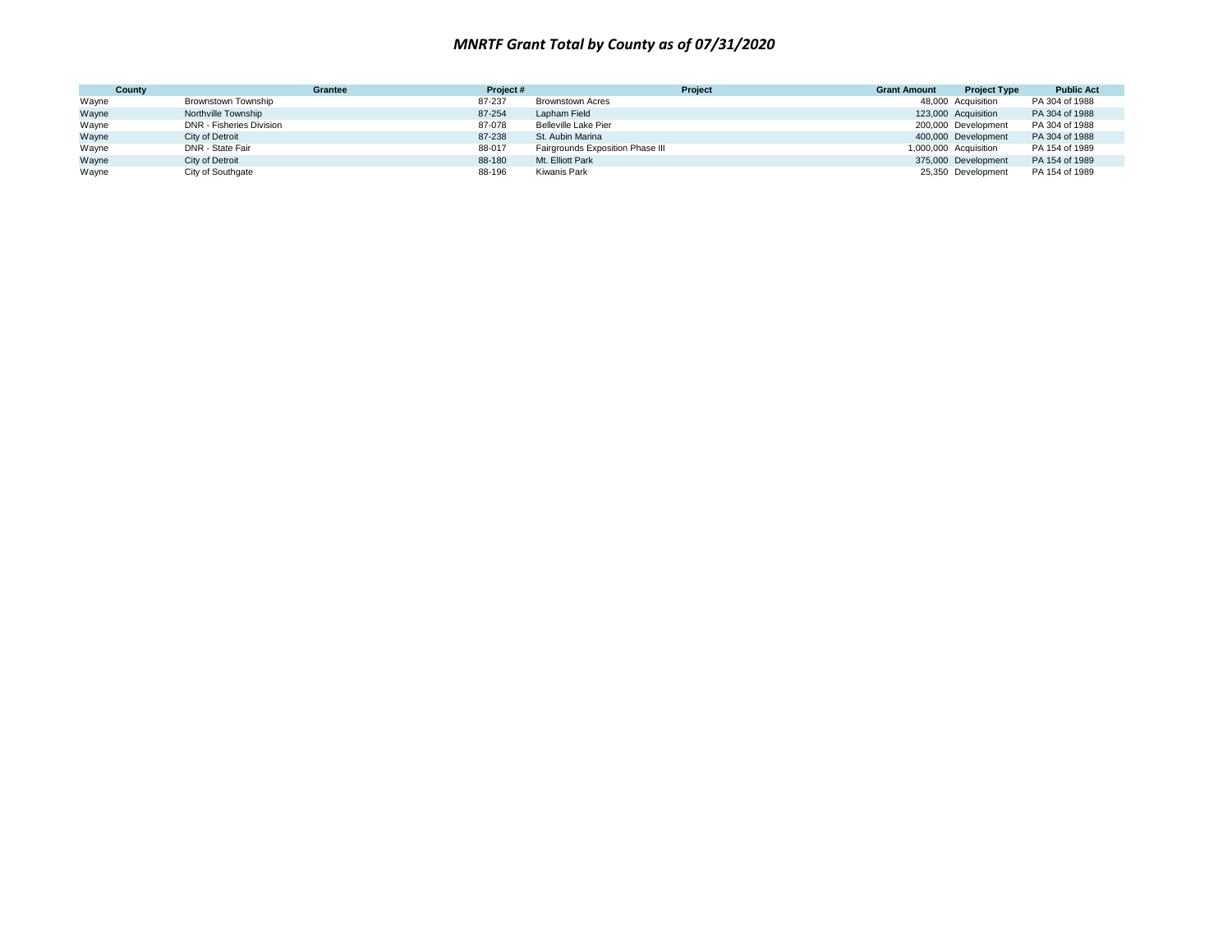| County | Grantee                  | Project# | Project                          | <b>Grant Amount</b> | <b>Project Type</b>   | <b>Public Act</b> |
|--------|--------------------------|----------|----------------------------------|---------------------|-----------------------|-------------------|
| Wayne  | Brownstown Township      | 87-237   | Brownstown Acres                 |                     | 48,000 Acquisition    | PA 304 of 1988    |
| Wayne  | Northville Township      | 87-254   | Lapham Field                     |                     | 123,000 Acquisition   | PA 304 of 1988    |
| Wayne  | DNR - Fisheries Division | 87-078   | Belleville Lake Pier             |                     | 200,000 Development   | PA 304 of 1988    |
| Wayne  | City of Detroit          | 87-238   | St. Aubin Marina                 |                     | 400,000 Development   | PA 304 of 1988    |
| Wayne  | DNR - State Fair         | 88-017   | Fairgrounds Exposition Phase III |                     | 1,000,000 Acquisition | PA 154 of 1989    |
| Wayne  | City of Detroit          | 88-180   | Mt. Elliott Park                 |                     | 375,000 Development   | PA 154 of 1989    |
| Wayne  | City of Southgate        | 88-196   | Kiwanis Park                     |                     | 25,350 Development    | PA 154 of 1989    |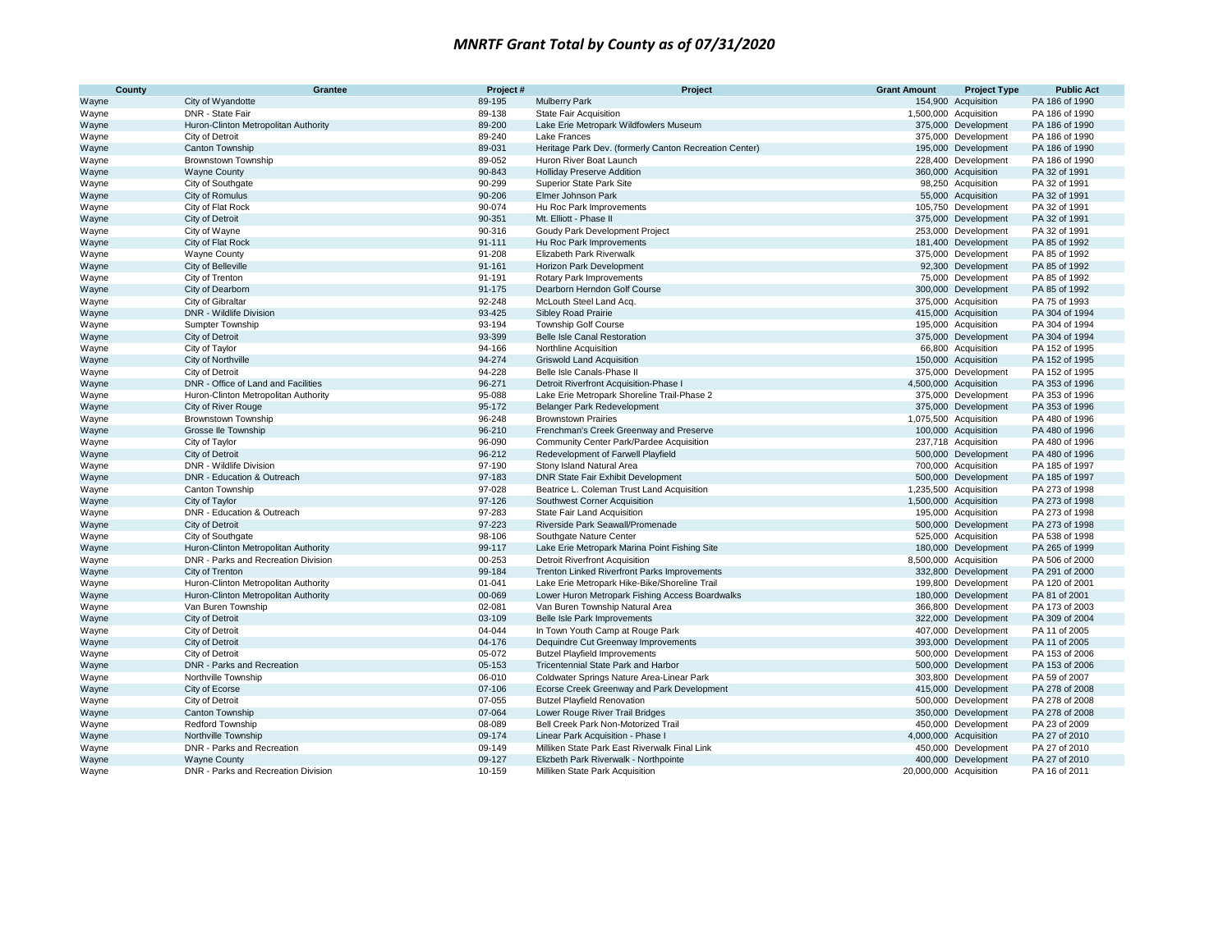| County | Grantee                               | Project#   | Project                                                                             | <b>Grant Amount</b>    | <b>Project Type</b>   | <b>Public Act</b>                |
|--------|---------------------------------------|------------|-------------------------------------------------------------------------------------|------------------------|-----------------------|----------------------------------|
| Wayne  | City of Wyandotte                     | 89-195     | <b>Mulberry Park</b>                                                                |                        | 154,900 Acquisition   | PA 186 of 1990                   |
| Wayne  | DNR - State Fair                      | 89-138     | <b>State Fair Acquisition</b>                                                       |                        | 1,500,000 Acquisition | PA 186 of 1990                   |
| Wayne  | Huron-Clinton Metropolitan Authority  | 89-200     | Lake Erie Metropark Wildfowlers Museum                                              |                        | 375,000 Development   | PA 186 of 1990                   |
| Wayne  | City of Detroit                       | 89-240     | Lake Frances                                                                        |                        | 375,000 Development   | PA 186 of 1990                   |
| Wayne  | Canton Township                       | 89-031     | Heritage Park Dev. (formerly Canton Recreation Center)                              |                        | 195,000 Development   | PA 186 of 1990                   |
| Wayne  | Brownstown Township                   | 89-052     | Huron River Boat Launch                                                             |                        | 228,400 Development   | PA 186 of 1990                   |
| Wayne  | <b>Wayne County</b>                   | 90-843     | <b>Holliday Preserve Addition</b>                                                   |                        | 360,000 Acquisition   | PA 32 of 1991                    |
| Wayne  | City of Southqate                     | 90-299     | Superior State Park Site                                                            |                        | 98,250 Acquisition    | PA 32 of 1991                    |
| Wayne  | City of Romulus                       | 90-206     | Elmer Johnson Park                                                                  |                        | 55,000 Acquisition    | PA 32 of 1991                    |
| Wayne  | City of Flat Rock                     | 90-074     | Hu Roc Park Improvements                                                            |                        | 105,750 Development   | PA 32 of 1991                    |
| Wayne  | City of Detroit                       | 90-351     | Mt. Elliott - Phase II                                                              |                        | 375,000 Development   | PA 32 of 1991                    |
| Wayne  | City of Wayne                         | 90-316     | Goudy Park Development Project                                                      |                        | 253,000 Development   | PA 32 of 1991                    |
| Wayne  | City of Flat Rock                     | $91 - 111$ | Hu Roc Park Improvements                                                            |                        | 181,400 Development   | PA 85 of 1992                    |
| Wayne  | <b>Wayne County</b>                   | 91-208     | <b>Elizabeth Park Riverwalk</b>                                                     |                        | 375,000 Development   | PA 85 of 1992                    |
| Wayne  | City of Belleville                    | 91-161     | Horizon Park Development                                                            |                        | 92,300 Development    | PA 85 of 1992                    |
| Wayne  | City of Trenton                       | 91-191     | <b>Rotary Park Improvements</b>                                                     |                        | 75,000 Development    | PA 85 of 1992                    |
| Wayne  | City of Dearborn                      | 91-175     | Dearborn Herndon Golf Course                                                        |                        | 300,000 Development   | PA 85 of 1992                    |
| Wayne  | City of Gibraltar                     | 92-248     | McLouth Steel Land Acq.                                                             |                        | 375,000 Acquisition   | PA 75 of 1993                    |
| Wayne  | DNR - Wildlife Division               | 93-425     | <b>Sibley Road Prairie</b>                                                          |                        | 415,000 Acquisition   | PA 304 of 1994                   |
| Wayne  | Sumpter Township                      | 93-194     | <b>Township Golf Course</b>                                                         |                        | 195,000 Acquisition   | PA 304 of 1994                   |
| Wayne  | City of Detroit                       | 93-399     | Belle Isle Canal Restoration                                                        |                        | 375,000 Development   | PA 304 of 1994                   |
| Wayne  | City of Taylor                        | 94-166     | Northline Acquisition                                                               |                        | 66,800 Acquisition    | PA 152 of 1995                   |
| Wayne  | City of Northville                    | 94-274     | <b>Griswold Land Acquisition</b>                                                    |                        | 150,000 Acquisition   | PA 152 of 1995                   |
| Wayne  | City of Detroit                       | 94-228     | Belle Isle Canals-Phase II                                                          |                        | 375,000 Development   | PA 152 of 1995                   |
|        | DNR - Office of Land and Facilities   | 96-271     | Detroit Riverfront Acquisition-Phase I                                              |                        | 4,500,000 Acquisition | PA 353 of 1996                   |
| Wayne  | Huron-Clinton Metropolitan Authority  | 95-088     | Lake Erie Metropark Shoreline Trail-Phase 2                                         |                        | 375,000 Development   | PA 353 of 1996                   |
| Wayne  |                                       | 95-172     | Belanger Park Redevelopment                                                         |                        | 375,000 Development   | PA 353 of 1996                   |
| Wayne  | City of River Rouge                   | 96-248     | <b>Brownstown Prairies</b>                                                          |                        | 1,075,500 Acquisition | PA 480 of 1996                   |
| Wayne  | Brownstown Township                   | 96-210     |                                                                                     |                        | 100,000 Acquisition   | PA 480 of 1996                   |
| Wayne  | Grosse Ile Township<br>City of Taylor | 96-090     | Frenchman's Creek Greenway and Preserve<br>Community Center Park/Pardee Acquisition |                        | 237,718 Acquisition   | PA 480 of 1996                   |
| Wayne  | City of Detroit                       | 96-212     |                                                                                     |                        | 500,000 Development   | PA 480 of 1996                   |
| Wayne  | DNR - Wildlife Division               | 97-190     | Redevelopment of Farwell Playfield                                                  |                        | 700,000 Acquisition   | PA 185 of 1997                   |
| Wayne  | DNR - Education & Outreach            |            | Stony Island Natural Area                                                           |                        |                       | PA 185 of 1997                   |
| Wayne  |                                       | 97-183     | DNR State Fair Exhibit Development                                                  |                        | 500,000 Development   |                                  |
| Wayne  | Canton Township                       | 97-028     | Beatrice L. Coleman Trust Land Acquisition                                          |                        | 1,235,500 Acquisition | PA 273 of 1998<br>PA 273 of 1998 |
| Wayne  | City of Taylor                        | 97-126     | Southwest Corner Acquisition                                                        |                        | 1,500,000 Acquisition |                                  |
| Wayne  | DNR - Education & Outreach            | 97-283     | State Fair Land Acquisition                                                         |                        | 195,000 Acquisition   | PA 273 of 1998                   |
| Wayne  | City of Detroit                       | 97-223     | Riverside Park Seawall/Promenade                                                    |                        | 500,000 Development   | PA 273 of 1998                   |
| Wayne  | City of Southgate                     | 98-106     | Southgate Nature Center                                                             |                        | 525,000 Acquisition   | PA 538 of 1998                   |
| Wayne  | Huron-Clinton Metropolitan Authority  | 99-117     | Lake Erie Metropark Marina Point Fishing Site                                       |                        | 180,000 Development   | PA 265 of 1999                   |
| Wayne  | DNR - Parks and Recreation Division   | 00-253     | <b>Detroit Riverfront Acquisition</b>                                               |                        | 8,500,000 Acquisition | PA 506 of 2000                   |
| Wayne  | City of Trenton                       | 99-184     | Trenton Linked Riverfront Parks Improvements                                        |                        | 332,800 Development   | PA 291 of 2000                   |
| Wayne  | Huron-Clinton Metropolitan Authority  | 01-041     | Lake Erie Metropark Hike-Bike/Shoreline Trail                                       |                        | 199,800 Development   | PA 120 of 2001                   |
| Wayne  | Huron-Clinton Metropolitan Authority  | 00-069     | Lower Huron Metropark Fishing Access Boardwalks                                     |                        | 180,000 Development   | PA 81 of 2001                    |
| Wayne  | Van Buren Township                    | 02-081     | Van Buren Township Natural Area                                                     |                        | 366,800 Development   | PA 173 of 2003                   |
| Wayne  | City of Detroit                       | 03-109     | Belle Isle Park Improvements                                                        |                        | 322,000 Development   | PA 309 of 2004                   |
| Wayne  | City of Detroit                       | 04-044     | In Town Youth Camp at Rouge Park                                                    |                        | 407,000 Development   | PA 11 of 2005                    |
| Wayne  | City of Detroit                       | 04-176     | Dequindre Cut Greenway Improvements                                                 |                        | 393,000 Development   | PA 11 of 2005                    |
| Wayne  | City of Detroit                       | 05-072     | <b>Butzel Playfield Improvements</b>                                                |                        | 500,000 Development   | PA 153 of 2006                   |
| Wayne  | DNR - Parks and Recreation            | 05-153     | Tricentennial State Park and Harbor                                                 |                        | 500,000 Development   | PA 153 of 2006                   |
| Wayne  | Northville Township                   | 06-010     | Coldwater Springs Nature Area-Linear Park                                           |                        | 303,800 Development   | PA 59 of 2007                    |
| Wayne  | City of Ecorse                        | 07-106     | Ecorse Creek Greenway and Park Development                                          |                        | 415,000 Development   | PA 278 of 2008                   |
| Wayne  | City of Detroit                       | 07-055     | <b>Butzel Playfield Renovation</b>                                                  |                        | 500,000 Development   | PA 278 of 2008                   |
| Wayne  | Canton Township                       | 07-064     | Lower Rouge River Trail Bridges                                                     |                        | 350,000 Development   | PA 278 of 2008                   |
| Wayne  | Redford Township                      | 08-089     | Bell Creek Park Non-Motorized Trail                                                 |                        | 450,000 Development   | PA 23 of 2009                    |
| Wayne  | Northville Township                   | 09-174     | Linear Park Acquisition - Phase I                                                   |                        | 4,000,000 Acquisition | PA 27 of 2010                    |
| Wayne  | DNR - Parks and Recreation            | 09-149     | Milliken State Park East Riverwalk Final Link                                       |                        | 450,000 Development   | PA 27 of 2010                    |
| Wayne  | <b>Wayne County</b>                   | 09-127     | Elizbeth Park Riverwalk - Northpointe                                               |                        | 400,000 Development   | PA 27 of 2010                    |
| Wayne  | DNR - Parks and Recreation Division   | 10-159     | Milliken State Park Acquisition                                                     | 20,000,000 Acquisition |                       | PA 16 of 2011                    |